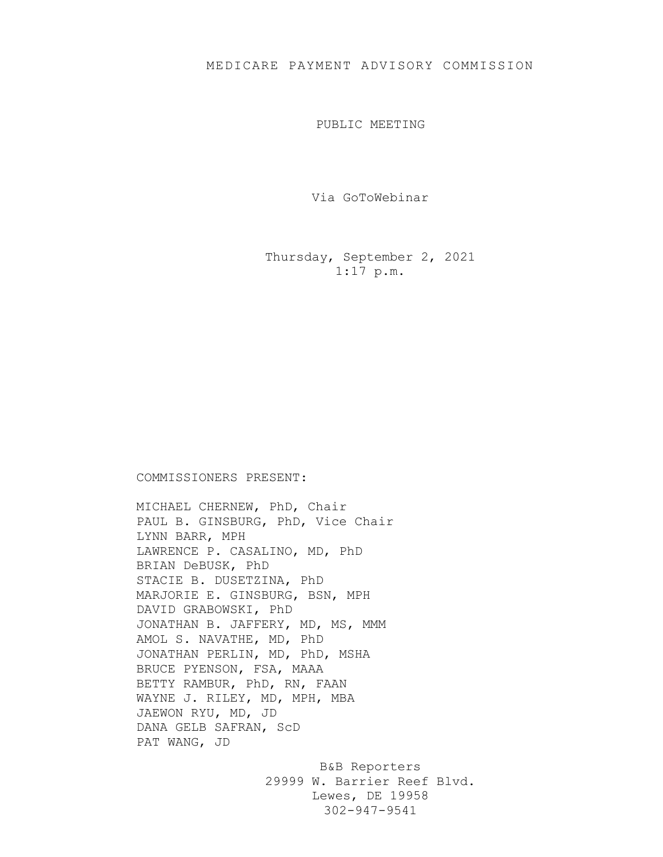## MEDICARE PAYMENT ADVISORY COMMISSION

PUBLIC MEETING

Via GoToWebinar

Thursday, September 2, 2021 1:17 p.m.

## COMMISSIONERS PRESENT:

MICHAEL CHERNEW, PhD, Chair PAUL B. GINSBURG, PhD, Vice Chair LYNN BARR, MPH LAWRENCE P. CASALINO, MD, PhD BRIAN DeBUSK, PhD STACIE B. DUSETZINA, PhD MARJORIE E. GINSBURG, BSN, MPH DAVID GRABOWSKI, PhD JONATHAN B. JAFFERY, MD, MS, MMM AMOL S. NAVATHE, MD, PhD JONATHAN PERLIN, MD, PhD, MSHA BRUCE PYENSON, FSA, MAAA BETTY RAMBUR, PhD, RN, FAAN WAYNE J. RILEY, MD, MPH, MBA JAEWON RYU, MD, JD DANA GELB SAFRAN, ScD PAT WANG, JD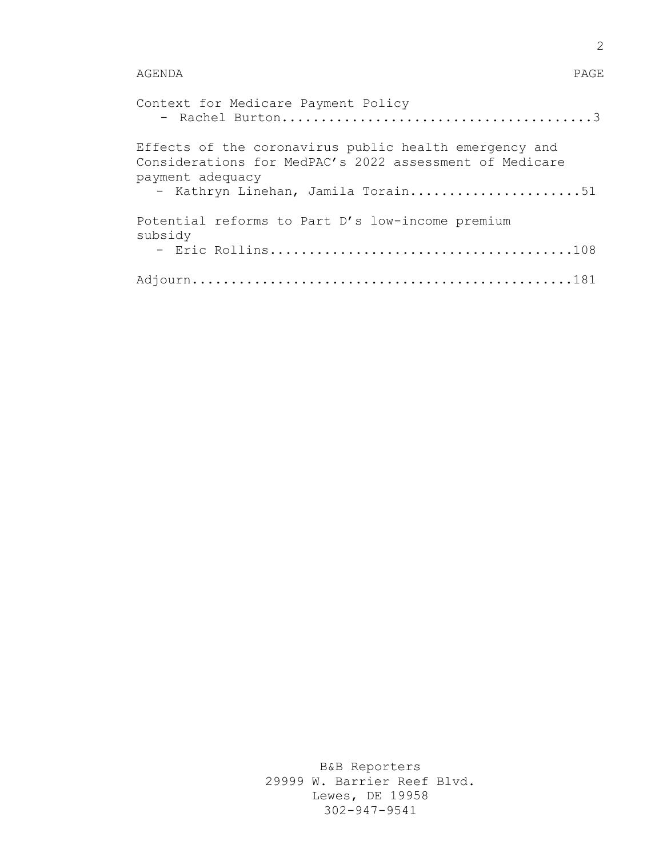## AGENDA PAGE

| Context for Medicare Payment Policy                                                                                                                                         |
|-----------------------------------------------------------------------------------------------------------------------------------------------------------------------------|
| Effects of the coronavirus public health emergency and<br>Considerations for MedPAC's 2022 assessment of Medicare<br>payment adequacy<br>- Kathryn Linehan, Jamila Torain51 |
| Potential reforms to Part D's low-income premium<br>subsidy                                                                                                                 |
|                                                                                                                                                                             |
|                                                                                                                                                                             |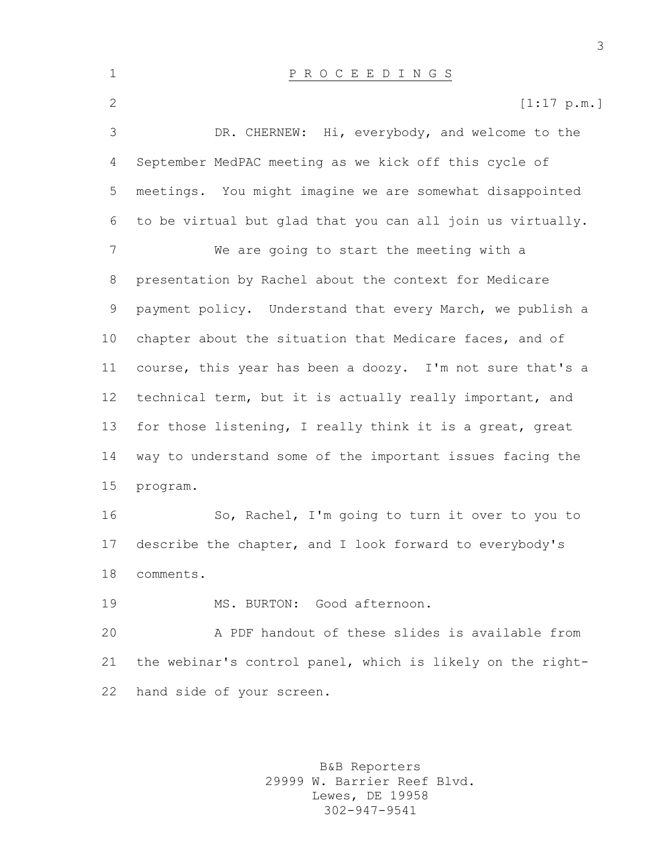P R O C E E D I N G S  $[1:17 \text{ p.m.}]$  DR. CHERNEW: Hi, everybody, and welcome to the September MedPAC meeting as we kick off this cycle of meetings. You might imagine we are somewhat disappointed to be virtual but glad that you can all join us virtually. We are going to start the meeting with a presentation by Rachel about the context for Medicare payment policy. Understand that every March, we publish a chapter about the situation that Medicare faces, and of course, this year has been a doozy. I'm not sure that's a technical term, but it is actually really important, and for those listening, I really think it is a great, great way to understand some of the important issues facing the program. So, Rachel, I'm going to turn it over to you to describe the chapter, and I look forward to everybody's comments. MS. BURTON: Good afternoon. A PDF handout of these slides is available from the webinar's control panel, which is likely on the right-hand side of your screen.

> B&B Reporters 29999 W. Barrier Reef Blvd. Lewes, DE 19958 302-947-9541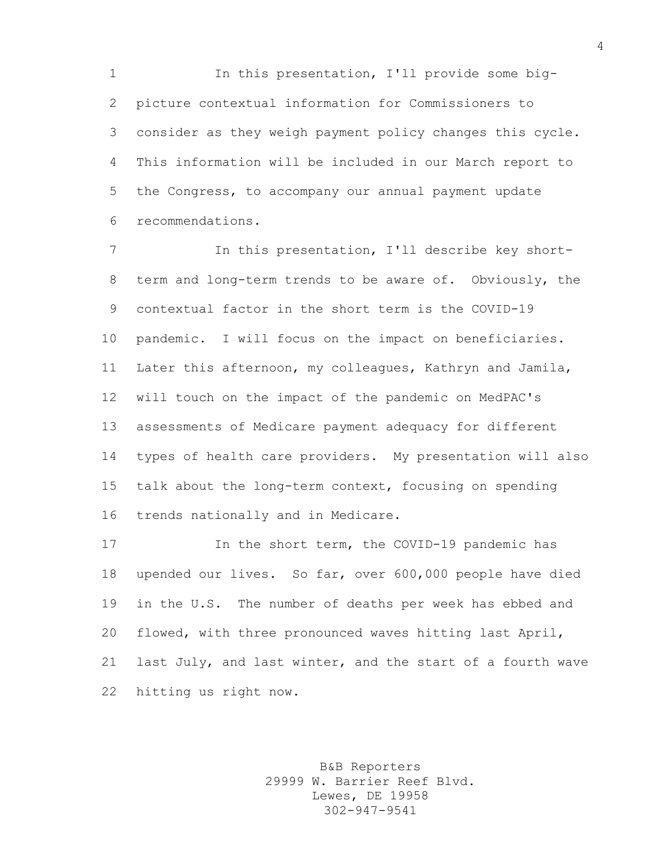1 1 In this presentation, I'll provide some big- picture contextual information for Commissioners to consider as they weigh payment policy changes this cycle. This information will be included in our March report to the Congress, to accompany our annual payment update recommendations.

7 In this presentation, I'll describe key short- term and long-term trends to be aware of. Obviously, the contextual factor in the short term is the COVID-19 pandemic. I will focus on the impact on beneficiaries. Later this afternoon, my colleagues, Kathryn and Jamila, will touch on the impact of the pandemic on MedPAC's assessments of Medicare payment adequacy for different types of health care providers. My presentation will also talk about the long-term context, focusing on spending trends nationally and in Medicare.

 In the short term, the COVID-19 pandemic has upended our lives. So far, over 600,000 people have died in the U.S. The number of deaths per week has ebbed and flowed, with three pronounced waves hitting last April, last July, and last winter, and the start of a fourth wave hitting us right now.

> B&B Reporters 29999 W. Barrier Reef Blvd. Lewes, DE 19958 302-947-9541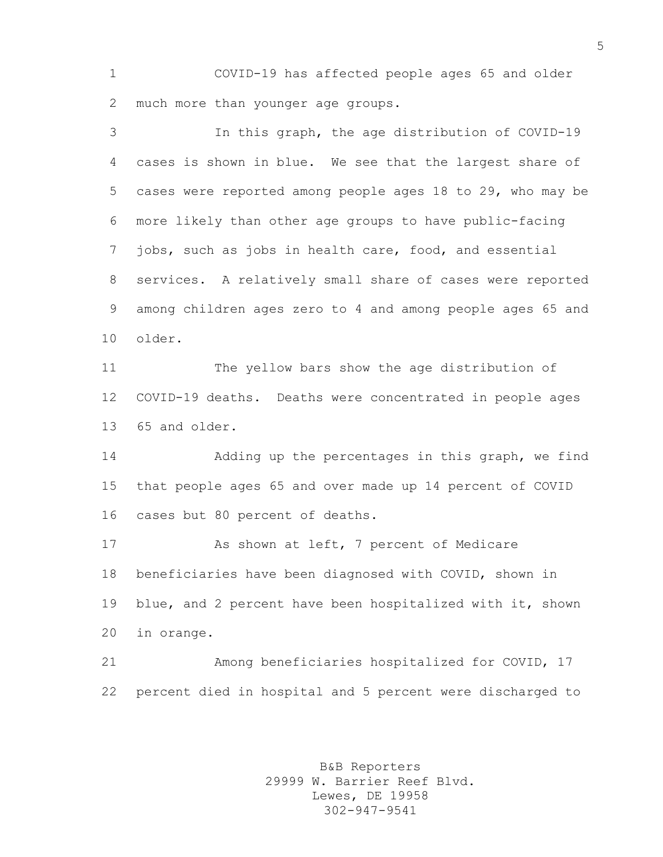COVID-19 has affected people ages 65 and older much more than younger age groups.

 In this graph, the age distribution of COVID-19 cases is shown in blue. We see that the largest share of cases were reported among people ages 18 to 29, who may be more likely than other age groups to have public-facing jobs, such as jobs in health care, food, and essential services. A relatively small share of cases were reported among children ages zero to 4 and among people ages 65 and older. The yellow bars show the age distribution of COVID-19 deaths. Deaths were concentrated in people ages 65 and older. Adding up the percentages in this graph, we find that people ages 65 and over made up 14 percent of COVID cases but 80 percent of deaths. As shown at left, 7 percent of Medicare beneficiaries have been diagnosed with COVID, shown in blue, and 2 percent have been hospitalized with it, shown in orange. Among beneficiaries hospitalized for COVID, 17 percent died in hospital and 5 percent were discharged to

> B&B Reporters 29999 W. Barrier Reef Blvd. Lewes, DE 19958 302-947-9541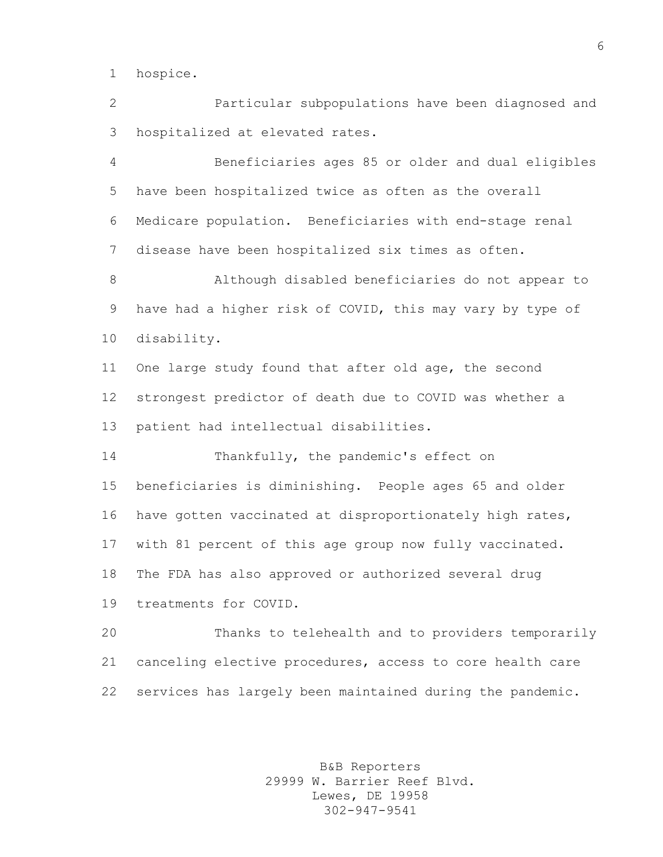hospice.

 Particular subpopulations have been diagnosed and hospitalized at elevated rates.

 Beneficiaries ages 85 or older and dual eligibles have been hospitalized twice as often as the overall Medicare population. Beneficiaries with end-stage renal disease have been hospitalized six times as often.

 Although disabled beneficiaries do not appear to have had a higher risk of COVID, this may vary by type of disability.

 One large study found that after old age, the second strongest predictor of death due to COVID was whether a patient had intellectual disabilities.

 Thankfully, the pandemic's effect on beneficiaries is diminishing. People ages 65 and older have gotten vaccinated at disproportionately high rates, with 81 percent of this age group now fully vaccinated. The FDA has also approved or authorized several drug treatments for COVID.

 Thanks to telehealth and to providers temporarily canceling elective procedures, access to core health care services has largely been maintained during the pandemic.

> B&B Reporters 29999 W. Barrier Reef Blvd. Lewes, DE 19958 302-947-9541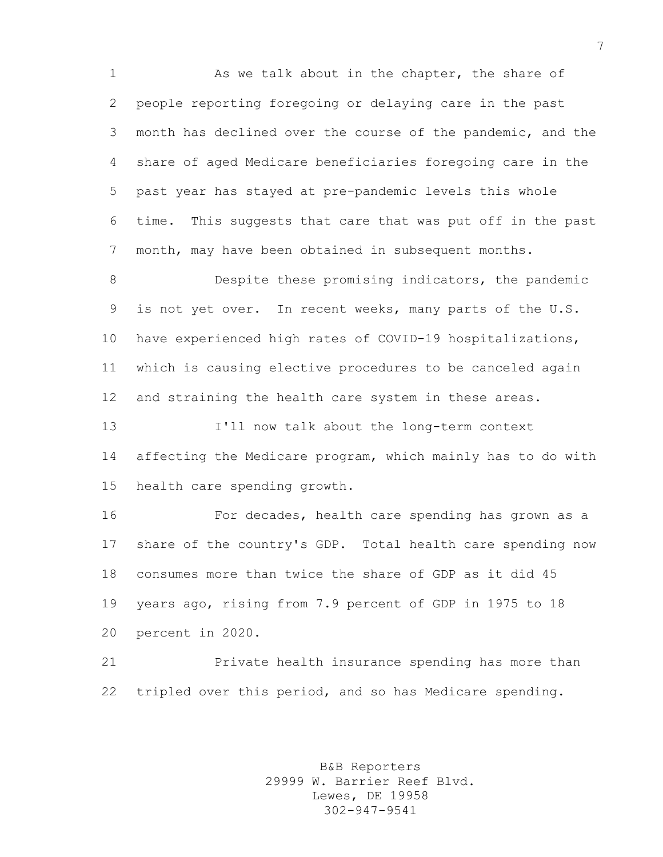As we talk about in the chapter, the share of people reporting foregoing or delaying care in the past month has declined over the course of the pandemic, and the share of aged Medicare beneficiaries foregoing care in the past year has stayed at pre-pandemic levels this whole time. This suggests that care that was put off in the past month, may have been obtained in subsequent months.

 Despite these promising indicators, the pandemic is not yet over. In recent weeks, many parts of the U.S. have experienced high rates of COVID-19 hospitalizations, which is causing elective procedures to be canceled again and straining the health care system in these areas.

 I'll now talk about the long-term context affecting the Medicare program, which mainly has to do with health care spending growth.

 For decades, health care spending has grown as a share of the country's GDP. Total health care spending now consumes more than twice the share of GDP as it did 45 years ago, rising from 7.9 percent of GDP in 1975 to 18 percent in 2020.

 Private health insurance spending has more than 22 tripled over this period, and so has Medicare spending.

> B&B Reporters 29999 W. Barrier Reef Blvd. Lewes, DE 19958 302-947-9541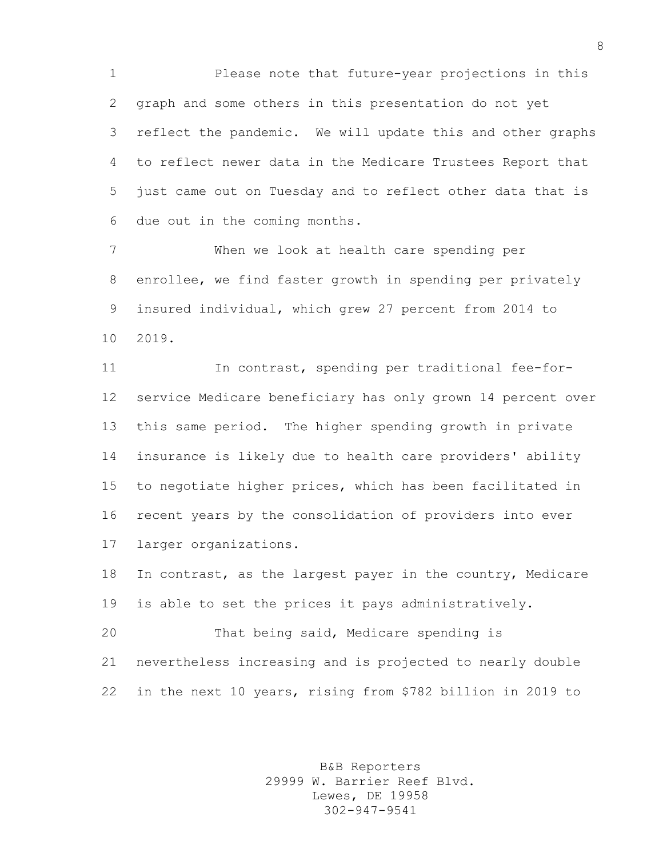Please note that future-year projections in this graph and some others in this presentation do not yet reflect the pandemic. We will update this and other graphs to reflect newer data in the Medicare Trustees Report that just came out on Tuesday and to reflect other data that is due out in the coming months.

 When we look at health care spending per enrollee, we find faster growth in spending per privately insured individual, which grew 27 percent from 2014 to 2019.

 In contrast, spending per traditional fee-for- service Medicare beneficiary has only grown 14 percent over this same period. The higher spending growth in private insurance is likely due to health care providers' ability to negotiate higher prices, which has been facilitated in recent years by the consolidation of providers into ever larger organizations.

 In contrast, as the largest payer in the country, Medicare is able to set the prices it pays administratively.

 That being said, Medicare spending is nevertheless increasing and is projected to nearly double in the next 10 years, rising from \$782 billion in 2019 to

> B&B Reporters 29999 W. Barrier Reef Blvd. Lewes, DE 19958 302-947-9541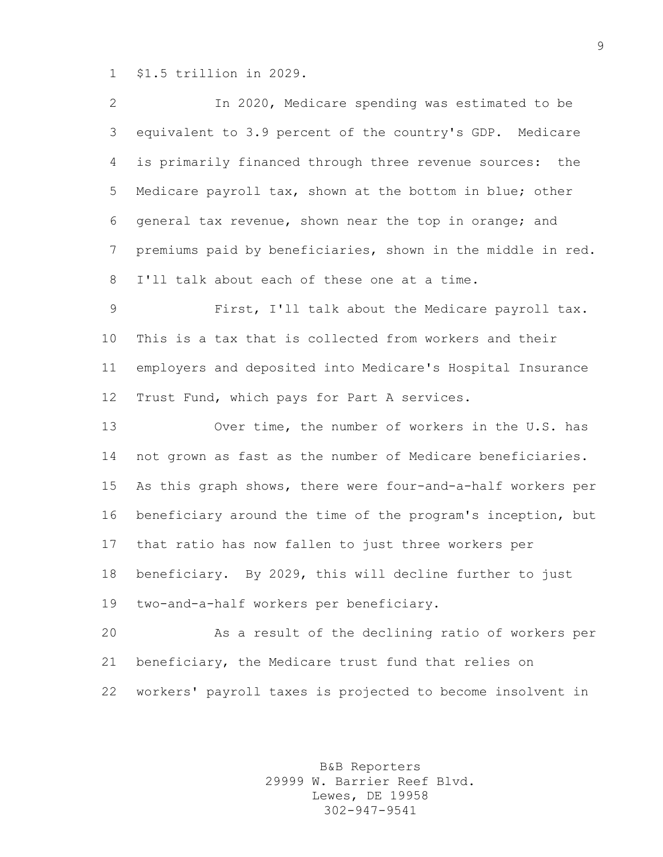\$1.5 trillion in 2029.

| $\overline{2}$ | In 2020, Medicare spending was estimated to be              |
|----------------|-------------------------------------------------------------|
| 3              | equivalent to 3.9 percent of the country's GDP. Medicare    |
| 4              | is primarily financed through three revenue sources: the    |
| 5              | Medicare payroll tax, shown at the bottom in blue; other    |
| 6              | general tax revenue, shown near the top in orange; and      |
| $7\phantom{.}$ | premiums paid by beneficiaries, shown in the middle in red. |
| 8              | I'll talk about each of these one at a time.                |
| $\mathsf 9$    | First, I'll talk about the Medicare payroll tax.            |
| $10 \,$        | This is a tax that is collected from workers and their      |
| 11             | employers and deposited into Medicare's Hospital Insurance  |
| 12             | Trust Fund, which pays for Part A services.                 |
| 13             | Over time, the number of workers in the U.S. has            |
| 14             | not grown as fast as the number of Medicare beneficiaries.  |
| 15             | As this graph shows, there were four-and-a-half workers per |
| 16             | beneficiary around the time of the program's inception, but |
| 17             | that ratio has now fallen to just three workers per         |
| 18             | beneficiary. By 2029, this will decline further to just     |
| 19             | two-and-a-half workers per beneficiary.                     |
| 20             | As a result of the declining ratio of workers per           |
| 21             | beneficiary, the Medicare trust fund that relies on         |
| 22             | workers' payroll taxes is projected to become insolvent in  |

B&B Reporters 29999 W. Barrier Reef Blvd. Lewes, DE 19958 302-947-9541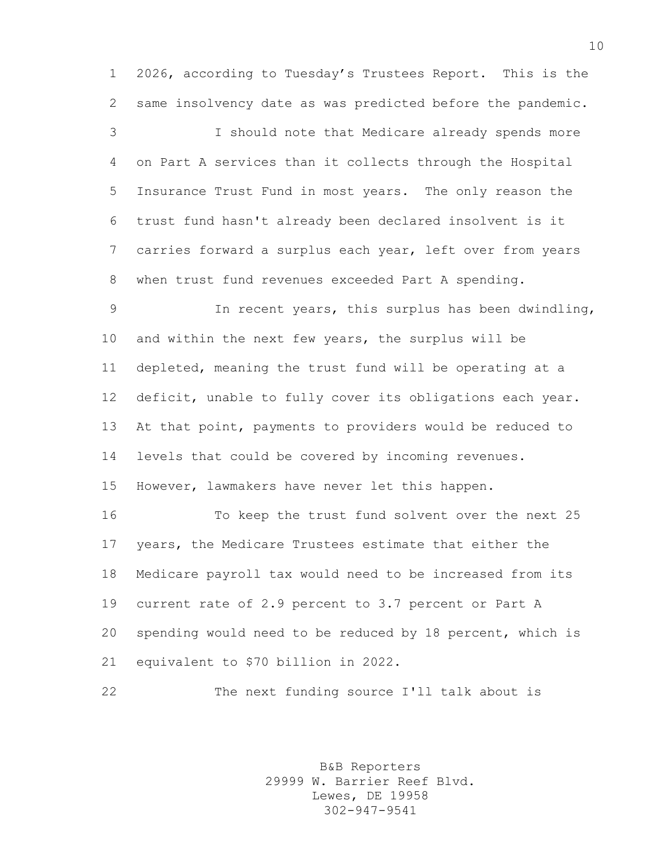2026, according to Tuesday's Trustees Report. This is the same insolvency date as was predicted before the pandemic.

 I should note that Medicare already spends more on Part A services than it collects through the Hospital Insurance Trust Fund in most years. The only reason the trust fund hasn't already been declared insolvent is it carries forward a surplus each year, left over from years when trust fund revenues exceeded Part A spending.

 In recent years, this surplus has been dwindling, and within the next few years, the surplus will be depleted, meaning the trust fund will be operating at a deficit, unable to fully cover its obligations each year. At that point, payments to providers would be reduced to levels that could be covered by incoming revenues. However, lawmakers have never let this happen.

 To keep the trust fund solvent over the next 25 years, the Medicare Trustees estimate that either the Medicare payroll tax would need to be increased from its current rate of 2.9 percent to 3.7 percent or Part A spending would need to be reduced by 18 percent, which is equivalent to \$70 billion in 2022.

The next funding source I'll talk about is

B&B Reporters 29999 W. Barrier Reef Blvd. Lewes, DE 19958 302-947-9541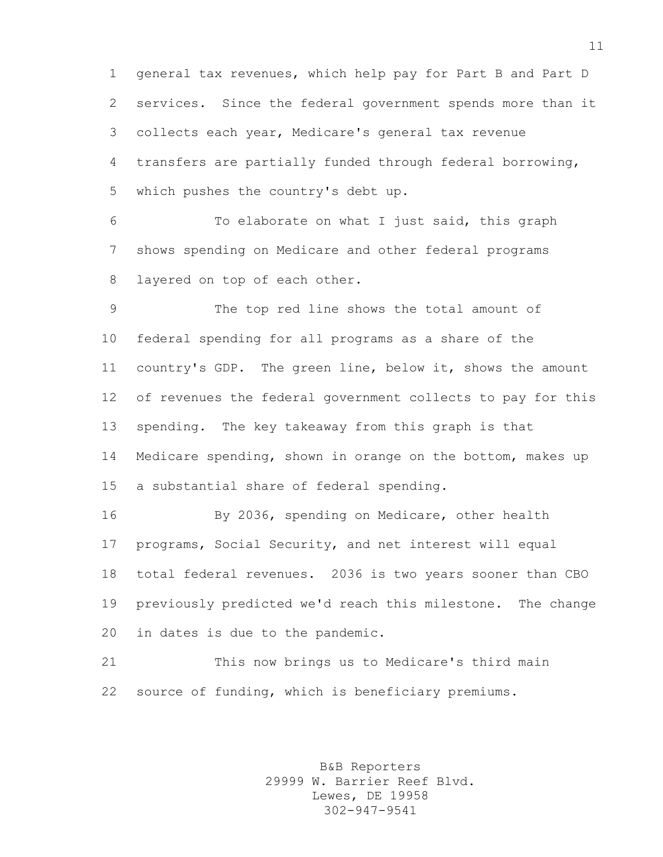general tax revenues, which help pay for Part B and Part D services. Since the federal government spends more than it collects each year, Medicare's general tax revenue transfers are partially funded through federal borrowing, which pushes the country's debt up.

 To elaborate on what I just said, this graph shows spending on Medicare and other federal programs layered on top of each other.

 The top red line shows the total amount of federal spending for all programs as a share of the country's GDP. The green line, below it, shows the amount of revenues the federal government collects to pay for this spending. The key takeaway from this graph is that Medicare spending, shown in orange on the bottom, makes up a substantial share of federal spending.

 By 2036, spending on Medicare, other health programs, Social Security, and net interest will equal total federal revenues. 2036 is two years sooner than CBO previously predicted we'd reach this milestone. The change in dates is due to the pandemic.

 This now brings us to Medicare's third main source of funding, which is beneficiary premiums.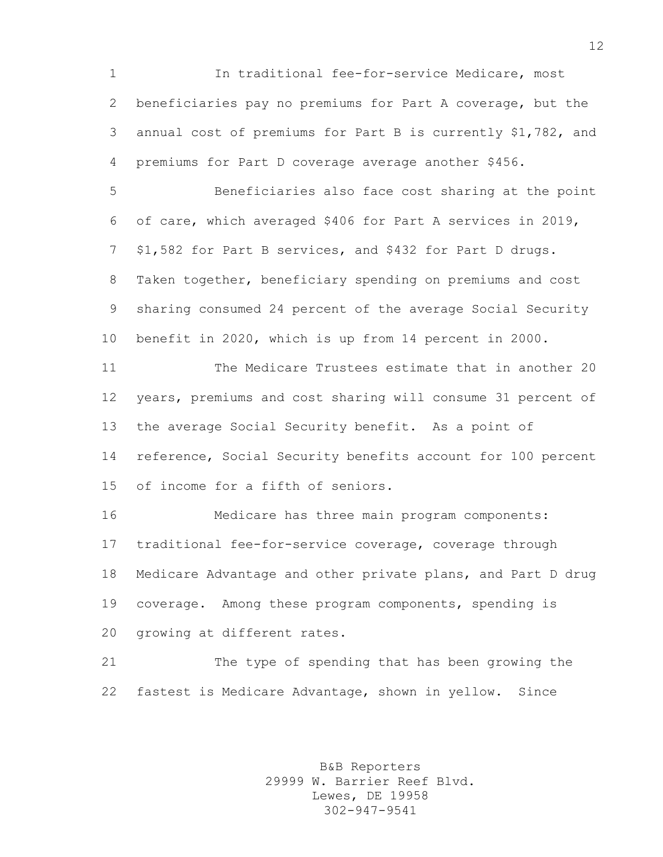In traditional fee-for-service Medicare, most beneficiaries pay no premiums for Part A coverage, but the annual cost of premiums for Part B is currently \$1,782, and premiums for Part D coverage average another \$456.

 Beneficiaries also face cost sharing at the point of care, which averaged \$406 for Part A services in 2019, \$1,582 for Part B services, and \$432 for Part D drugs. Taken together, beneficiary spending on premiums and cost sharing consumed 24 percent of the average Social Security benefit in 2020, which is up from 14 percent in 2000.

 The Medicare Trustees estimate that in another 20 years, premiums and cost sharing will consume 31 percent of the average Social Security benefit. As a point of reference, Social Security benefits account for 100 percent of income for a fifth of seniors.

 Medicare has three main program components: traditional fee-for-service coverage, coverage through Medicare Advantage and other private plans, and Part D drug coverage. Among these program components, spending is growing at different rates.

 The type of spending that has been growing the fastest is Medicare Advantage, shown in yellow. Since

> B&B Reporters 29999 W. Barrier Reef Blvd. Lewes, DE 19958 302-947-9541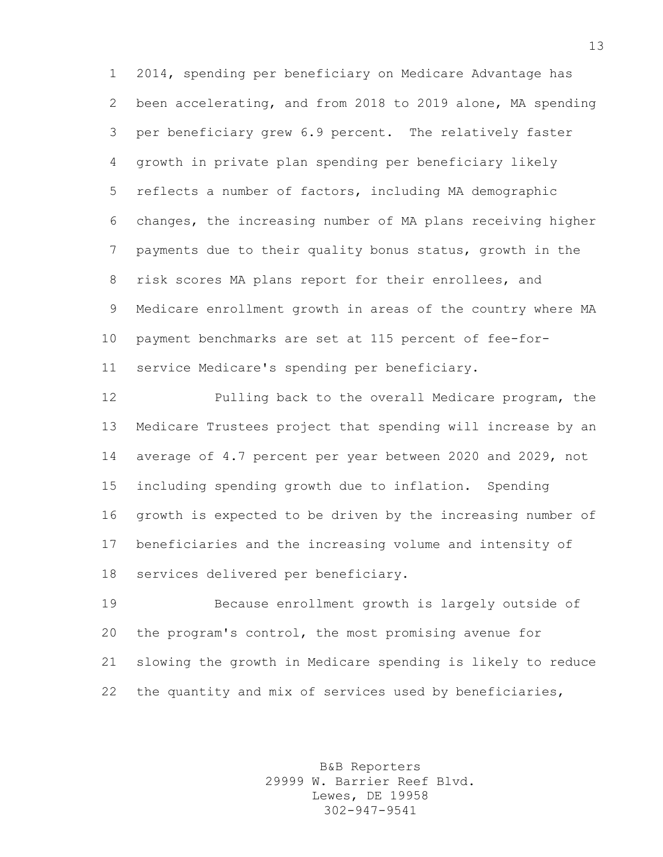2014, spending per beneficiary on Medicare Advantage has been accelerating, and from 2018 to 2019 alone, MA spending per beneficiary grew 6.9 percent. The relatively faster growth in private plan spending per beneficiary likely reflects a number of factors, including MA demographic changes, the increasing number of MA plans receiving higher payments due to their quality bonus status, growth in the risk scores MA plans report for their enrollees, and Medicare enrollment growth in areas of the country where MA payment benchmarks are set at 115 percent of fee-for-service Medicare's spending per beneficiary.

 Pulling back to the overall Medicare program, the Medicare Trustees project that spending will increase by an average of 4.7 percent per year between 2020 and 2029, not including spending growth due to inflation. Spending growth is expected to be driven by the increasing number of beneficiaries and the increasing volume and intensity of services delivered per beneficiary.

 Because enrollment growth is largely outside of the program's control, the most promising avenue for slowing the growth in Medicare spending is likely to reduce the quantity and mix of services used by beneficiaries,

> B&B Reporters 29999 W. Barrier Reef Blvd. Lewes, DE 19958 302-947-9541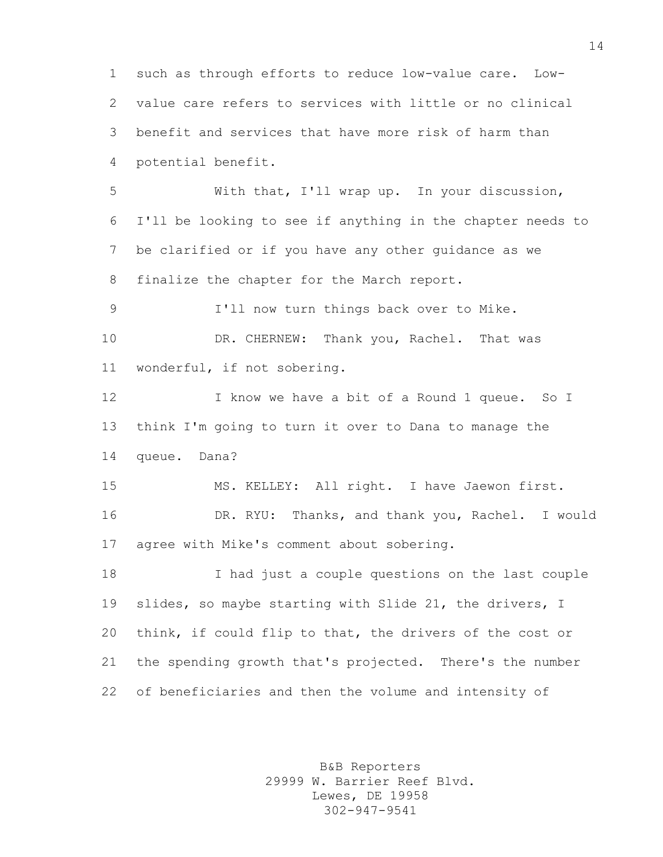such as through efforts to reduce low-value care. Low- value care refers to services with little or no clinical benefit and services that have more risk of harm than potential benefit.

 With that, I'll wrap up. In your discussion, I'll be looking to see if anything in the chapter needs to be clarified or if you have any other guidance as we finalize the chapter for the March report.

 I'll now turn things back over to Mike. 10 DR. CHERNEW: Thank you, Rachel. That was wonderful, if not sobering.

 I know we have a bit of a Round 1 queue. So I think I'm going to turn it over to Dana to manage the queue. Dana?

 MS. KELLEY: All right. I have Jaewon first. DR. RYU: Thanks, and thank you, Rachel. I would agree with Mike's comment about sobering.

 I had just a couple questions on the last couple 19 slides, so maybe starting with Slide 21, the drivers, I think, if could flip to that, the drivers of the cost or the spending growth that's projected. There's the number of beneficiaries and then the volume and intensity of

> B&B Reporters 29999 W. Barrier Reef Blvd. Lewes, DE 19958 302-947-9541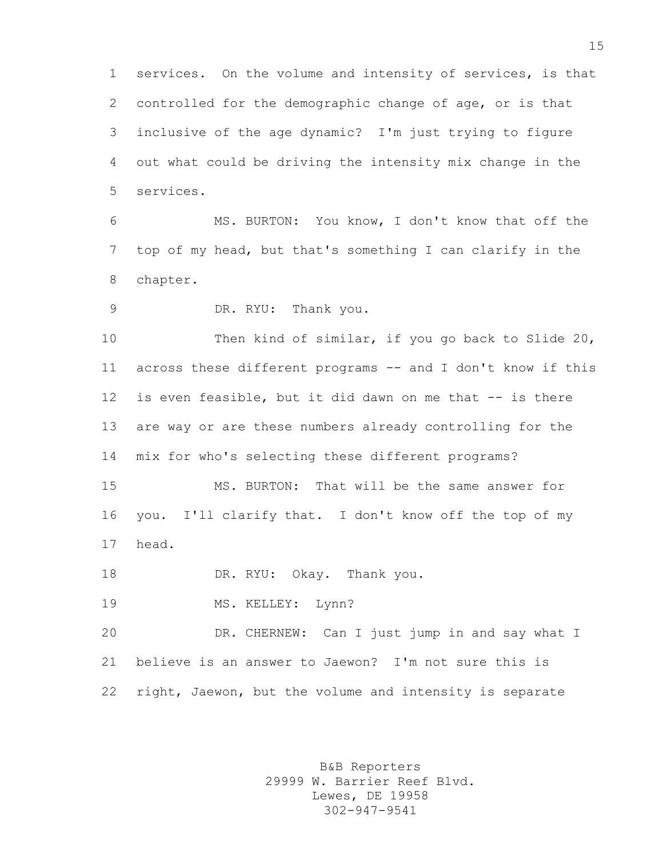services. On the volume and intensity of services, is that controlled for the demographic change of age, or is that inclusive of the age dynamic? I'm just trying to figure out what could be driving the intensity mix change in the services.

 MS. BURTON: You know, I don't know that off the top of my head, but that's something I can clarify in the chapter.

DR. RYU: Thank you.

 Then kind of similar, if you go back to Slide 20, across these different programs -- and I don't know if this is even feasible, but it did dawn on me that -- is there are way or are these numbers already controlling for the mix for who's selecting these different programs?

 MS. BURTON: That will be the same answer for you. I'll clarify that. I don't know off the top of my head.

DR. RYU: Okay. Thank you.

19 MS. KELLEY: Lynn?

 DR. CHERNEW: Can I just jump in and say what I believe is an answer to Jaewon? I'm not sure this is right, Jaewon, but the volume and intensity is separate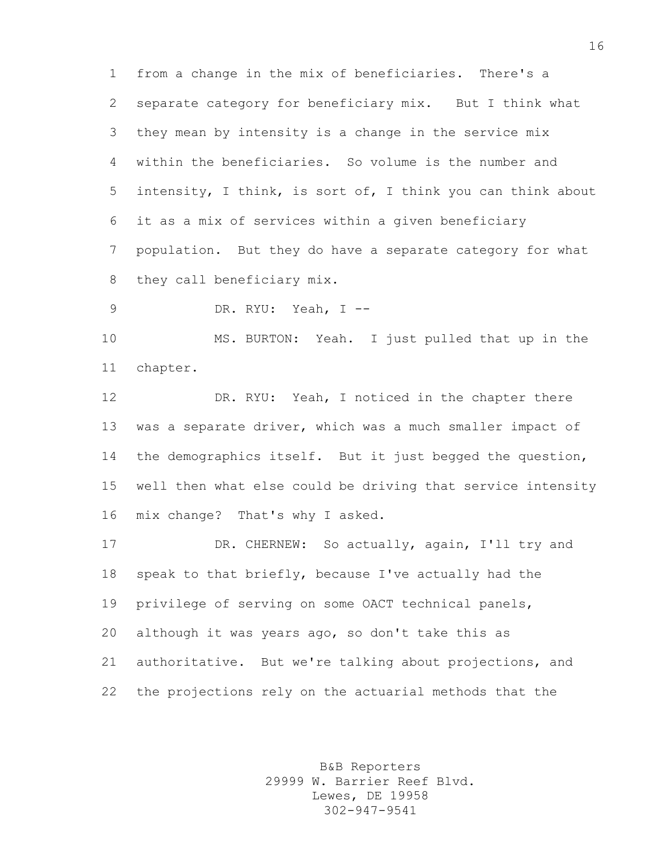from a change in the mix of beneficiaries. There's a separate category for beneficiary mix. But I think what they mean by intensity is a change in the service mix within the beneficiaries. So volume is the number and intensity, I think, is sort of, I think you can think about it as a mix of services within a given beneficiary population. But they do have a separate category for what they call beneficiary mix.

DR. RYU: Yeah, I --

 MS. BURTON: Yeah. I just pulled that up in the chapter.

 DR. RYU: Yeah, I noticed in the chapter there was a separate driver, which was a much smaller impact of 14 the demographics itself. But it just begged the question, well then what else could be driving that service intensity mix change? That's why I asked.

 DR. CHERNEW: So actually, again, I'll try and speak to that briefly, because I've actually had the privilege of serving on some OACT technical panels, although it was years ago, so don't take this as authoritative. But we're talking about projections, and the projections rely on the actuarial methods that the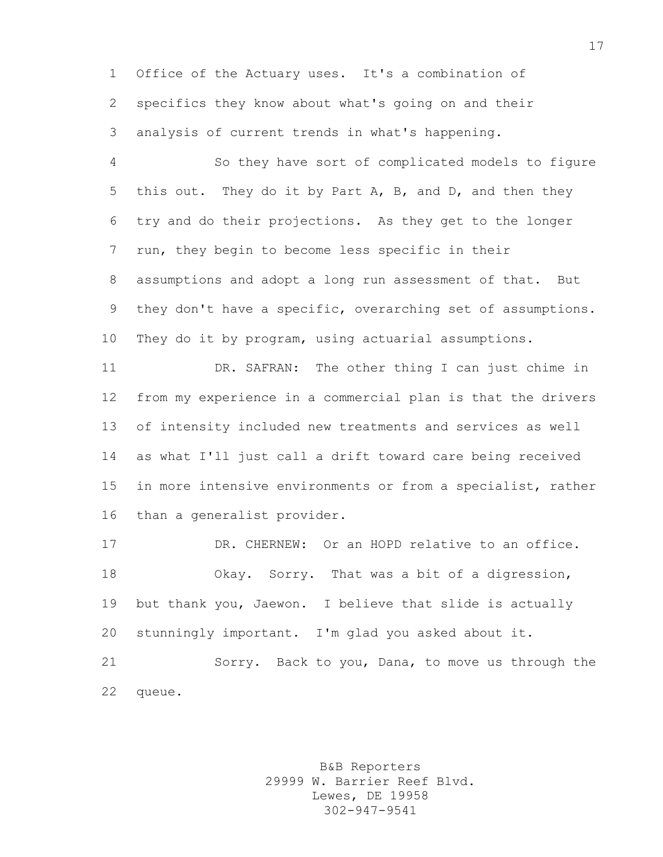Office of the Actuary uses. It's a combination of specifics they know about what's going on and their analysis of current trends in what's happening.

 So they have sort of complicated models to figure this out. They do it by Part A, B, and D, and then they try and do their projections. As they get to the longer run, they begin to become less specific in their assumptions and adopt a long run assessment of that. But they don't have a specific, overarching set of assumptions. They do it by program, using actuarial assumptions.

 DR. SAFRAN: The other thing I can just chime in from my experience in a commercial plan is that the drivers of intensity included new treatments and services as well as what I'll just call a drift toward care being received in more intensive environments or from a specialist, rather than a generalist provider.

 DR. CHERNEW: Or an HOPD relative to an office. Okay. Sorry. That was a bit of a digression, but thank you, Jaewon. I believe that slide is actually stunningly important. I'm glad you asked about it. Sorry. Back to you, Dana, to move us through the

queue.

B&B Reporters 29999 W. Barrier Reef Blvd. Lewes, DE 19958 302-947-9541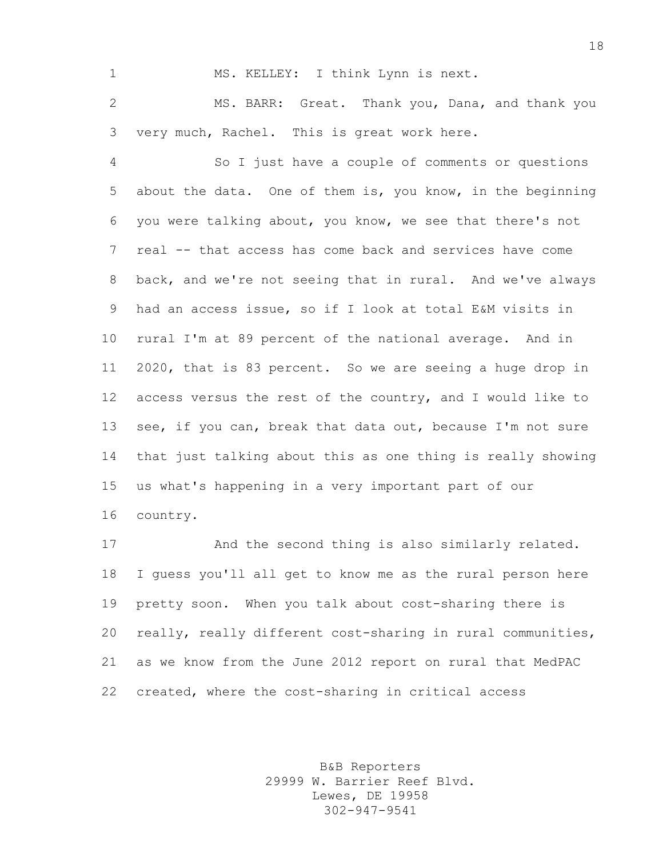MS. KELLEY: I think Lynn is next.

 MS. BARR: Great. Thank you, Dana, and thank you very much, Rachel. This is great work here.

 So I just have a couple of comments or questions about the data. One of them is, you know, in the beginning you were talking about, you know, we see that there's not real -- that access has come back and services have come back, and we're not seeing that in rural. And we've always had an access issue, so if I look at total E&M visits in rural I'm at 89 percent of the national average. And in 2020, that is 83 percent. So we are seeing a huge drop in access versus the rest of the country, and I would like to see, if you can, break that data out, because I'm not sure that just talking about this as one thing is really showing us what's happening in a very important part of our country.

 And the second thing is also similarly related. I guess you'll all get to know me as the rural person here pretty soon. When you talk about cost-sharing there is really, really different cost-sharing in rural communities, as we know from the June 2012 report on rural that MedPAC created, where the cost-sharing in critical access

> B&B Reporters 29999 W. Barrier Reef Blvd. Lewes, DE 19958 302-947-9541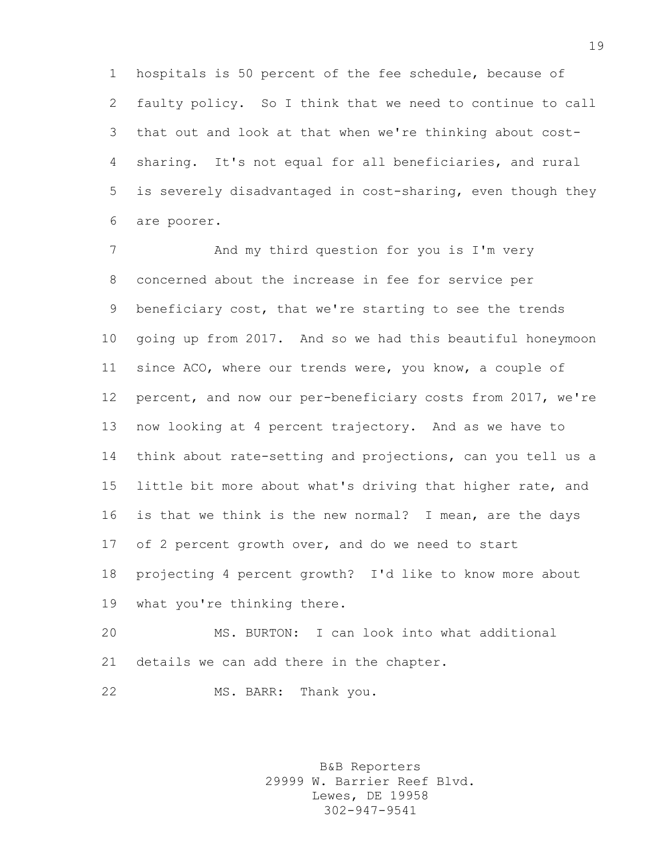hospitals is 50 percent of the fee schedule, because of faulty policy. So I think that we need to continue to call that out and look at that when we're thinking about cost- sharing. It's not equal for all beneficiaries, and rural is severely disadvantaged in cost-sharing, even though they are poorer.

7 And my third question for you is I'm very concerned about the increase in fee for service per beneficiary cost, that we're starting to see the trends going up from 2017. And so we had this beautiful honeymoon since ACO, where our trends were, you know, a couple of percent, and now our per-beneficiary costs from 2017, we're now looking at 4 percent trajectory. And as we have to think about rate-setting and projections, can you tell us a little bit more about what's driving that higher rate, and is that we think is the new normal? I mean, are the days of 2 percent growth over, and do we need to start projecting 4 percent growth? I'd like to know more about what you're thinking there.

 MS. BURTON: I can look into what additional details we can add there in the chapter.

MS. BARR: Thank you.

B&B Reporters 29999 W. Barrier Reef Blvd. Lewes, DE 19958 302-947-9541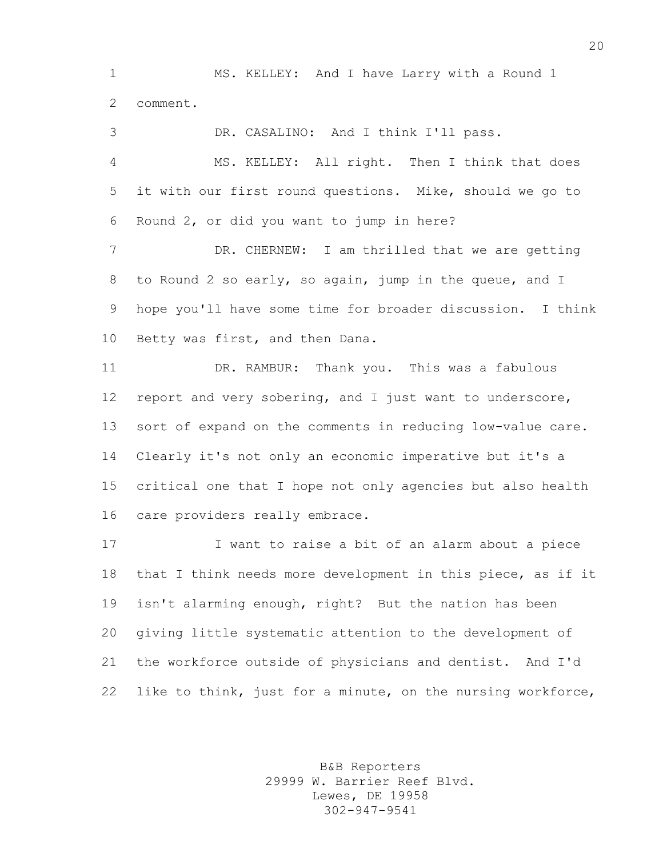MS. KELLEY: And I have Larry with a Round 1 comment.

 DR. CASALINO: And I think I'll pass. MS. KELLEY: All right. Then I think that does it with our first round questions. Mike, should we go to Round 2, or did you want to jump in here? DR. CHERNEW: I am thrilled that we are getting to Round 2 so early, so again, jump in the queue, and I hope you'll have some time for broader discussion. I think Betty was first, and then Dana. DR. RAMBUR: Thank you. This was a fabulous report and very sobering, and I just want to underscore, sort of expand on the comments in reducing low-value care. Clearly it's not only an economic imperative but it's a critical one that I hope not only agencies but also health care providers really embrace. I want to raise a bit of an alarm about a piece

 that I think needs more development in this piece, as if it isn't alarming enough, right? But the nation has been giving little systematic attention to the development of the workforce outside of physicians and dentist. And I'd like to think, just for a minute, on the nursing workforce,

> B&B Reporters 29999 W. Barrier Reef Blvd. Lewes, DE 19958 302-947-9541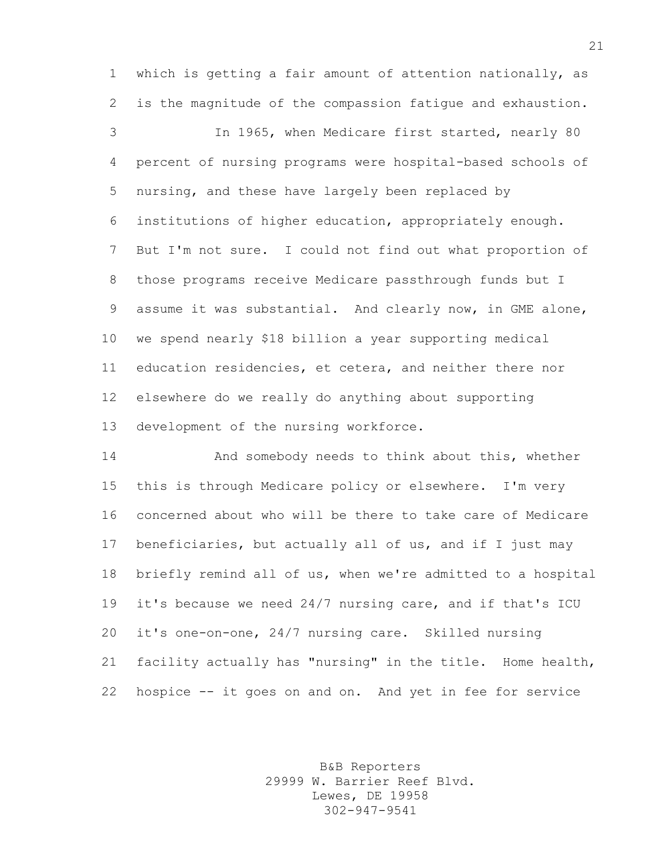which is getting a fair amount of attention nationally, as is the magnitude of the compassion fatigue and exhaustion.

 In 1965, when Medicare first started, nearly 80 percent of nursing programs were hospital-based schools of nursing, and these have largely been replaced by institutions of higher education, appropriately enough. But I'm not sure. I could not find out what proportion of those programs receive Medicare passthrough funds but I assume it was substantial. And clearly now, in GME alone, we spend nearly \$18 billion a year supporting medical education residencies, et cetera, and neither there nor elsewhere do we really do anything about supporting development of the nursing workforce.

 And somebody needs to think about this, whether this is through Medicare policy or elsewhere. I'm very concerned about who will be there to take care of Medicare beneficiaries, but actually all of us, and if I just may briefly remind all of us, when we're admitted to a hospital it's because we need 24/7 nursing care, and if that's ICU it's one-on-one, 24/7 nursing care. Skilled nursing facility actually has "nursing" in the title. Home health, hospice -- it goes on and on. And yet in fee for service

> B&B Reporters 29999 W. Barrier Reef Blvd. Lewes, DE 19958 302-947-9541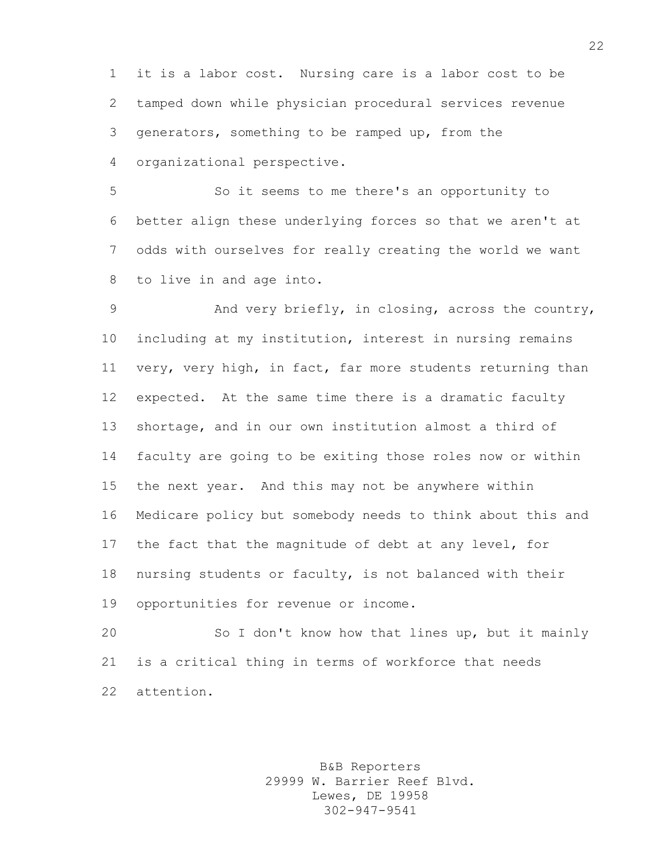it is a labor cost. Nursing care is a labor cost to be tamped down while physician procedural services revenue generators, something to be ramped up, from the organizational perspective.

 So it seems to me there's an opportunity to better align these underlying forces so that we aren't at odds with ourselves for really creating the world we want to live in and age into.

 And very briefly, in closing, across the country, including at my institution, interest in nursing remains very, very high, in fact, far more students returning than expected. At the same time there is a dramatic faculty shortage, and in our own institution almost a third of faculty are going to be exiting those roles now or within the next year. And this may not be anywhere within Medicare policy but somebody needs to think about this and the fact that the magnitude of debt at any level, for nursing students or faculty, is not balanced with their opportunities for revenue or income.

 So I don't know how that lines up, but it mainly is a critical thing in terms of workforce that needs attention.

> B&B Reporters 29999 W. Barrier Reef Blvd. Lewes, DE 19958 302-947-9541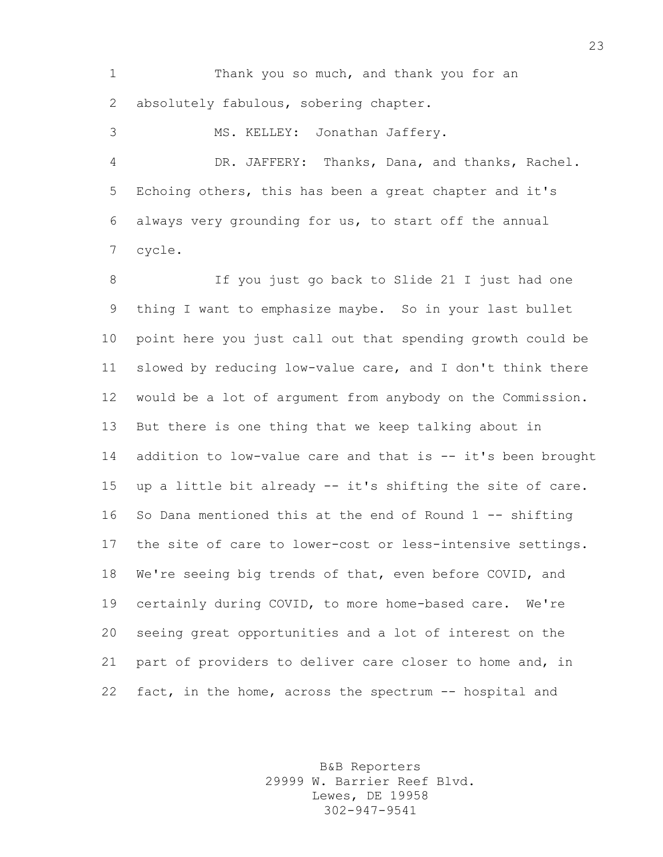Thank you so much, and thank you for an absolutely fabulous, sobering chapter.

MS. KELLEY: Jonathan Jaffery.

 DR. JAFFERY: Thanks, Dana, and thanks, Rachel. Echoing others, this has been a great chapter and it's always very grounding for us, to start off the annual cycle.

 If you just go back to Slide 21 I just had one thing I want to emphasize maybe. So in your last bullet point here you just call out that spending growth could be slowed by reducing low-value care, and I don't think there would be a lot of argument from anybody on the Commission. But there is one thing that we keep talking about in addition to low-value care and that is -- it's been brought up a little bit already -- it's shifting the site of care. So Dana mentioned this at the end of Round 1 -- shifting the site of care to lower-cost or less-intensive settings. We're seeing big trends of that, even before COVID, and certainly during COVID, to more home-based care. We're seeing great opportunities and a lot of interest on the part of providers to deliver care closer to home and, in fact, in the home, across the spectrum -- hospital and

> B&B Reporters 29999 W. Barrier Reef Blvd. Lewes, DE 19958 302-947-9541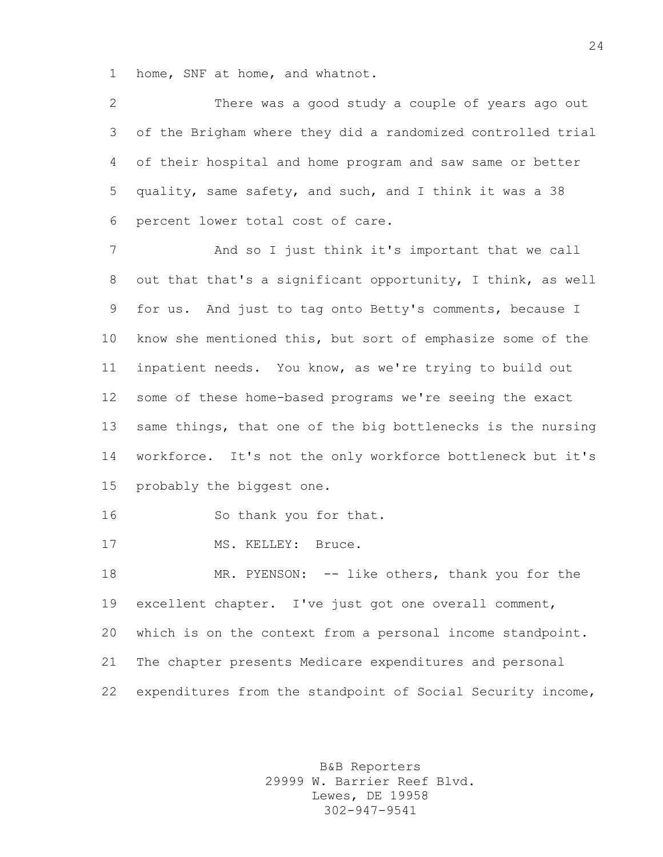home, SNF at home, and whatnot.

| $\overline{2}$ | There was a good study a couple of years ago out            |
|----------------|-------------------------------------------------------------|
| 3              | of the Brigham where they did a randomized controlled trial |
| 4              | of their hospital and home program and saw same or better   |
| 5              | quality, same safety, and such, and I think it was a 38     |
| 6              | percent lower total cost of care.                           |
| 7              | And so I just think it's important that we call             |
| 8              | out that that's a significant opportunity, I think, as well |
| 9              | for us. And just to tag onto Betty's comments, because I    |
| 10             | know she mentioned this, but sort of emphasize some of the  |
| 11             | inpatient needs. You know, as we're trying to build out     |
| 12             | some of these home-based programs we're seeing the exact    |
| 13             | same things, that one of the big bottlenecks is the nursing |
| 14             | workforce. It's not the only workforce bottleneck but it's  |
| 15             | probably the biggest one.                                   |
| 16             | So thank you for that.                                      |
| 17             | MS. KELLEY: Bruce.                                          |
| 18             | MR. PYENSON: -- like others, thank you for the              |
| 19             | excellent chapter. I've just got one overall comment,       |
| 20             | which is on the context from a personal income standpoint.  |
| 21             | The chapter presents Medicare expenditures and personal     |
| 22             | expenditures from the standpoint of Social Security income, |

B&B Reporters 29999 W. Barrier Reef Blvd. Lewes, DE 19958 302-947-9541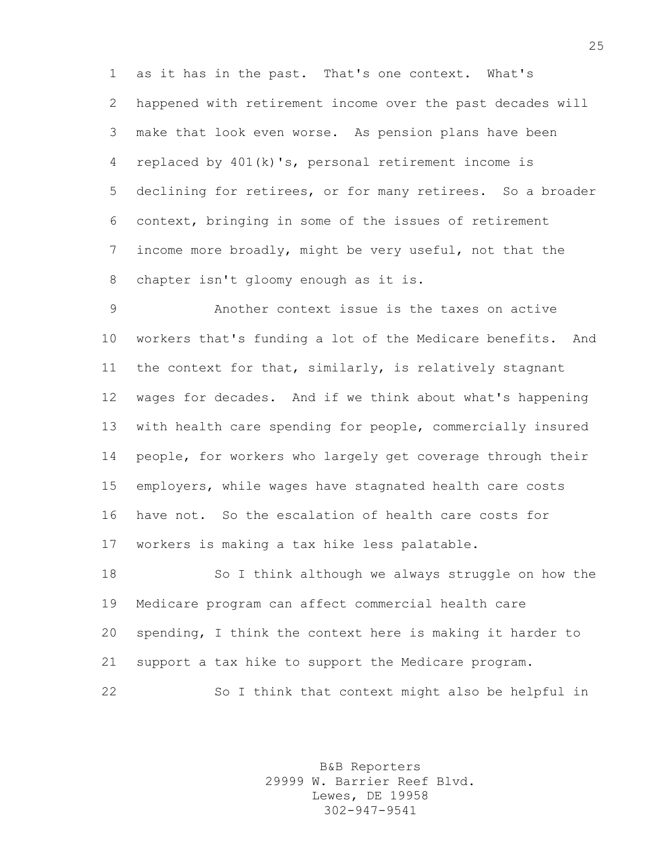as it has in the past. That's one context. What's happened with retirement income over the past decades will make that look even worse. As pension plans have been replaced by 401(k)'s, personal retirement income is declining for retirees, or for many retirees. So a broader context, bringing in some of the issues of retirement income more broadly, might be very useful, not that the chapter isn't gloomy enough as it is.

 Another context issue is the taxes on active workers that's funding a lot of the Medicare benefits. And the context for that, similarly, is relatively stagnant wages for decades. And if we think about what's happening with health care spending for people, commercially insured people, for workers who largely get coverage through their employers, while wages have stagnated health care costs have not. So the escalation of health care costs for workers is making a tax hike less palatable.

 So I think although we always struggle on how the Medicare program can affect commercial health care spending, I think the context here is making it harder to support a tax hike to support the Medicare program.

So I think that context might also be helpful in

B&B Reporters 29999 W. Barrier Reef Blvd. Lewes, DE 19958 302-947-9541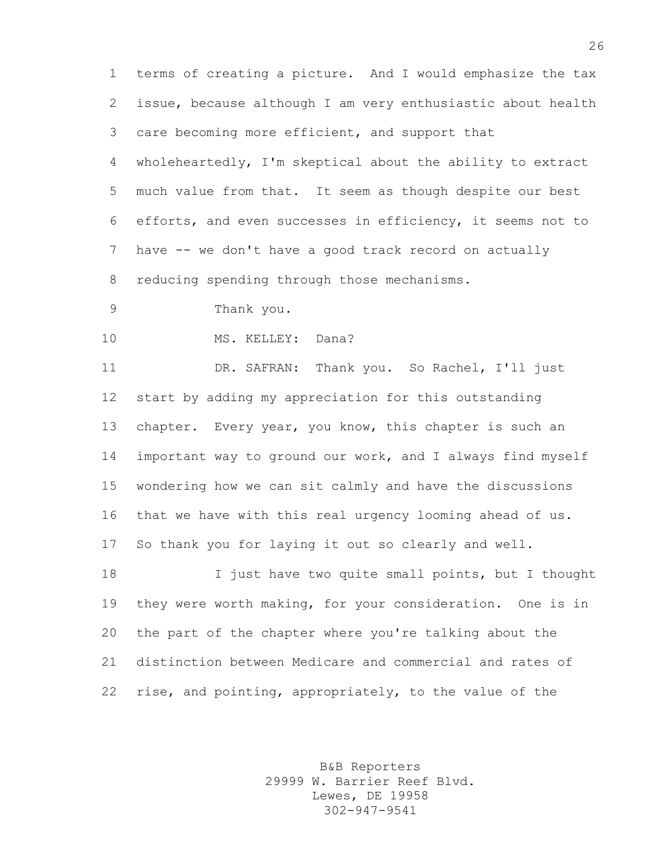terms of creating a picture. And I would emphasize the tax issue, because although I am very enthusiastic about health care becoming more efficient, and support that wholeheartedly, I'm skeptical about the ability to extract much value from that. It seem as though despite our best efforts, and even successes in efficiency, it seems not to have -- we don't have a good track record on actually reducing spending through those mechanisms.

Thank you.

10 MS. KELLEY: Dana?

 DR. SAFRAN: Thank you. So Rachel, I'll just start by adding my appreciation for this outstanding chapter. Every year, you know, this chapter is such an important way to ground our work, and I always find myself wondering how we can sit calmly and have the discussions that we have with this real urgency looming ahead of us. So thank you for laying it out so clearly and well.

 I just have two quite small points, but I thought they were worth making, for your consideration. One is in the part of the chapter where you're talking about the distinction between Medicare and commercial and rates of rise, and pointing, appropriately, to the value of the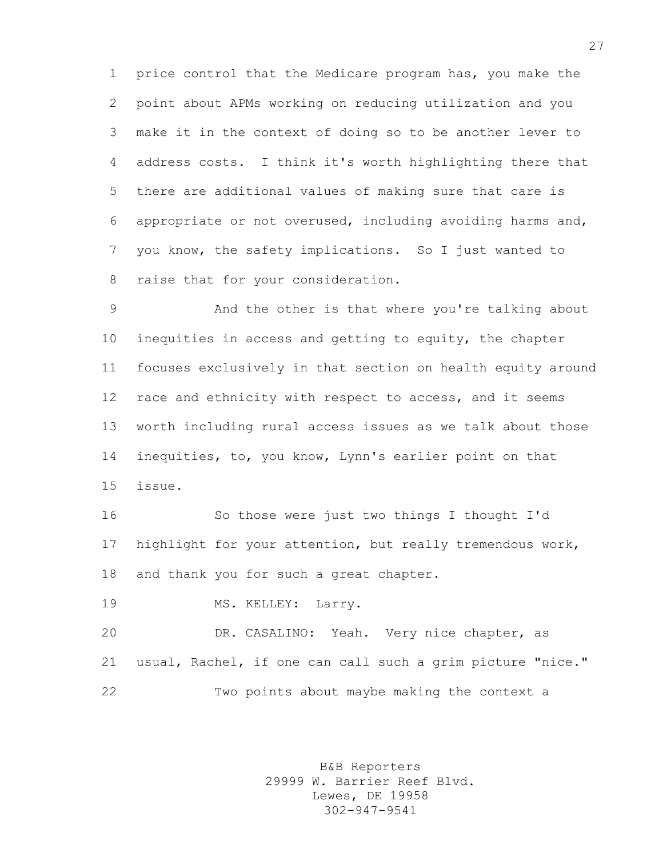price control that the Medicare program has, you make the point about APMs working on reducing utilization and you make it in the context of doing so to be another lever to address costs. I think it's worth highlighting there that there are additional values of making sure that care is appropriate or not overused, including avoiding harms and, you know, the safety implications. So I just wanted to raise that for your consideration.

 And the other is that where you're talking about inequities in access and getting to equity, the chapter focuses exclusively in that section on health equity around 12 race and ethnicity with respect to access, and it seems worth including rural access issues as we talk about those inequities, to, you know, Lynn's earlier point on that issue.

 So those were just two things I thought I'd highlight for your attention, but really tremendous work, 18 and thank you for such a great chapter.

19 MS. KELLEY: Larry.

 DR. CASALINO: Yeah. Very nice chapter, as usual, Rachel, if one can call such a grim picture "nice." Two points about maybe making the context a

> B&B Reporters 29999 W. Barrier Reef Blvd. Lewes, DE 19958 302-947-9541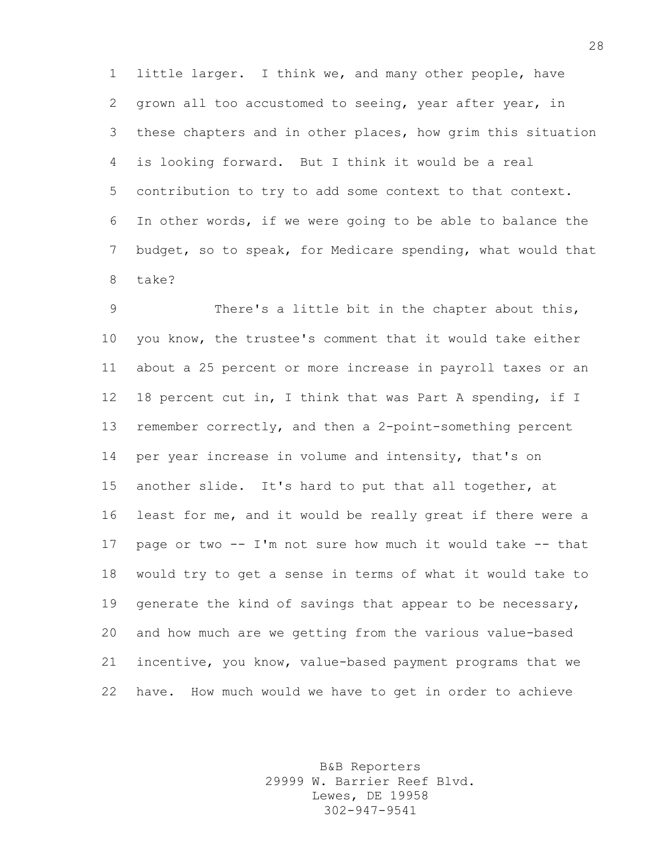little larger. I think we, and many other people, have grown all too accustomed to seeing, year after year, in these chapters and in other places, how grim this situation is looking forward. But I think it would be a real contribution to try to add some context to that context. In other words, if we were going to be able to balance the budget, so to speak, for Medicare spending, what would that take?

 There's a little bit in the chapter about this, you know, the trustee's comment that it would take either about a 25 percent or more increase in payroll taxes or an 18 percent cut in, I think that was Part A spending, if I remember correctly, and then a 2-point-something percent per year increase in volume and intensity, that's on another slide. It's hard to put that all together, at least for me, and it would be really great if there were a page or two -- I'm not sure how much it would take -- that would try to get a sense in terms of what it would take to generate the kind of savings that appear to be necessary, and how much are we getting from the various value-based incentive, you know, value-based payment programs that we have. How much would we have to get in order to achieve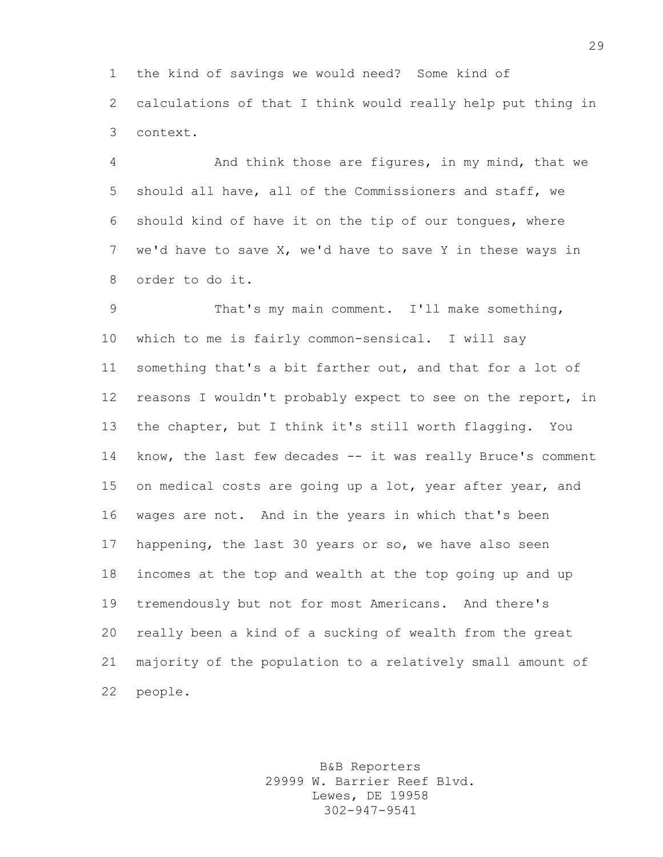the kind of savings we would need? Some kind of calculations of that I think would really help put thing in context.

 And think those are figures, in my mind, that we should all have, all of the Commissioners and staff, we should kind of have it on the tip of our tongues, where we'd have to save X, we'd have to save Y in these ways in order to do it.

 That's my main comment. I'll make something, which to me is fairly common-sensical. I will say something that's a bit farther out, and that for a lot of reasons I wouldn't probably expect to see on the report, in the chapter, but I think it's still worth flagging. You know, the last few decades -- it was really Bruce's comment on medical costs are going up a lot, year after year, and wages are not. And in the years in which that's been happening, the last 30 years or so, we have also seen incomes at the top and wealth at the top going up and up tremendously but not for most Americans. And there's really been a kind of a sucking of wealth from the great majority of the population to a relatively small amount of people.

> B&B Reporters 29999 W. Barrier Reef Blvd. Lewes, DE 19958 302-947-9541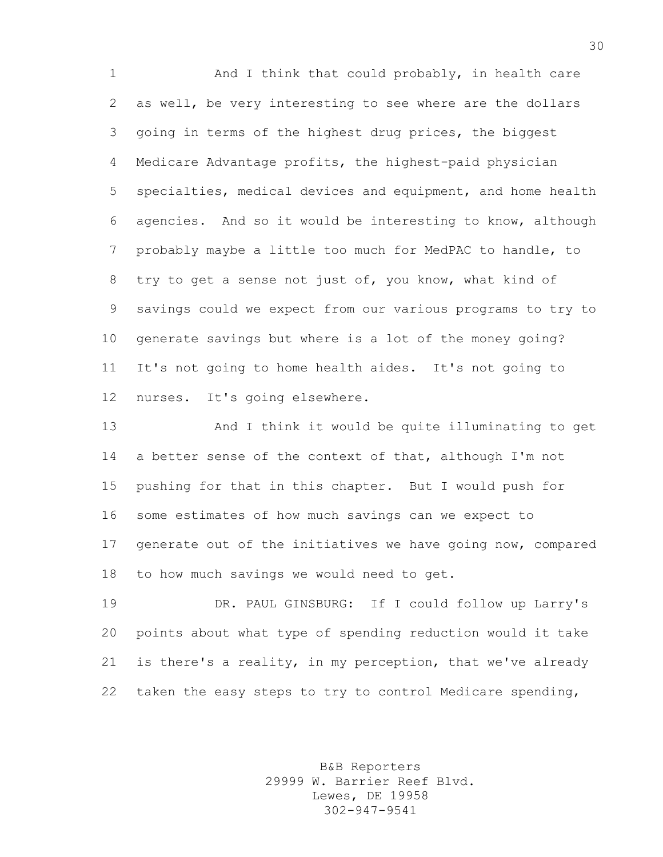1 And I think that could probably, in health care as well, be very interesting to see where are the dollars going in terms of the highest drug prices, the biggest Medicare Advantage profits, the highest-paid physician specialties, medical devices and equipment, and home health agencies. And so it would be interesting to know, although probably maybe a little too much for MedPAC to handle, to try to get a sense not just of, you know, what kind of savings could we expect from our various programs to try to generate savings but where is a lot of the money going? It's not going to home health aides. It's not going to nurses. It's going elsewhere.

 And I think it would be quite illuminating to get a better sense of the context of that, although I'm not pushing for that in this chapter. But I would push for some estimates of how much savings can we expect to generate out of the initiatives we have going now, compared to how much savings we would need to get.

 DR. PAUL GINSBURG: If I could follow up Larry's points about what type of spending reduction would it take is there's a reality, in my perception, that we've already taken the easy steps to try to control Medicare spending,

> B&B Reporters 29999 W. Barrier Reef Blvd. Lewes, DE 19958 302-947-9541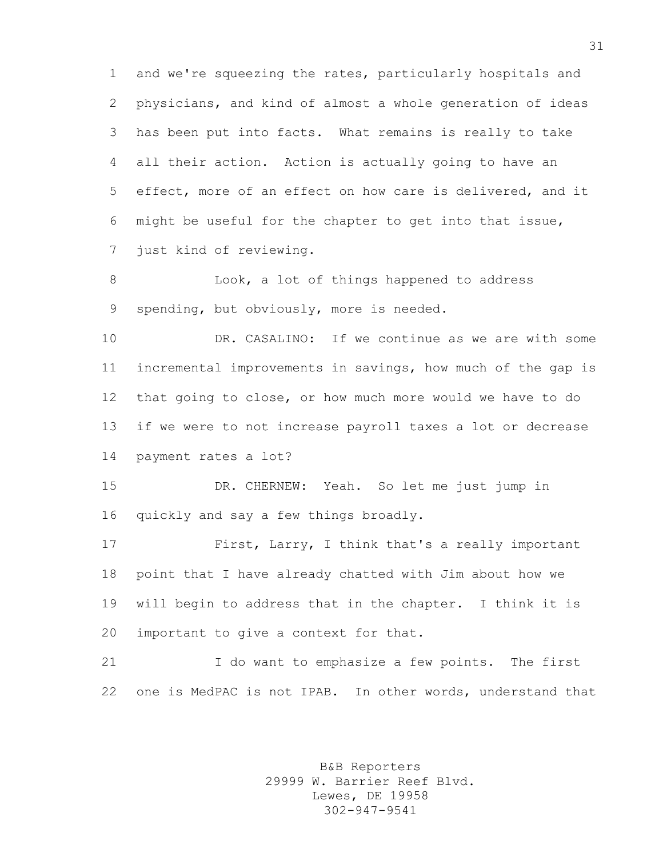and we're squeezing the rates, particularly hospitals and physicians, and kind of almost a whole generation of ideas has been put into facts. What remains is really to take all their action. Action is actually going to have an effect, more of an effect on how care is delivered, and it might be useful for the chapter to get into that issue, just kind of reviewing.

 Look, a lot of things happened to address spending, but obviously, more is needed.

 DR. CASALINO: If we continue as we are with some incremental improvements in savings, how much of the gap is that going to close, or how much more would we have to do if we were to not increase payroll taxes a lot or decrease payment rates a lot?

 DR. CHERNEW: Yeah. So let me just jump in quickly and say a few things broadly.

 First, Larry, I think that's a really important point that I have already chatted with Jim about how we will begin to address that in the chapter. I think it is important to give a context for that.

 I do want to emphasize a few points. The first one is MedPAC is not IPAB. In other words, understand that

> B&B Reporters 29999 W. Barrier Reef Blvd. Lewes, DE 19958 302-947-9541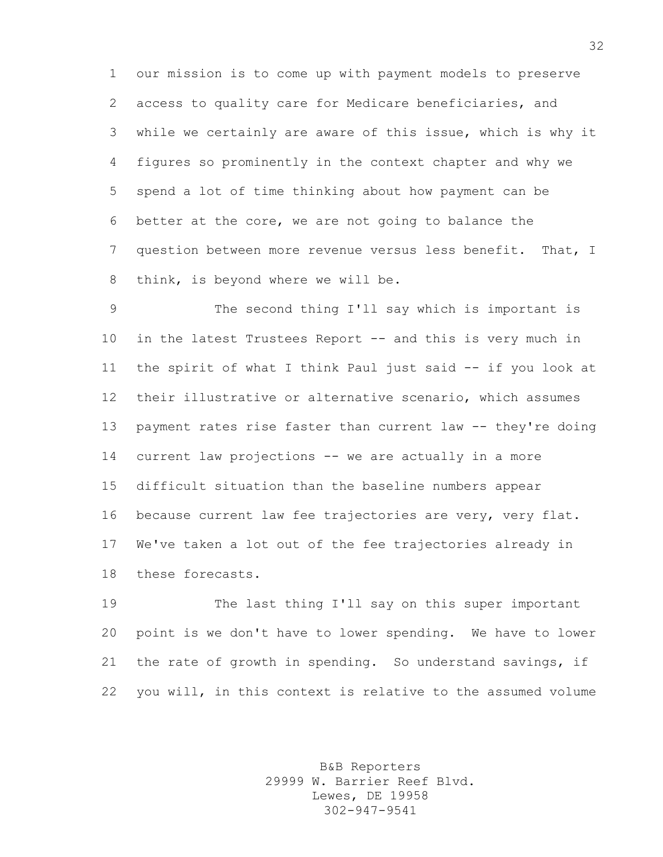our mission is to come up with payment models to preserve access to quality care for Medicare beneficiaries, and while we certainly are aware of this issue, which is why it figures so prominently in the context chapter and why we spend a lot of time thinking about how payment can be better at the core, we are not going to balance the question between more revenue versus less benefit. That, I think, is beyond where we will be.

 The second thing I'll say which is important is in the latest Trustees Report -- and this is very much in the spirit of what I think Paul just said -- if you look at their illustrative or alternative scenario, which assumes 13 payment rates rise faster than current law -- they're doing 14 current law projections -- we are actually in a more difficult situation than the baseline numbers appear because current law fee trajectories are very, very flat. We've taken a lot out of the fee trajectories already in these forecasts.

 The last thing I'll say on this super important point is we don't have to lower spending. We have to lower the rate of growth in spending. So understand savings, if you will, in this context is relative to the assumed volume

> B&B Reporters 29999 W. Barrier Reef Blvd. Lewes, DE 19958 302-947-9541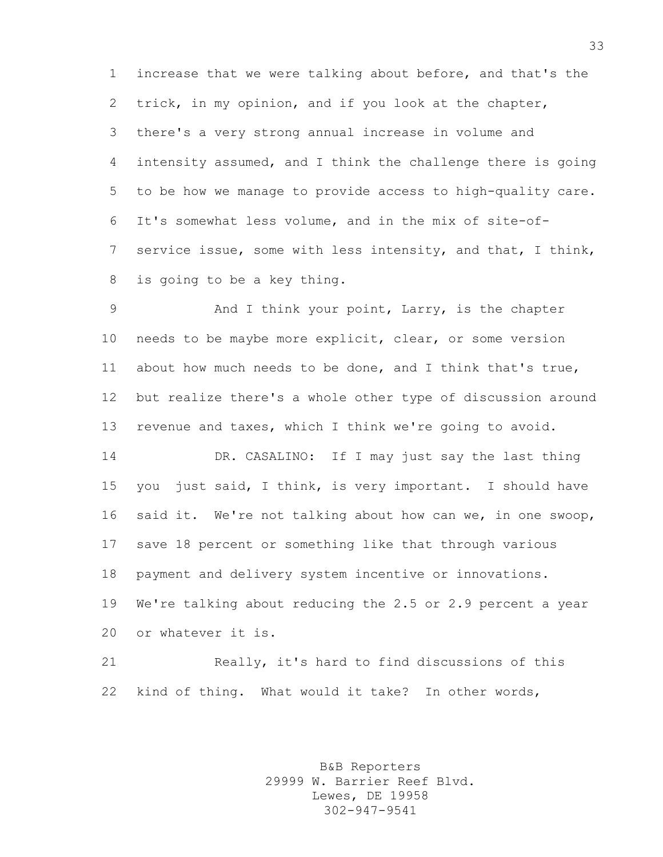increase that we were talking about before, and that's the trick, in my opinion, and if you look at the chapter, there's a very strong annual increase in volume and intensity assumed, and I think the challenge there is going to be how we manage to provide access to high-quality care. It's somewhat less volume, and in the mix of site-of- service issue, some with less intensity, and that, I think, is going to be a key thing.

 And I think your point, Larry, is the chapter needs to be maybe more explicit, clear, or some version about how much needs to be done, and I think that's true, but realize there's a whole other type of discussion around revenue and taxes, which I think we're going to avoid.

 DR. CASALINO: If I may just say the last thing you just said, I think, is very important. I should have said it. We're not talking about how can we, in one swoop, save 18 percent or something like that through various payment and delivery system incentive or innovations. We're talking about reducing the 2.5 or 2.9 percent a year or whatever it is.

 Really, it's hard to find discussions of this kind of thing. What would it take? In other words,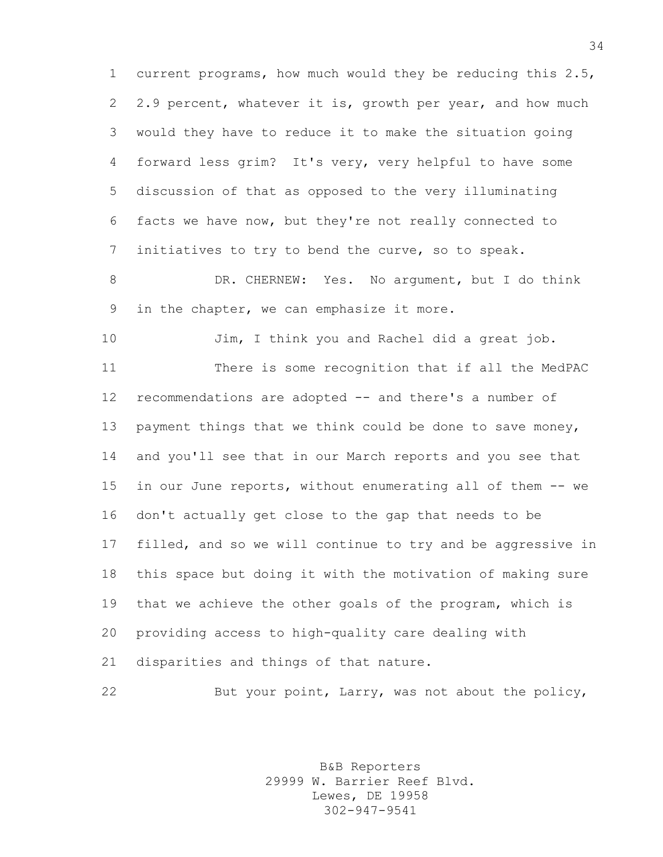current programs, how much would they be reducing this 2.5, 2.9 percent, whatever it is, growth per year, and how much would they have to reduce it to make the situation going forward less grim? It's very, very helpful to have some discussion of that as opposed to the very illuminating facts we have now, but they're not really connected to initiatives to try to bend the curve, so to speak.

 DR. CHERNEW: Yes. No argument, but I do think in the chapter, we can emphasize it more.

 Jim, I think you and Rachel did a great job. There is some recognition that if all the MedPAC recommendations are adopted -- and there's a number of payment things that we think could be done to save money, and you'll see that in our March reports and you see that in our June reports, without enumerating all of them -- we don't actually get close to the gap that needs to be filled, and so we will continue to try and be aggressive in this space but doing it with the motivation of making sure that we achieve the other goals of the program, which is providing access to high-quality care dealing with disparities and things of that nature.

But your point, Larry, was not about the policy,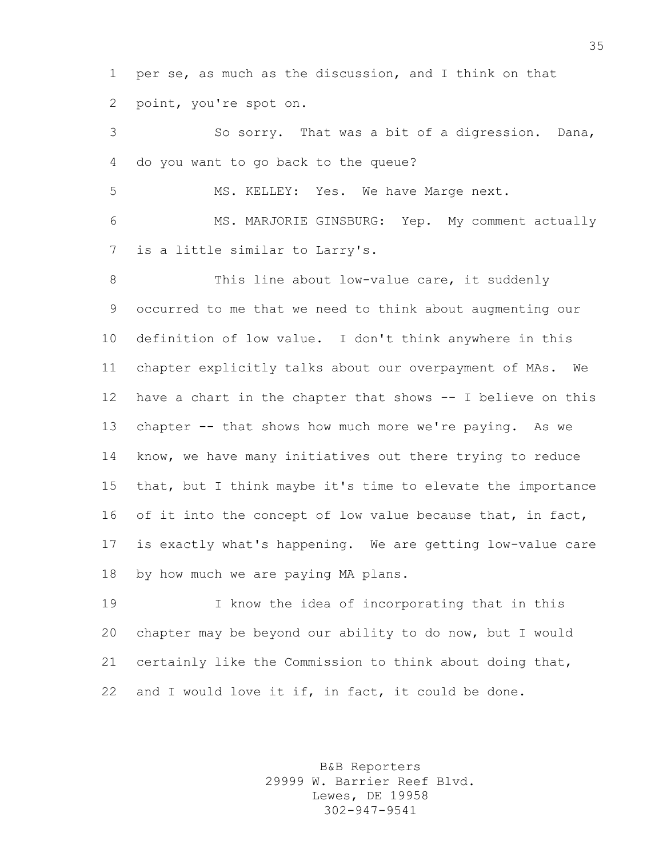per se, as much as the discussion, and I think on that point, you're spot on.

 So sorry. That was a bit of a digression. Dana, do you want to go back to the queue?

MS. KELLEY: Yes. We have Marge next.

 MS. MARJORIE GINSBURG: Yep. My comment actually is a little similar to Larry's.

8 This line about low-value care, it suddenly occurred to me that we need to think about augmenting our definition of low value. I don't think anywhere in this chapter explicitly talks about our overpayment of MAs. We have a chart in the chapter that shows -- I believe on this chapter -- that shows how much more we're paying. As we know, we have many initiatives out there trying to reduce that, but I think maybe it's time to elevate the importance 16 of it into the concept of low value because that, in fact, is exactly what's happening. We are getting low-value care by how much we are paying MA plans.

 I know the idea of incorporating that in this chapter may be beyond our ability to do now, but I would certainly like the Commission to think about doing that, and I would love it if, in fact, it could be done.

> B&B Reporters 29999 W. Barrier Reef Blvd. Lewes, DE 19958 302-947-9541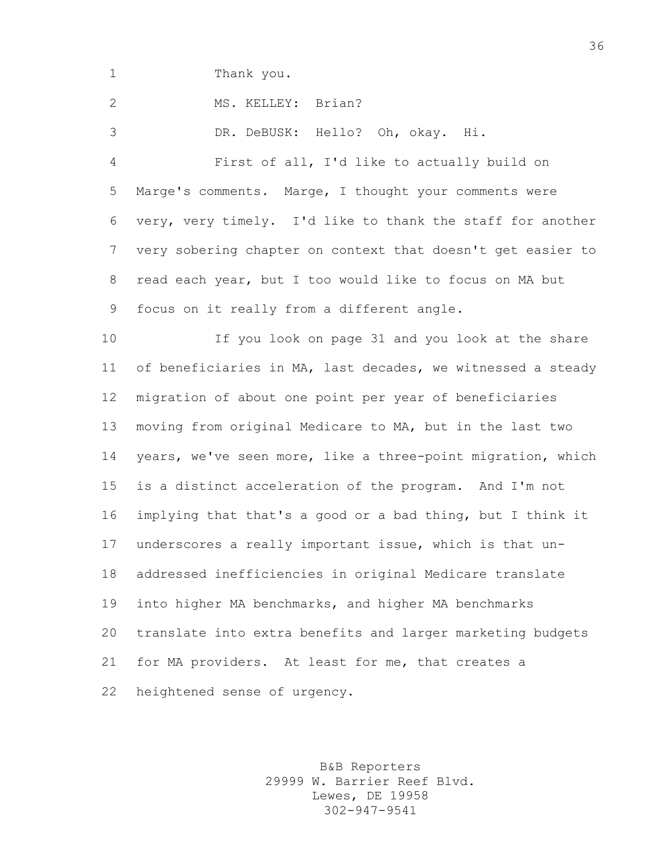Thank you.

 MS. KELLEY: Brian? DR. DeBUSK: Hello? Oh, okay. Hi. First of all, I'd like to actually build on Marge's comments. Marge, I thought your comments were very, very timely. I'd like to thank the staff for another very sobering chapter on context that doesn't get easier to read each year, but I too would like to focus on MA but focus on it really from a different angle. If you look on page 31 and you look at the share of beneficiaries in MA, last decades, we witnessed a steady migration of about one point per year of beneficiaries moving from original Medicare to MA, but in the last two years, we've seen more, like a three-point migration, which is a distinct acceleration of the program. And I'm not implying that that's a good or a bad thing, but I think it underscores a really important issue, which is that un- addressed inefficiencies in original Medicare translate into higher MA benchmarks, and higher MA benchmarks translate into extra benefits and larger marketing budgets for MA providers. At least for me, that creates a heightened sense of urgency.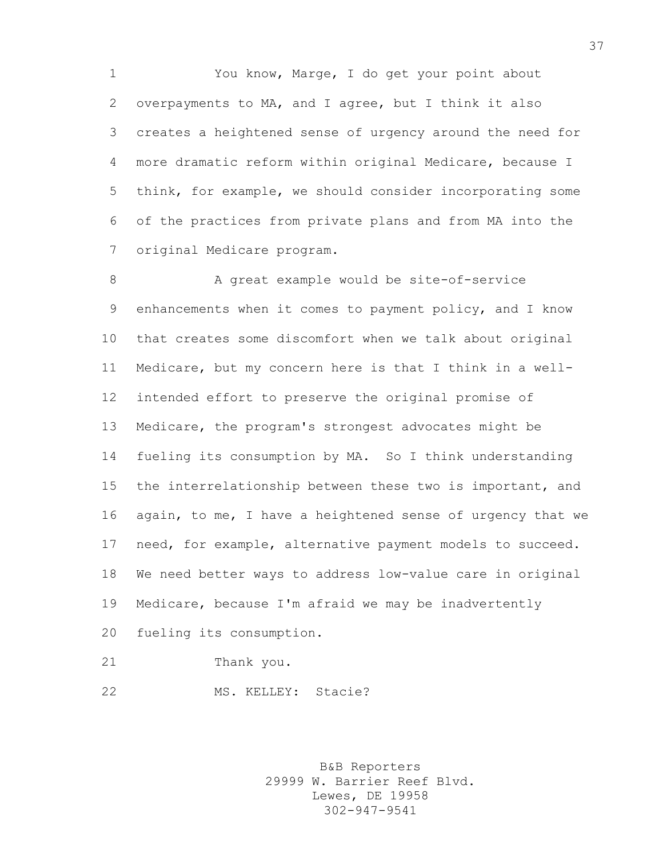You know, Marge, I do get your point about overpayments to MA, and I agree, but I think it also creates a heightened sense of urgency around the need for more dramatic reform within original Medicare, because I think, for example, we should consider incorporating some of the practices from private plans and from MA into the original Medicare program.

8 A great example would be site-of-service enhancements when it comes to payment policy, and I know that creates some discomfort when we talk about original Medicare, but my concern here is that I think in a well- intended effort to preserve the original promise of Medicare, the program's strongest advocates might be fueling its consumption by MA. So I think understanding the interrelationship between these two is important, and again, to me, I have a heightened sense of urgency that we need, for example, alternative payment models to succeed. We need better ways to address low-value care in original Medicare, because I'm afraid we may be inadvertently fueling its consumption.

- Thank you.
- MS. KELLEY: Stacie?

B&B Reporters 29999 W. Barrier Reef Blvd. Lewes, DE 19958 302-947-9541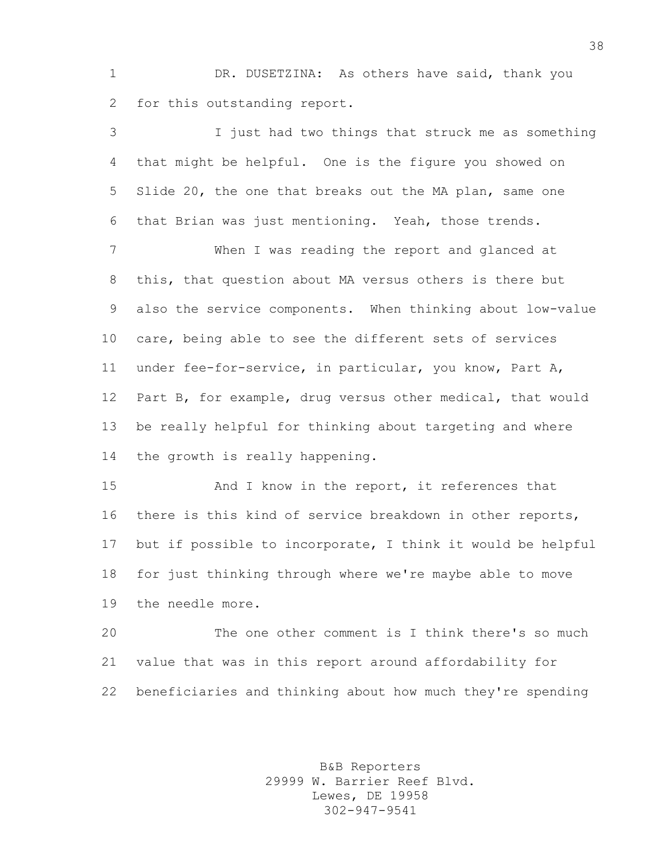DR. DUSETZINA: As others have said, thank you for this outstanding report.

 I just had two things that struck me as something that might be helpful. One is the figure you showed on Slide 20, the one that breaks out the MA plan, same one that Brian was just mentioning. Yeah, those trends.

 When I was reading the report and glanced at this, that question about MA versus others is there but also the service components. When thinking about low-value care, being able to see the different sets of services under fee-for-service, in particular, you know, Part A, Part B, for example, drug versus other medical, that would be really helpful for thinking about targeting and where the growth is really happening.

 And I know in the report, it references that there is this kind of service breakdown in other reports, but if possible to incorporate, I think it would be helpful for just thinking through where we're maybe able to move the needle more.

 The one other comment is I think there's so much value that was in this report around affordability for beneficiaries and thinking about how much they're spending

> B&B Reporters 29999 W. Barrier Reef Blvd. Lewes, DE 19958 302-947-9541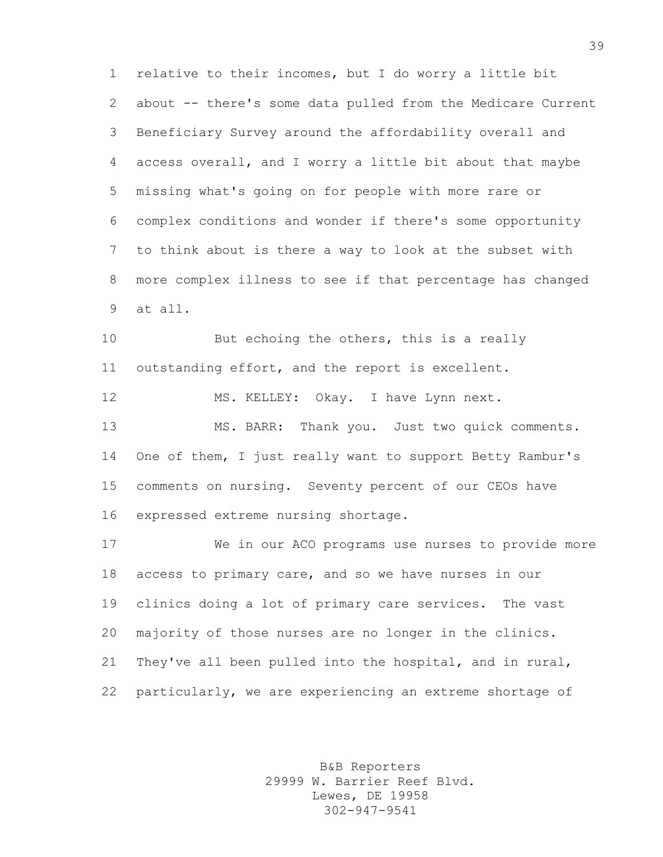relative to their incomes, but I do worry a little bit about -- there's some data pulled from the Medicare Current Beneficiary Survey around the affordability overall and access overall, and I worry a little bit about that maybe missing what's going on for people with more rare or complex conditions and wonder if there's some opportunity to think about is there a way to look at the subset with more complex illness to see if that percentage has changed at all.

10 But echoing the others, this is a really outstanding effort, and the report is excellent.

 MS. KELLEY: Okay. I have Lynn next. MS. BARR: Thank you. Just two quick comments. 14 One of them, I just really want to support Betty Rambur's comments on nursing. Seventy percent of our CEOs have expressed extreme nursing shortage.

 We in our ACO programs use nurses to provide more access to primary care, and so we have nurses in our clinics doing a lot of primary care services. The vast majority of those nurses are no longer in the clinics. They've all been pulled into the hospital, and in rural, particularly, we are experiencing an extreme shortage of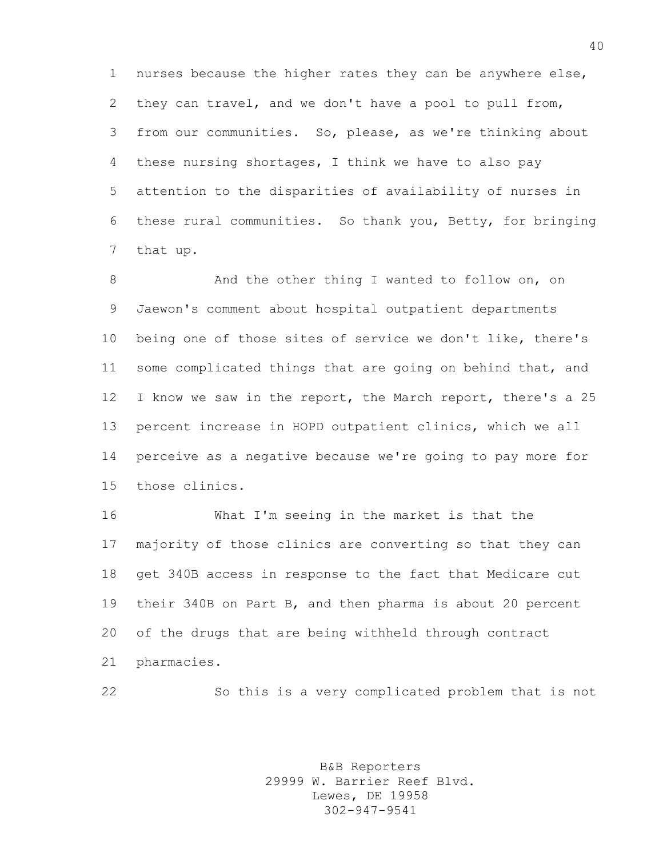nurses because the higher rates they can be anywhere else, they can travel, and we don't have a pool to pull from, from our communities. So, please, as we're thinking about these nursing shortages, I think we have to also pay attention to the disparities of availability of nurses in these rural communities. So thank you, Betty, for bringing that up.

8 And the other thing I wanted to follow on, on Jaewon's comment about hospital outpatient departments being one of those sites of service we don't like, there's 11 some complicated things that are going on behind that, and 12 I know we saw in the report, the March report, there's a 25 percent increase in HOPD outpatient clinics, which we all perceive as a negative because we're going to pay more for those clinics.

 What I'm seeing in the market is that the majority of those clinics are converting so that they can get 340B access in response to the fact that Medicare cut their 340B on Part B, and then pharma is about 20 percent of the drugs that are being withheld through contract pharmacies.

So this is a very complicated problem that is not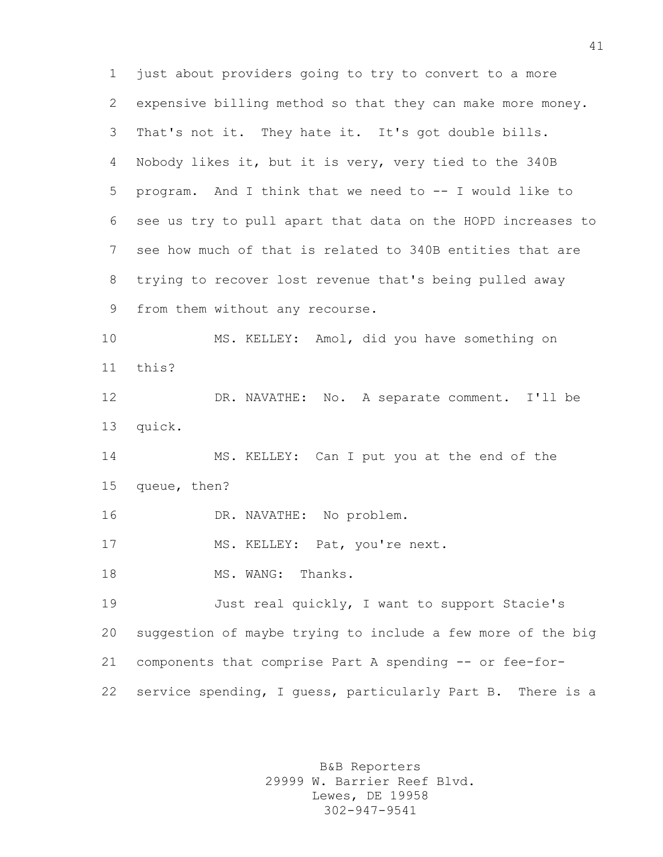just about providers going to try to convert to a more expensive billing method so that they can make more money. That's not it. They hate it. It's got double bills. Nobody likes it, but it is very, very tied to the 340B program. And I think that we need to -- I would like to see us try to pull apart that data on the HOPD increases to see how much of that is related to 340B entities that are trying to recover lost revenue that's being pulled away from them without any recourse. MS. KELLEY: Amol, did you have something on this? DR. NAVATHE: No. A separate comment. I'll be quick. MS. KELLEY: Can I put you at the end of the queue, then? DR. NAVATHE: No problem. 17 MS. KELLEY: Pat, you're next. 18 MS. WANG: Thanks. Just real quickly, I want to support Stacie's suggestion of maybe trying to include a few more of the big components that comprise Part A spending -- or fee-for-service spending, I guess, particularly Part B. There is a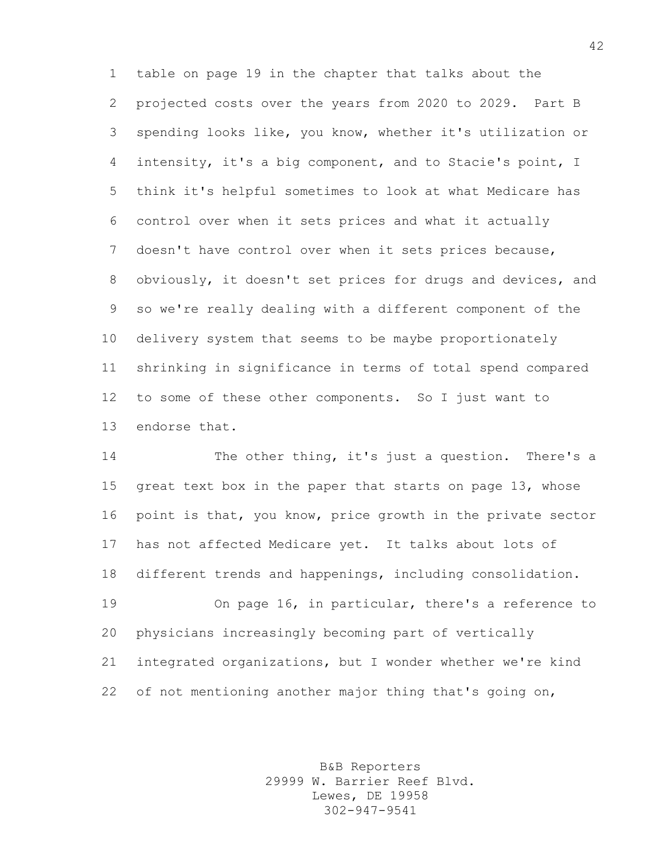table on page 19 in the chapter that talks about the projected costs over the years from 2020 to 2029. Part B spending looks like, you know, whether it's utilization or intensity, it's a big component, and to Stacie's point, I think it's helpful sometimes to look at what Medicare has control over when it sets prices and what it actually doesn't have control over when it sets prices because, obviously, it doesn't set prices for drugs and devices, and so we're really dealing with a different component of the delivery system that seems to be maybe proportionately shrinking in significance in terms of total spend compared to some of these other components. So I just want to endorse that.

 The other thing, it's just a question. There's a great text box in the paper that starts on page 13, whose point is that, you know, price growth in the private sector has not affected Medicare yet. It talks about lots of different trends and happenings, including consolidation. On page 16, in particular, there's a reference to

 physicians increasingly becoming part of vertically integrated organizations, but I wonder whether we're kind 22 of not mentioning another major thing that's going on,

> B&B Reporters 29999 W. Barrier Reef Blvd. Lewes, DE 19958 302-947-9541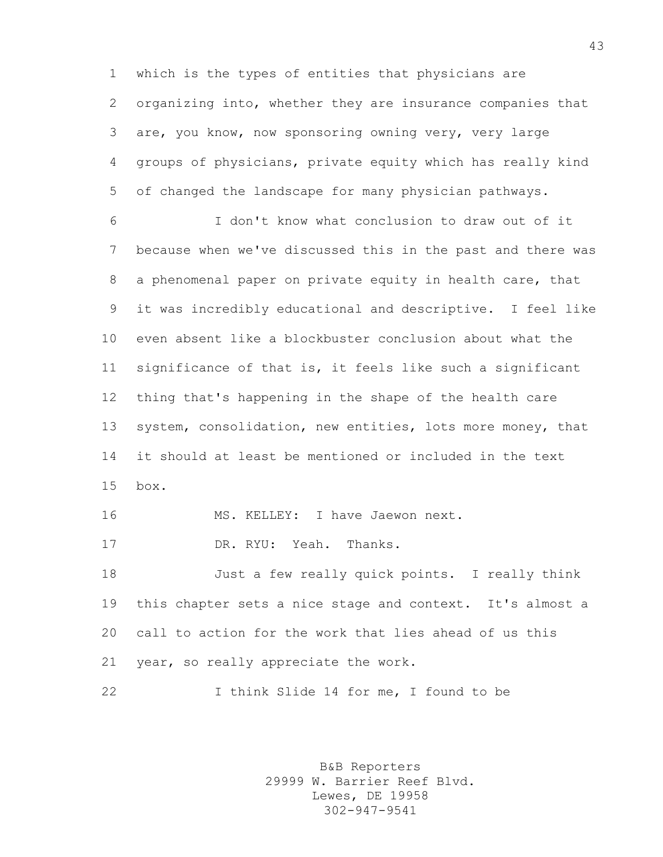which is the types of entities that physicians are organizing into, whether they are insurance companies that are, you know, now sponsoring owning very, very large groups of physicians, private equity which has really kind of changed the landscape for many physician pathways.

 I don't know what conclusion to draw out of it because when we've discussed this in the past and there was a phenomenal paper on private equity in health care, that it was incredibly educational and descriptive. I feel like even absent like a blockbuster conclusion about what the significance of that is, it feels like such a significant thing that's happening in the shape of the health care system, consolidation, new entities, lots more money, that it should at least be mentioned or included in the text box.

16 MS. KELLEY: I have Jaewon next.

DR. RYU: Yeah. Thanks.

 Just a few really quick points. I really think this chapter sets a nice stage and context. It's almost a call to action for the work that lies ahead of us this year, so really appreciate the work.

I think Slide 14 for me, I found to be

B&B Reporters 29999 W. Barrier Reef Blvd. Lewes, DE 19958 302-947-9541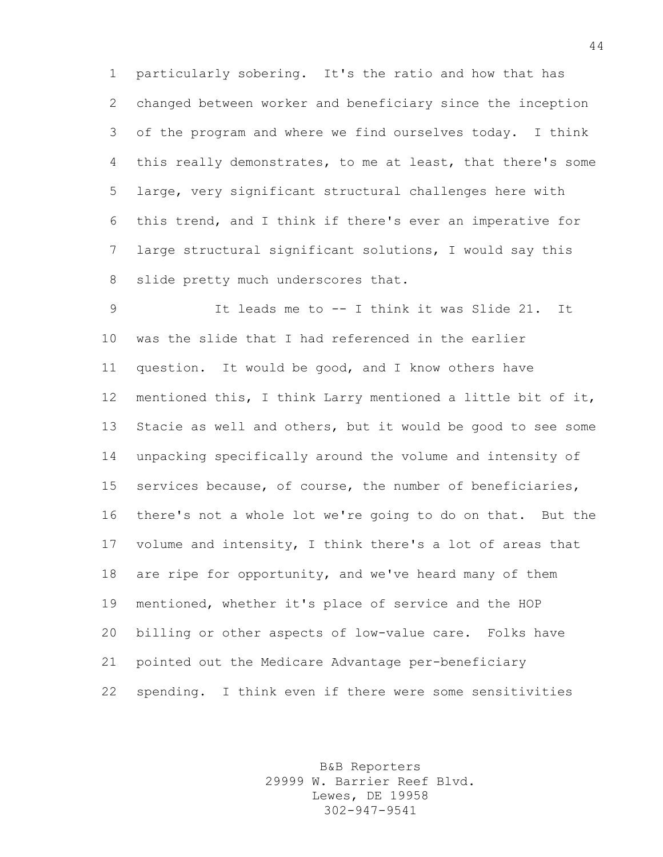particularly sobering. It's the ratio and how that has changed between worker and beneficiary since the inception of the program and where we find ourselves today. I think this really demonstrates, to me at least, that there's some large, very significant structural challenges here with this trend, and I think if there's ever an imperative for large structural significant solutions, I would say this 8 slide pretty much underscores that.

 It leads me to -- I think it was Slide 21. It was the slide that I had referenced in the earlier question. It would be good, and I know others have mentioned this, I think Larry mentioned a little bit of it, Stacie as well and others, but it would be good to see some unpacking specifically around the volume and intensity of services because, of course, the number of beneficiaries, there's not a whole lot we're going to do on that. But the volume and intensity, I think there's a lot of areas that are ripe for opportunity, and we've heard many of them mentioned, whether it's place of service and the HOP billing or other aspects of low-value care. Folks have pointed out the Medicare Advantage per-beneficiary spending. I think even if there were some sensitivities

> B&B Reporters 29999 W. Barrier Reef Blvd. Lewes, DE 19958 302-947-9541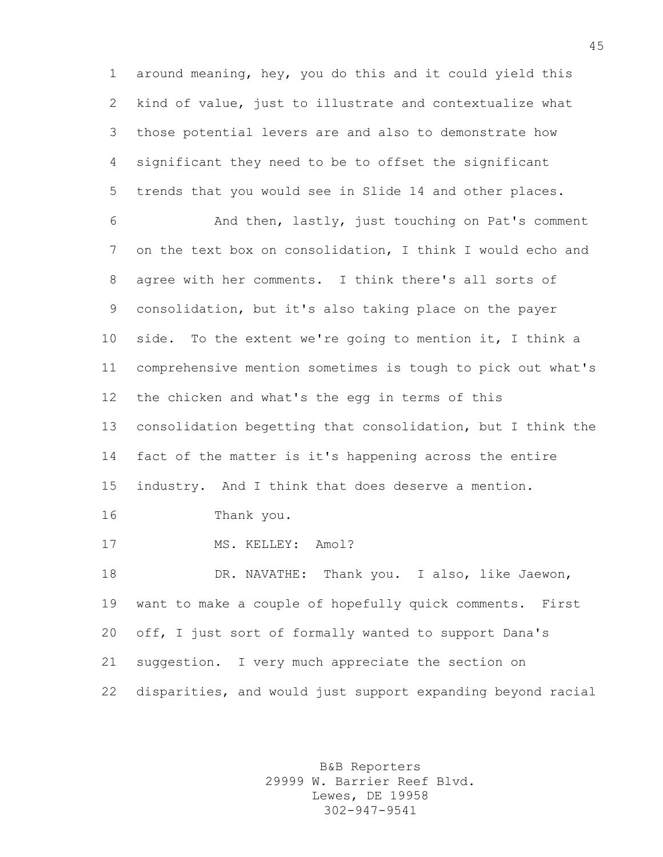around meaning, hey, you do this and it could yield this kind of value, just to illustrate and contextualize what those potential levers are and also to demonstrate how significant they need to be to offset the significant trends that you would see in Slide 14 and other places.

 And then, lastly, just touching on Pat's comment on the text box on consolidation, I think I would echo and agree with her comments. I think there's all sorts of consolidation, but it's also taking place on the payer side. To the extent we're going to mention it, I think a comprehensive mention sometimes is tough to pick out what's the chicken and what's the egg in terms of this consolidation begetting that consolidation, but I think the fact of the matter is it's happening across the entire industry. And I think that does deserve a mention. Thank you. 17 MS. KELLEY: Amol? DR. NAVATHE: Thank you. I also, like Jaewon, want to make a couple of hopefully quick comments. First

 off, I just sort of formally wanted to support Dana's suggestion. I very much appreciate the section on disparities, and would just support expanding beyond racial

> B&B Reporters 29999 W. Barrier Reef Blvd. Lewes, DE 19958 302-947-9541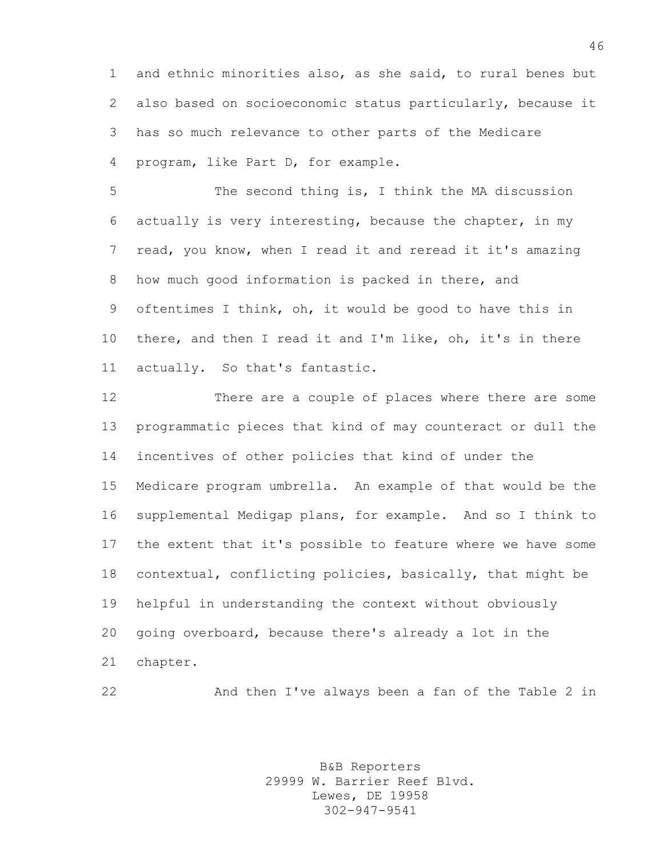and ethnic minorities also, as she said, to rural benes but also based on socioeconomic status particularly, because it has so much relevance to other parts of the Medicare program, like Part D, for example.

 The second thing is, I think the MA discussion actually is very interesting, because the chapter, in my read, you know, when I read it and reread it it's amazing how much good information is packed in there, and oftentimes I think, oh, it would be good to have this in there, and then I read it and I'm like, oh, it's in there actually. So that's fantastic.

 There are a couple of places where there are some programmatic pieces that kind of may counteract or dull the incentives of other policies that kind of under the Medicare program umbrella. An example of that would be the supplemental Medigap plans, for example. And so I think to the extent that it's possible to feature where we have some contextual, conflicting policies, basically, that might be helpful in understanding the context without obviously going overboard, because there's already a lot in the chapter.

And then I've always been a fan of the Table 2 in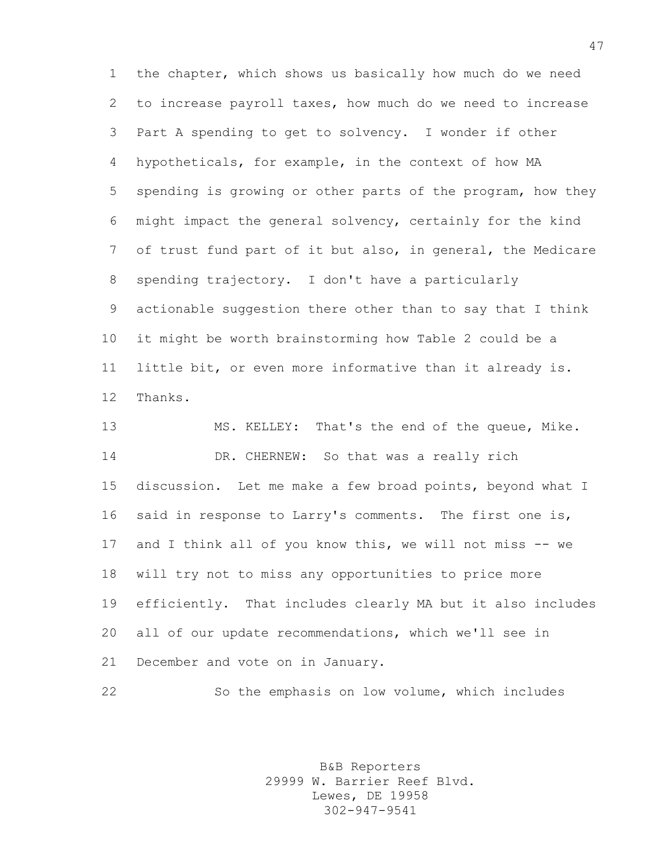the chapter, which shows us basically how much do we need to increase payroll taxes, how much do we need to increase Part A spending to get to solvency. I wonder if other hypotheticals, for example, in the context of how MA spending is growing or other parts of the program, how they might impact the general solvency, certainly for the kind of trust fund part of it but also, in general, the Medicare spending trajectory. I don't have a particularly actionable suggestion there other than to say that I think it might be worth brainstorming how Table 2 could be a little bit, or even more informative than it already is. Thanks.

 MS. KELLEY: That's the end of the queue, Mike. 14 DR. CHERNEW: So that was a really rich discussion. Let me make a few broad points, beyond what I said in response to Larry's comments. The first one is, and I think all of you know this, we will not miss -- we will try not to miss any opportunities to price more efficiently. That includes clearly MA but it also includes all of our update recommendations, which we'll see in December and vote on in January.

So the emphasis on low volume, which includes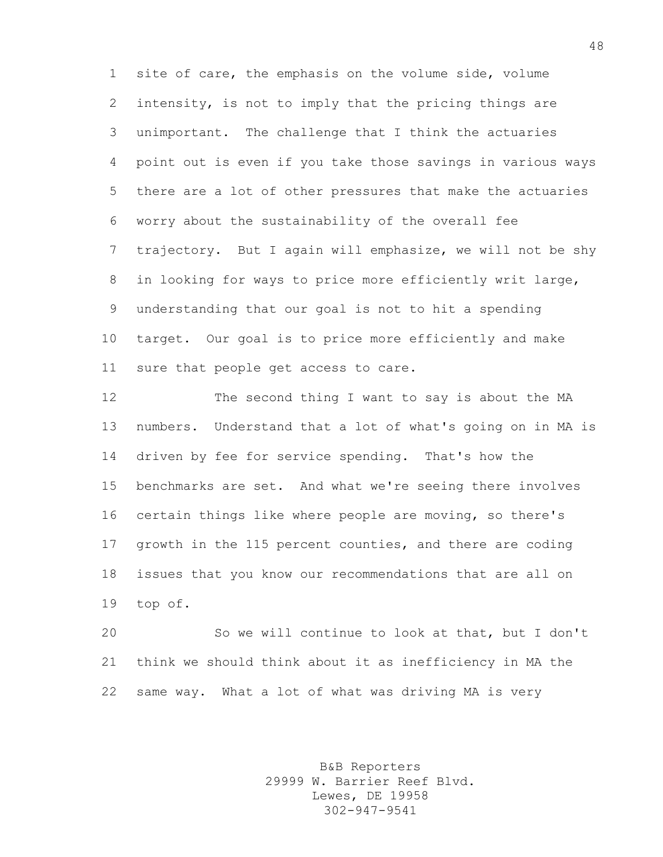site of care, the emphasis on the volume side, volume intensity, is not to imply that the pricing things are unimportant. The challenge that I think the actuaries point out is even if you take those savings in various ways there are a lot of other pressures that make the actuaries worry about the sustainability of the overall fee trajectory. But I again will emphasize, we will not be shy in looking for ways to price more efficiently writ large, understanding that our goal is not to hit a spending target. Our goal is to price more efficiently and make sure that people get access to care.

 The second thing I want to say is about the MA numbers. Understand that a lot of what's going on in MA is driven by fee for service spending. That's how the benchmarks are set. And what we're seeing there involves certain things like where people are moving, so there's growth in the 115 percent counties, and there are coding issues that you know our recommendations that are all on top of.

 So we will continue to look at that, but I don't think we should think about it as inefficiency in MA the same way. What a lot of what was driving MA is very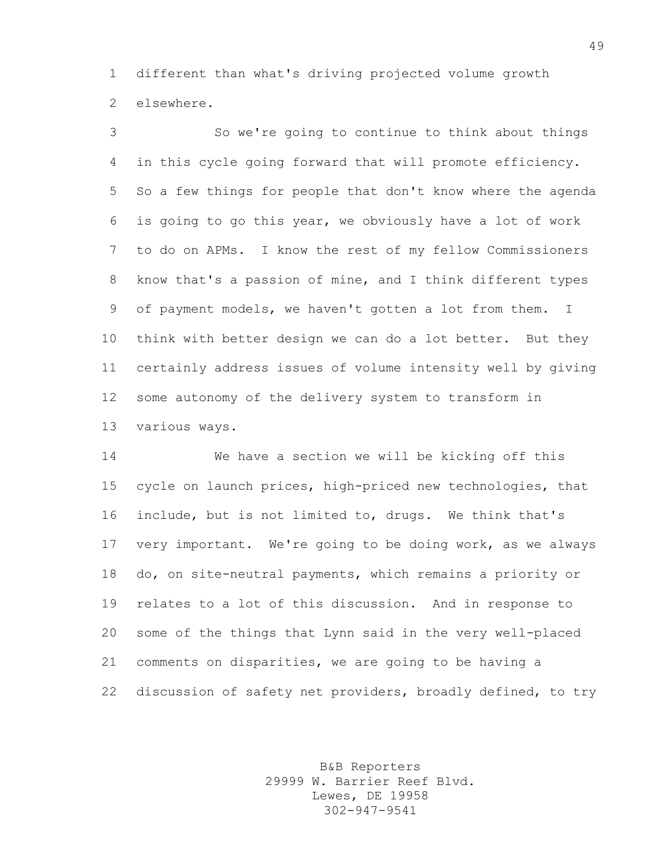different than what's driving projected volume growth elsewhere.

 So we're going to continue to think about things in this cycle going forward that will promote efficiency. So a few things for people that don't know where the agenda is going to go this year, we obviously have a lot of work to do on APMs. I know the rest of my fellow Commissioners know that's a passion of mine, and I think different types of payment models, we haven't gotten a lot from them. I think with better design we can do a lot better. But they certainly address issues of volume intensity well by giving some autonomy of the delivery system to transform in various ways.

 We have a section we will be kicking off this cycle on launch prices, high-priced new technologies, that include, but is not limited to, drugs. We think that's very important. We're going to be doing work, as we always do, on site-neutral payments, which remains a priority or relates to a lot of this discussion. And in response to some of the things that Lynn said in the very well-placed comments on disparities, we are going to be having a discussion of safety net providers, broadly defined, to try

> B&B Reporters 29999 W. Barrier Reef Blvd. Lewes, DE 19958 302-947-9541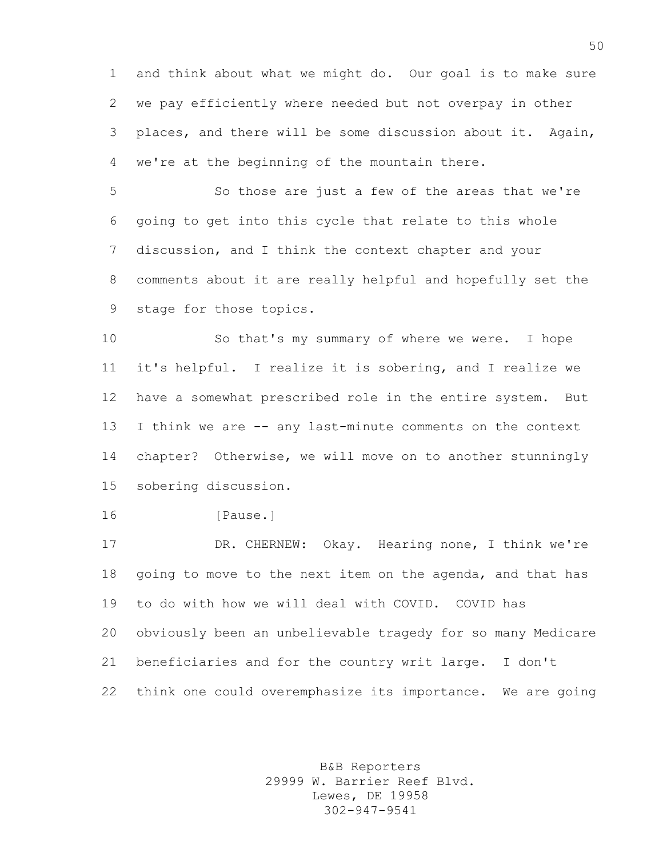and think about what we might do. Our goal is to make sure we pay efficiently where needed but not overpay in other places, and there will be some discussion about it. Again, we're at the beginning of the mountain there.

 So those are just a few of the areas that we're going to get into this cycle that relate to this whole discussion, and I think the context chapter and your comments about it are really helpful and hopefully set the stage for those topics.

 So that's my summary of where we were. I hope it's helpful. I realize it is sobering, and I realize we have a somewhat prescribed role in the entire system. But I think we are -- any last-minute comments on the context chapter? Otherwise, we will move on to another stunningly sobering discussion.

```
16 [Pause.]
```
 DR. CHERNEW: Okay. Hearing none, I think we're going to move to the next item on the agenda, and that has to do with how we will deal with COVID. COVID has obviously been an unbelievable tragedy for so many Medicare beneficiaries and for the country writ large. I don't think one could overemphasize its importance. We are going

> B&B Reporters 29999 W. Barrier Reef Blvd. Lewes, DE 19958 302-947-9541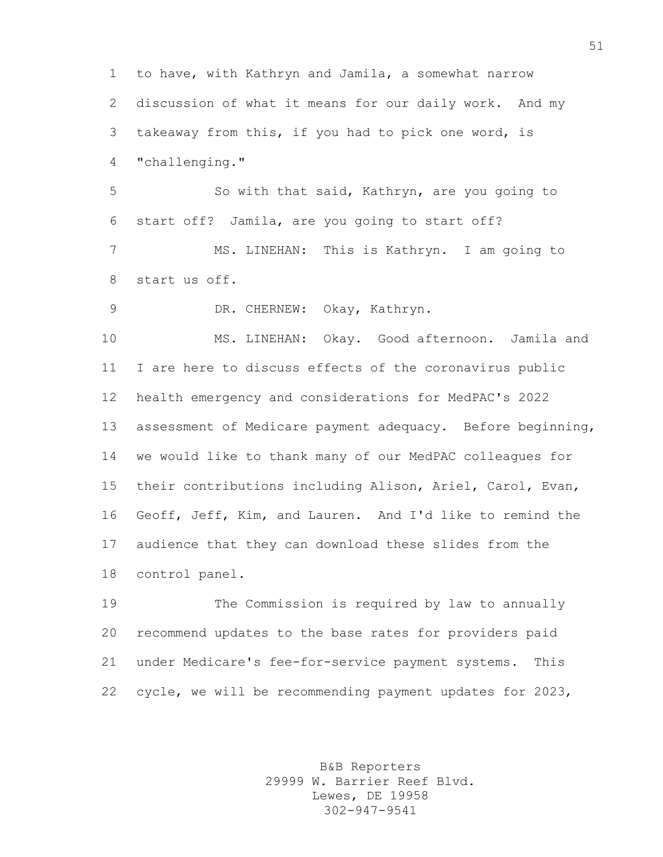to have, with Kathryn and Jamila, a somewhat narrow discussion of what it means for our daily work. And my takeaway from this, if you had to pick one word, is "challenging."

 So with that said, Kathryn, are you going to start off? Jamila, are you going to start off?

 MS. LINEHAN: This is Kathryn. I am going to start us off.

DR. CHERNEW: Okay, Kathryn.

 MS. LINEHAN: Okay. Good afternoon. Jamila and I are here to discuss effects of the coronavirus public health emergency and considerations for MedPAC's 2022 assessment of Medicare payment adequacy. Before beginning, we would like to thank many of our MedPAC colleagues for their contributions including Alison, Ariel, Carol, Evan, Geoff, Jeff, Kim, and Lauren. And I'd like to remind the audience that they can download these slides from the control panel.

 The Commission is required by law to annually recommend updates to the base rates for providers paid under Medicare's fee-for-service payment systems. This cycle, we will be recommending payment updates for 2023,

> B&B Reporters 29999 W. Barrier Reef Blvd. Lewes, DE 19958 302-947-9541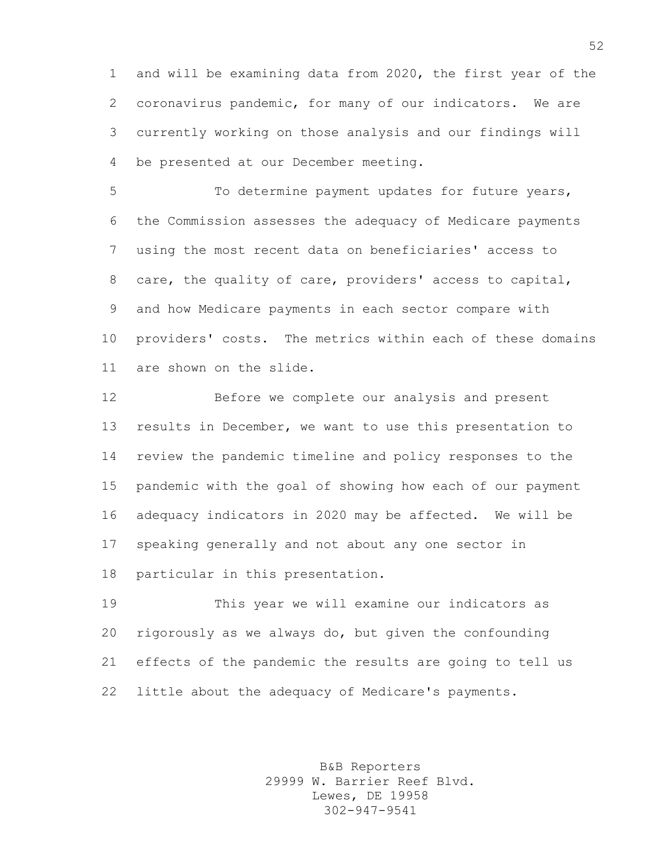and will be examining data from 2020, the first year of the coronavirus pandemic, for many of our indicators. We are currently working on those analysis and our findings will be presented at our December meeting.

 To determine payment updates for future years, the Commission assesses the adequacy of Medicare payments using the most recent data on beneficiaries' access to care, the quality of care, providers' access to capital, and how Medicare payments in each sector compare with providers' costs. The metrics within each of these domains are shown on the slide.

 Before we complete our analysis and present results in December, we want to use this presentation to review the pandemic timeline and policy responses to the pandemic with the goal of showing how each of our payment adequacy indicators in 2020 may be affected. We will be speaking generally and not about any one sector in particular in this presentation.

 This year we will examine our indicators as rigorously as we always do, but given the confounding effects of the pandemic the results are going to tell us little about the adequacy of Medicare's payments.

> B&B Reporters 29999 W. Barrier Reef Blvd. Lewes, DE 19958 302-947-9541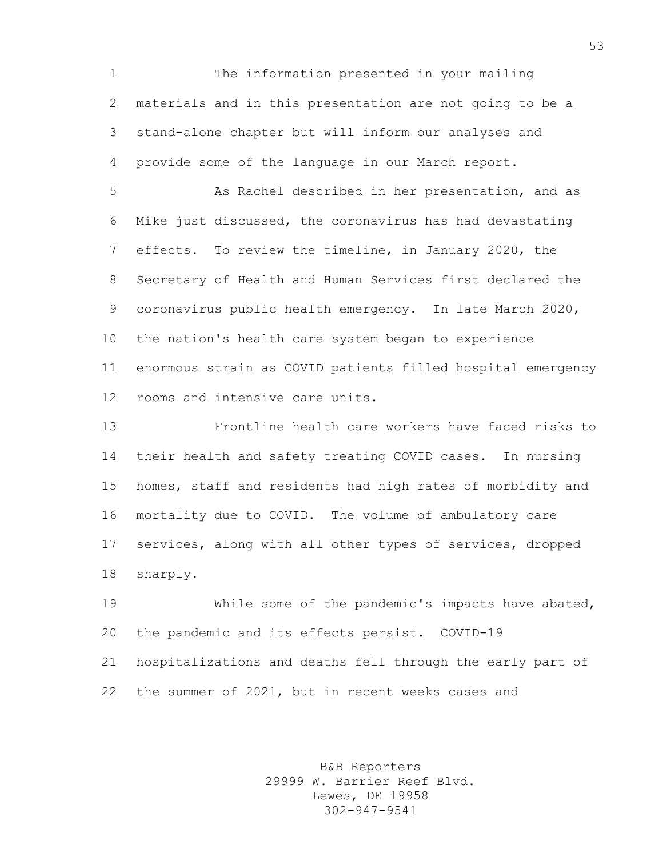The information presented in your mailing materials and in this presentation are not going to be a stand-alone chapter but will inform our analyses and provide some of the language in our March report.

 As Rachel described in her presentation, and as Mike just discussed, the coronavirus has had devastating effects. To review the timeline, in January 2020, the Secretary of Health and Human Services first declared the coronavirus public health emergency. In late March 2020, the nation's health care system began to experience enormous strain as COVID patients filled hospital emergency rooms and intensive care units.

 Frontline health care workers have faced risks to their health and safety treating COVID cases. In nursing homes, staff and residents had high rates of morbidity and mortality due to COVID. The volume of ambulatory care services, along with all other types of services, dropped sharply.

 While some of the pandemic's impacts have abated, the pandemic and its effects persist. COVID-19 hospitalizations and deaths fell through the early part of the summer of 2021, but in recent weeks cases and

> B&B Reporters 29999 W. Barrier Reef Blvd. Lewes, DE 19958 302-947-9541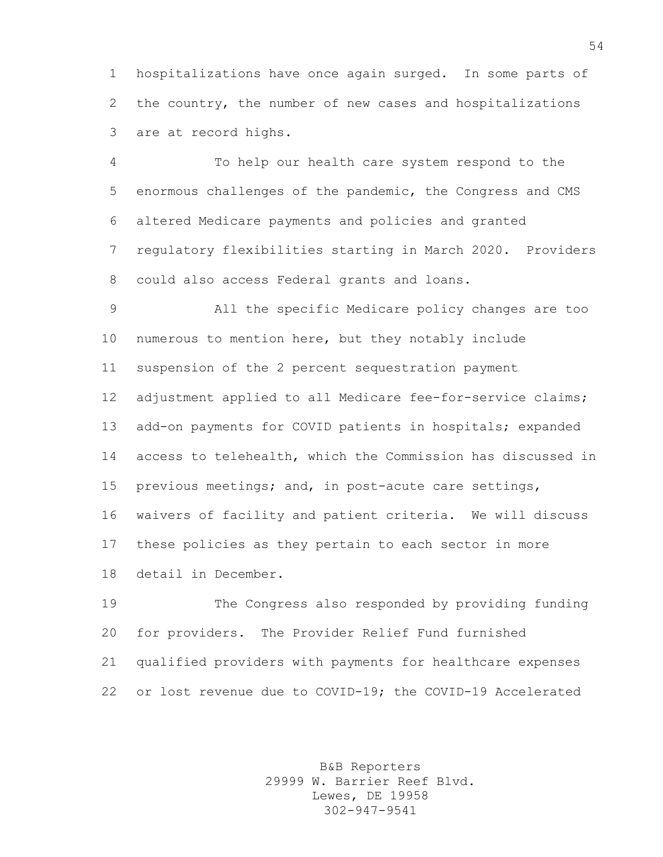hospitalizations have once again surged. In some parts of the country, the number of new cases and hospitalizations are at record highs.

 To help our health care system respond to the enormous challenges of the pandemic, the Congress and CMS altered Medicare payments and policies and granted regulatory flexibilities starting in March 2020. Providers could also access Federal grants and loans.

 All the specific Medicare policy changes are too numerous to mention here, but they notably include suspension of the 2 percent sequestration payment adjustment applied to all Medicare fee-for-service claims; add-on payments for COVID patients in hospitals; expanded access to telehealth, which the Commission has discussed in previous meetings; and, in post-acute care settings, waivers of facility and patient criteria. We will discuss these policies as they pertain to each sector in more detail in December.

 The Congress also responded by providing funding for providers. The Provider Relief Fund furnished qualified providers with payments for healthcare expenses or lost revenue due to COVID-19; the COVID-19 Accelerated

> B&B Reporters 29999 W. Barrier Reef Blvd. Lewes, DE 19958 302-947-9541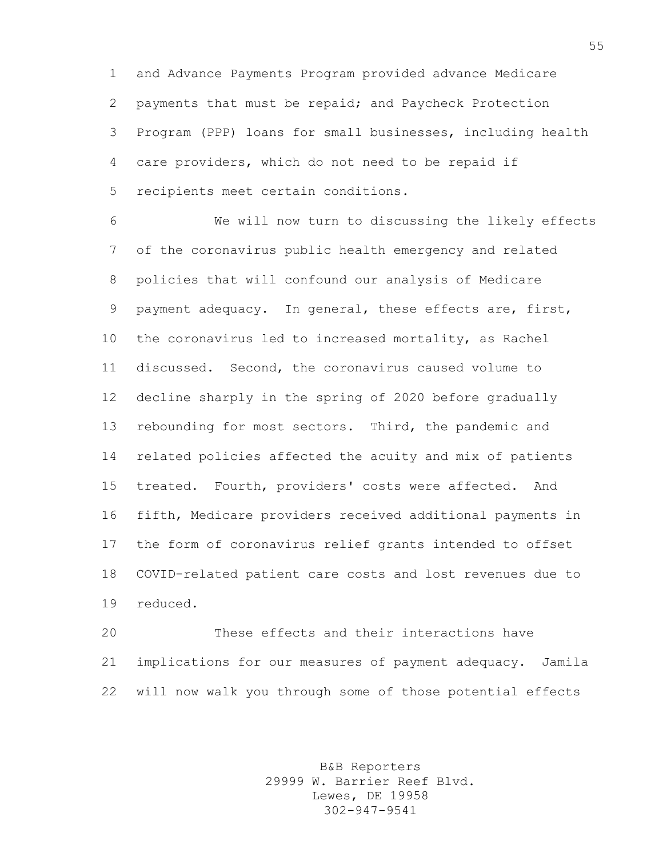and Advance Payments Program provided advance Medicare payments that must be repaid; and Paycheck Protection Program (PPP) loans for small businesses, including health care providers, which do not need to be repaid if recipients meet certain conditions.

 We will now turn to discussing the likely effects of the coronavirus public health emergency and related policies that will confound our analysis of Medicare payment adequacy. In general, these effects are, first, the coronavirus led to increased mortality, as Rachel discussed. Second, the coronavirus caused volume to decline sharply in the spring of 2020 before gradually rebounding for most sectors. Third, the pandemic and related policies affected the acuity and mix of patients treated. Fourth, providers' costs were affected. And fifth, Medicare providers received additional payments in the form of coronavirus relief grants intended to offset COVID-related patient care costs and lost revenues due to reduced.

 These effects and their interactions have implications for our measures of payment adequacy. Jamila will now walk you through some of those potential effects

> B&B Reporters 29999 W. Barrier Reef Blvd. Lewes, DE 19958 302-947-9541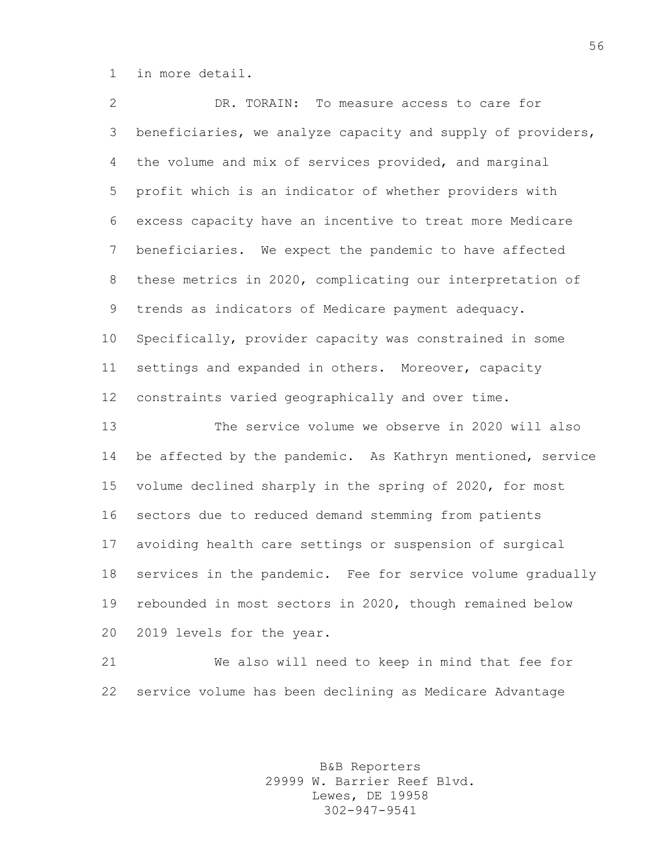in more detail.

 DR. TORAIN: To measure access to care for beneficiaries, we analyze capacity and supply of providers, the volume and mix of services provided, and marginal profit which is an indicator of whether providers with excess capacity have an incentive to treat more Medicare beneficiaries. We expect the pandemic to have affected these metrics in 2020, complicating our interpretation of trends as indicators of Medicare payment adequacy. Specifically, provider capacity was constrained in some settings and expanded in others. Moreover, capacity constraints varied geographically and over time. The service volume we observe in 2020 will also 14 be affected by the pandemic. As Kathryn mentioned, service volume declined sharply in the spring of 2020, for most sectors due to reduced demand stemming from patients avoiding health care settings or suspension of surgical services in the pandemic. Fee for service volume gradually rebounded in most sectors in 2020, though remained below

2019 levels for the year.

 We also will need to keep in mind that fee for service volume has been declining as Medicare Advantage

> B&B Reporters 29999 W. Barrier Reef Blvd. Lewes, DE 19958 302-947-9541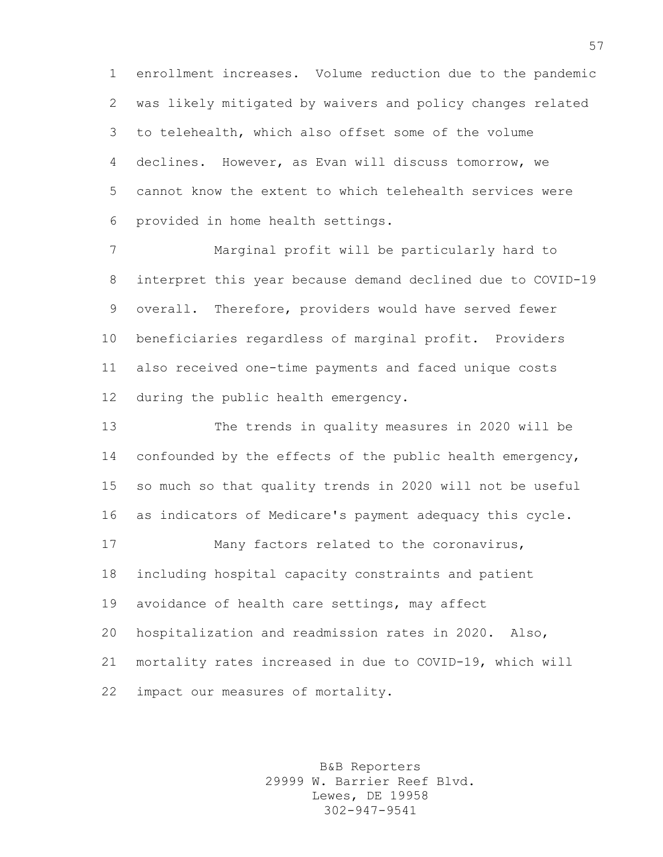enrollment increases. Volume reduction due to the pandemic was likely mitigated by waivers and policy changes related to telehealth, which also offset some of the volume declines. However, as Evan will discuss tomorrow, we cannot know the extent to which telehealth services were provided in home health settings.

 Marginal profit will be particularly hard to interpret this year because demand declined due to COVID-19 overall. Therefore, providers would have served fewer beneficiaries regardless of marginal profit. Providers also received one-time payments and faced unique costs during the public health emergency.

 The trends in quality measures in 2020 will be 14 confounded by the effects of the public health emergency, so much so that quality trends in 2020 will not be useful as indicators of Medicare's payment adequacy this cycle. 17 Many factors related to the coronavirus,

 including hospital capacity constraints and patient avoidance of health care settings, may affect hospitalization and readmission rates in 2020. Also, mortality rates increased in due to COVID-19, which will impact our measures of mortality.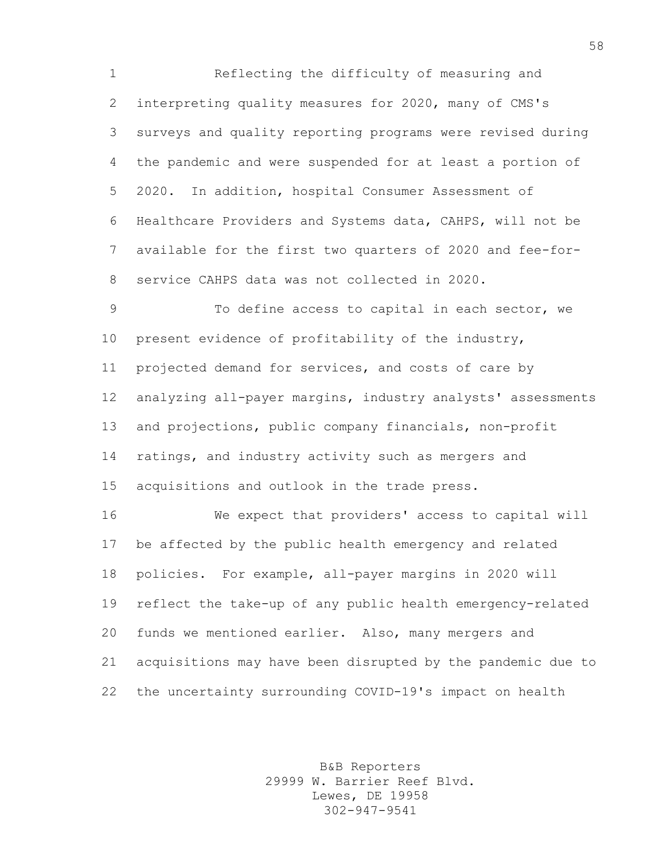Reflecting the difficulty of measuring and interpreting quality measures for 2020, many of CMS's surveys and quality reporting programs were revised during the pandemic and were suspended for at least a portion of 2020. In addition, hospital Consumer Assessment of Healthcare Providers and Systems data, CAHPS, will not be available for the first two quarters of 2020 and fee-for-service CAHPS data was not collected in 2020.

9 To define access to capital in each sector, we present evidence of profitability of the industry, projected demand for services, and costs of care by analyzing all-payer margins, industry analysts' assessments and projections, public company financials, non-profit ratings, and industry activity such as mergers and acquisitions and outlook in the trade press.

 We expect that providers' access to capital will be affected by the public health emergency and related policies. For example, all-payer margins in 2020 will reflect the take-up of any public health emergency-related funds we mentioned earlier. Also, many mergers and acquisitions may have been disrupted by the pandemic due to the uncertainty surrounding COVID-19's impact on health

> B&B Reporters 29999 W. Barrier Reef Blvd. Lewes, DE 19958 302-947-9541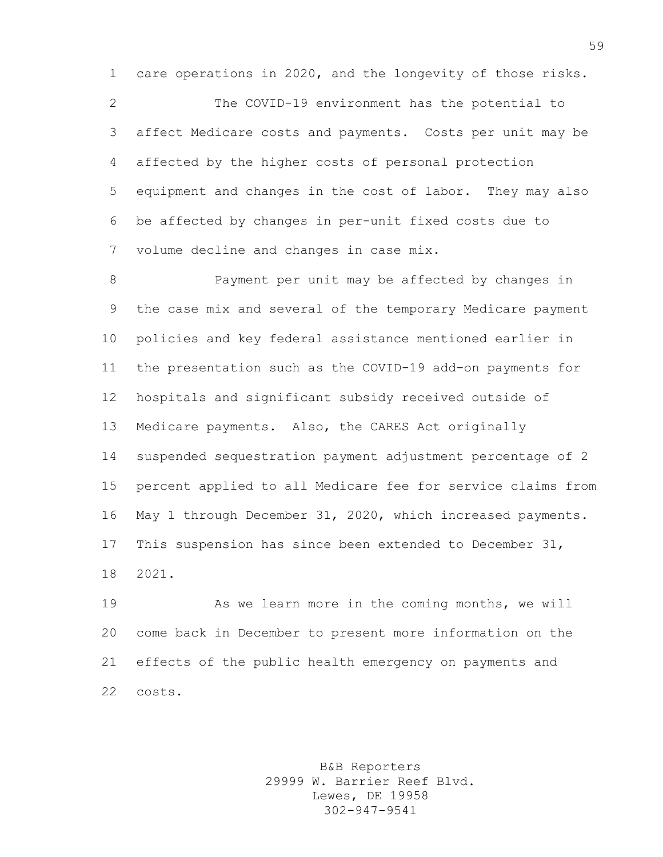care operations in 2020, and the longevity of those risks.

 The COVID-19 environment has the potential to affect Medicare costs and payments. Costs per unit may be affected by the higher costs of personal protection equipment and changes in the cost of labor. They may also be affected by changes in per-unit fixed costs due to volume decline and changes in case mix.

 Payment per unit may be affected by changes in the case mix and several of the temporary Medicare payment policies and key federal assistance mentioned earlier in the presentation such as the COVID-19 add-on payments for hospitals and significant subsidy received outside of Medicare payments. Also, the CARES Act originally suspended sequestration payment adjustment percentage of 2 percent applied to all Medicare fee for service claims from May 1 through December 31, 2020, which increased payments. This suspension has since been extended to December 31, 2021.

 As we learn more in the coming months, we will come back in December to present more information on the effects of the public health emergency on payments and costs.

> B&B Reporters 29999 W. Barrier Reef Blvd. Lewes, DE 19958 302-947-9541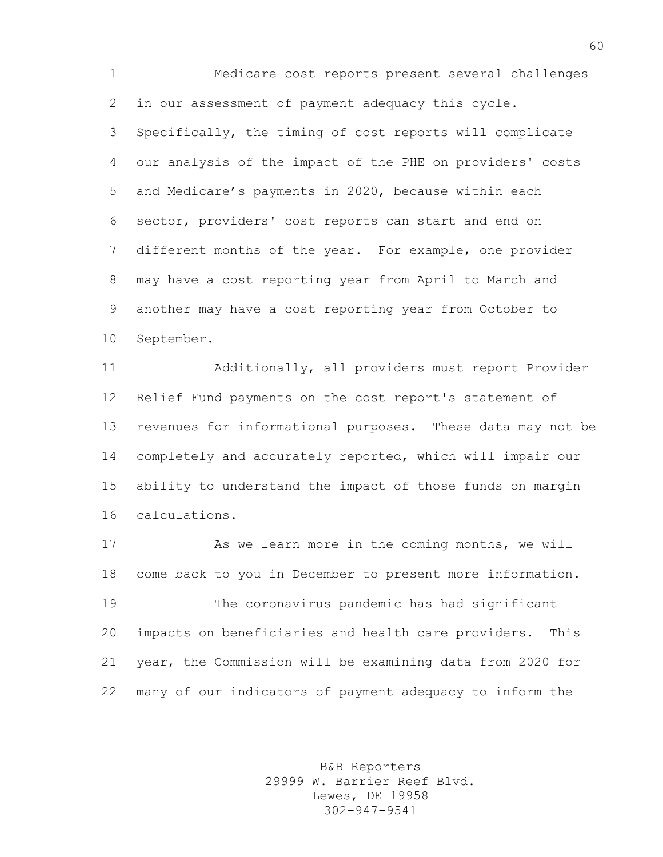Medicare cost reports present several challenges in our assessment of payment adequacy this cycle. Specifically, the timing of cost reports will complicate our analysis of the impact of the PHE on providers' costs and Medicare's payments in 2020, because within each sector, providers' cost reports can start and end on different months of the year. For example, one provider may have a cost reporting year from April to March and another may have a cost reporting year from October to September.

 Additionally, all providers must report Provider Relief Fund payments on the cost report's statement of revenues for informational purposes. These data may not be completely and accurately reported, which will impair our ability to understand the impact of those funds on margin calculations.

 As we learn more in the coming months, we will come back to you in December to present more information. The coronavirus pandemic has had significant impacts on beneficiaries and health care providers. This year, the Commission will be examining data from 2020 for many of our indicators of payment adequacy to inform the

> B&B Reporters 29999 W. Barrier Reef Blvd. Lewes, DE 19958 302-947-9541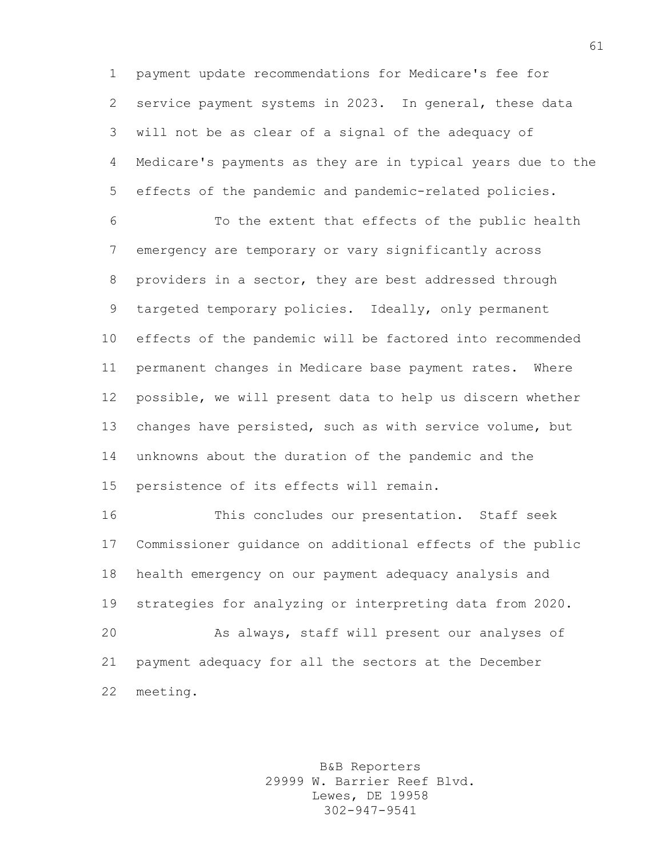payment update recommendations for Medicare's fee for service payment systems in 2023. In general, these data will not be as clear of a signal of the adequacy of Medicare's payments as they are in typical years due to the effects of the pandemic and pandemic-related policies.

 To the extent that effects of the public health emergency are temporary or vary significantly across providers in a sector, they are best addressed through targeted temporary policies. Ideally, only permanent effects of the pandemic will be factored into recommended permanent changes in Medicare base payment rates. Where possible, we will present data to help us discern whether changes have persisted, such as with service volume, but unknowns about the duration of the pandemic and the persistence of its effects will remain.

 This concludes our presentation. Staff seek Commissioner guidance on additional effects of the public health emergency on our payment adequacy analysis and strategies for analyzing or interpreting data from 2020. As always, staff will present our analyses of payment adequacy for all the sectors at the December meeting.

> B&B Reporters 29999 W. Barrier Reef Blvd. Lewes, DE 19958 302-947-9541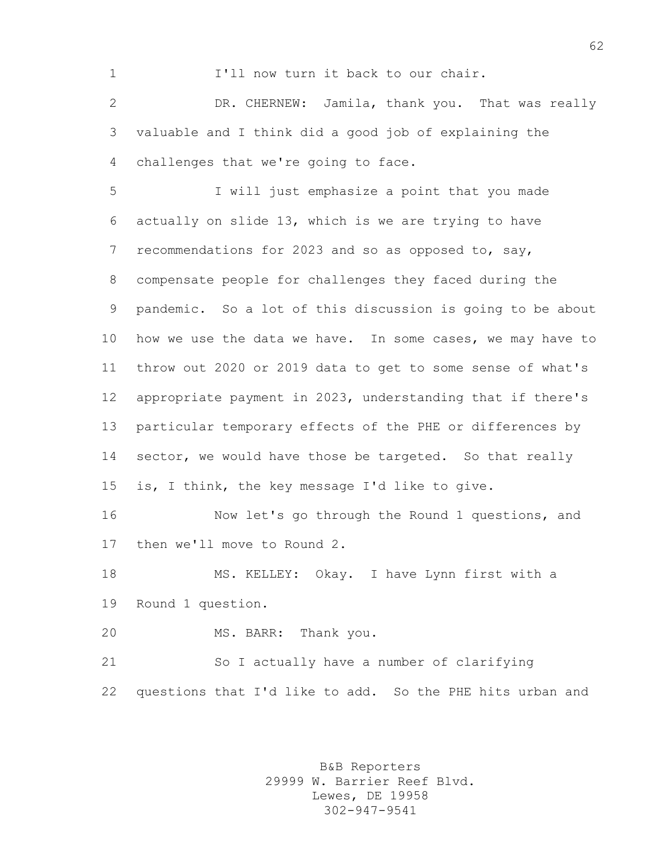I'll now turn it back to our chair.

 DR. CHERNEW: Jamila, thank you. That was really valuable and I think did a good job of explaining the challenges that we're going to face.

 I will just emphasize a point that you made actually on slide 13, which is we are trying to have 7 recommendations for 2023 and so as opposed to, say, compensate people for challenges they faced during the pandemic. So a lot of this discussion is going to be about how we use the data we have. In some cases, we may have to throw out 2020 or 2019 data to get to some sense of what's appropriate payment in 2023, understanding that if there's particular temporary effects of the PHE or differences by 14 sector, we would have those be targeted. So that really is, I think, the key message I'd like to give.

 Now let's go through the Round 1 questions, and then we'll move to Round 2.

 MS. KELLEY: Okay. I have Lynn first with a Round 1 question.

MS. BARR: Thank you.

 So I actually have a number of clarifying questions that I'd like to add. So the PHE hits urban and

> B&B Reporters 29999 W. Barrier Reef Blvd. Lewes, DE 19958 302-947-9541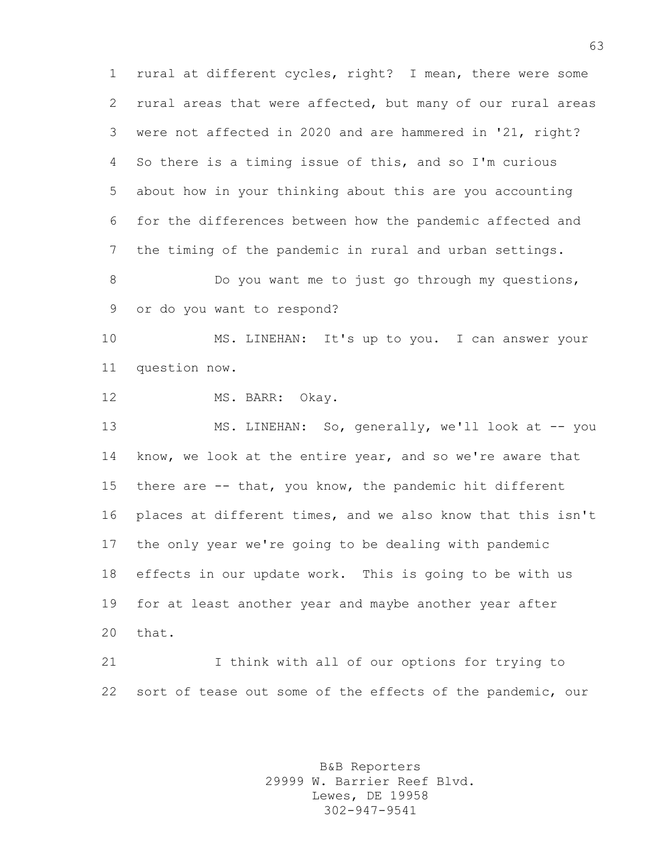rural at different cycles, right? I mean, there were some rural areas that were affected, but many of our rural areas were not affected in 2020 and are hammered in '21, right? So there is a timing issue of this, and so I'm curious about how in your thinking about this are you accounting for the differences between how the pandemic affected and the timing of the pandemic in rural and urban settings. Do you want me to just go through my questions, or do you want to respond? MS. LINEHAN: It's up to you. I can answer your question now. MS. BARR: Okay. 13 MS. LINEHAN: So, generally, we'll look at -- you know, we look at the entire year, and so we're aware that there are -- that, you know, the pandemic hit different places at different times, and we also know that this isn't the only year we're going to be dealing with pandemic effects in our update work. This is going to be with us for at least another year and maybe another year after that. I think with all of our options for trying to sort of tease out some of the effects of the pandemic, our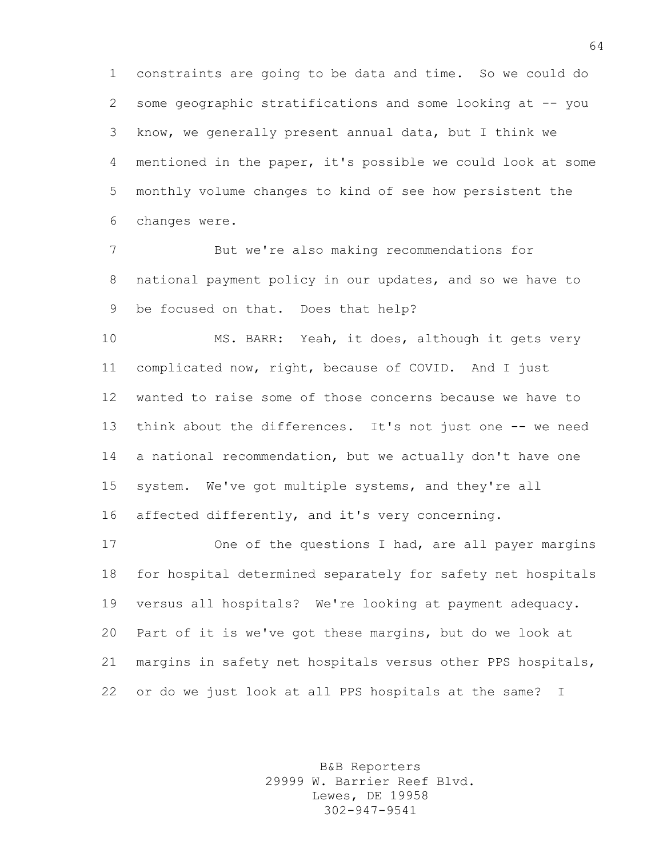constraints are going to be data and time. So we could do some geographic stratifications and some looking at -- you know, we generally present annual data, but I think we mentioned in the paper, it's possible we could look at some monthly volume changes to kind of see how persistent the changes were.

 But we're also making recommendations for national payment policy in our updates, and so we have to be focused on that. Does that help?

 MS. BARR: Yeah, it does, although it gets very complicated now, right, because of COVID. And I just wanted to raise some of those concerns because we have to think about the differences. It's not just one -- we need a national recommendation, but we actually don't have one system. We've got multiple systems, and they're all affected differently, and it's very concerning.

 One of the questions I had, are all payer margins for hospital determined separately for safety net hospitals versus all hospitals? We're looking at payment adequacy. Part of it is we've got these margins, but do we look at margins in safety net hospitals versus other PPS hospitals, or do we just look at all PPS hospitals at the same? I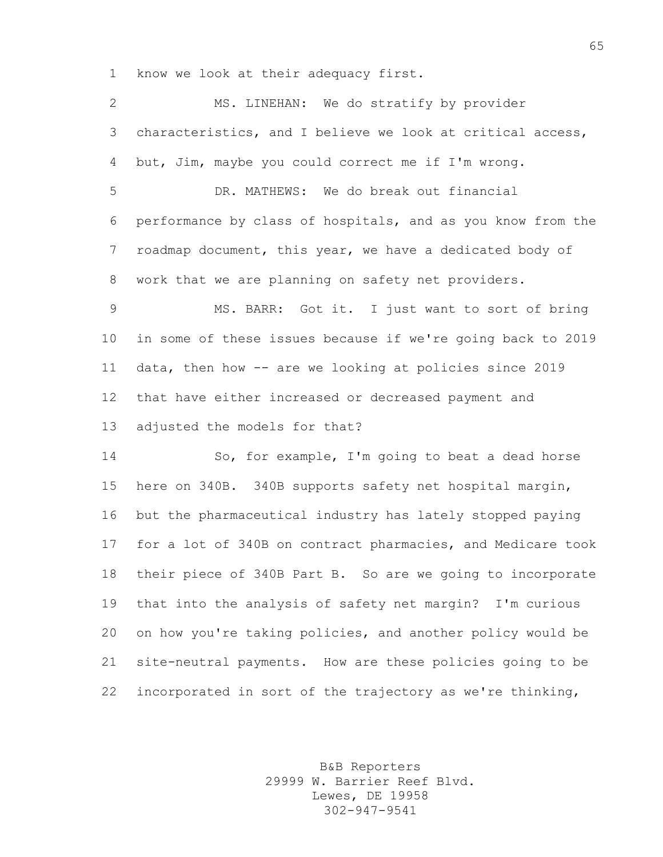know we look at their adequacy first.

 MS. LINEHAN: We do stratify by provider characteristics, and I believe we look at critical access, but, Jim, maybe you could correct me if I'm wrong. DR. MATHEWS: We do break out financial performance by class of hospitals, and as you know from the roadmap document, this year, we have a dedicated body of work that we are planning on safety net providers. MS. BARR: Got it. I just want to sort of bring in some of these issues because if we're going back to 2019 data, then how -- are we looking at policies since 2019 that have either increased or decreased payment and adjusted the models for that? So, for example, I'm going to beat a dead horse here on 340B. 340B supports safety net hospital margin, but the pharmaceutical industry has lately stopped paying for a lot of 340B on contract pharmacies, and Medicare took their piece of 340B Part B. So are we going to incorporate that into the analysis of safety net margin? I'm curious on how you're taking policies, and another policy would be site-neutral payments. How are these policies going to be incorporated in sort of the trajectory as we're thinking,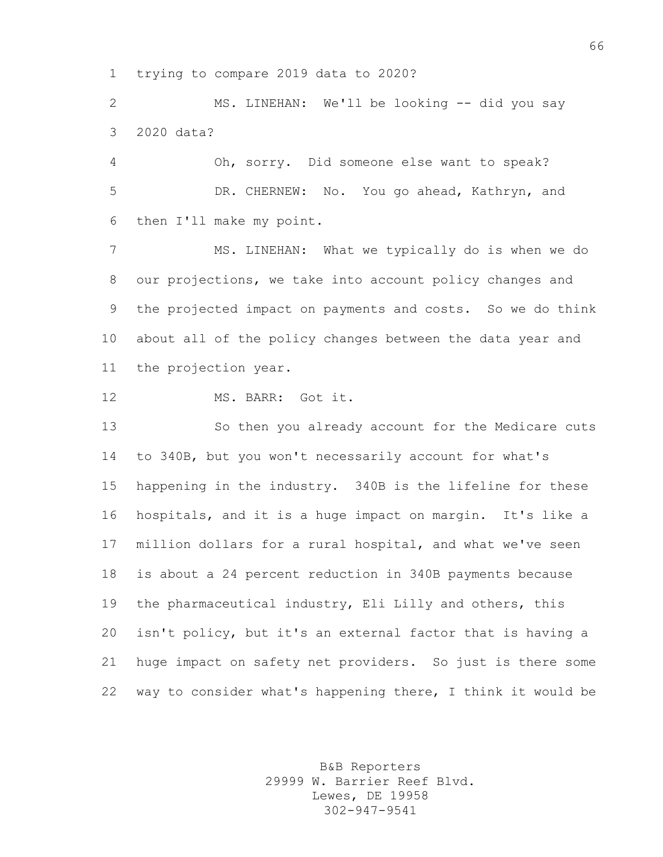trying to compare 2019 data to 2020?

 MS. LINEHAN: We'll be looking -- did you say 2020 data?

 Oh, sorry. Did someone else want to speak? DR. CHERNEW: No. You go ahead, Kathryn, and then I'll make my point.

 MS. LINEHAN: What we typically do is when we do our projections, we take into account policy changes and the projected impact on payments and costs. So we do think about all of the policy changes between the data year and the projection year.

MS. BARR: Got it.

 So then you already account for the Medicare cuts to 340B, but you won't necessarily account for what's happening in the industry. 340B is the lifeline for these hospitals, and it is a huge impact on margin. It's like a million dollars for a rural hospital, and what we've seen is about a 24 percent reduction in 340B payments because the pharmaceutical industry, Eli Lilly and others, this isn't policy, but it's an external factor that is having a huge impact on safety net providers. So just is there some way to consider what's happening there, I think it would be

> B&B Reporters 29999 W. Barrier Reef Blvd. Lewes, DE 19958 302-947-9541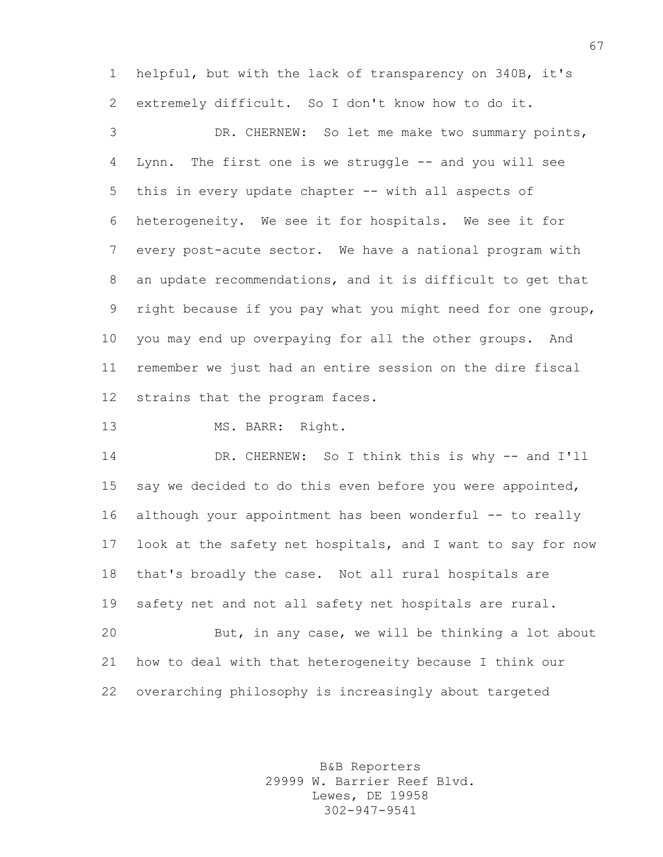helpful, but with the lack of transparency on 340B, it's extremely difficult. So I don't know how to do it.

 DR. CHERNEW: So let me make two summary points, Lynn. The first one is we struggle -- and you will see this in every update chapter -- with all aspects of heterogeneity. We see it for hospitals. We see it for every post-acute sector. We have a national program with an update recommendations, and it is difficult to get that right because if you pay what you might need for one group, you may end up overpaying for all the other groups. And remember we just had an entire session on the dire fiscal strains that the program faces.

MS. BARR: Right.

14 DR. CHERNEW: So I think this is why -- and I'll say we decided to do this even before you were appointed, although your appointment has been wonderful -- to really look at the safety net hospitals, and I want to say for now that's broadly the case. Not all rural hospitals are safety net and not all safety net hospitals are rural.

 But, in any case, we will be thinking a lot about how to deal with that heterogeneity because I think our overarching philosophy is increasingly about targeted

> B&B Reporters 29999 W. Barrier Reef Blvd. Lewes, DE 19958 302-947-9541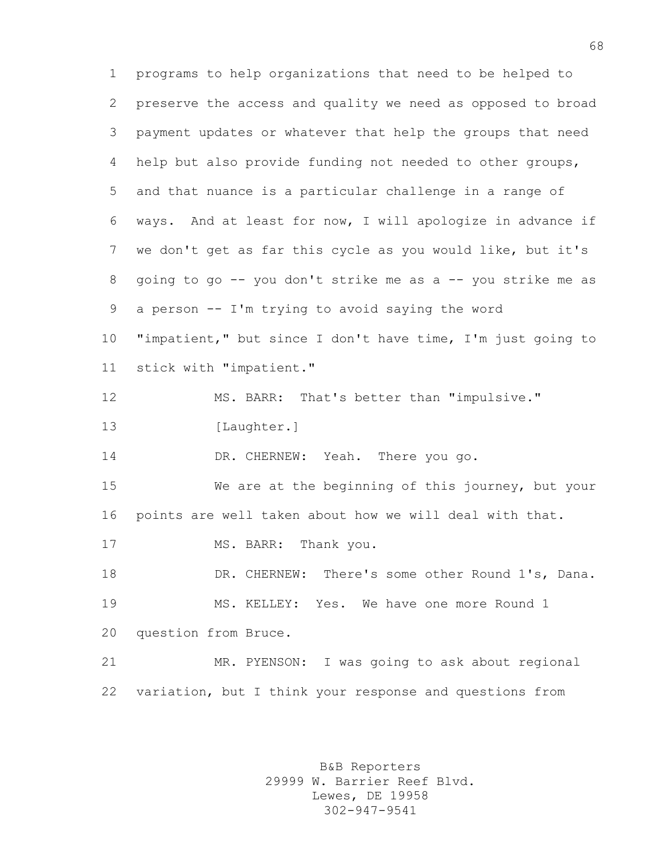programs to help organizations that need to be helped to preserve the access and quality we need as opposed to broad payment updates or whatever that help the groups that need help but also provide funding not needed to other groups, and that nuance is a particular challenge in a range of ways. And at least for now, I will apologize in advance if we don't get as far this cycle as you would like, but it's going to go -- you don't strike me as a -- you strike me as a person -- I'm trying to avoid saying the word "impatient," but since I don't have time, I'm just going to stick with "impatient." MS. BARR: That's better than "impulsive." 13 [Laughter.] 14 DR. CHERNEW: Yeah. There you go. We are at the beginning of this journey, but your points are well taken about how we will deal with that. 17 MS. BARR: Thank you. DR. CHERNEW: There's some other Round 1's, Dana. MS. KELLEY: Yes. We have one more Round 1 question from Bruce. MR. PYENSON: I was going to ask about regional variation, but I think your response and questions from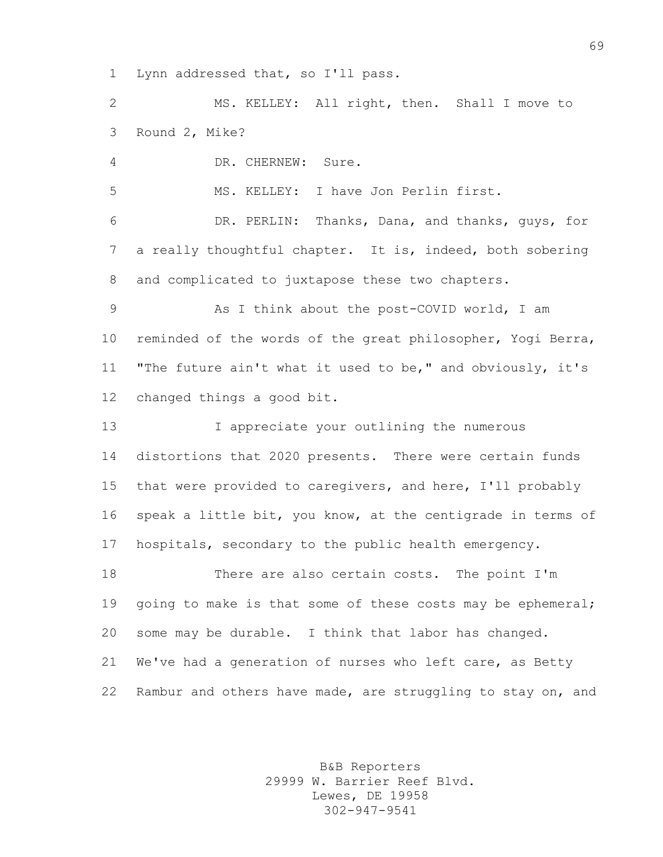Lynn addressed that, so I'll pass.

 MS. KELLEY: All right, then. Shall I move to Round 2, Mike?

DR. CHERNEW: Sure.

MS. KELLEY: I have Jon Perlin first.

 DR. PERLIN: Thanks, Dana, and thanks, guys, for a really thoughtful chapter. It is, indeed, both sobering and complicated to juxtapose these two chapters.

9 As I think about the post-COVID world, I am reminded of the words of the great philosopher, Yogi Berra, "The future ain't what it used to be," and obviously, it's changed things a good bit.

 I appreciate your outlining the numerous distortions that 2020 presents. There were certain funds that were provided to caregivers, and here, I'll probably speak a little bit, you know, at the centigrade in terms of hospitals, secondary to the public health emergency.

 There are also certain costs. The point I'm 19 going to make is that some of these costs may be ephemeral; some may be durable. I think that labor has changed. We've had a generation of nurses who left care, as Betty 22 Rambur and others have made, are struggling to stay on, and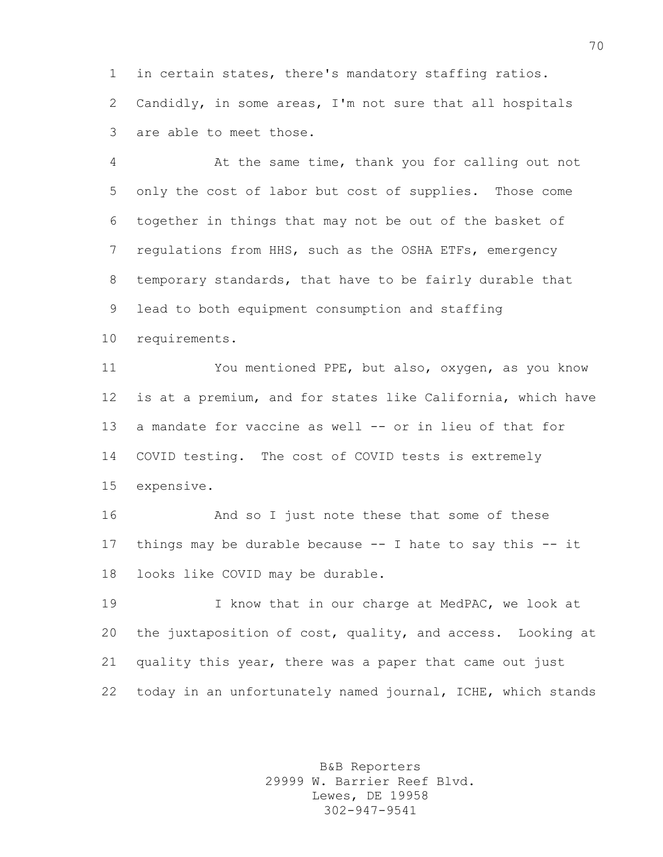in certain states, there's mandatory staffing ratios. Candidly, in some areas, I'm not sure that all hospitals are able to meet those.

 At the same time, thank you for calling out not only the cost of labor but cost of supplies. Those come together in things that may not be out of the basket of regulations from HHS, such as the OSHA ETFs, emergency temporary standards, that have to be fairly durable that lead to both equipment consumption and staffing

requirements.

 You mentioned PPE, but also, oxygen, as you know is at a premium, and for states like California, which have a mandate for vaccine as well -- or in lieu of that for COVID testing. The cost of COVID tests is extremely expensive.

 And so I just note these that some of these things may be durable because -- I hate to say this -- it looks like COVID may be durable.

 I know that in our charge at MedPAC, we look at the juxtaposition of cost, quality, and access. Looking at quality this year, there was a paper that came out just today in an unfortunately named journal, ICHE, which stands

> B&B Reporters 29999 W. Barrier Reef Blvd. Lewes, DE 19958 302-947-9541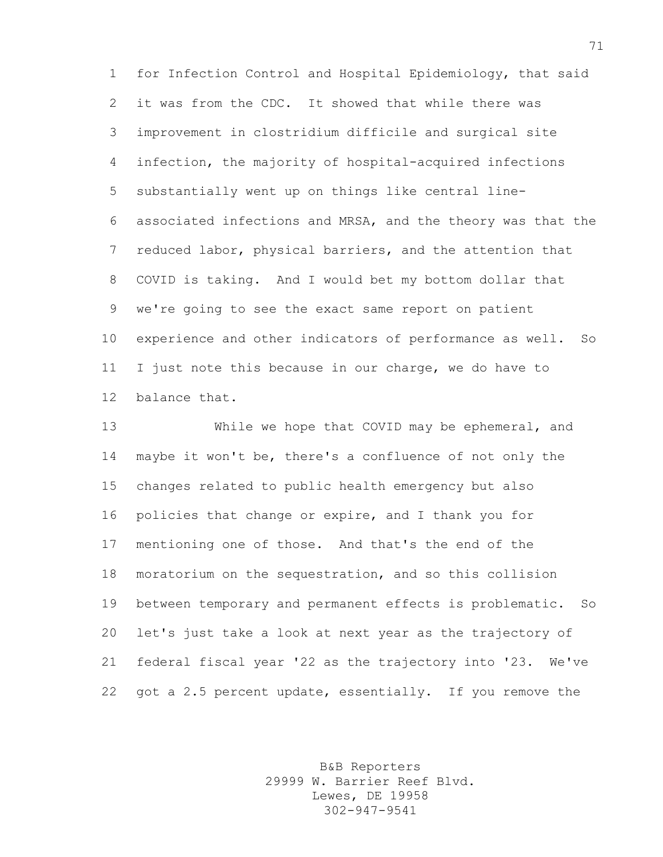for Infection Control and Hospital Epidemiology, that said it was from the CDC. It showed that while there was improvement in clostridium difficile and surgical site infection, the majority of hospital-acquired infections substantially went up on things like central line- associated infections and MRSA, and the theory was that the reduced labor, physical barriers, and the attention that COVID is taking. And I would bet my bottom dollar that we're going to see the exact same report on patient experience and other indicators of performance as well. So I just note this because in our charge, we do have to balance that.

 While we hope that COVID may be ephemeral, and maybe it won't be, there's a confluence of not only the changes related to public health emergency but also policies that change or expire, and I thank you for mentioning one of those. And that's the end of the moratorium on the sequestration, and so this collision between temporary and permanent effects is problematic. So let's just take a look at next year as the trajectory of federal fiscal year '22 as the trajectory into '23. We've 22 got a 2.5 percent update, essentially. If you remove the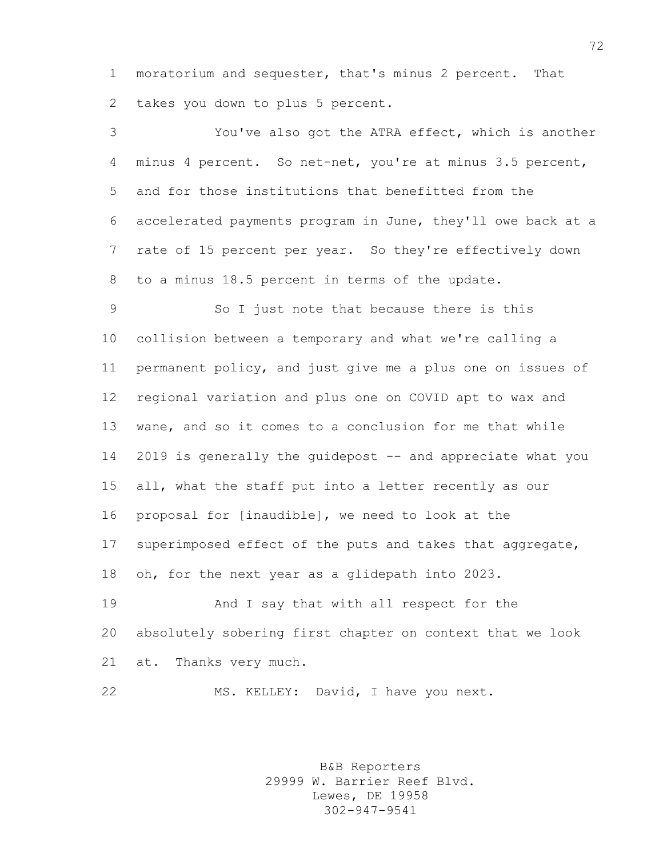moratorium and sequester, that's minus 2 percent. That takes you down to plus 5 percent.

 You've also got the ATRA effect, which is another minus 4 percent. So net-net, you're at minus 3.5 percent, and for those institutions that benefitted from the accelerated payments program in June, they'll owe back at a rate of 15 percent per year. So they're effectively down to a minus 18.5 percent in terms of the update.

 So I just note that because there is this collision between a temporary and what we're calling a permanent policy, and just give me a plus one on issues of regional variation and plus one on COVID apt to wax and wane, and so it comes to a conclusion for me that while 14 2019 is generally the guidepost -- and appreciate what you all, what the staff put into a letter recently as our proposal for [inaudible], we need to look at the superimposed effect of the puts and takes that aggregate, oh, for the next year as a glidepath into 2023. And I say that with all respect for the

 absolutely sobering first chapter on context that we look at. Thanks very much.

MS. KELLEY: David, I have you next.

B&B Reporters 29999 W. Barrier Reef Blvd. Lewes, DE 19958 302-947-9541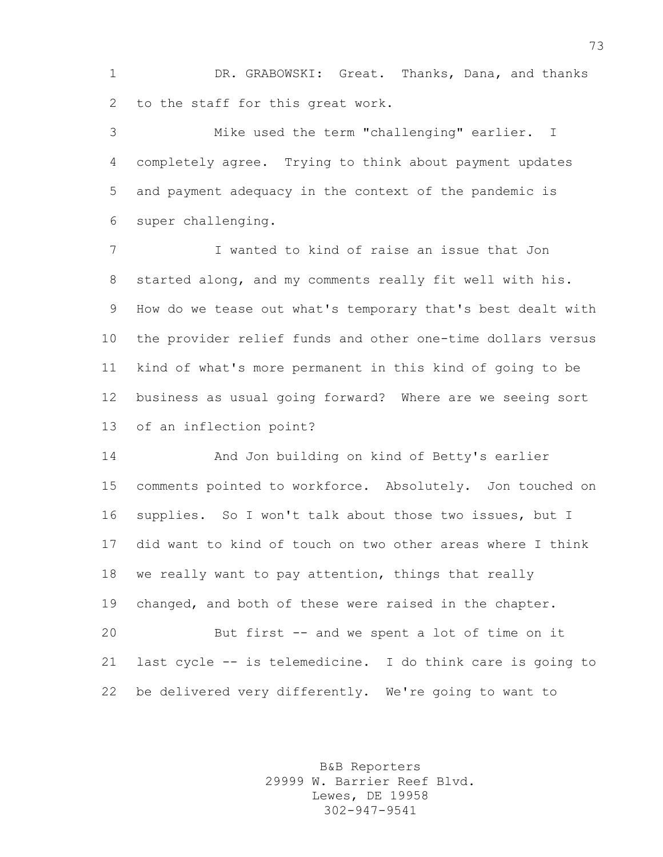DR. GRABOWSKI: Great. Thanks, Dana, and thanks to the staff for this great work.

 Mike used the term "challenging" earlier. I completely agree. Trying to think about payment updates and payment adequacy in the context of the pandemic is super challenging.

 I wanted to kind of raise an issue that Jon started along, and my comments really fit well with his. How do we tease out what's temporary that's best dealt with the provider relief funds and other one-time dollars versus kind of what's more permanent in this kind of going to be business as usual going forward? Where are we seeing sort of an inflection point?

 And Jon building on kind of Betty's earlier comments pointed to workforce. Absolutely. Jon touched on supplies. So I won't talk about those two issues, but I did want to kind of touch on two other areas where I think we really want to pay attention, things that really changed, and both of these were raised in the chapter. But first -- and we spent a lot of time on it last cycle -- is telemedicine. I do think care is going to

be delivered very differently. We're going to want to

B&B Reporters 29999 W. Barrier Reef Blvd. Lewes, DE 19958 302-947-9541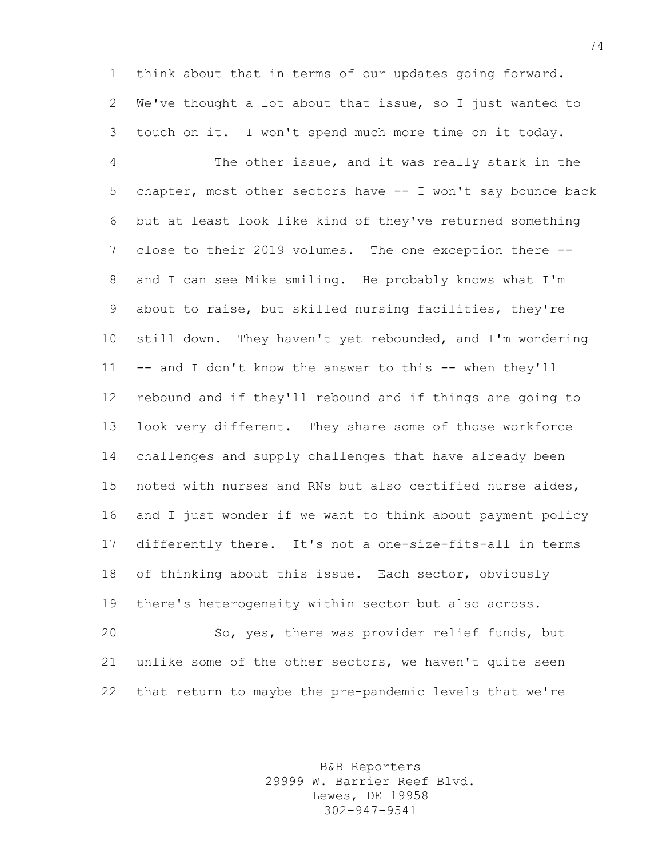think about that in terms of our updates going forward. We've thought a lot about that issue, so I just wanted to touch on it. I won't spend much more time on it today.

 The other issue, and it was really stark in the chapter, most other sectors have -- I won't say bounce back but at least look like kind of they've returned something close to their 2019 volumes. The one exception there -- and I can see Mike smiling. He probably knows what I'm about to raise, but skilled nursing facilities, they're still down. They haven't yet rebounded, and I'm wondering -- and I don't know the answer to this -- when they'll rebound and if they'll rebound and if things are going to look very different. They share some of those workforce challenges and supply challenges that have already been noted with nurses and RNs but also certified nurse aides, and I just wonder if we want to think about payment policy differently there. It's not a one-size-fits-all in terms of thinking about this issue. Each sector, obviously there's heterogeneity within sector but also across. So, yes, there was provider relief funds, but

 unlike some of the other sectors, we haven't quite seen that return to maybe the pre-pandemic levels that we're

> B&B Reporters 29999 W. Barrier Reef Blvd. Lewes, DE 19958 302-947-9541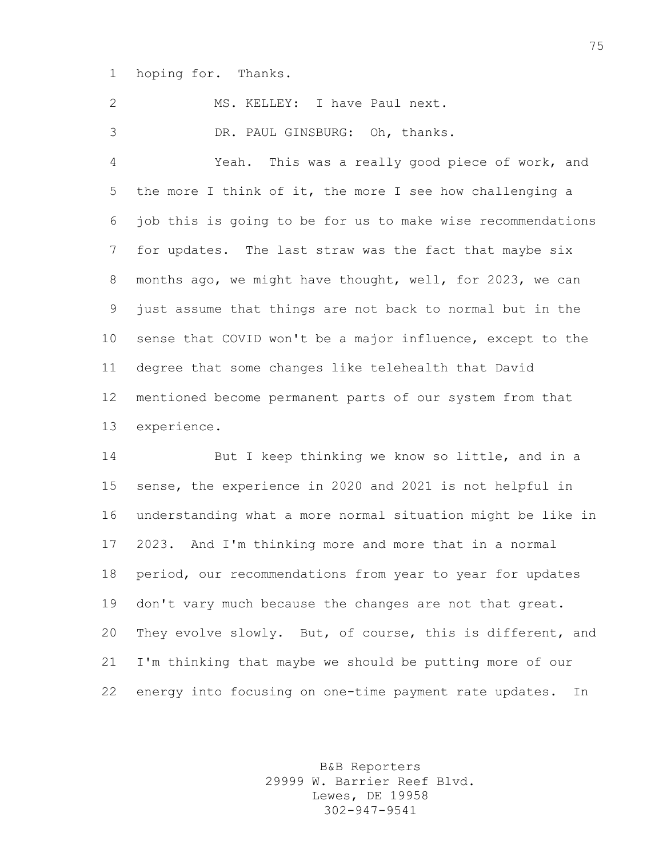hoping for. Thanks.

MS. KELLEY: I have Paul next.

DR. PAUL GINSBURG: Oh, thanks.

 Yeah. This was a really good piece of work, and the more I think of it, the more I see how challenging a job this is going to be for us to make wise recommendations for updates. The last straw was the fact that maybe six months ago, we might have thought, well, for 2023, we can just assume that things are not back to normal but in the sense that COVID won't be a major influence, except to the degree that some changes like telehealth that David mentioned become permanent parts of our system from that experience.

14 But I keep thinking we know so little, and in a sense, the experience in 2020 and 2021 is not helpful in understanding what a more normal situation might be like in 2023. And I'm thinking more and more that in a normal period, our recommendations from year to year for updates don't vary much because the changes are not that great. They evolve slowly. But, of course, this is different, and I'm thinking that maybe we should be putting more of our energy into focusing on one-time payment rate updates. In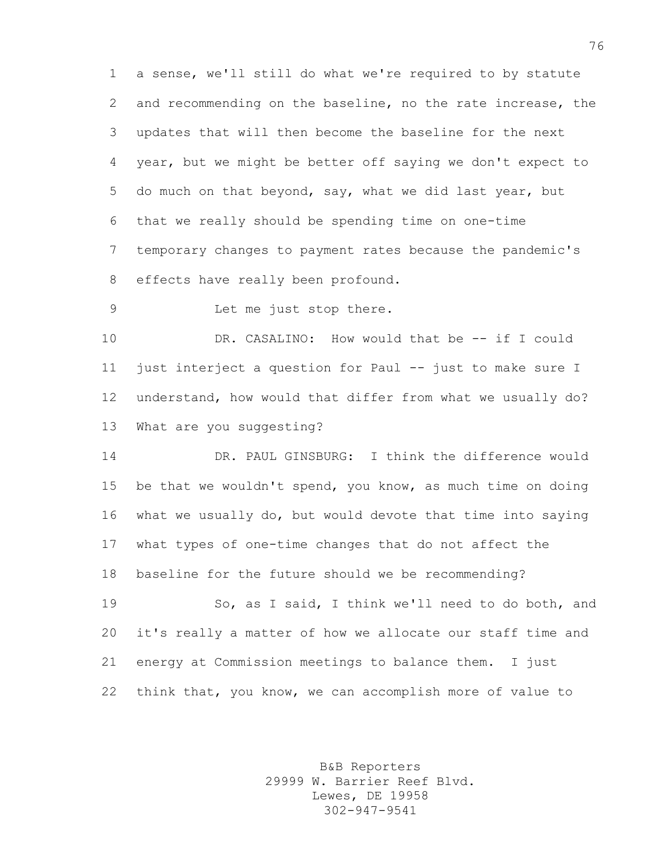a sense, we'll still do what we're required to by statute and recommending on the baseline, no the rate increase, the updates that will then become the baseline for the next year, but we might be better off saying we don't expect to do much on that beyond, say, what we did last year, but that we really should be spending time on one-time temporary changes to payment rates because the pandemic's effects have really been profound.

Let me just stop there.

 DR. CASALINO: How would that be -- if I could just interject a question for Paul -- just to make sure I understand, how would that differ from what we usually do? What are you suggesting?

 DR. PAUL GINSBURG: I think the difference would be that we wouldn't spend, you know, as much time on doing what we usually do, but would devote that time into saying what types of one-time changes that do not affect the baseline for the future should we be recommending?

 So, as I said, I think we'll need to do both, and it's really a matter of how we allocate our staff time and energy at Commission meetings to balance them. I just think that, you know, we can accomplish more of value to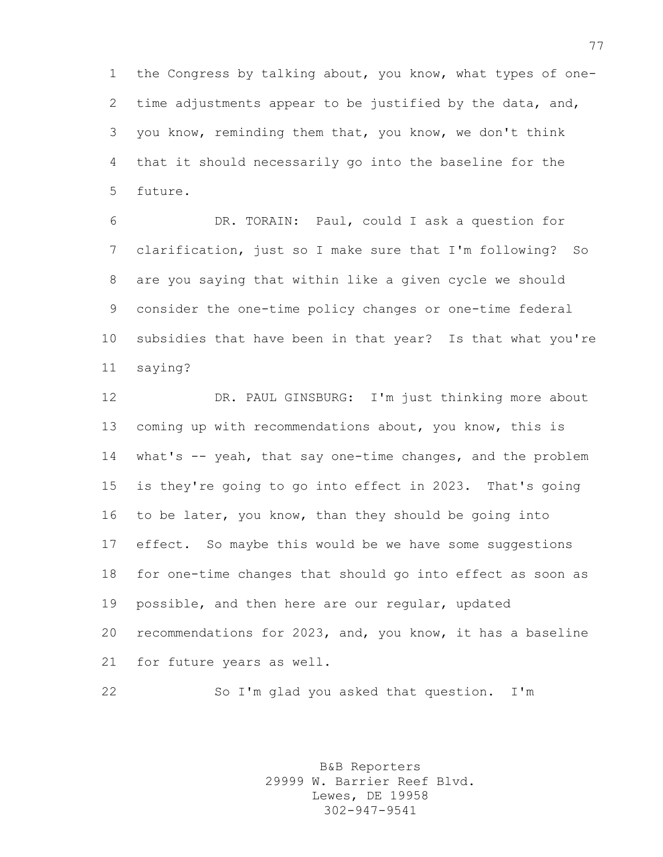the Congress by talking about, you know, what types of one- time adjustments appear to be justified by the data, and, you know, reminding them that, you know, we don't think that it should necessarily go into the baseline for the future.

 DR. TORAIN: Paul, could I ask a question for clarification, just so I make sure that I'm following? So are you saying that within like a given cycle we should consider the one-time policy changes or one-time federal subsidies that have been in that year? Is that what you're saying?

 DR. PAUL GINSBURG: I'm just thinking more about coming up with recommendations about, you know, this is what's -- yeah, that say one-time changes, and the problem is they're going to go into effect in 2023. That's going to be later, you know, than they should be going into effect. So maybe this would be we have some suggestions for one-time changes that should go into effect as soon as possible, and then here are our regular, updated recommendations for 2023, and, you know, it has a baseline for future years as well.

So I'm glad you asked that question. I'm

B&B Reporters 29999 W. Barrier Reef Blvd. Lewes, DE 19958 302-947-9541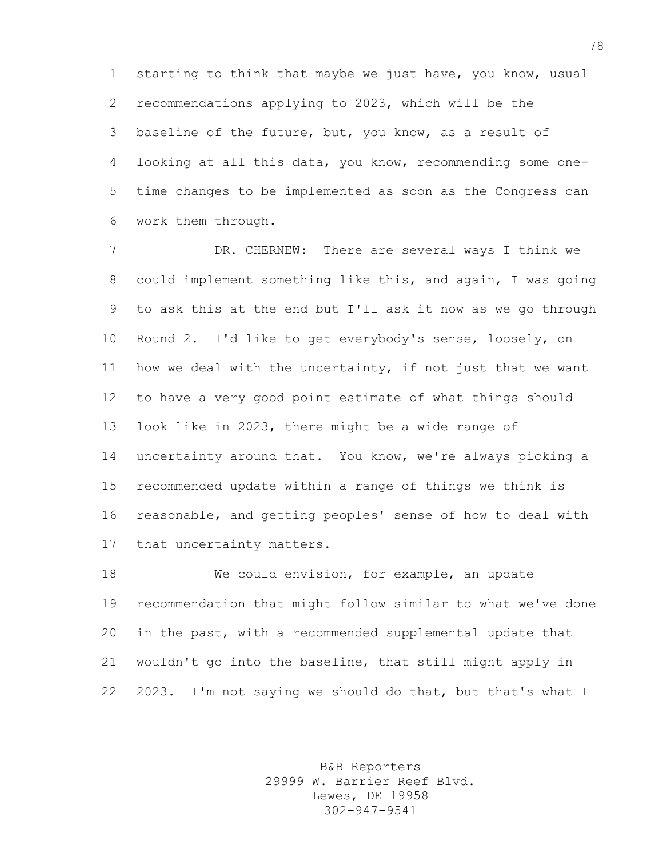starting to think that maybe we just have, you know, usual recommendations applying to 2023, which will be the baseline of the future, but, you know, as a result of looking at all this data, you know, recommending some one- time changes to be implemented as soon as the Congress can work them through.

 DR. CHERNEW: There are several ways I think we could implement something like this, and again, I was going to ask this at the end but I'll ask it now as we go through Round 2. I'd like to get everybody's sense, loosely, on how we deal with the uncertainty, if not just that we want to have a very good point estimate of what things should look like in 2023, there might be a wide range of uncertainty around that. You know, we're always picking a recommended update within a range of things we think is reasonable, and getting peoples' sense of how to deal with that uncertainty matters.

18 We could envision, for example, an update recommendation that might follow similar to what we've done in the past, with a recommended supplemental update that wouldn't go into the baseline, that still might apply in 2023. I'm not saying we should do that, but that's what I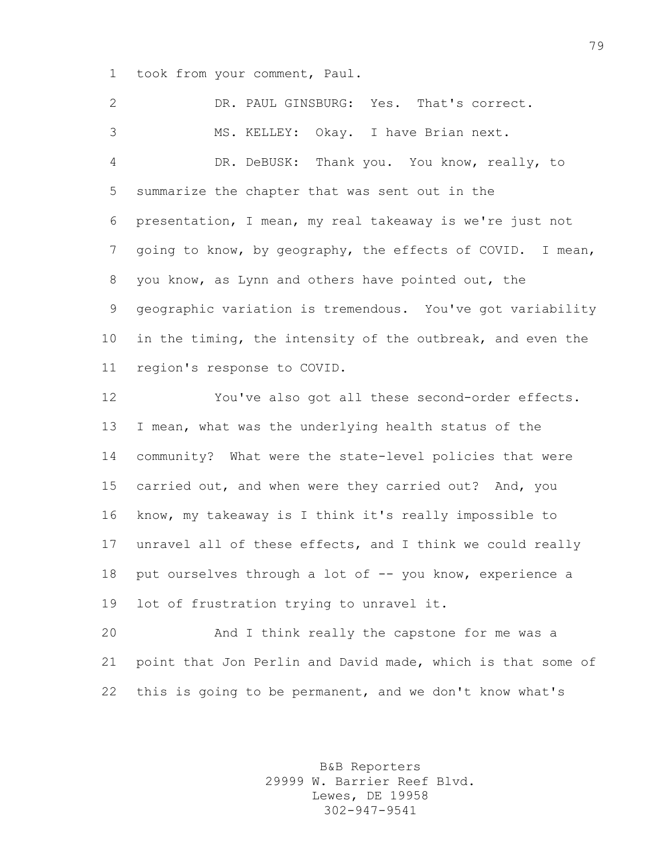took from your comment, Paul.

 DR. PAUL GINSBURG: Yes. That's correct. MS. KELLEY: Okay. I have Brian next. DR. DeBUSK: Thank you. You know, really, to summarize the chapter that was sent out in the presentation, I mean, my real takeaway is we're just not going to know, by geography, the effects of COVID. I mean, you know, as Lynn and others have pointed out, the geographic variation is tremendous. You've got variability in the timing, the intensity of the outbreak, and even the region's response to COVID. You've also got all these second-order effects.

 I mean, what was the underlying health status of the community? What were the state-level policies that were carried out, and when were they carried out? And, you know, my takeaway is I think it's really impossible to unravel all of these effects, and I think we could really 18 put ourselves through a lot of -- you know, experience a lot of frustration trying to unravel it.

 And I think really the capstone for me was a point that Jon Perlin and David made, which is that some of this is going to be permanent, and we don't know what's

> B&B Reporters 29999 W. Barrier Reef Blvd. Lewes, DE 19958 302-947-9541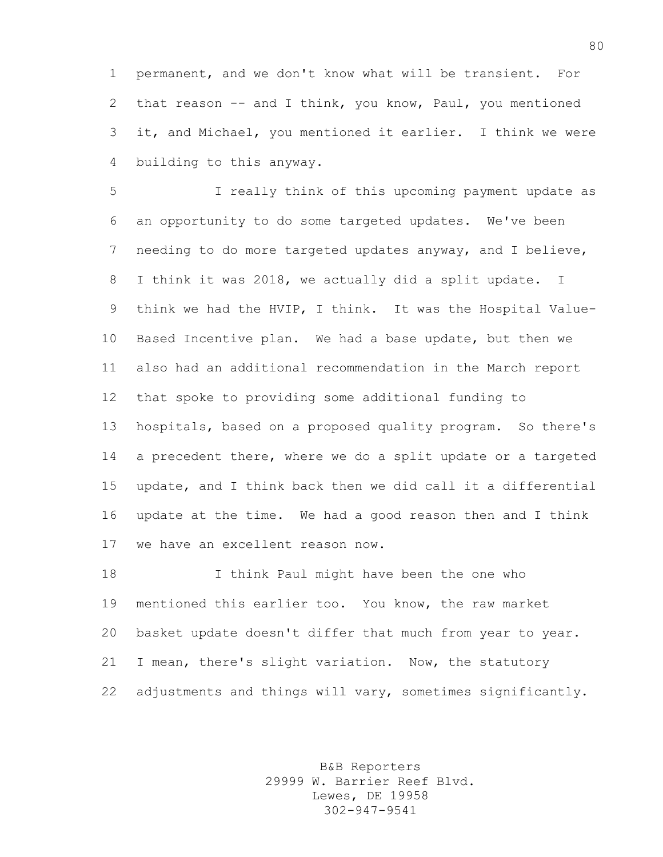permanent, and we don't know what will be transient. For that reason -- and I think, you know, Paul, you mentioned it, and Michael, you mentioned it earlier. I think we were building to this anyway.

 I really think of this upcoming payment update as an opportunity to do some targeted updates. We've been needing to do more targeted updates anyway, and I believe, I think it was 2018, we actually did a split update. I think we had the HVIP, I think. It was the Hospital Value- Based Incentive plan. We had a base update, but then we also had an additional recommendation in the March report that spoke to providing some additional funding to hospitals, based on a proposed quality program. So there's 14 a precedent there, where we do a split update or a targeted update, and I think back then we did call it a differential update at the time. We had a good reason then and I think we have an excellent reason now.

 I think Paul might have been the one who mentioned this earlier too. You know, the raw market basket update doesn't differ that much from year to year. I mean, there's slight variation. Now, the statutory adjustments and things will vary, sometimes significantly.

> B&B Reporters 29999 W. Barrier Reef Blvd. Lewes, DE 19958 302-947-9541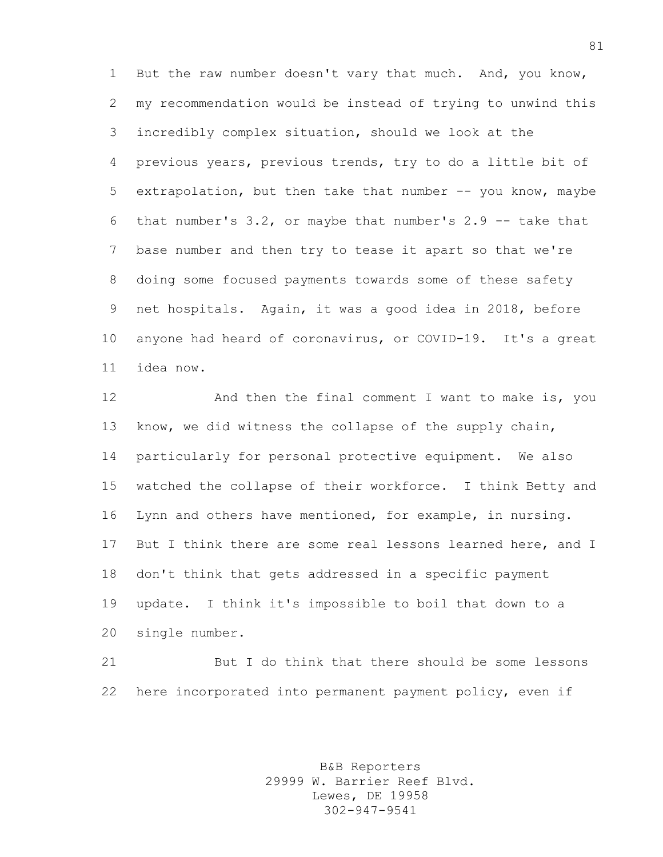But the raw number doesn't vary that much. And, you know, my recommendation would be instead of trying to unwind this incredibly complex situation, should we look at the previous years, previous trends, try to do a little bit of extrapolation, but then take that number -- you know, maybe that number's 3.2, or maybe that number's 2.9 -- take that base number and then try to tease it apart so that we're doing some focused payments towards some of these safety net hospitals. Again, it was a good idea in 2018, before anyone had heard of coronavirus, or COVID-19. It's a great idea now.

12 And then the final comment I want to make is, you know, we did witness the collapse of the supply chain, particularly for personal protective equipment. We also watched the collapse of their workforce. I think Betty and Lynn and others have mentioned, for example, in nursing. 17 But I think there are some real lessons learned here, and I don't think that gets addressed in a specific payment update. I think it's impossible to boil that down to a single number.

 But I do think that there should be some lessons here incorporated into permanent payment policy, even if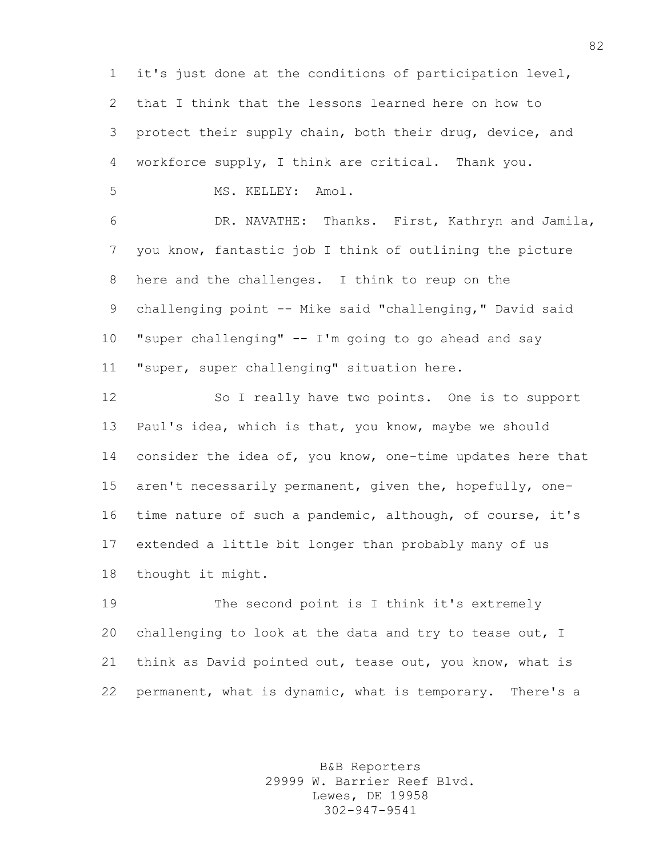it's just done at the conditions of participation level, that I think that the lessons learned here on how to protect their supply chain, both their drug, device, and workforce supply, I think are critical. Thank you.

MS. KELLEY: Amol.

 DR. NAVATHE: Thanks. First, Kathryn and Jamila, you know, fantastic job I think of outlining the picture here and the challenges. I think to reup on the 9 challenging point -- Mike said "challenging," David said "super challenging" -- I'm going to go ahead and say "super, super challenging" situation here.

 So I really have two points. One is to support Paul's idea, which is that, you know, maybe we should consider the idea of, you know, one-time updates here that aren't necessarily permanent, given the, hopefully, one- time nature of such a pandemic, although, of course, it's extended a little bit longer than probably many of us thought it might.

 The second point is I think it's extremely challenging to look at the data and try to tease out, I think as David pointed out, tease out, you know, what is permanent, what is dynamic, what is temporary. There's a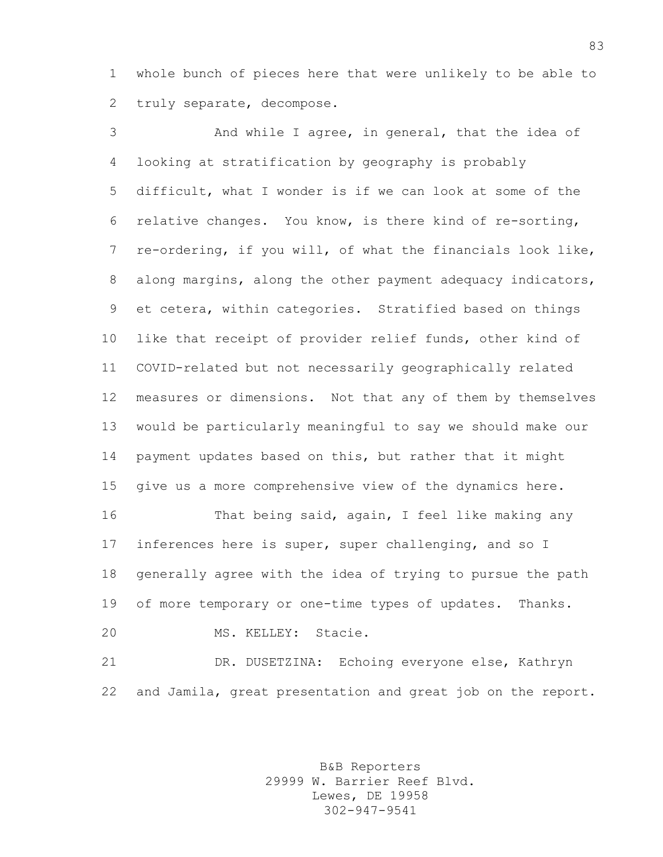whole bunch of pieces here that were unlikely to be able to truly separate, decompose.

 And while I agree, in general, that the idea of looking at stratification by geography is probably difficult, what I wonder is if we can look at some of the relative changes. You know, is there kind of re-sorting, re-ordering, if you will, of what the financials look like, along margins, along the other payment adequacy indicators, et cetera, within categories. Stratified based on things like that receipt of provider relief funds, other kind of COVID-related but not necessarily geographically related measures or dimensions. Not that any of them by themselves would be particularly meaningful to say we should make our payment updates based on this, but rather that it might give us a more comprehensive view of the dynamics here.

 That being said, again, I feel like making any inferences here is super, super challenging, and so I generally agree with the idea of trying to pursue the path 19 of more temporary or one-time types of updates. Thanks.

MS. KELLEY: Stacie.

 DR. DUSETZINA: Echoing everyone else, Kathryn and Jamila, great presentation and great job on the report.

> B&B Reporters 29999 W. Barrier Reef Blvd. Lewes, DE 19958 302-947-9541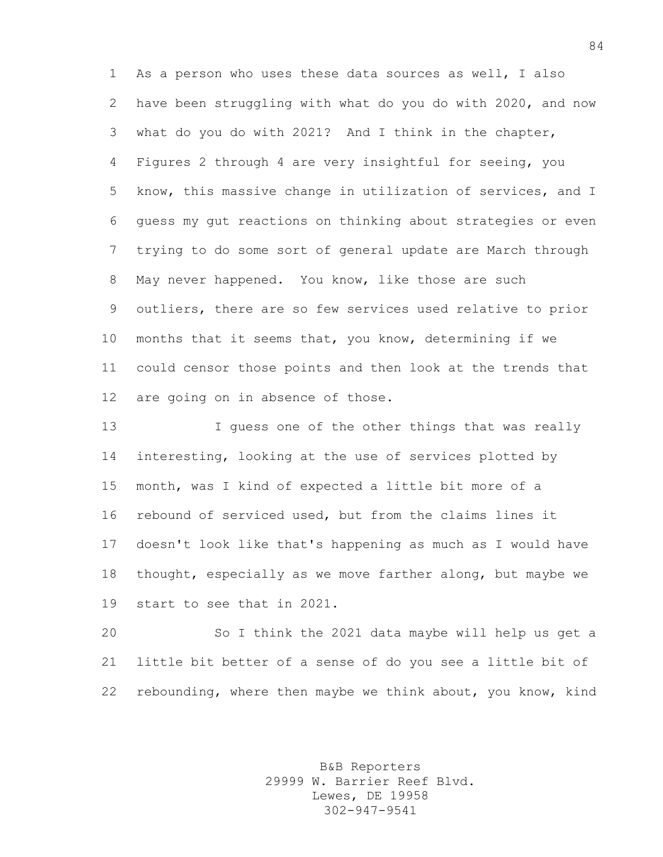As a person who uses these data sources as well, I also have been struggling with what do you do with 2020, and now what do you do with 2021? And I think in the chapter, Figures 2 through 4 are very insightful for seeing, you know, this massive change in utilization of services, and I guess my gut reactions on thinking about strategies or even trying to do some sort of general update are March through May never happened. You know, like those are such outliers, there are so few services used relative to prior months that it seems that, you know, determining if we could censor those points and then look at the trends that are going on in absence of those.

 I guess one of the other things that was really interesting, looking at the use of services plotted by month, was I kind of expected a little bit more of a rebound of serviced used, but from the claims lines it doesn't look like that's happening as much as I would have thought, especially as we move farther along, but maybe we start to see that in 2021.

 So I think the 2021 data maybe will help us get a little bit better of a sense of do you see a little bit of rebounding, where then maybe we think about, you know, kind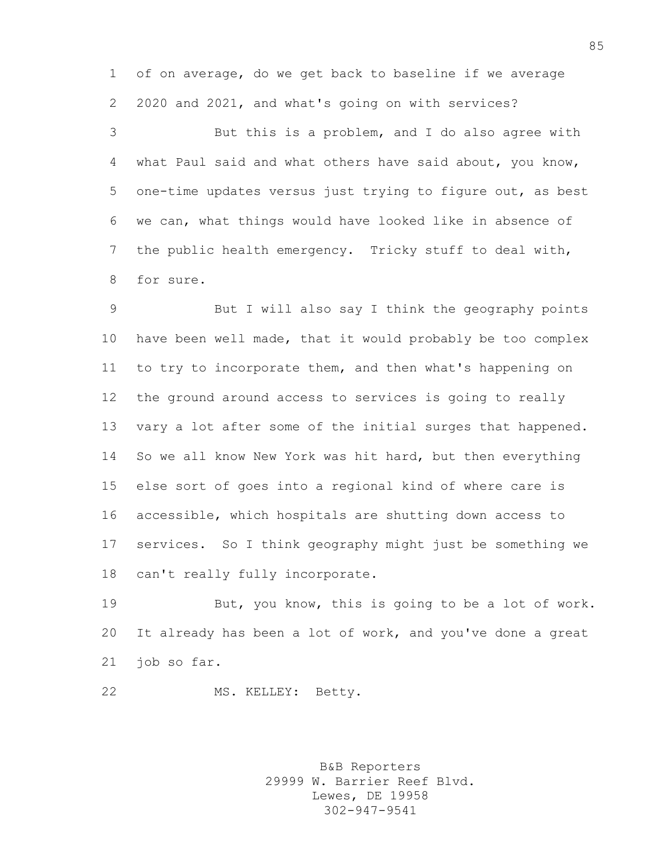of on average, do we get back to baseline if we average 2020 and 2021, and what's going on with services?

 But this is a problem, and I do also agree with what Paul said and what others have said about, you know, one-time updates versus just trying to figure out, as best we can, what things would have looked like in absence of the public health emergency. Tricky stuff to deal with, for sure.

 But I will also say I think the geography points have been well made, that it would probably be too complex to try to incorporate them, and then what's happening on the ground around access to services is going to really vary a lot after some of the initial surges that happened. So we all know New York was hit hard, but then everything else sort of goes into a regional kind of where care is accessible, which hospitals are shutting down access to services. So I think geography might just be something we can't really fully incorporate.

 But, you know, this is going to be a lot of work. It already has been a lot of work, and you've done a great job so far.

MS. KELLEY: Betty.

B&B Reporters 29999 W. Barrier Reef Blvd. Lewes, DE 19958 302-947-9541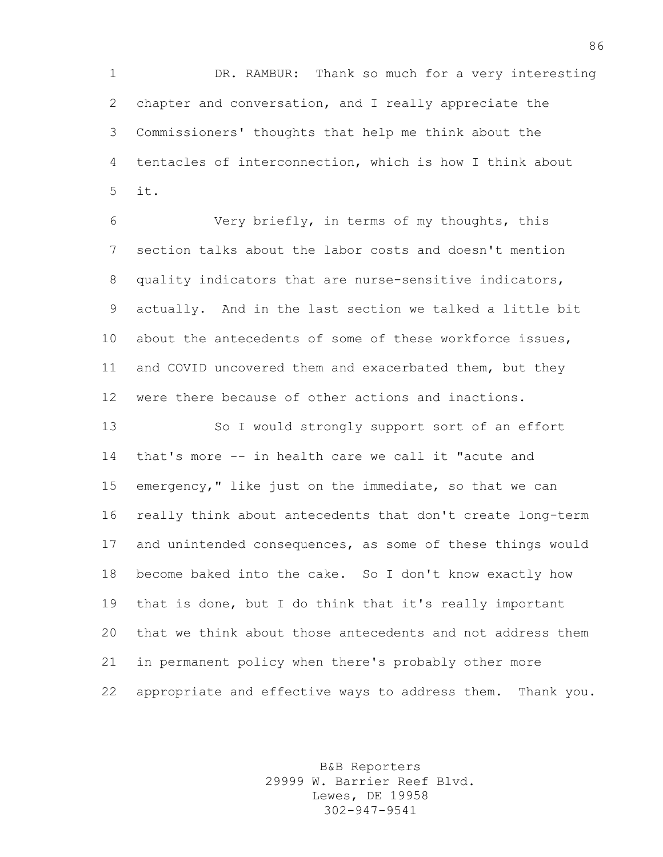DR. RAMBUR: Thank so much for a very interesting chapter and conversation, and I really appreciate the Commissioners' thoughts that help me think about the tentacles of interconnection, which is how I think about it.

 Very briefly, in terms of my thoughts, this section talks about the labor costs and doesn't mention quality indicators that are nurse-sensitive indicators, actually. And in the last section we talked a little bit about the antecedents of some of these workforce issues, and COVID uncovered them and exacerbated them, but they were there because of other actions and inactions.

 So I would strongly support sort of an effort that's more -- in health care we call it "acute and emergency," like just on the immediate, so that we can really think about antecedents that don't create long-term and unintended consequences, as some of these things would become baked into the cake. So I don't know exactly how that is done, but I do think that it's really important that we think about those antecedents and not address them in permanent policy when there's probably other more appropriate and effective ways to address them. Thank you.

> B&B Reporters 29999 W. Barrier Reef Blvd. Lewes, DE 19958 302-947-9541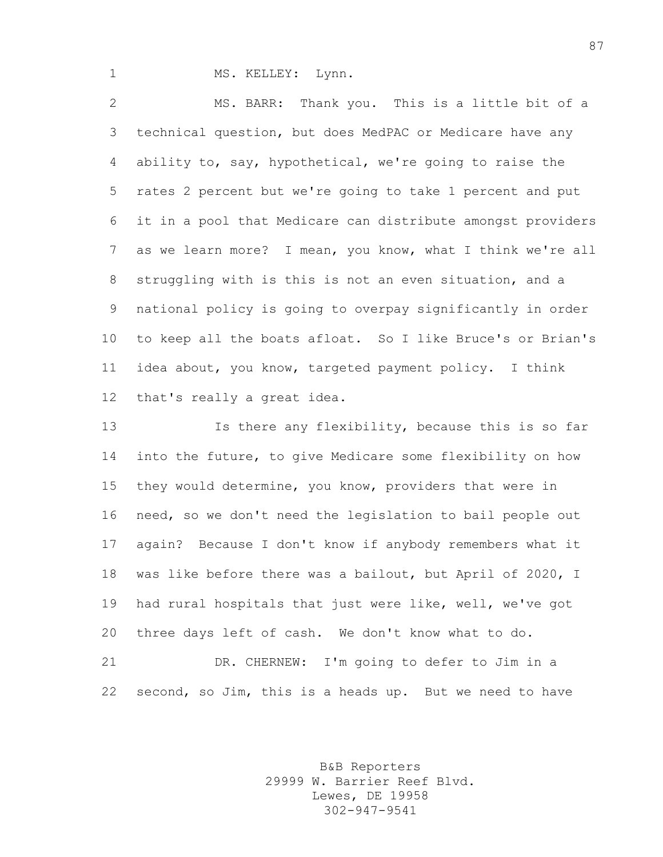1 MS. KELLEY: Lynn.

 MS. BARR: Thank you. This is a little bit of a technical question, but does MedPAC or Medicare have any ability to, say, hypothetical, we're going to raise the rates 2 percent but we're going to take 1 percent and put it in a pool that Medicare can distribute amongst providers as we learn more? I mean, you know, what I think we're all struggling with is this is not an even situation, and a national policy is going to overpay significantly in order to keep all the boats afloat. So I like Bruce's or Brian's idea about, you know, targeted payment policy. I think that's really a great idea.

 Is there any flexibility, because this is so far into the future, to give Medicare some flexibility on how they would determine, you know, providers that were in need, so we don't need the legislation to bail people out again? Because I don't know if anybody remembers what it was like before there was a bailout, but April of 2020, I had rural hospitals that just were like, well, we've got three days left of cash. We don't know what to do.

 DR. CHERNEW: I'm going to defer to Jim in a second, so Jim, this is a heads up. But we need to have

> B&B Reporters 29999 W. Barrier Reef Blvd. Lewes, DE 19958 302-947-9541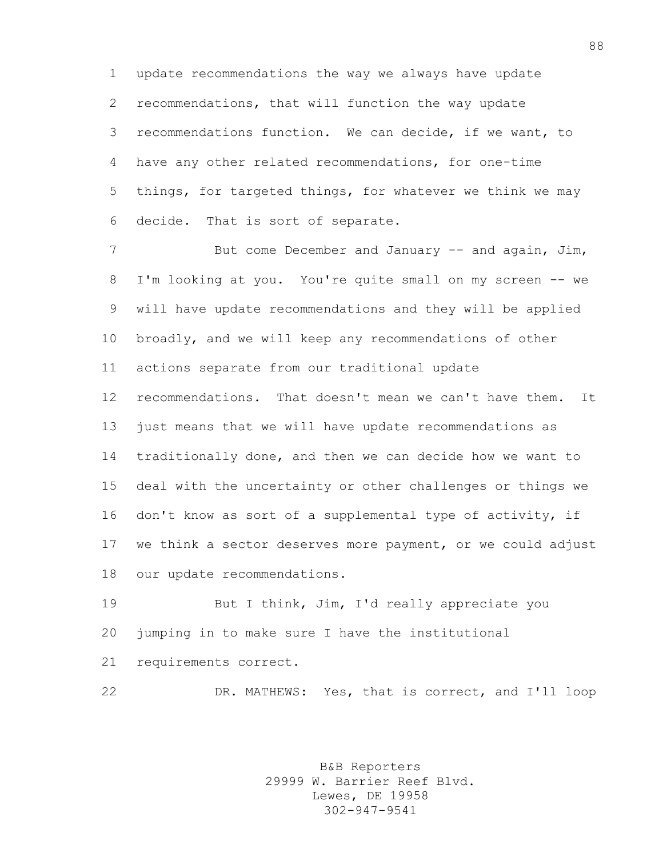update recommendations the way we always have update recommendations, that will function the way update recommendations function. We can decide, if we want, to have any other related recommendations, for one-time things, for targeted things, for whatever we think we may decide. That is sort of separate.

7 But come December and January -- and again, Jim, I'm looking at you. You're quite small on my screen -- we will have update recommendations and they will be applied broadly, and we will keep any recommendations of other actions separate from our traditional update recommendations. That doesn't mean we can't have them. It just means that we will have update recommendations as traditionally done, and then we can decide how we want to deal with the uncertainty or other challenges or things we don't know as sort of a supplemental type of activity, if we think a sector deserves more payment, or we could adjust our update recommendations.

 But I think, Jim, I'd really appreciate you jumping in to make sure I have the institutional requirements correct.

DR. MATHEWS: Yes, that is correct, and I'll loop

B&B Reporters 29999 W. Barrier Reef Blvd. Lewes, DE 19958 302-947-9541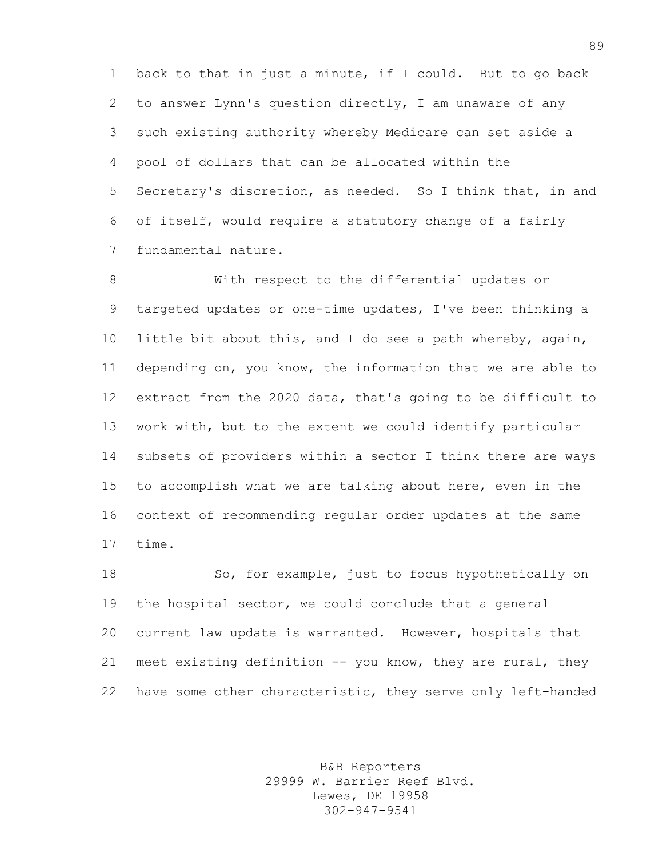back to that in just a minute, if I could. But to go back to answer Lynn's question directly, I am unaware of any such existing authority whereby Medicare can set aside a pool of dollars that can be allocated within the Secretary's discretion, as needed. So I think that, in and of itself, would require a statutory change of a fairly fundamental nature.

 With respect to the differential updates or targeted updates or one-time updates, I've been thinking a little bit about this, and I do see a path whereby, again, depending on, you know, the information that we are able to extract from the 2020 data, that's going to be difficult to work with, but to the extent we could identify particular subsets of providers within a sector I think there are ways to accomplish what we are talking about here, even in the context of recommending regular order updates at the same time.

18 So, for example, just to focus hypothetically on the hospital sector, we could conclude that a general current law update is warranted. However, hospitals that meet existing definition -- you know, they are rural, they have some other characteristic, they serve only left-handed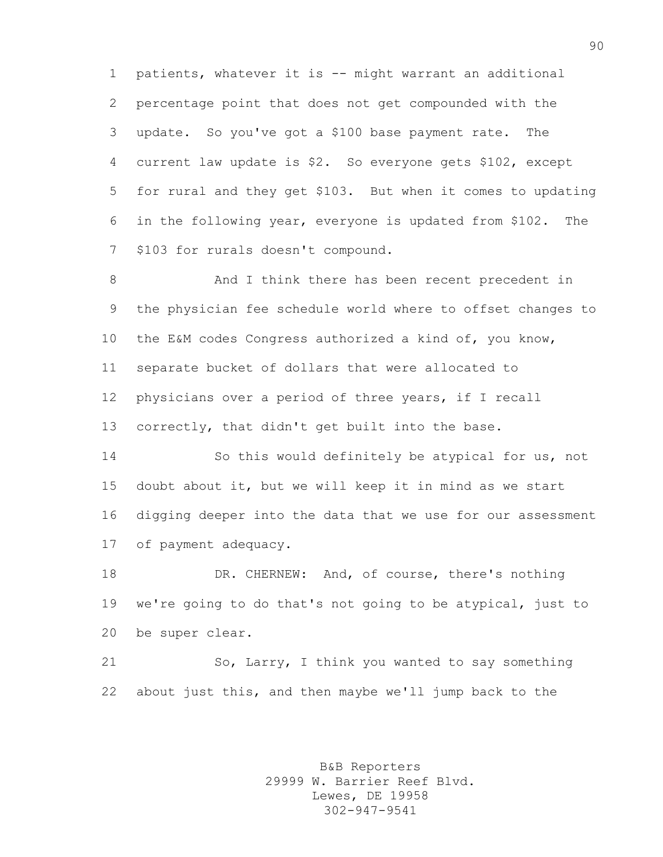patients, whatever it is -- might warrant an additional percentage point that does not get compounded with the update. So you've got a \$100 base payment rate. The current law update is \$2. So everyone gets \$102, except for rural and they get \$103. But when it comes to updating in the following year, everyone is updated from \$102. The \$103 for rurals doesn't compound.

8 And I think there has been recent precedent in the physician fee schedule world where to offset changes to the E&M codes Congress authorized a kind of, you know, separate bucket of dollars that were allocated to physicians over a period of three years, if I recall correctly, that didn't get built into the base.

 So this would definitely be atypical for us, not doubt about it, but we will keep it in mind as we start digging deeper into the data that we use for our assessment of payment adequacy.

 DR. CHERNEW: And, of course, there's nothing we're going to do that's not going to be atypical, just to be super clear.

 So, Larry, I think you wanted to say something about just this, and then maybe we'll jump back to the

> B&B Reporters 29999 W. Barrier Reef Blvd. Lewes, DE 19958 302-947-9541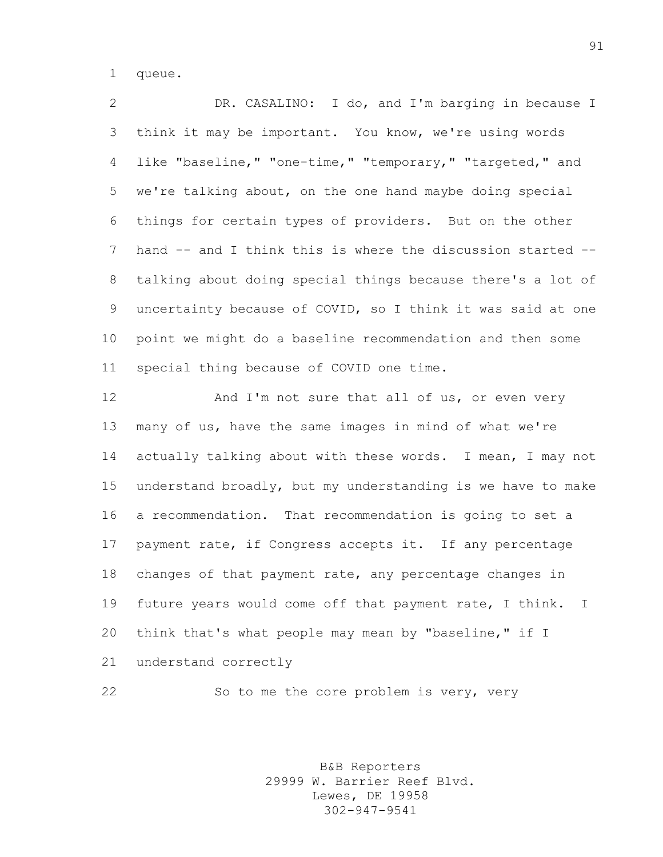queue.

 DR. CASALINO: I do, and I'm barging in because I think it may be important. You know, we're using words like "baseline," "one-time," "temporary," "targeted," and we're talking about, on the one hand maybe doing special things for certain types of providers. But on the other hand -- and I think this is where the discussion started -- talking about doing special things because there's a lot of uncertainty because of COVID, so I think it was said at one point we might do a baseline recommendation and then some special thing because of COVID one time.

12 And I'm not sure that all of us, or even very many of us, have the same images in mind of what we're actually talking about with these words. I mean, I may not understand broadly, but my understanding is we have to make a recommendation. That recommendation is going to set a payment rate, if Congress accepts it. If any percentage changes of that payment rate, any percentage changes in future years would come off that payment rate, I think. I think that's what people may mean by "baseline," if I understand correctly

22 So to me the core problem is very, very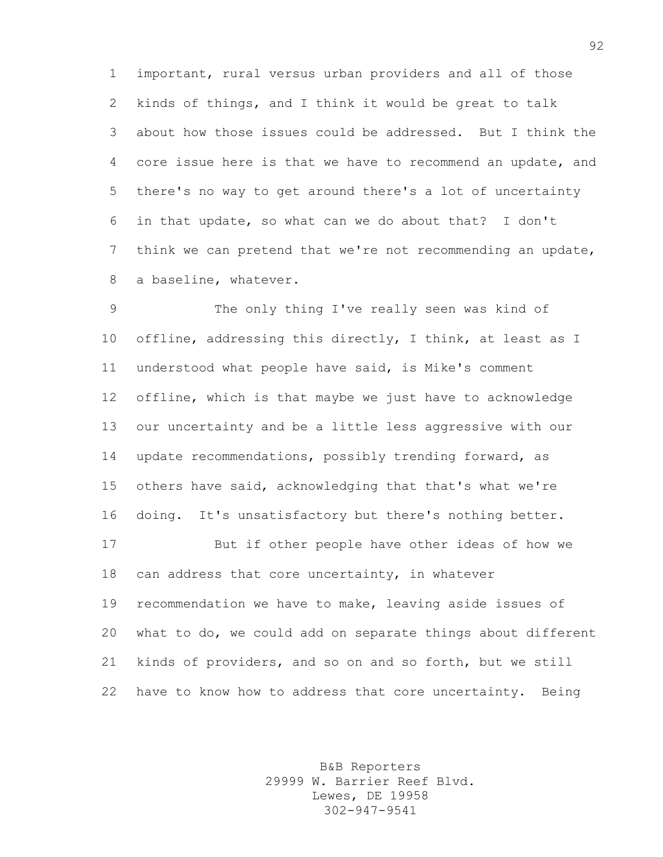important, rural versus urban providers and all of those kinds of things, and I think it would be great to talk about how those issues could be addressed. But I think the core issue here is that we have to recommend an update, and there's no way to get around there's a lot of uncertainty in that update, so what can we do about that? I don't think we can pretend that we're not recommending an update, a baseline, whatever.

 The only thing I've really seen was kind of offline, addressing this directly, I think, at least as I understood what people have said, is Mike's comment offline, which is that maybe we just have to acknowledge our uncertainty and be a little less aggressive with our update recommendations, possibly trending forward, as others have said, acknowledging that that's what we're doing. It's unsatisfactory but there's nothing better. But if other people have other ideas of how we can address that core uncertainty, in whatever recommendation we have to make, leaving aside issues of what to do, we could add on separate things about different

 kinds of providers, and so on and so forth, but we still have to know how to address that core uncertainty. Being

> B&B Reporters 29999 W. Barrier Reef Blvd. Lewes, DE 19958 302-947-9541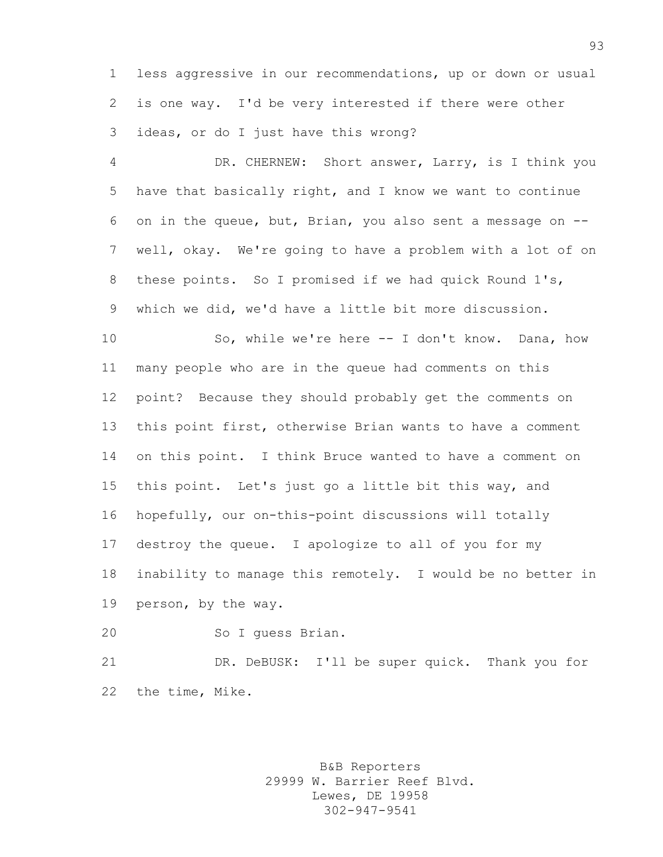less aggressive in our recommendations, up or down or usual is one way. I'd be very interested if there were other ideas, or do I just have this wrong?

 DR. CHERNEW: Short answer, Larry, is I think you have that basically right, and I know we want to continue on in the queue, but, Brian, you also sent a message on -- well, okay. We're going to have a problem with a lot of on these points. So I promised if we had quick Round 1's, which we did, we'd have a little bit more discussion.

 So, while we're here -- I don't know. Dana, how many people who are in the queue had comments on this point? Because they should probably get the comments on this point first, otherwise Brian wants to have a comment on this point. I think Bruce wanted to have a comment on this point. Let's just go a little bit this way, and hopefully, our on-this-point discussions will totally destroy the queue. I apologize to all of you for my inability to manage this remotely. I would be no better in person, by the way.

So I guess Brian.

 DR. DeBUSK: I'll be super quick. Thank you for the time, Mike.

> B&B Reporters 29999 W. Barrier Reef Blvd. Lewes, DE 19958 302-947-9541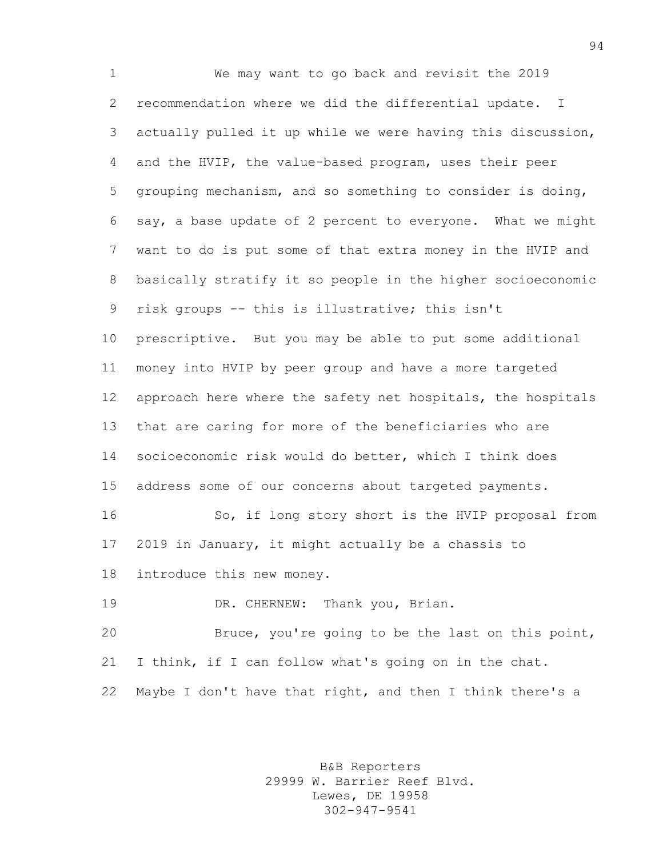We may want to go back and revisit the 2019 recommendation where we did the differential update. I actually pulled it up while we were having this discussion, and the HVIP, the value-based program, uses their peer grouping mechanism, and so something to consider is doing, say, a base update of 2 percent to everyone. What we might want to do is put some of that extra money in the HVIP and basically stratify it so people in the higher socioeconomic risk groups -- this is illustrative; this isn't prescriptive. But you may be able to put some additional money into HVIP by peer group and have a more targeted approach here where the safety net hospitals, the hospitals that are caring for more of the beneficiaries who are socioeconomic risk would do better, which I think does address some of our concerns about targeted payments. So, if long story short is the HVIP proposal from 2019 in January, it might actually be a chassis to introduce this new money. DR. CHERNEW: Thank you, Brian. Bruce, you're going to be the last on this point, I think, if I can follow what's going on in the chat. Maybe I don't have that right, and then I think there's a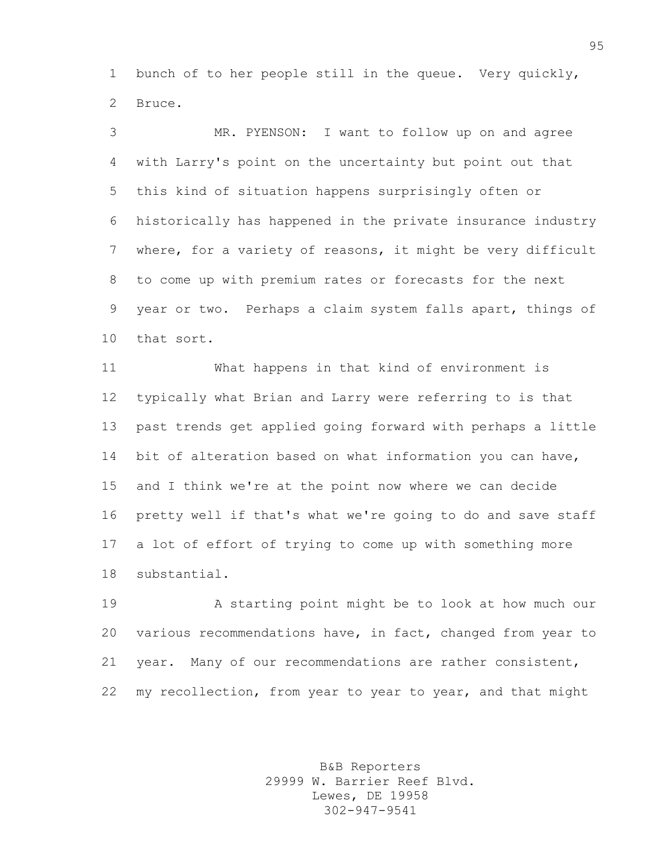bunch of to her people still in the queue. Very quickly, Bruce.

 MR. PYENSON: I want to follow up on and agree with Larry's point on the uncertainty but point out that this kind of situation happens surprisingly often or historically has happened in the private insurance industry where, for a variety of reasons, it might be very difficult to come up with premium rates or forecasts for the next year or two. Perhaps a claim system falls apart, things of that sort.

 What happens in that kind of environment is typically what Brian and Larry were referring to is that past trends get applied going forward with perhaps a little bit of alteration based on what information you can have, and I think we're at the point now where we can decide pretty well if that's what we're going to do and save staff a lot of effort of trying to come up with something more substantial.

 A starting point might be to look at how much our various recommendations have, in fact, changed from year to year. Many of our recommendations are rather consistent, my recollection, from year to year to year, and that might

> B&B Reporters 29999 W. Barrier Reef Blvd. Lewes, DE 19958 302-947-9541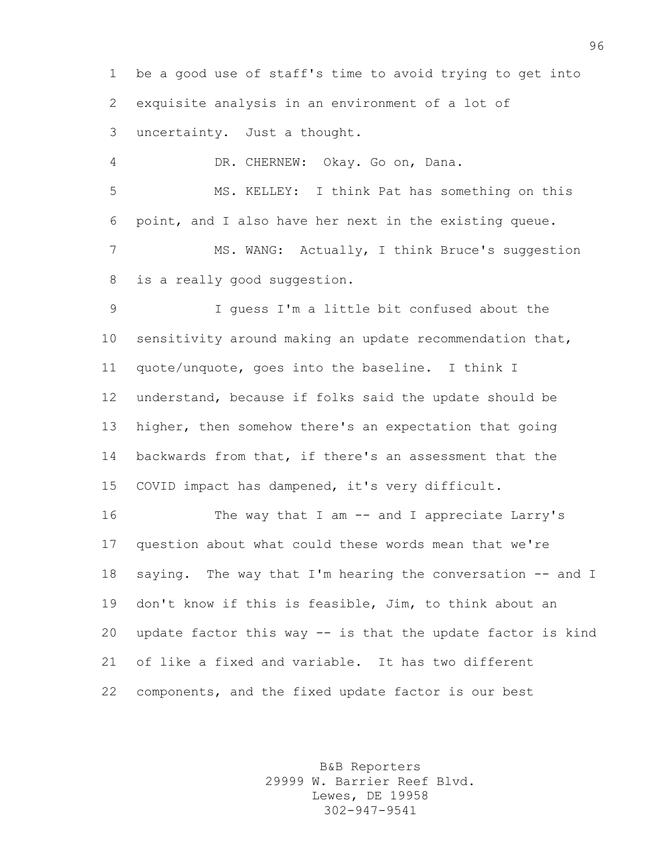be a good use of staff's time to avoid trying to get into exquisite analysis in an environment of a lot of uncertainty. Just a thought.

 DR. CHERNEW: Okay. Go on, Dana. MS. KELLEY: I think Pat has something on this point, and I also have her next in the existing queue. MS. WANG: Actually, I think Bruce's suggestion is a really good suggestion.

 I guess I'm a little bit confused about the sensitivity around making an update recommendation that, quote/unquote, goes into the baseline. I think I understand, because if folks said the update should be higher, then somehow there's an expectation that going backwards from that, if there's an assessment that the COVID impact has dampened, it's very difficult.

16 The way that I am -- and I appreciate Larry's question about what could these words mean that we're saying. The way that I'm hearing the conversation -- and I don't know if this is feasible, Jim, to think about an update factor this way -- is that the update factor is kind of like a fixed and variable. It has two different components, and the fixed update factor is our best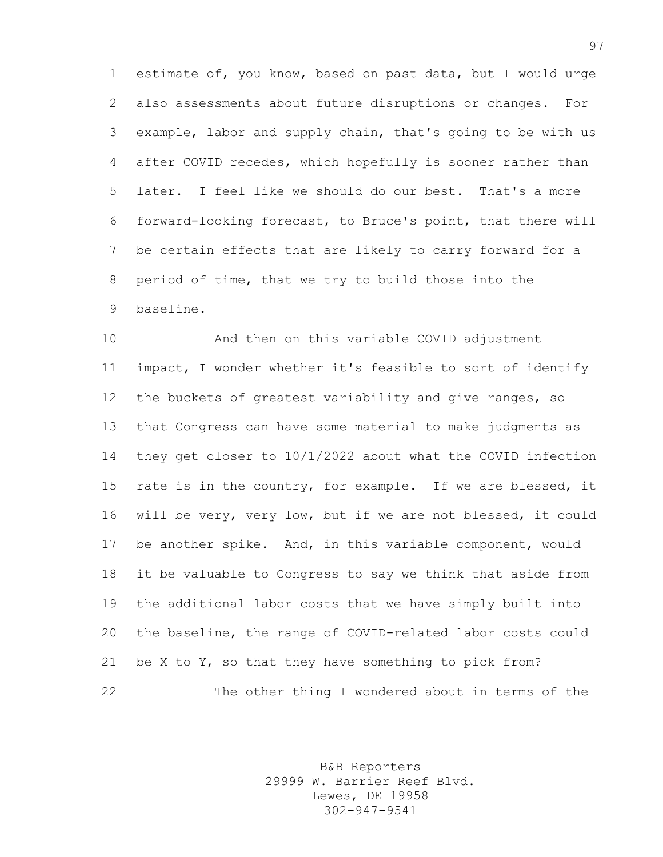estimate of, you know, based on past data, but I would urge also assessments about future disruptions or changes. For example, labor and supply chain, that's going to be with us after COVID recedes, which hopefully is sooner rather than later. I feel like we should do our best. That's a more forward-looking forecast, to Bruce's point, that there will be certain effects that are likely to carry forward for a period of time, that we try to build those into the baseline.

 And then on this variable COVID adjustment impact, I wonder whether it's feasible to sort of identify the buckets of greatest variability and give ranges, so that Congress can have some material to make judgments as they get closer to 10/1/2022 about what the COVID infection rate is in the country, for example. If we are blessed, it will be very, very low, but if we are not blessed, it could be another spike. And, in this variable component, would it be valuable to Congress to say we think that aside from the additional labor costs that we have simply built into the baseline, the range of COVID-related labor costs could be X to Y, so that they have something to pick from? The other thing I wondered about in terms of the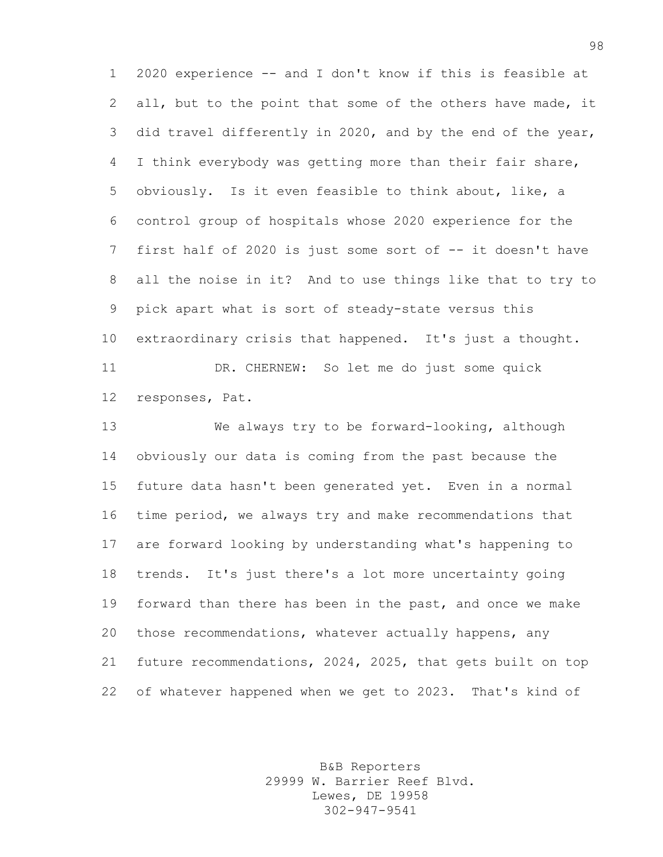2020 experience -- and I don't know if this is feasible at 2 all, but to the point that some of the others have made, it did travel differently in 2020, and by the end of the year, I think everybody was getting more than their fair share, obviously. Is it even feasible to think about, like, a control group of hospitals whose 2020 experience for the first half of 2020 is just some sort of -- it doesn't have all the noise in it? And to use things like that to try to pick apart what is sort of steady-state versus this extraordinary crisis that happened. It's just a thought. DR. CHERNEW: So let me do just some quick

responses, Pat.

 We always try to be forward-looking, although obviously our data is coming from the past because the future data hasn't been generated yet. Even in a normal time period, we always try and make recommendations that are forward looking by understanding what's happening to trends. It's just there's a lot more uncertainty going forward than there has been in the past, and once we make those recommendations, whatever actually happens, any future recommendations, 2024, 2025, that gets built on top of whatever happened when we get to 2023. That's kind of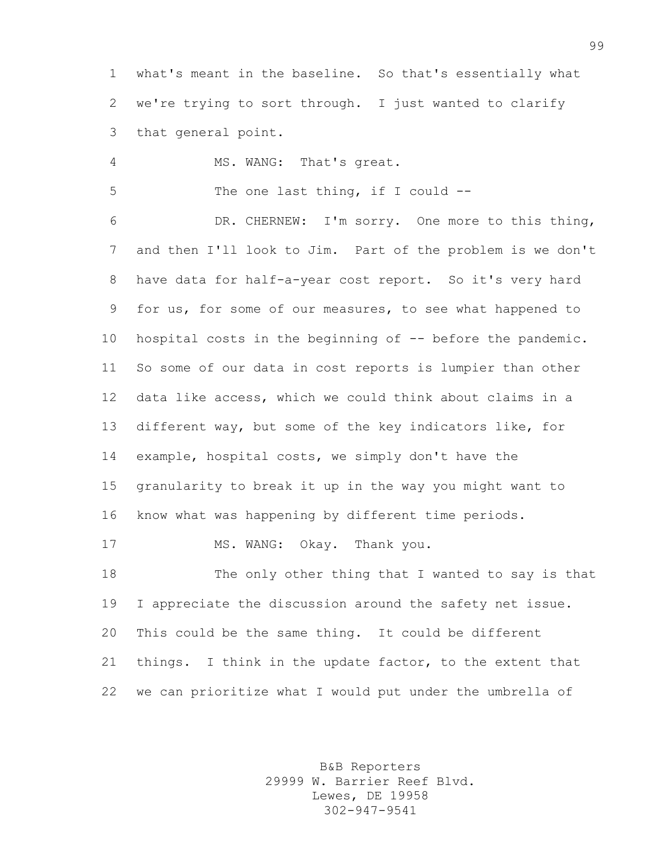what's meant in the baseline. So that's essentially what we're trying to sort through. I just wanted to clarify that general point.

4 MS. WANG: That's great.

5 The one last thing, if I could --

 DR. CHERNEW: I'm sorry. One more to this thing, and then I'll look to Jim. Part of the problem is we don't have data for half-a-year cost report. So it's very hard for us, for some of our measures, to see what happened to hospital costs in the beginning of -- before the pandemic. So some of our data in cost reports is lumpier than other data like access, which we could think about claims in a different way, but some of the key indicators like, for example, hospital costs, we simply don't have the granularity to break it up in the way you might want to know what was happening by different time periods. 17 MS. WANG: Okay. Thank you. The only other thing that I wanted to say is that I appreciate the discussion around the safety net issue. This could be the same thing. It could be different

 things. I think in the update factor, to the extent that we can prioritize what I would put under the umbrella of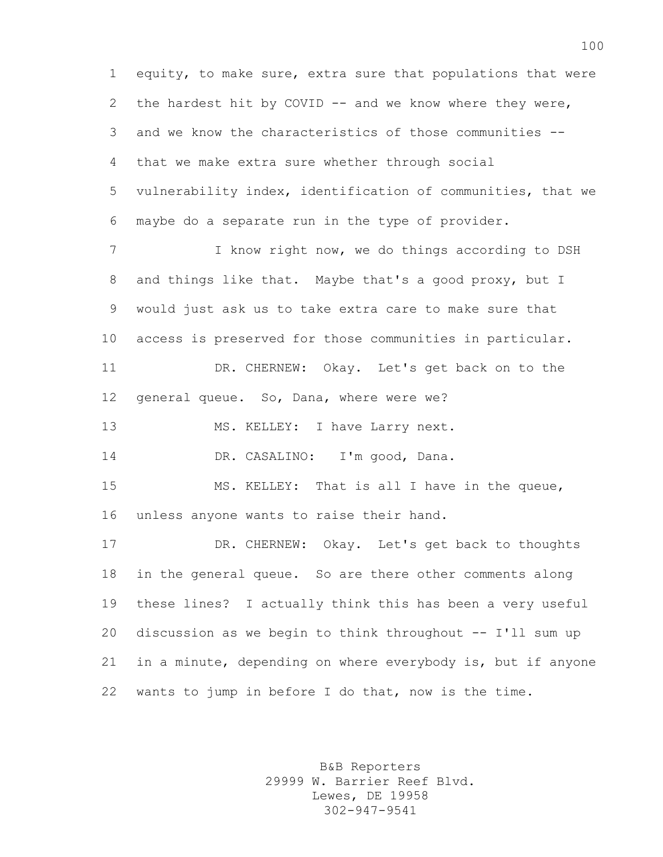equity, to make sure, extra sure that populations that were 2 the hardest hit by COVID -- and we know where they were, and we know the characteristics of those communities -- that we make extra sure whether through social vulnerability index, identification of communities, that we maybe do a separate run in the type of provider. I know right now, we do things according to DSH and things like that. Maybe that's a good proxy, but I would just ask us to take extra care to make sure that access is preserved for those communities in particular. DR. CHERNEW: Okay. Let's get back on to the 12 general queue. So, Dana, where were we? 13 MS. KELLEY: I have Larry next. DR. CASALINO: I'm good, Dana. MS. KELLEY: That is all I have in the queue, unless anyone wants to raise their hand. DR. CHERNEW: Okay. Let's get back to thoughts in the general queue. So are there other comments along these lines? I actually think this has been a very useful discussion as we begin to think throughout -- I'll sum up in a minute, depending on where everybody is, but if anyone wants to jump in before I do that, now is the time.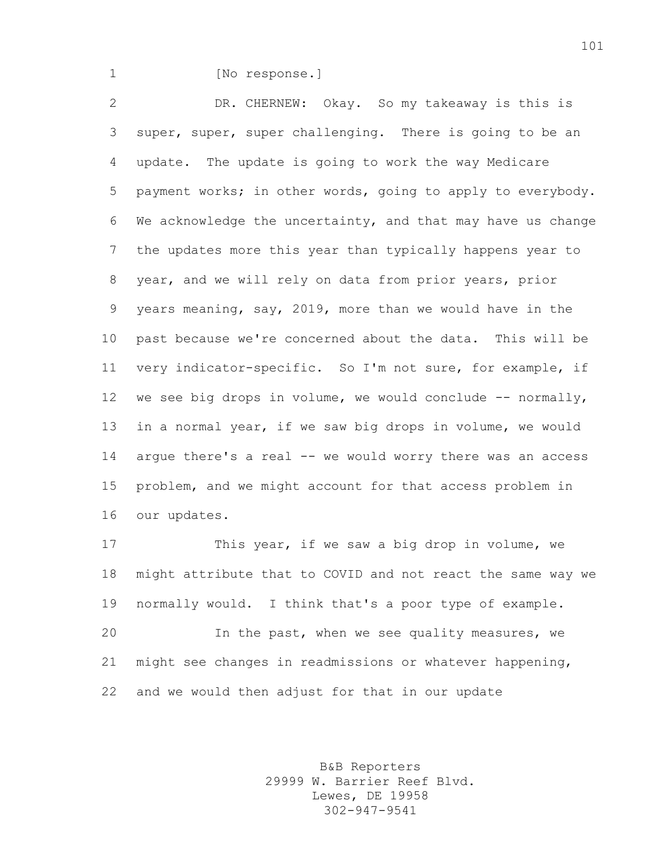1 [No response.]

 DR. CHERNEW: Okay. So my takeaway is this is super, super, super challenging. There is going to be an update. The update is going to work the way Medicare payment works; in other words, going to apply to everybody. We acknowledge the uncertainty, and that may have us change the updates more this year than typically happens year to year, and we will rely on data from prior years, prior years meaning, say, 2019, more than we would have in the past because we're concerned about the data. This will be very indicator-specific. So I'm not sure, for example, if we see big drops in volume, we would conclude -- normally, in a normal year, if we saw big drops in volume, we would argue there's a real -- we would worry there was an access problem, and we might account for that access problem in our updates.

17 This year, if we saw a big drop in volume, we might attribute that to COVID and not react the same way we normally would. I think that's a poor type of example. In the past, when we see quality measures, we might see changes in readmissions or whatever happening,

and we would then adjust for that in our update

B&B Reporters 29999 W. Barrier Reef Blvd. Lewes, DE 19958 302-947-9541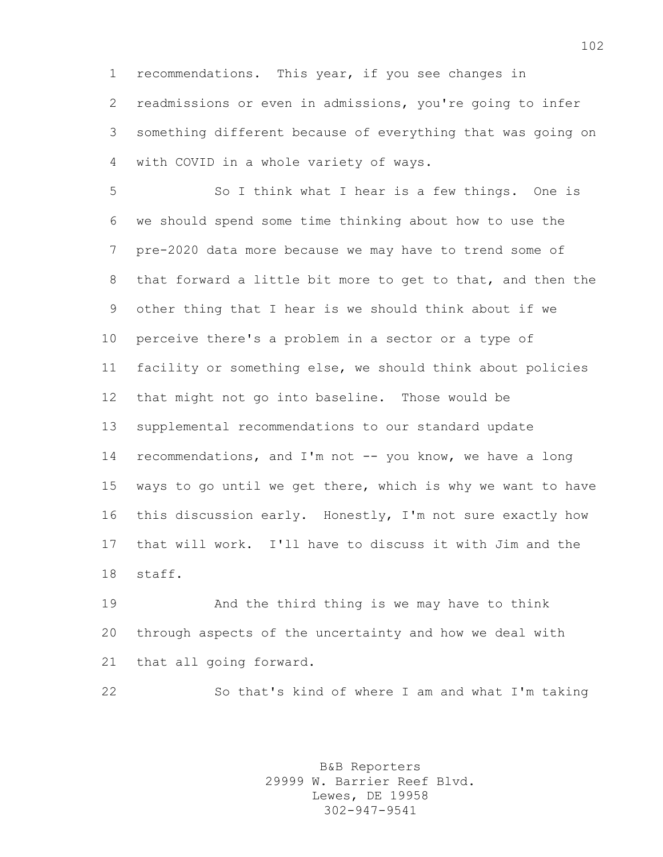recommendations. This year, if you see changes in readmissions or even in admissions, you're going to infer something different because of everything that was going on with COVID in a whole variety of ways.

 So I think what I hear is a few things. One is we should spend some time thinking about how to use the pre-2020 data more because we may have to trend some of that forward a little bit more to get to that, and then the other thing that I hear is we should think about if we perceive there's a problem in a sector or a type of facility or something else, we should think about policies that might not go into baseline. Those would be supplemental recommendations to our standard update recommendations, and I'm not -- you know, we have a long ways to go until we get there, which is why we want to have this discussion early. Honestly, I'm not sure exactly how that will work. I'll have to discuss it with Jim and the staff.

 And the third thing is we may have to think through aspects of the uncertainty and how we deal with that all going forward.

So that's kind of where I am and what I'm taking

B&B Reporters 29999 W. Barrier Reef Blvd. Lewes, DE 19958 302-947-9541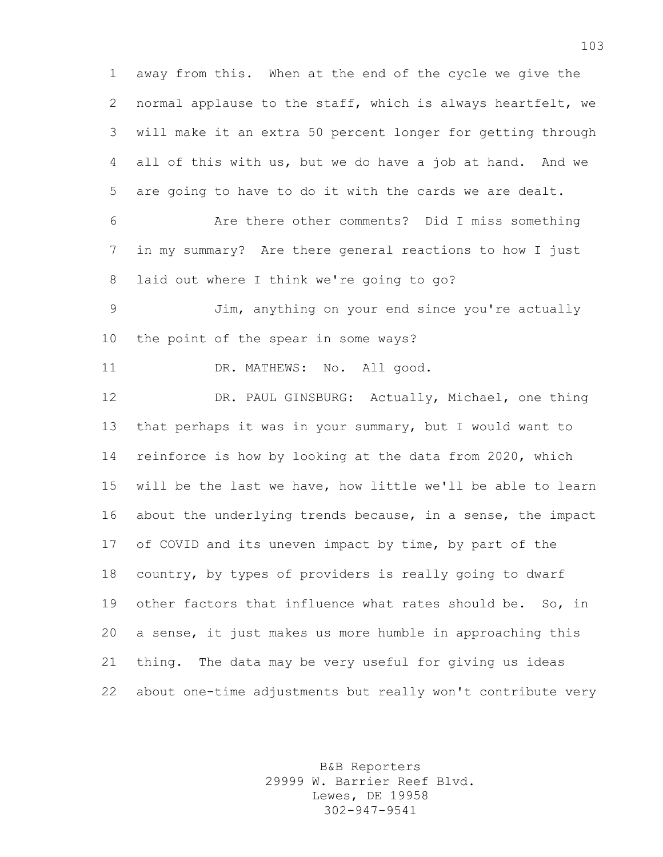away from this. When at the end of the cycle we give the normal applause to the staff, which is always heartfelt, we will make it an extra 50 percent longer for getting through all of this with us, but we do have a job at hand. And we are going to have to do it with the cards we are dealt.

 Are there other comments? Did I miss something in my summary? Are there general reactions to how I just laid out where I think we're going to go?

 Jim, anything on your end since you're actually the point of the spear in some ways?

11 DR. MATHEWS: No. All good.

12 DR. PAUL GINSBURG: Actually, Michael, one thing that perhaps it was in your summary, but I would want to reinforce is how by looking at the data from 2020, which will be the last we have, how little we'll be able to learn about the underlying trends because, in a sense, the impact of COVID and its uneven impact by time, by part of the country, by types of providers is really going to dwarf other factors that influence what rates should be. So, in a sense, it just makes us more humble in approaching this thing. The data may be very useful for giving us ideas about one-time adjustments but really won't contribute very

> B&B Reporters 29999 W. Barrier Reef Blvd. Lewes, DE 19958 302-947-9541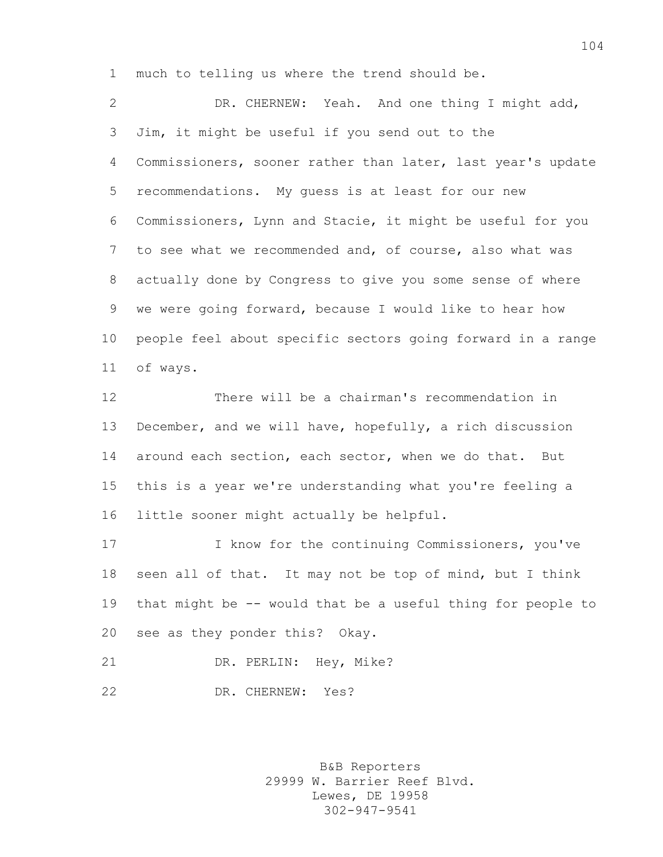much to telling us where the trend should be.

 DR. CHERNEW: Yeah. And one thing I might add, Jim, it might be useful if you send out to the Commissioners, sooner rather than later, last year's update recommendations. My guess is at least for our new Commissioners, Lynn and Stacie, it might be useful for you to see what we recommended and, of course, also what was actually done by Congress to give you some sense of where we were going forward, because I would like to hear how people feel about specific sectors going forward in a range of ways.

 There will be a chairman's recommendation in December, and we will have, hopefully, a rich discussion around each section, each sector, when we do that. But this is a year we're understanding what you're feeling a little sooner might actually be helpful.

 I know for the continuing Commissioners, you've seen all of that. It may not be top of mind, but I think that might be -- would that be a useful thing for people to see as they ponder this? Okay.

21 DR. PERLIN: Hey, Mike?

DR. CHERNEW: Yes?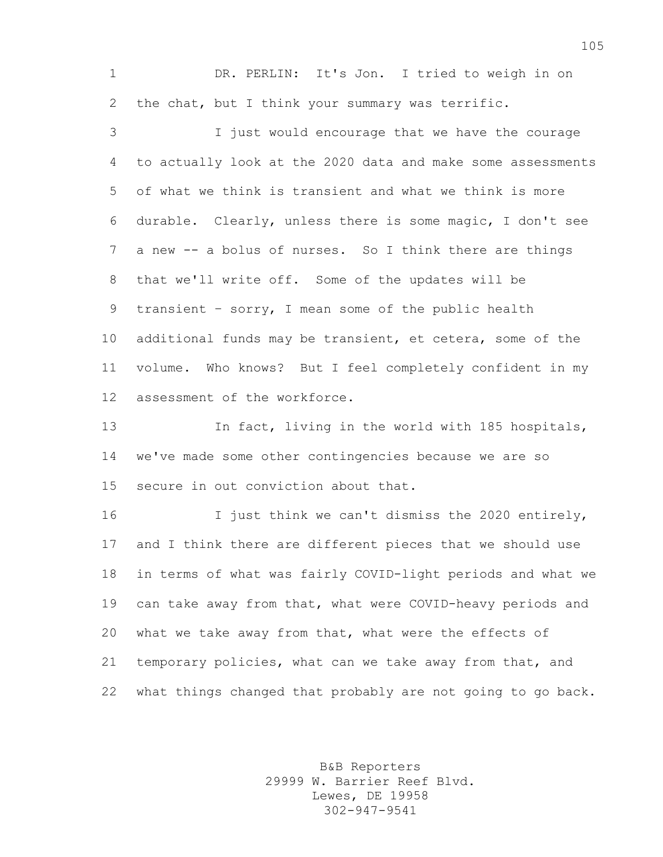DR. PERLIN: It's Jon. I tried to weigh in on the chat, but I think your summary was terrific.

 I just would encourage that we have the courage to actually look at the 2020 data and make some assessments of what we think is transient and what we think is more durable. Clearly, unless there is some magic, I don't see a new -- a bolus of nurses. So I think there are things that we'll write off. Some of the updates will be transient – sorry, I mean some of the public health additional funds may be transient, et cetera, some of the volume. Who knows? But I feel completely confident in my assessment of the workforce.

 In fact, living in the world with 185 hospitals, we've made some other contingencies because we are so secure in out conviction about that.

 I just think we can't dismiss the 2020 entirely, and I think there are different pieces that we should use in terms of what was fairly COVID-light periods and what we 19 can take away from that, what were COVID-heavy periods and what we take away from that, what were the effects of temporary policies, what can we take away from that, and what things changed that probably are not going to go back.

> B&B Reporters 29999 W. Barrier Reef Blvd. Lewes, DE 19958 302-947-9541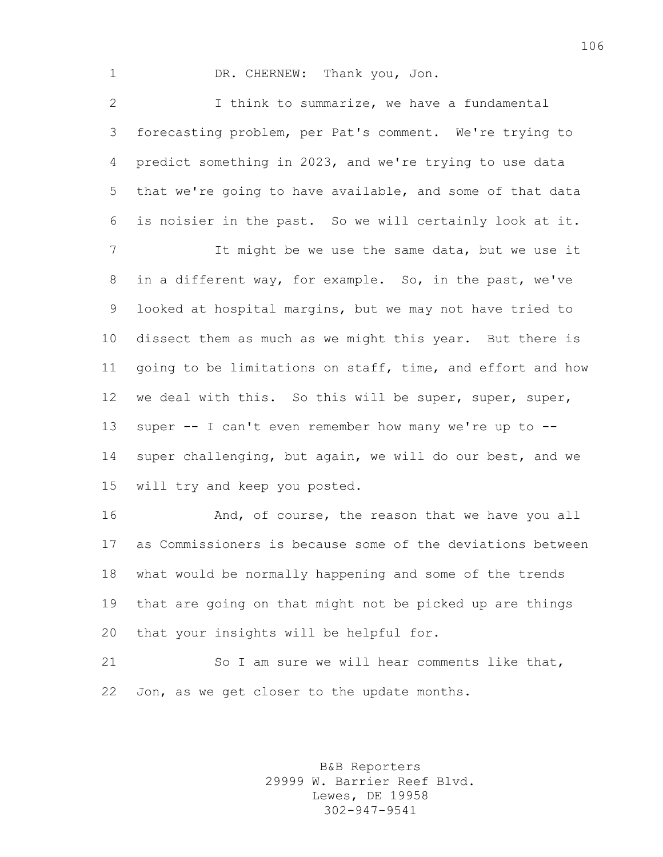1 DR. CHERNEW: Thank you, Jon.

 I think to summarize, we have a fundamental forecasting problem, per Pat's comment. We're trying to predict something in 2023, and we're trying to use data that we're going to have available, and some of that data is noisier in the past. So we will certainly look at it.

 It might be we use the same data, but we use it in a different way, for example. So, in the past, we've looked at hospital margins, but we may not have tried to dissect them as much as we might this year. But there is 11 going to be limitations on staff, time, and effort and how we deal with this. So this will be super, super, super, super -- I can't even remember how many we're up to -- super challenging, but again, we will do our best, and we will try and keep you posted.

16 And, of course, the reason that we have you all as Commissioners is because some of the deviations between what would be normally happening and some of the trends that are going on that might not be picked up are things that your insights will be helpful for.

 So I am sure we will hear comments like that, Jon, as we get closer to the update months.

> B&B Reporters 29999 W. Barrier Reef Blvd. Lewes, DE 19958 302-947-9541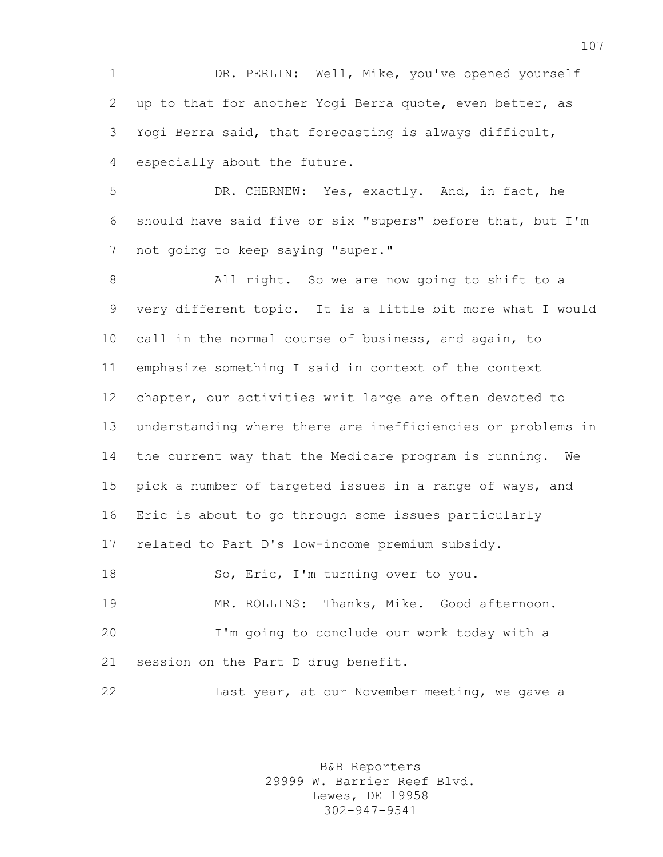DR. PERLIN: Well, Mike, you've opened yourself up to that for another Yogi Berra quote, even better, as Yogi Berra said, that forecasting is always difficult, especially about the future.

 DR. CHERNEW: Yes, exactly. And, in fact, he should have said five or six "supers" before that, but I'm not going to keep saying "super."

 All right. So we are now going to shift to a very different topic. It is a little bit more what I would call in the normal course of business, and again, to emphasize something I said in context of the context chapter, our activities writ large are often devoted to understanding where there are inefficiencies or problems in the current way that the Medicare program is running. We pick a number of targeted issues in a range of ways, and Eric is about to go through some issues particularly related to Part D's low-income premium subsidy. 18 So, Eric, I'm turning over to you. MR. ROLLINS: Thanks, Mike. Good afternoon. I'm going to conclude our work today with a session on the Part D drug benefit. Last year, at our November meeting, we gave a

> B&B Reporters 29999 W. Barrier Reef Blvd. Lewes, DE 19958 302-947-9541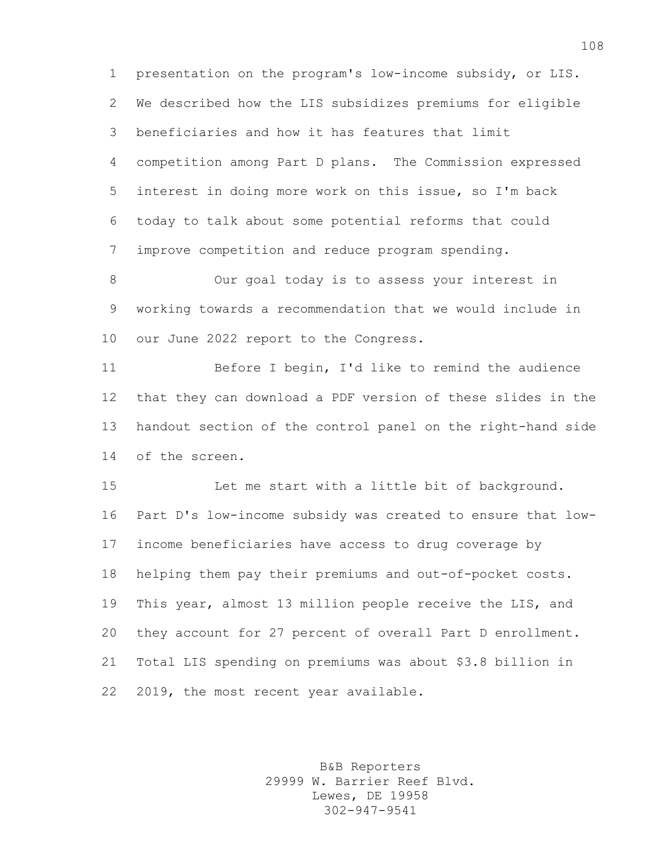presentation on the program's low-income subsidy, or LIS. We described how the LIS subsidizes premiums for eligible beneficiaries and how it has features that limit competition among Part D plans. The Commission expressed interest in doing more work on this issue, so I'm back today to talk about some potential reforms that could improve competition and reduce program spending.

 Our goal today is to assess your interest in working towards a recommendation that we would include in our June 2022 report to the Congress.

 Before I begin, I'd like to remind the audience that they can download a PDF version of these slides in the handout section of the control panel on the right-hand side of the screen.

 Let me start with a little bit of background. Part D's low-income subsidy was created to ensure that low- income beneficiaries have access to drug coverage by helping them pay their premiums and out-of-pocket costs. This year, almost 13 million people receive the LIS, and they account for 27 percent of overall Part D enrollment. Total LIS spending on premiums was about \$3.8 billion in 2019, the most recent year available.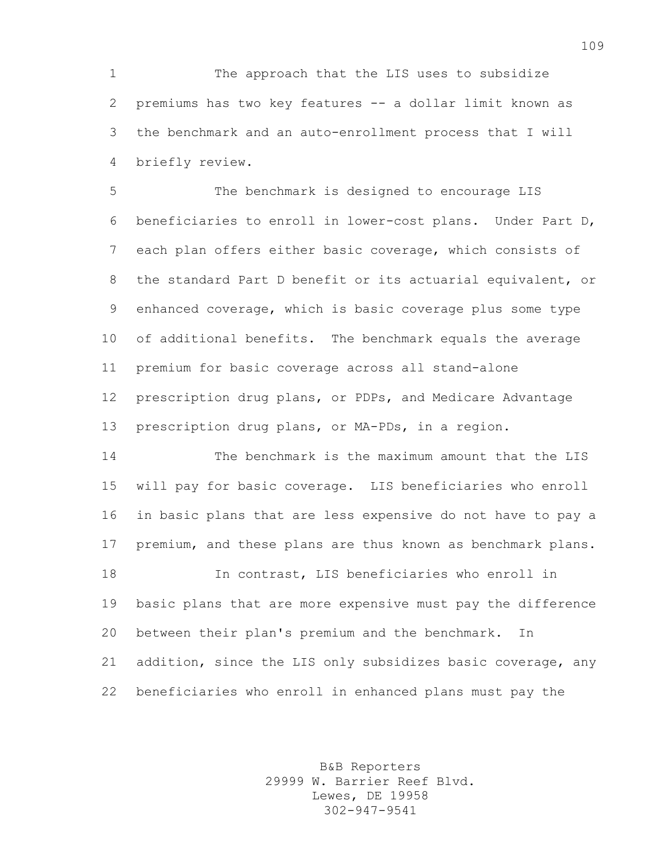The approach that the LIS uses to subsidize premiums has two key features -- a dollar limit known as the benchmark and an auto-enrollment process that I will briefly review.

 The benchmark is designed to encourage LIS beneficiaries to enroll in lower-cost plans. Under Part D, each plan offers either basic coverage, which consists of the standard Part D benefit or its actuarial equivalent, or enhanced coverage, which is basic coverage plus some type of additional benefits. The benchmark equals the average premium for basic coverage across all stand-alone prescription drug plans, or PDPs, and Medicare Advantage prescription drug plans, or MA-PDs, in a region.

 The benchmark is the maximum amount that the LIS will pay for basic coverage. LIS beneficiaries who enroll in basic plans that are less expensive do not have to pay a premium, and these plans are thus known as benchmark plans. In contrast, LIS beneficiaries who enroll in basic plans that are more expensive must pay the difference between their plan's premium and the benchmark. In addition, since the LIS only subsidizes basic coverage, any beneficiaries who enroll in enhanced plans must pay the

> B&B Reporters 29999 W. Barrier Reef Blvd. Lewes, DE 19958 302-947-9541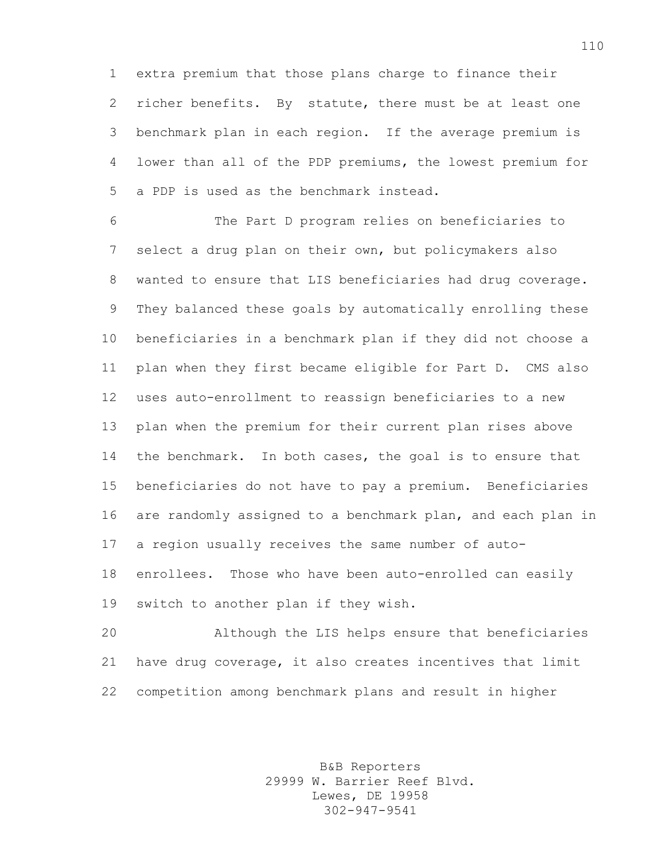extra premium that those plans charge to finance their richer benefits. By statute, there must be at least one benchmark plan in each region. If the average premium is lower than all of the PDP premiums, the lowest premium for a PDP is used as the benchmark instead.

 The Part D program relies on beneficiaries to select a drug plan on their own, but policymakers also wanted to ensure that LIS beneficiaries had drug coverage. They balanced these goals by automatically enrolling these beneficiaries in a benchmark plan if they did not choose a plan when they first became eligible for Part D. CMS also uses auto-enrollment to reassign beneficiaries to a new plan when the premium for their current plan rises above 14 the benchmark. In both cases, the goal is to ensure that beneficiaries do not have to pay a premium. Beneficiaries are randomly assigned to a benchmark plan, and each plan in a region usually receives the same number of auto- enrollees. Those who have been auto-enrolled can easily switch to another plan if they wish.

 Although the LIS helps ensure that beneficiaries have drug coverage, it also creates incentives that limit competition among benchmark plans and result in higher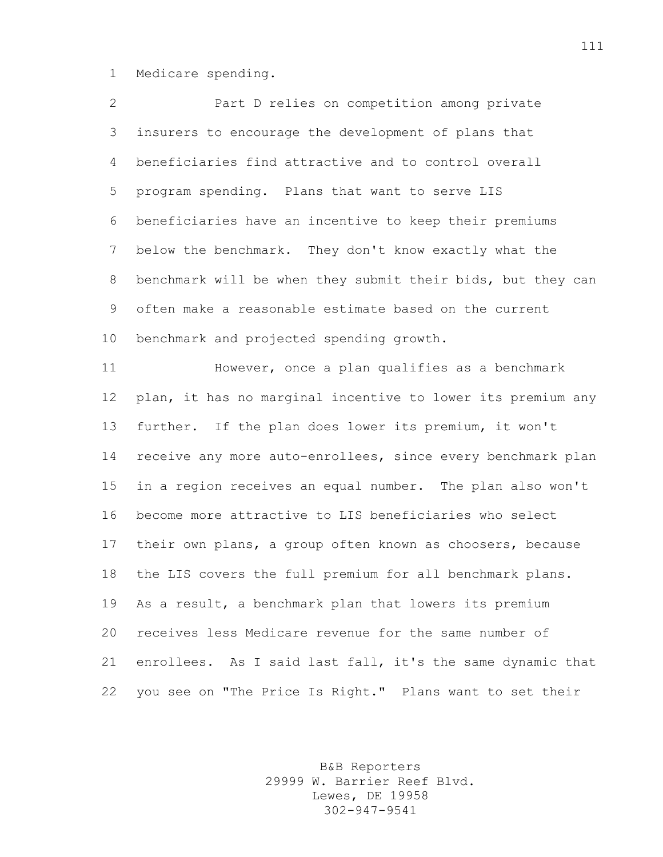Medicare spending.

 Part D relies on competition among private insurers to encourage the development of plans that beneficiaries find attractive and to control overall program spending. Plans that want to serve LIS beneficiaries have an incentive to keep their premiums below the benchmark. They don't know exactly what the benchmark will be when they submit their bids, but they can often make a reasonable estimate based on the current benchmark and projected spending growth. However, once a plan qualifies as a benchmark plan, it has no marginal incentive to lower its premium any further. If the plan does lower its premium, it won't receive any more auto-enrollees, since every benchmark plan in a region receives an equal number. The plan also won't become more attractive to LIS beneficiaries who select their own plans, a group often known as choosers, because the LIS covers the full premium for all benchmark plans. As a result, a benchmark plan that lowers its premium receives less Medicare revenue for the same number of enrollees. As I said last fall, it's the same dynamic that you see on "The Price Is Right." Plans want to set their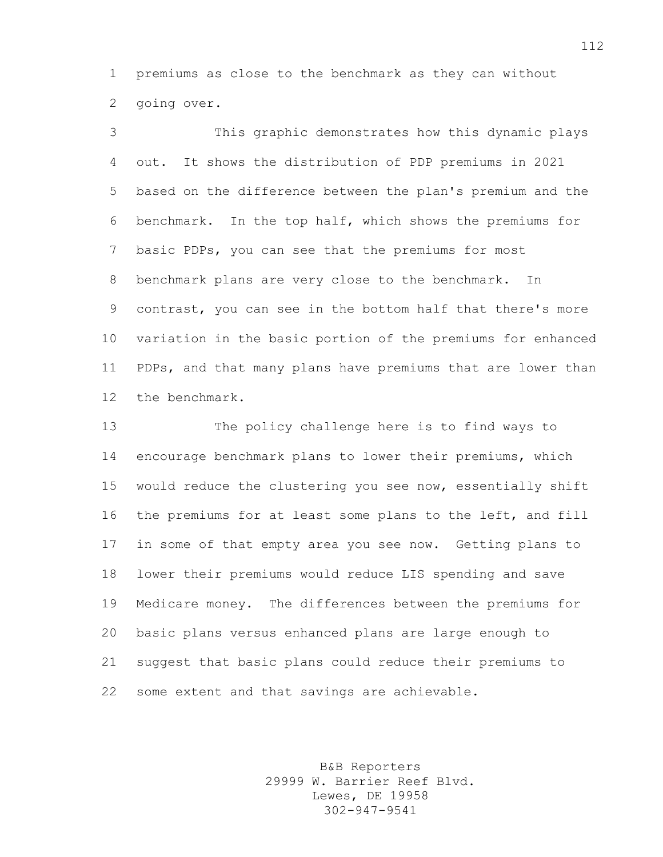premiums as close to the benchmark as they can without going over.

 This graphic demonstrates how this dynamic plays out. It shows the distribution of PDP premiums in 2021 based on the difference between the plan's premium and the benchmark. In the top half, which shows the premiums for basic PDPs, you can see that the premiums for most benchmark plans are very close to the benchmark. In contrast, you can see in the bottom half that there's more variation in the basic portion of the premiums for enhanced PDPs, and that many plans have premiums that are lower than the benchmark.

 The policy challenge here is to find ways to encourage benchmark plans to lower their premiums, which would reduce the clustering you see now, essentially shift the premiums for at least some plans to the left, and fill in some of that empty area you see now. Getting plans to lower their premiums would reduce LIS spending and save Medicare money. The differences between the premiums for basic plans versus enhanced plans are large enough to suggest that basic plans could reduce their premiums to some extent and that savings are achievable.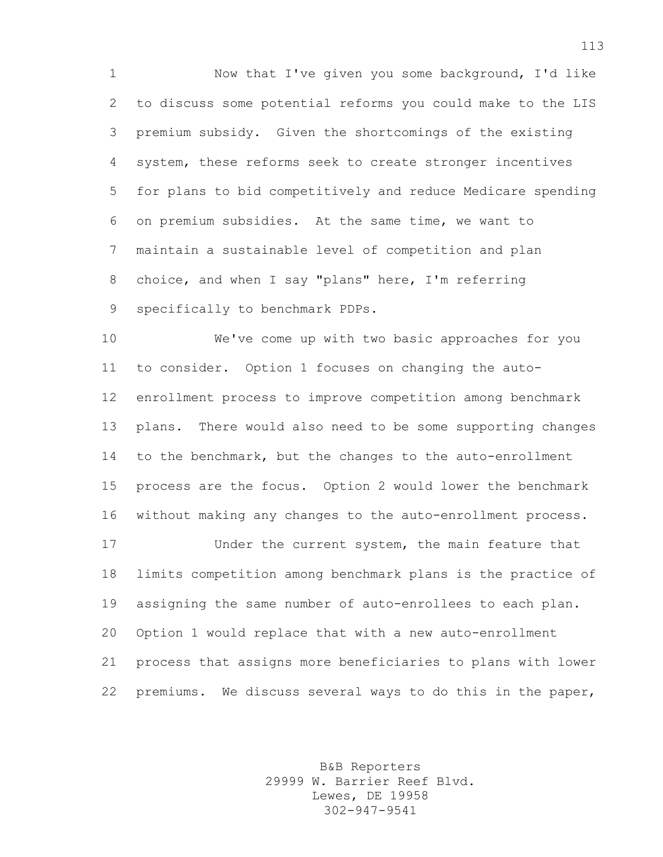1 Now that I've given you some background, I'd like to discuss some potential reforms you could make to the LIS premium subsidy. Given the shortcomings of the existing system, these reforms seek to create stronger incentives for plans to bid competitively and reduce Medicare spending on premium subsidies. At the same time, we want to maintain a sustainable level of competition and plan choice, and when I say "plans" here, I'm referring specifically to benchmark PDPs.

 We've come up with two basic approaches for you to consider. Option 1 focuses on changing the auto- enrollment process to improve competition among benchmark plans. There would also need to be some supporting changes to the benchmark, but the changes to the auto-enrollment process are the focus. Option 2 would lower the benchmark without making any changes to the auto-enrollment process.

 Under the current system, the main feature that limits competition among benchmark plans is the practice of assigning the same number of auto-enrollees to each plan. Option 1 would replace that with a new auto-enrollment process that assigns more beneficiaries to plans with lower premiums. We discuss several ways to do this in the paper,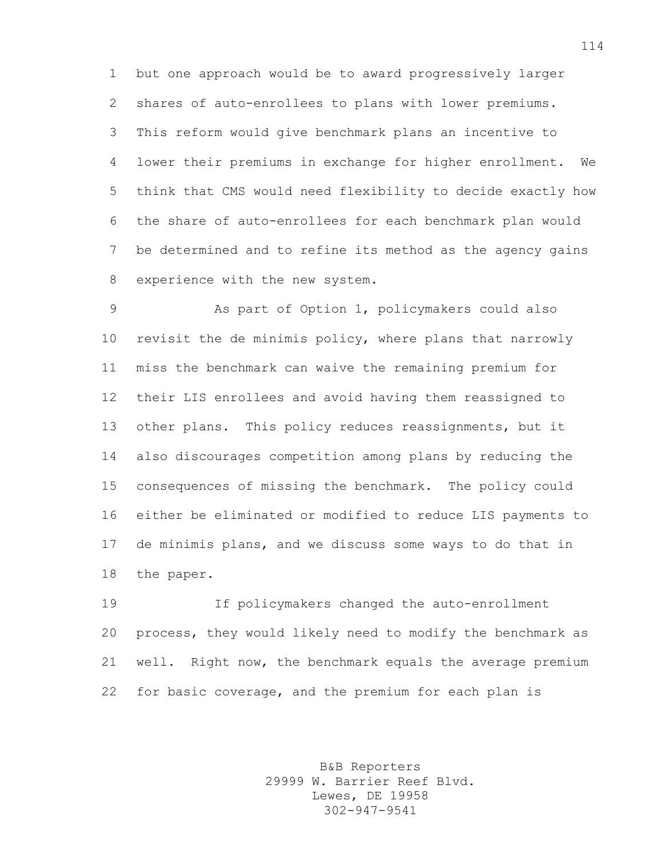but one approach would be to award progressively larger shares of auto-enrollees to plans with lower premiums. This reform would give benchmark plans an incentive to lower their premiums in exchange for higher enrollment. We think that CMS would need flexibility to decide exactly how the share of auto-enrollees for each benchmark plan would be determined and to refine its method as the agency gains experience with the new system.

 As part of Option 1, policymakers could also revisit the de minimis policy, where plans that narrowly miss the benchmark can waive the remaining premium for their LIS enrollees and avoid having them reassigned to other plans. This policy reduces reassignments, but it also discourages competition among plans by reducing the consequences of missing the benchmark. The policy could either be eliminated or modified to reduce LIS payments to de minimis plans, and we discuss some ways to do that in the paper.

 If policymakers changed the auto-enrollment process, they would likely need to modify the benchmark as well. Right now, the benchmark equals the average premium for basic coverage, and the premium for each plan is

> B&B Reporters 29999 W. Barrier Reef Blvd. Lewes, DE 19958 302-947-9541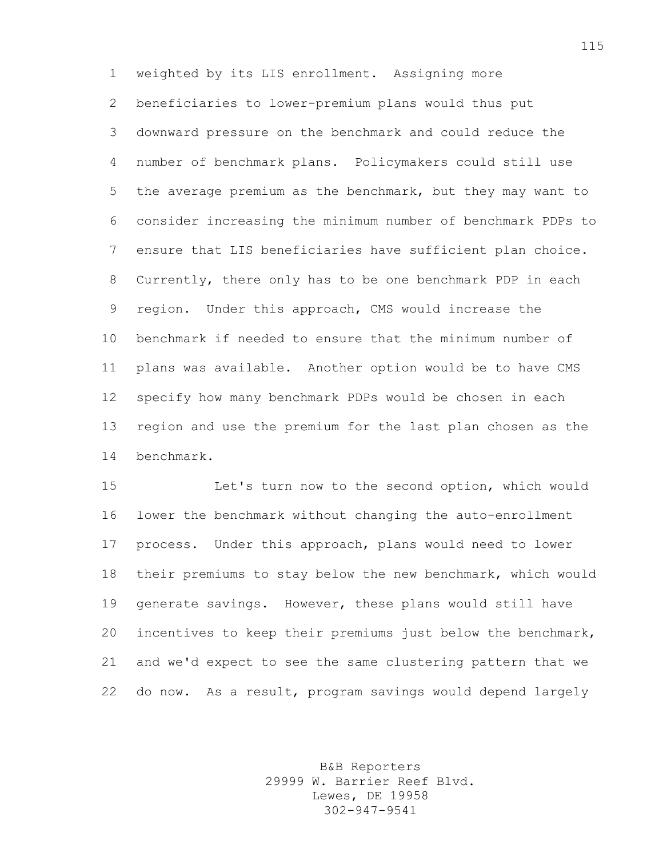weighted by its LIS enrollment. Assigning more beneficiaries to lower-premium plans would thus put downward pressure on the benchmark and could reduce the number of benchmark plans. Policymakers could still use the average premium as the benchmark, but they may want to consider increasing the minimum number of benchmark PDPs to ensure that LIS beneficiaries have sufficient plan choice. Currently, there only has to be one benchmark PDP in each region. Under this approach, CMS would increase the benchmark if needed to ensure that the minimum number of plans was available. Another option would be to have CMS specify how many benchmark PDPs would be chosen in each region and use the premium for the last plan chosen as the benchmark.

 Let's turn now to the second option, which would lower the benchmark without changing the auto-enrollment process. Under this approach, plans would need to lower their premiums to stay below the new benchmark, which would generate savings. However, these plans would still have incentives to keep their premiums just below the benchmark, and we'd expect to see the same clustering pattern that we do now. As a result, program savings would depend largely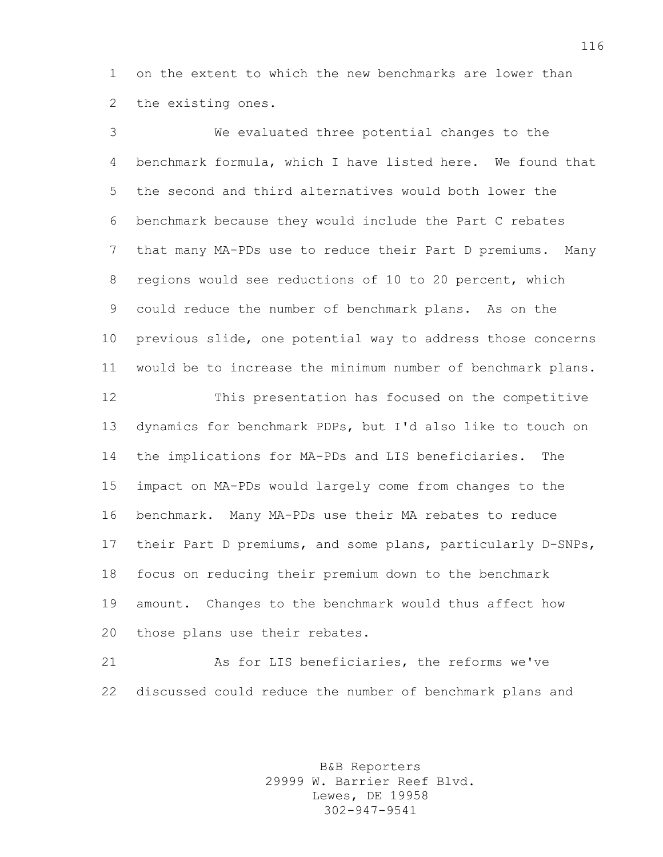on the extent to which the new benchmarks are lower than the existing ones.

 We evaluated three potential changes to the benchmark formula, which I have listed here. We found that the second and third alternatives would both lower the benchmark because they would include the Part C rebates that many MA-PDs use to reduce their Part D premiums. Many regions would see reductions of 10 to 20 percent, which could reduce the number of benchmark plans. As on the previous slide, one potential way to address those concerns would be to increase the minimum number of benchmark plans. This presentation has focused on the competitive dynamics for benchmark PDPs, but I'd also like to touch on the implications for MA-PDs and LIS beneficiaries. The impact on MA-PDs would largely come from changes to the benchmark. Many MA-PDs use their MA rebates to reduce their Part D premiums, and some plans, particularly D-SNPs, focus on reducing their premium down to the benchmark amount. Changes to the benchmark would thus affect how those plans use their rebates.

 As for LIS beneficiaries, the reforms we've discussed could reduce the number of benchmark plans and

> B&B Reporters 29999 W. Barrier Reef Blvd. Lewes, DE 19958 302-947-9541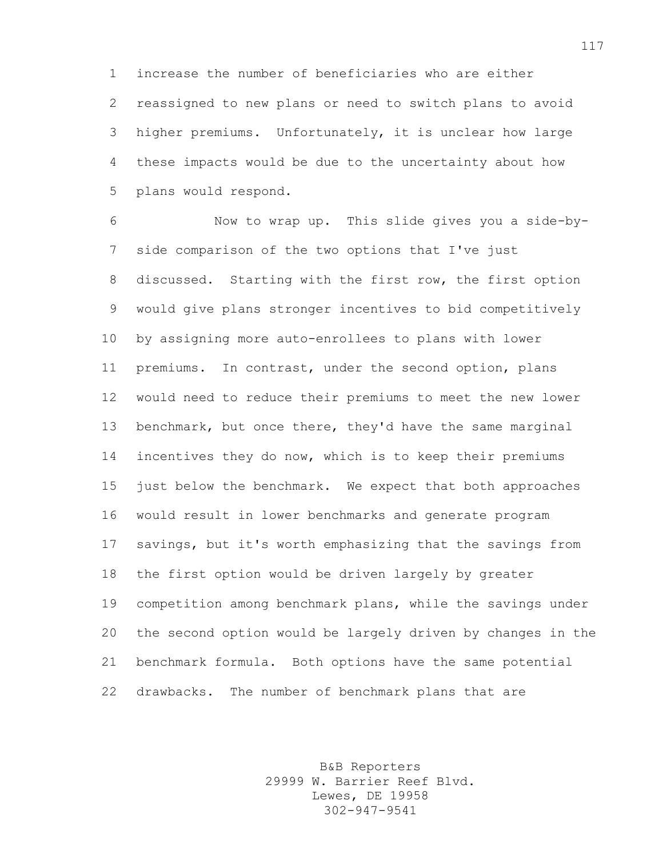increase the number of beneficiaries who are either reassigned to new plans or need to switch plans to avoid higher premiums. Unfortunately, it is unclear how large these impacts would be due to the uncertainty about how plans would respond.

 Now to wrap up. This slide gives you a side-by- side comparison of the two options that I've just discussed. Starting with the first row, the first option would give plans stronger incentives to bid competitively by assigning more auto-enrollees to plans with lower premiums. In contrast, under the second option, plans would need to reduce their premiums to meet the new lower benchmark, but once there, they'd have the same marginal incentives they do now, which is to keep their premiums just below the benchmark. We expect that both approaches would result in lower benchmarks and generate program savings, but it's worth emphasizing that the savings from the first option would be driven largely by greater competition among benchmark plans, while the savings under the second option would be largely driven by changes in the benchmark formula. Both options have the same potential drawbacks. The number of benchmark plans that are

> B&B Reporters 29999 W. Barrier Reef Blvd. Lewes, DE 19958 302-947-9541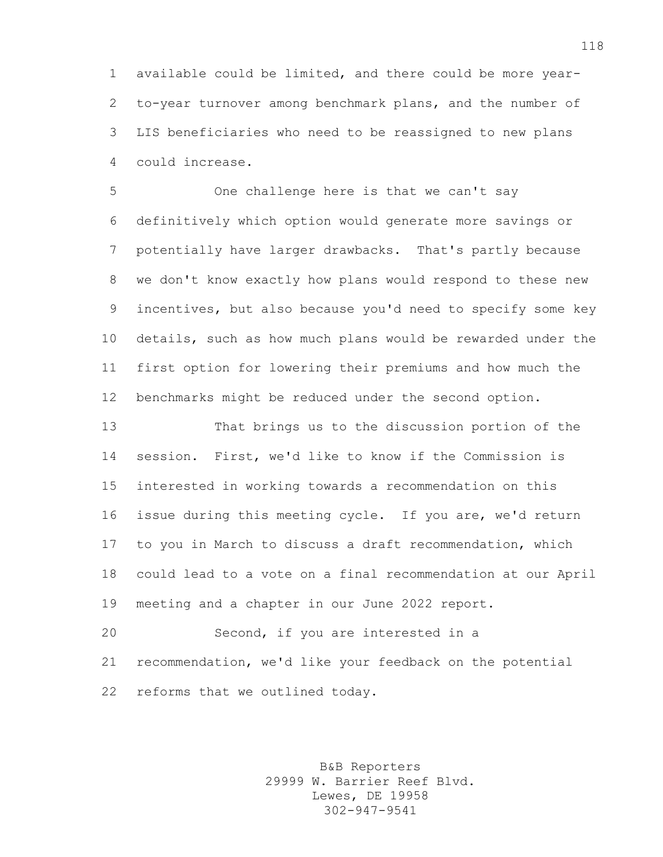available could be limited, and there could be more year- to-year turnover among benchmark plans, and the number of LIS beneficiaries who need to be reassigned to new plans could increase.

 One challenge here is that we can't say definitively which option would generate more savings or potentially have larger drawbacks. That's partly because we don't know exactly how plans would respond to these new incentives, but also because you'd need to specify some key details, such as how much plans would be rewarded under the first option for lowering their premiums and how much the benchmarks might be reduced under the second option.

 That brings us to the discussion portion of the session. First, we'd like to know if the Commission is interested in working towards a recommendation on this issue during this meeting cycle. If you are, we'd return to you in March to discuss a draft recommendation, which could lead to a vote on a final recommendation at our April meeting and a chapter in our June 2022 report.

 Second, if you are interested in a recommendation, we'd like your feedback on the potential reforms that we outlined today.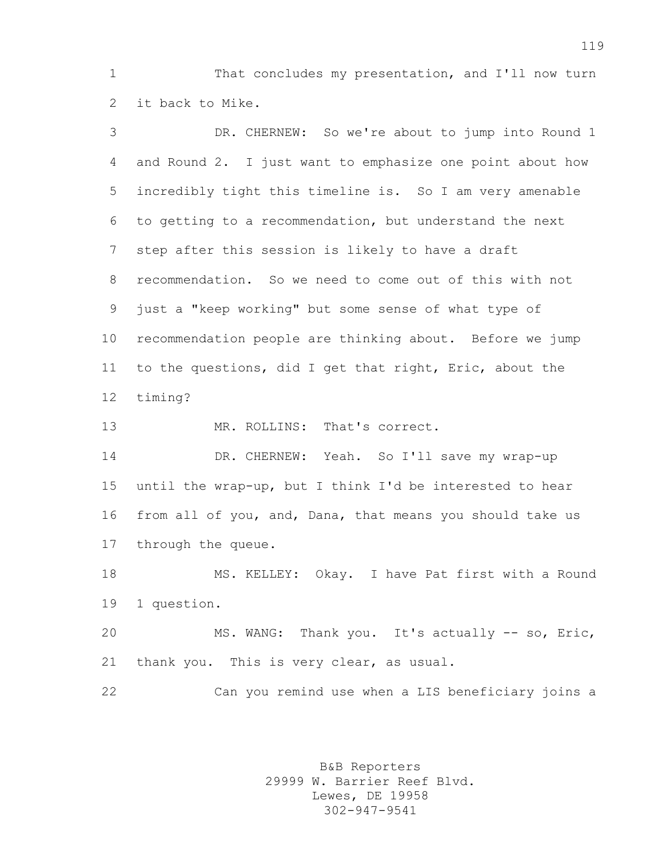That concludes my presentation, and I'll now turn it back to Mike.

| 3  | DR. CHERNEW: So we're about to jump into Round 1          |
|----|-----------------------------------------------------------|
| 4  | and Round 2. I just want to emphasize one point about how |
| 5  | incredibly tight this timeline is. So I am very amenable  |
| 6  | to getting to a recommendation, but understand the next   |
| 7  | step after this session is likely to have a draft         |
| 8  | recommendation. So we need to come out of this with not   |
| 9  | just a "keep working" but some sense of what type of      |
| 10 | recommendation people are thinking about. Before we jump  |
| 11 | to the questions, did I get that right, Eric, about the   |
| 12 | timing?                                                   |
| 13 | MR. ROLLINS: That's correct.                              |
| 14 | DR. CHERNEW: Yeah. So I'll save my wrap-up                |
| 15 | until the wrap-up, but I think I'd be interested to hear  |
| 16 | from all of you, and, Dana, that means you should take us |
| 17 | through the queue.                                        |
| 18 | MS. KELLEY: Okay. I have Pat first with a Round           |
| 19 | 1 question.                                               |
| 20 |                                                           |
|    | MS. WANG: Thank you. It's actually -- so, Eric,           |
| 21 | thank you. This is very clear, as usual.                  |

B&B Reporters 29999 W. Barrier Reef Blvd. Lewes, DE 19958 302-947-9541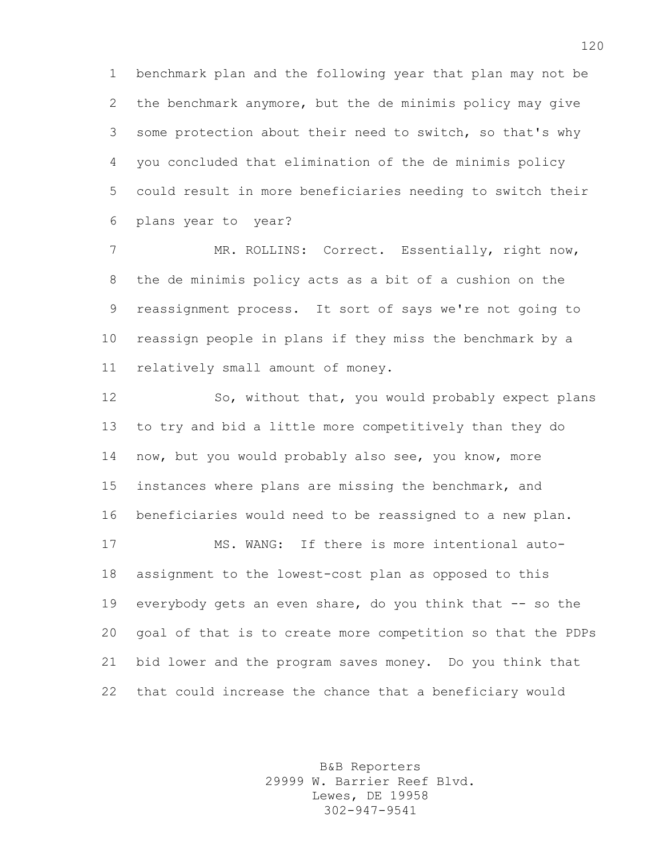benchmark plan and the following year that plan may not be the benchmark anymore, but the de minimis policy may give some protection about their need to switch, so that's why you concluded that elimination of the de minimis policy could result in more beneficiaries needing to switch their plans year to year?

7 MR. ROLLINS: Correct. Essentially, right now, the de minimis policy acts as a bit of a cushion on the reassignment process. It sort of says we're not going to reassign people in plans if they miss the benchmark by a relatively small amount of money.

12 So, without that, you would probably expect plans to try and bid a little more competitively than they do 14 now, but you would probably also see, you know, more instances where plans are missing the benchmark, and beneficiaries would need to be reassigned to a new plan. MS. WANG: If there is more intentional auto- assignment to the lowest-cost plan as opposed to this 19 everybody gets an even share, do you think that -- so the goal of that is to create more competition so that the PDPs bid lower and the program saves money. Do you think that that could increase the chance that a beneficiary would

> B&B Reporters 29999 W. Barrier Reef Blvd. Lewes, DE 19958 302-947-9541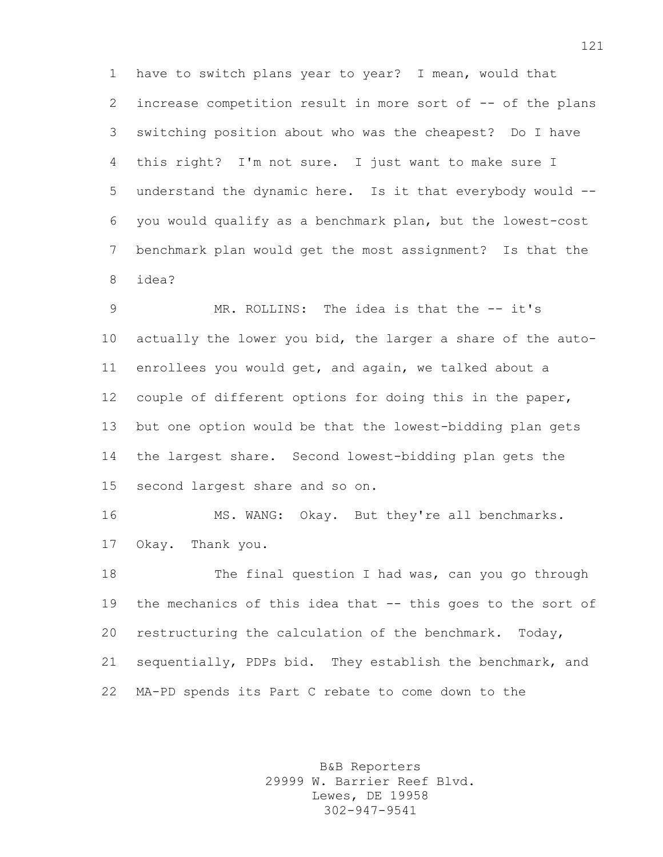have to switch plans year to year? I mean, would that increase competition result in more sort of -- of the plans switching position about who was the cheapest? Do I have this right? I'm not sure. I just want to make sure I understand the dynamic here. Is it that everybody would -- you would qualify as a benchmark plan, but the lowest-cost benchmark plan would get the most assignment? Is that the idea?

9 MR. ROLLINS: The idea is that the -- it's actually the lower you bid, the larger a share of the auto- enrollees you would get, and again, we talked about a couple of different options for doing this in the paper, but one option would be that the lowest-bidding plan gets the largest share. Second lowest-bidding plan gets the second largest share and so on.

 MS. WANG: Okay. But they're all benchmarks. Okay. Thank you.

 The final question I had was, can you go through the mechanics of this idea that -- this goes to the sort of restructuring the calculation of the benchmark. Today, sequentially, PDPs bid. They establish the benchmark, and MA-PD spends its Part C rebate to come down to the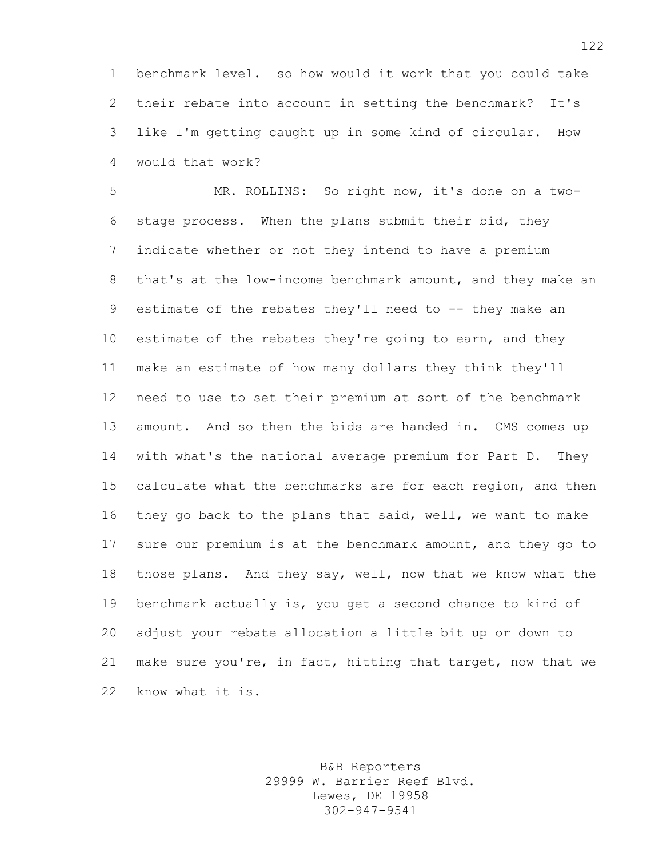benchmark level. so how would it work that you could take their rebate into account in setting the benchmark? It's like I'm getting caught up in some kind of circular. How would that work?

 MR. ROLLINS: So right now, it's done on a two- stage process. When the plans submit their bid, they indicate whether or not they intend to have a premium that's at the low-income benchmark amount, and they make an 9 estimate of the rebates they'll need to -- they make an estimate of the rebates they're going to earn, and they make an estimate of how many dollars they think they'll need to use to set their premium at sort of the benchmark amount. And so then the bids are handed in. CMS comes up with what's the national average premium for Part D. They calculate what the benchmarks are for each region, and then they go back to the plans that said, well, we want to make sure our premium is at the benchmark amount, and they go to those plans. And they say, well, now that we know what the benchmark actually is, you get a second chance to kind of adjust your rebate allocation a little bit up or down to make sure you're, in fact, hitting that target, now that we know what it is.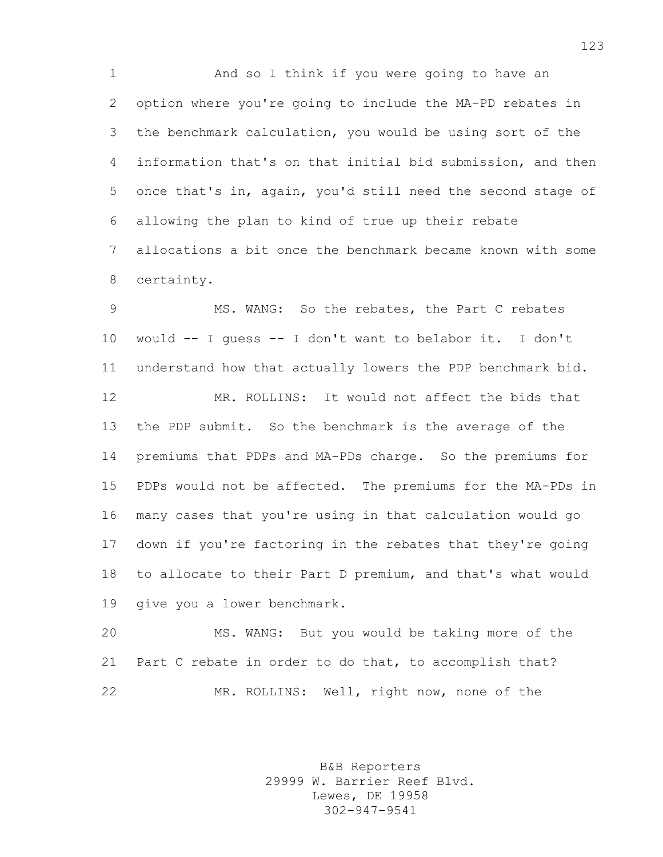And so I think if you were going to have an option where you're going to include the MA-PD rebates in the benchmark calculation, you would be using sort of the information that's on that initial bid submission, and then once that's in, again, you'd still need the second stage of allowing the plan to kind of true up their rebate allocations a bit once the benchmark became known with some certainty.

 MS. WANG: So the rebates, the Part C rebates would -- I guess -- I don't want to belabor it. I don't understand how that actually lowers the PDP benchmark bid. MR. ROLLINS: It would not affect the bids that the PDP submit. So the benchmark is the average of the premiums that PDPs and MA-PDs charge. So the premiums for PDPs would not be affected. The premiums for the MA-PDs in many cases that you're using in that calculation would go down if you're factoring in the rebates that they're going to allocate to their Part D premium, and that's what would give you a lower benchmark.

 MS. WANG: But you would be taking more of the Part C rebate in order to do that, to accomplish that? MR. ROLLINS: Well, right now, none of the

> B&B Reporters 29999 W. Barrier Reef Blvd. Lewes, DE 19958 302-947-9541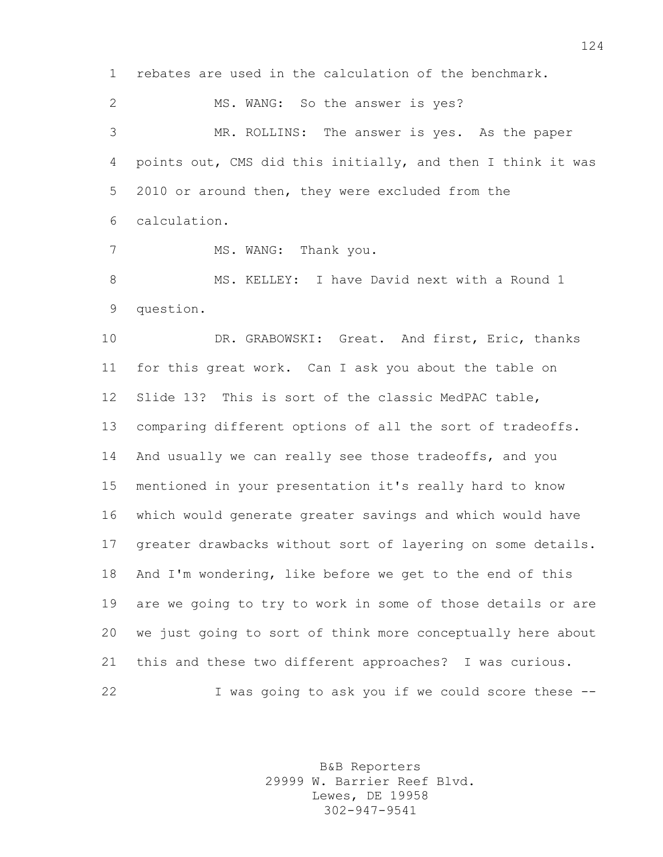rebates are used in the calculation of the benchmark.

 MS. WANG: So the answer is yes? MR. ROLLINS: The answer is yes. As the paper points out, CMS did this initially, and then I think it was 2010 or around then, they were excluded from the calculation.

7 MS. WANG: Thank you.

8 MS. KELLEY: I have David next with a Round 1 question.

 DR. GRABOWSKI: Great. And first, Eric, thanks for this great work. Can I ask you about the table on Slide 13? This is sort of the classic MedPAC table, comparing different options of all the sort of tradeoffs. And usually we can really see those tradeoffs, and you mentioned in your presentation it's really hard to know which would generate greater savings and which would have greater drawbacks without sort of layering on some details. And I'm wondering, like before we get to the end of this are we going to try to work in some of those details or are we just going to sort of think more conceptually here about this and these two different approaches? I was curious. I was going to ask you if we could score these --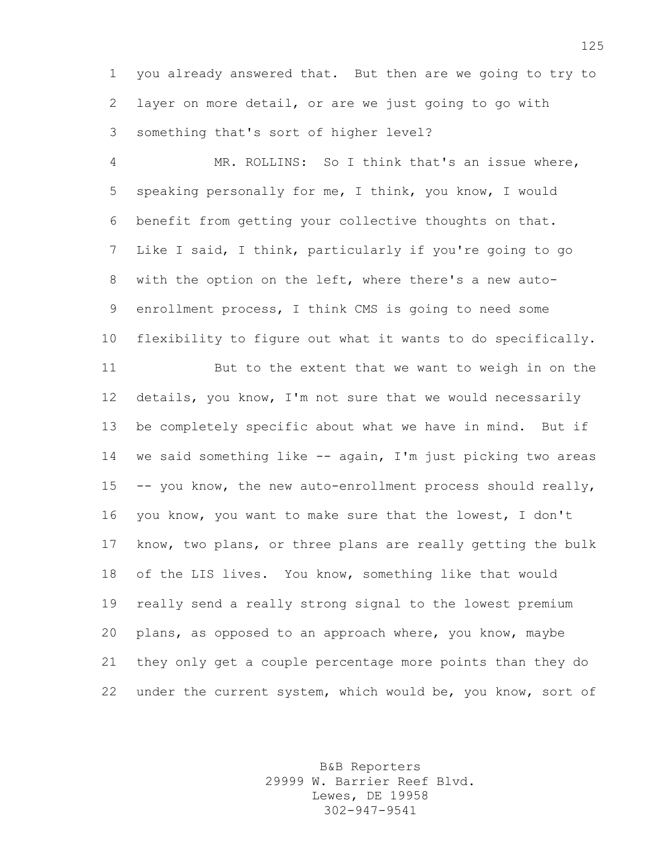you already answered that. But then are we going to try to layer on more detail, or are we just going to go with something that's sort of higher level?

 MR. ROLLINS: So I think that's an issue where, speaking personally for me, I think, you know, I would benefit from getting your collective thoughts on that. Like I said, I think, particularly if you're going to go with the option on the left, where there's a new auto- enrollment process, I think CMS is going to need some flexibility to figure out what it wants to do specifically.

 But to the extent that we want to weigh in on the details, you know, I'm not sure that we would necessarily be completely specific about what we have in mind. But if we said something like -- again, I'm just picking two areas -- you know, the new auto-enrollment process should really, you know, you want to make sure that the lowest, I don't know, two plans, or three plans are really getting the bulk of the LIS lives. You know, something like that would really send a really strong signal to the lowest premium plans, as opposed to an approach where, you know, maybe they only get a couple percentage more points than they do 22 under the current system, which would be, you know, sort of

> B&B Reporters 29999 W. Barrier Reef Blvd. Lewes, DE 19958 302-947-9541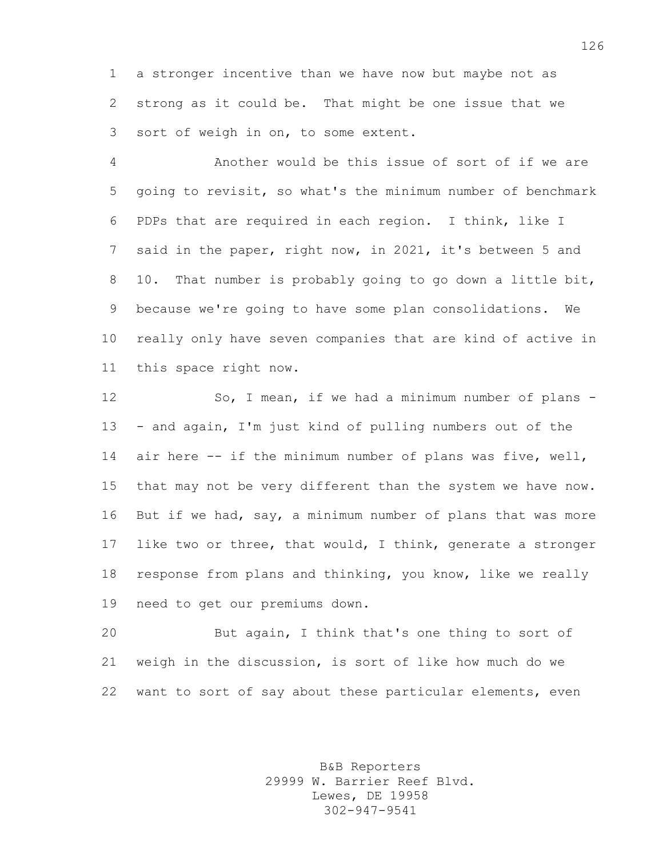a stronger incentive than we have now but maybe not as strong as it could be. That might be one issue that we sort of weigh in on, to some extent.

 Another would be this issue of sort of if we are going to revisit, so what's the minimum number of benchmark PDPs that are required in each region. I think, like I said in the paper, right now, in 2021, it's between 5 and 10. That number is probably going to go down a little bit, because we're going to have some plan consolidations. We really only have seven companies that are kind of active in this space right now.

12 So, I mean, if we had a minimum number of plans - - and again, I'm just kind of pulling numbers out of the air here -- if the minimum number of plans was five, well, that may not be very different than the system we have now. But if we had, say, a minimum number of plans that was more like two or three, that would, I think, generate a stronger response from plans and thinking, you know, like we really need to get our premiums down.

 But again, I think that's one thing to sort of weigh in the discussion, is sort of like how much do we want to sort of say about these particular elements, even

> B&B Reporters 29999 W. Barrier Reef Blvd. Lewes, DE 19958 302-947-9541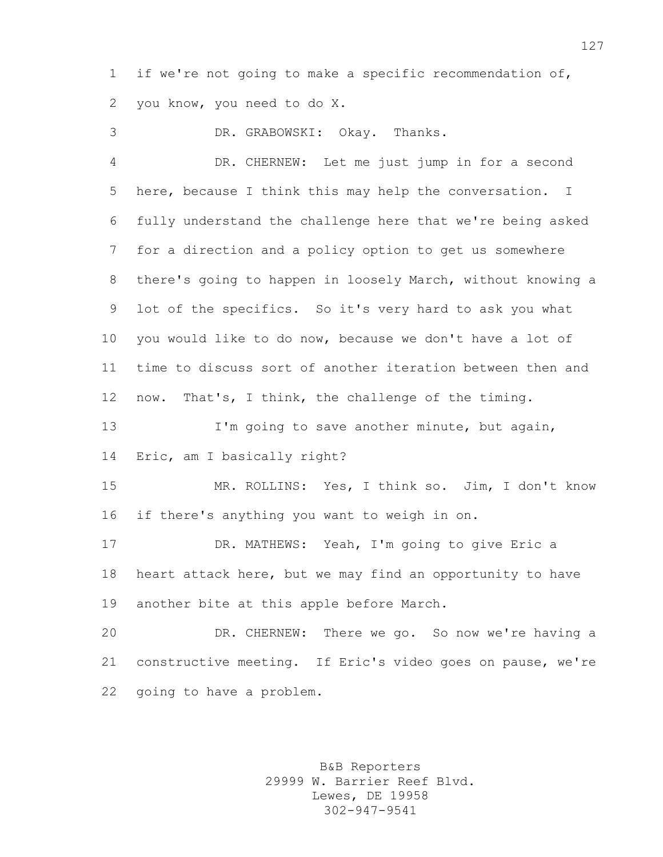if we're not going to make a specific recommendation of, you know, you need to do X.

DR. GRABOWSKI: Okay. Thanks.

 DR. CHERNEW: Let me just jump in for a second here, because I think this may help the conversation. I fully understand the challenge here that we're being asked for a direction and a policy option to get us somewhere there's going to happen in loosely March, without knowing a lot of the specifics. So it's very hard to ask you what you would like to do now, because we don't have a lot of time to discuss sort of another iteration between then and now. That's, I think, the challenge of the timing. I'm going to save another minute, but again, Eric, am I basically right? MR. ROLLINS: Yes, I think so. Jim, I don't know if there's anything you want to weigh in on. DR. MATHEWS: Yeah, I'm going to give Eric a heart attack here, but we may find an opportunity to have another bite at this apple before March. DR. CHERNEW: There we go. So now we're having a constructive meeting. If Eric's video goes on pause, we're

going to have a problem.

B&B Reporters 29999 W. Barrier Reef Blvd. Lewes, DE 19958 302-947-9541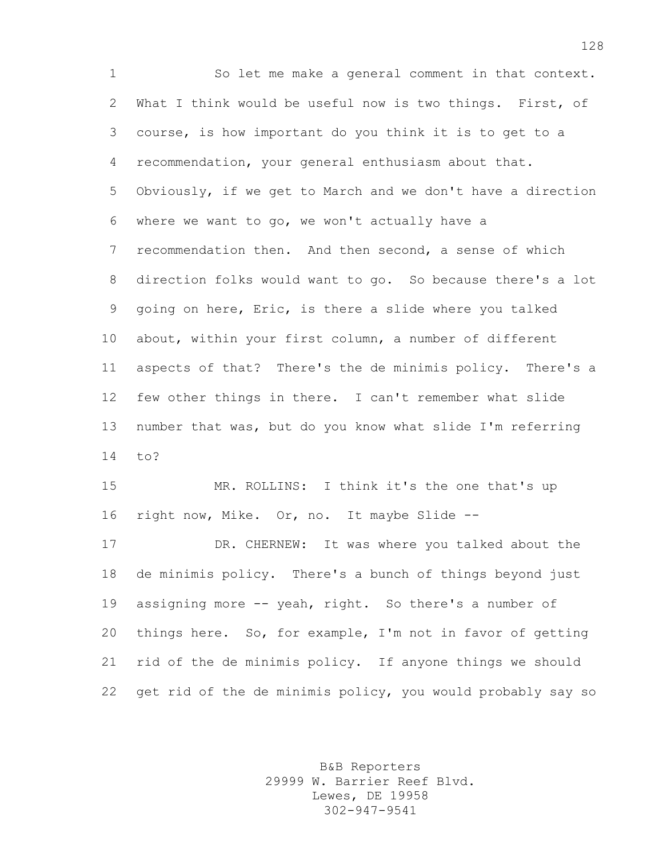So let me make a general comment in that context. What I think would be useful now is two things. First, of course, is how important do you think it is to get to a recommendation, your general enthusiasm about that. Obviously, if we get to March and we don't have a direction where we want to go, we won't actually have a recommendation then. And then second, a sense of which direction folks would want to go. So because there's a lot going on here, Eric, is there a slide where you talked about, within your first column, a number of different aspects of that? There's the de minimis policy. There's a few other things in there. I can't remember what slide number that was, but do you know what slide I'm referring to?

 MR. ROLLINS: I think it's the one that's up right now, Mike. Or, no. It maybe Slide --

 DR. CHERNEW: It was where you talked about the de minimis policy. There's a bunch of things beyond just assigning more -- yeah, right. So there's a number of things here. So, for example, I'm not in favor of getting rid of the de minimis policy. If anyone things we should get rid of the de minimis policy, you would probably say so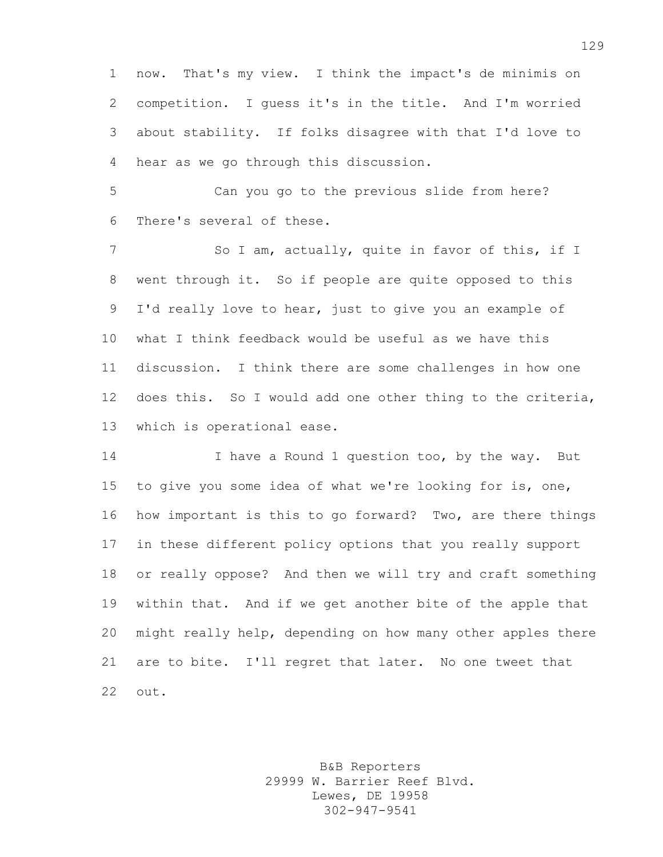now. That's my view. I think the impact's de minimis on competition. I guess it's in the title. And I'm worried about stability. If folks disagree with that I'd love to hear as we go through this discussion.

 Can you go to the previous slide from here? There's several of these.

7 So I am, actually, quite in favor of this, if I went through it. So if people are quite opposed to this I'd really love to hear, just to give you an example of what I think feedback would be useful as we have this discussion. I think there are some challenges in how one does this. So I would add one other thing to the criteria, which is operational ease.

 I have a Round 1 question too, by the way. But to give you some idea of what we're looking for is, one, how important is this to go forward? Two, are there things in these different policy options that you really support or really oppose? And then we will try and craft something within that. And if we get another bite of the apple that might really help, depending on how many other apples there are to bite. I'll regret that later. No one tweet that out.

> B&B Reporters 29999 W. Barrier Reef Blvd. Lewes, DE 19958 302-947-9541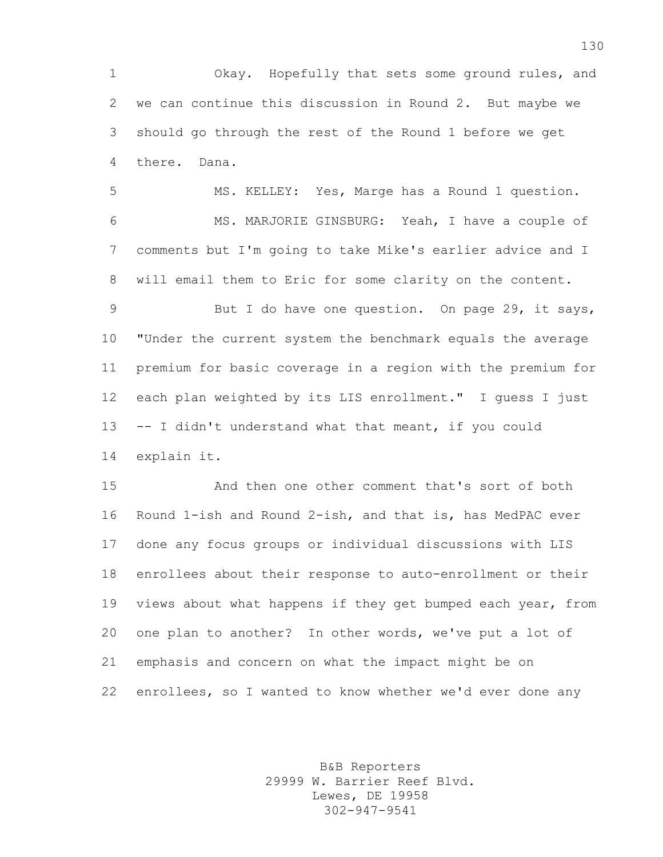Okay. Hopefully that sets some ground rules, and we can continue this discussion in Round 2. But maybe we should go through the rest of the Round 1 before we get there. Dana.

 MS. KELLEY: Yes, Marge has a Round 1 question. MS. MARJORIE GINSBURG: Yeah, I have a couple of comments but I'm going to take Mike's earlier advice and I will email them to Eric for some clarity on the content.

9 But I do have one question. On page 29, it says, "Under the current system the benchmark equals the average premium for basic coverage in a region with the premium for each plan weighted by its LIS enrollment." I guess I just -- I didn't understand what that meant, if you could explain it.

 And then one other comment that's sort of both Round 1-ish and Round 2-ish, and that is, has MedPAC ever done any focus groups or individual discussions with LIS enrollees about their response to auto-enrollment or their 19 views about what happens if they get bumped each year, from one plan to another? In other words, we've put a lot of emphasis and concern on what the impact might be on enrollees, so I wanted to know whether we'd ever done any

> B&B Reporters 29999 W. Barrier Reef Blvd. Lewes, DE 19958 302-947-9541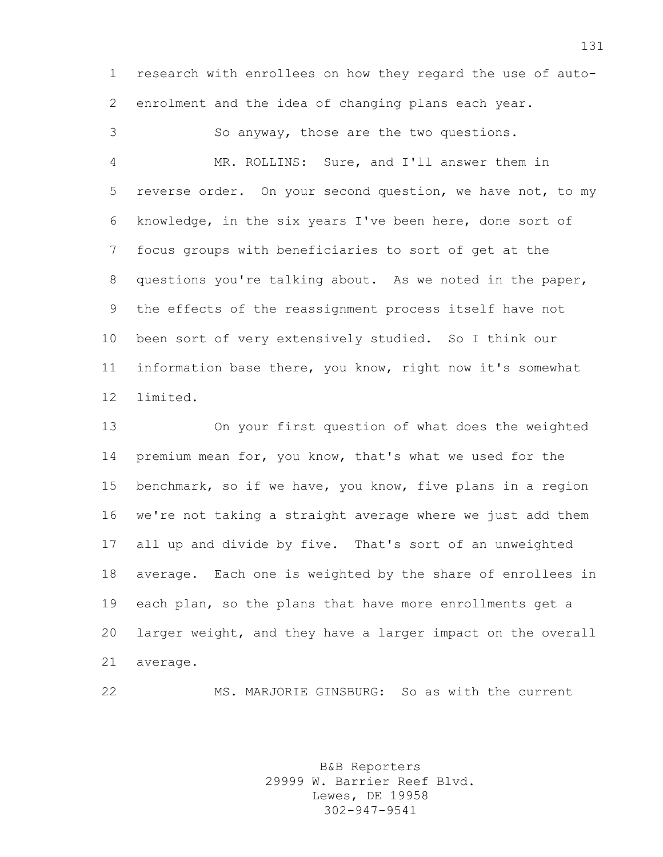research with enrollees on how they regard the use of auto-enrolment and the idea of changing plans each year.

 So anyway, those are the two questions. MR. ROLLINS: Sure, and I'll answer them in reverse order. On your second question, we have not, to my knowledge, in the six years I've been here, done sort of focus groups with beneficiaries to sort of get at the questions you're talking about. As we noted in the paper, the effects of the reassignment process itself have not been sort of very extensively studied. So I think our information base there, you know, right now it's somewhat limited.

 On your first question of what does the weighted premium mean for, you know, that's what we used for the benchmark, so if we have, you know, five plans in a region we're not taking a straight average where we just add them all up and divide by five. That's sort of an unweighted average. Each one is weighted by the share of enrollees in each plan, so the plans that have more enrollments get a larger weight, and they have a larger impact on the overall average.

MS. MARJORIE GINSBURG: So as with the current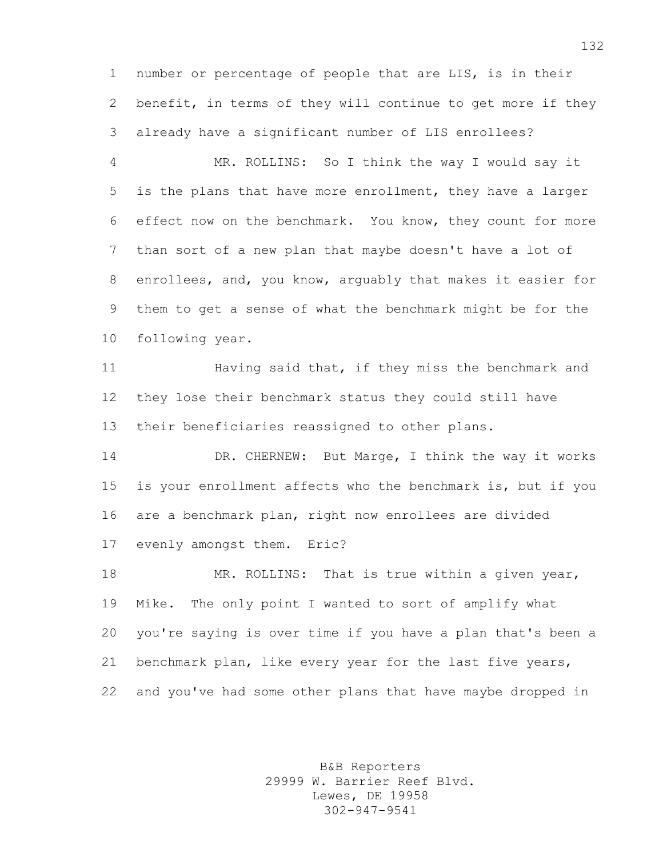number or percentage of people that are LIS, is in their benefit, in terms of they will continue to get more if they already have a significant number of LIS enrollees?

 MR. ROLLINS: So I think the way I would say it is the plans that have more enrollment, they have a larger effect now on the benchmark. You know, they count for more than sort of a new plan that maybe doesn't have a lot of enrollees, and, you know, arguably that makes it easier for them to get a sense of what the benchmark might be for the following year.

 Having said that, if they miss the benchmark and they lose their benchmark status they could still have their beneficiaries reassigned to other plans.

 DR. CHERNEW: But Marge, I think the way it works is your enrollment affects who the benchmark is, but if you are a benchmark plan, right now enrollees are divided evenly amongst them. Eric?

18 MR. ROLLINS: That is true within a given year, Mike. The only point I wanted to sort of amplify what you're saying is over time if you have a plan that's been a benchmark plan, like every year for the last five years, and you've had some other plans that have maybe dropped in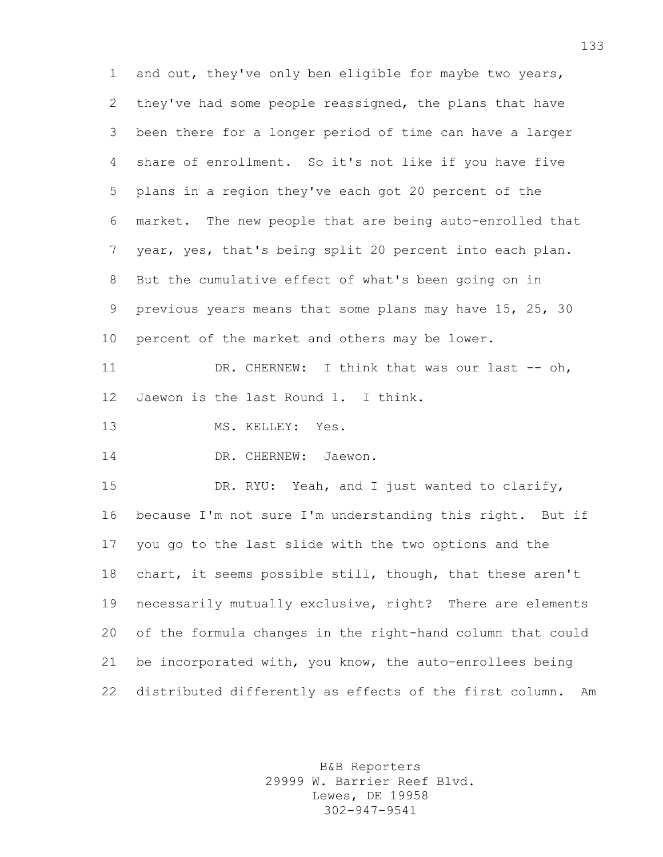and out, they've only ben eligible for maybe two years, they've had some people reassigned, the plans that have been there for a longer period of time can have a larger share of enrollment. So it's not like if you have five plans in a region they've each got 20 percent of the market. The new people that are being auto-enrolled that year, yes, that's being split 20 percent into each plan. But the cumulative effect of what's been going on in previous years means that some plans may have 15, 25, 30 percent of the market and others may be lower.

 DR. CHERNEW: I think that was our last -- oh, Jaewon is the last Round 1. I think.

13 MS. KELLEY: Yes.

14 DR. CHERNEW: Jaewon.

 DR. RYU: Yeah, and I just wanted to clarify, because I'm not sure I'm understanding this right. But if you go to the last slide with the two options and the chart, it seems possible still, though, that these aren't necessarily mutually exclusive, right? There are elements of the formula changes in the right-hand column that could be incorporated with, you know, the auto-enrollees being distributed differently as effects of the first column. Am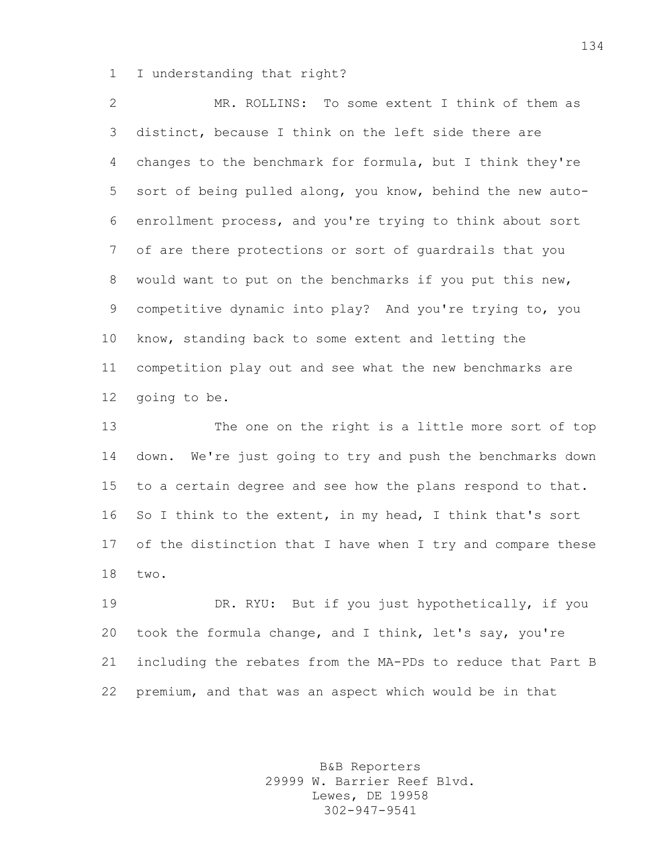I understanding that right?

 MR. ROLLINS: To some extent I think of them as distinct, because I think on the left side there are changes to the benchmark for formula, but I think they're sort of being pulled along, you know, behind the new auto- enrollment process, and you're trying to think about sort of are there protections or sort of guardrails that you would want to put on the benchmarks if you put this new, competitive dynamic into play? And you're trying to, you know, standing back to some extent and letting the competition play out and see what the new benchmarks are going to be.

 The one on the right is a little more sort of top down. We're just going to try and push the benchmarks down to a certain degree and see how the plans respond to that. 16 So I think to the extent, in my head, I think that's sort 17 of the distinction that I have when I try and compare these two.

 DR. RYU: But if you just hypothetically, if you took the formula change, and I think, let's say, you're including the rebates from the MA-PDs to reduce that Part B premium, and that was an aspect which would be in that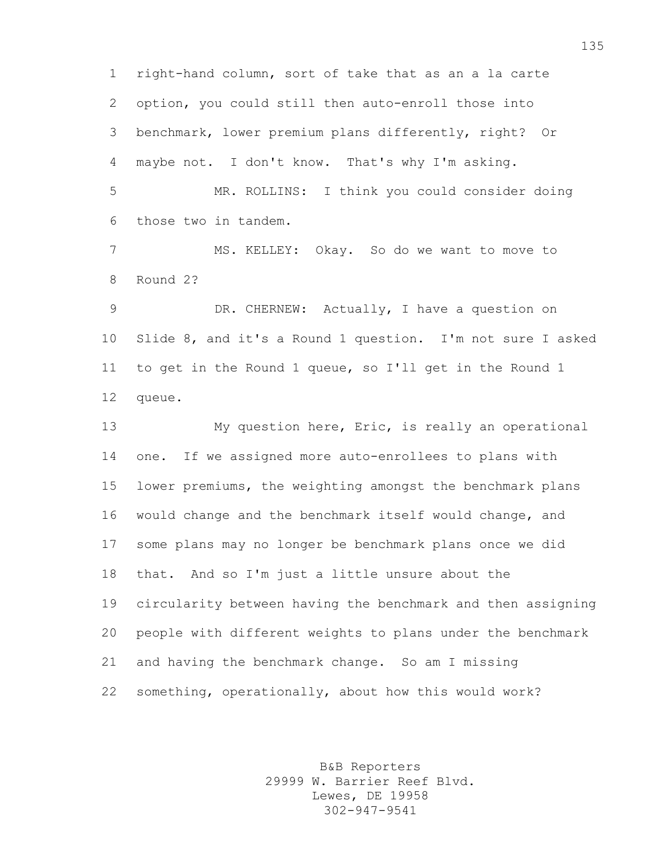right-hand column, sort of take that as an a la carte option, you could still then auto-enroll those into benchmark, lower premium plans differently, right? Or maybe not. I don't know. That's why I'm asking. MR. ROLLINS: I think you could consider doing those two in tandem. MS. KELLEY: Okay. So do we want to move to Round 2? DR. CHERNEW: Actually, I have a question on Slide 8, and it's a Round 1 question. I'm not sure I asked to get in the Round 1 queue, so I'll get in the Round 1 queue. My question here, Eric, is really an operational one. If we assigned more auto-enrollees to plans with lower premiums, the weighting amongst the benchmark plans would change and the benchmark itself would change, and some plans may no longer be benchmark plans once we did that. And so I'm just a little unsure about the circularity between having the benchmark and then assigning people with different weights to plans under the benchmark and having the benchmark change. So am I missing something, operationally, about how this would work?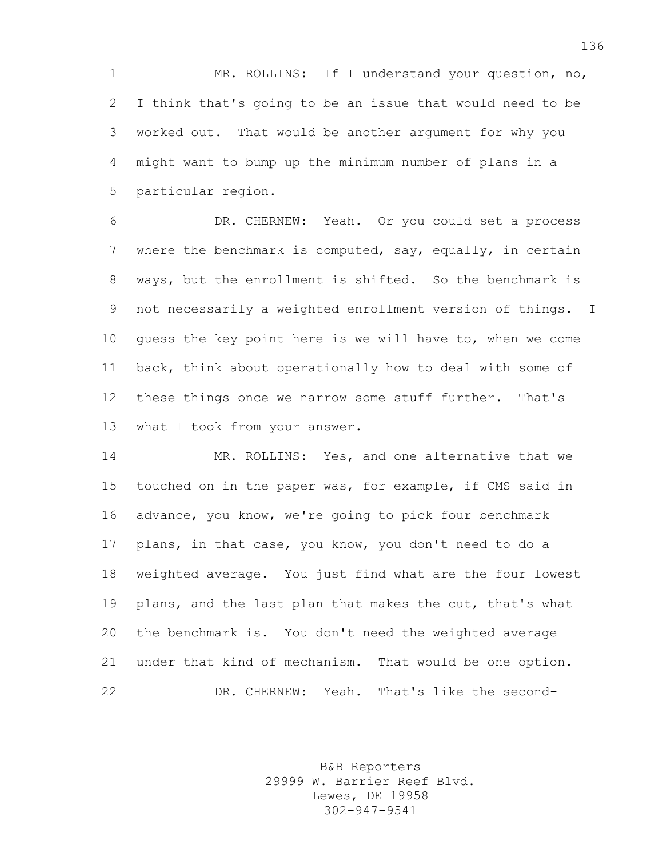MR. ROLLINS: If I understand your question, no, I think that's going to be an issue that would need to be worked out. That would be another argument for why you might want to bump up the minimum number of plans in a particular region.

 DR. CHERNEW: Yeah. Or you could set a process where the benchmark is computed, say, equally, in certain ways, but the enrollment is shifted. So the benchmark is not necessarily a weighted enrollment version of things. I guess the key point here is we will have to, when we come back, think about operationally how to deal with some of these things once we narrow some stuff further. That's 13 what I took from your answer.

 MR. ROLLINS: Yes, and one alternative that we touched on in the paper was, for example, if CMS said in advance, you know, we're going to pick four benchmark plans, in that case, you know, you don't need to do a weighted average. You just find what are the four lowest plans, and the last plan that makes the cut, that's what the benchmark is. You don't need the weighted average under that kind of mechanism. That would be one option. DR. CHERNEW: Yeah. That's like the second-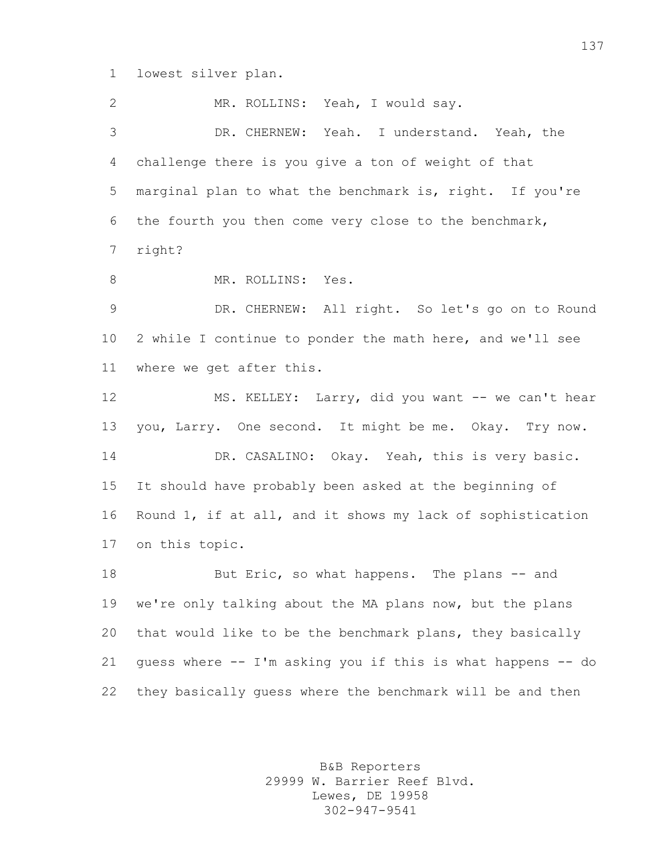lowest silver plan.

 MR. ROLLINS: Yeah, I would say. DR. CHERNEW: Yeah. I understand. Yeah, the challenge there is you give a ton of weight of that marginal plan to what the benchmark is, right. If you're the fourth you then come very close to the benchmark, right? 8 MR. ROLLINS: Yes. DR. CHERNEW: All right. So let's go on to Round 2 while I continue to ponder the math here, and we'll see where we get after this. 12 MS. KELLEY: Larry, did you want -- we can't hear you, Larry. One second. It might be me. Okay. Try now. DR. CASALINO: Okay. Yeah, this is very basic. It should have probably been asked at the beginning of Round 1, if at all, and it shows my lack of sophistication on this topic. 18 But Eric, so what happens. The plans -- and we're only talking about the MA plans now, but the plans that would like to be the benchmark plans, they basically guess where -- I'm asking you if this is what happens -- do they basically guess where the benchmark will be and then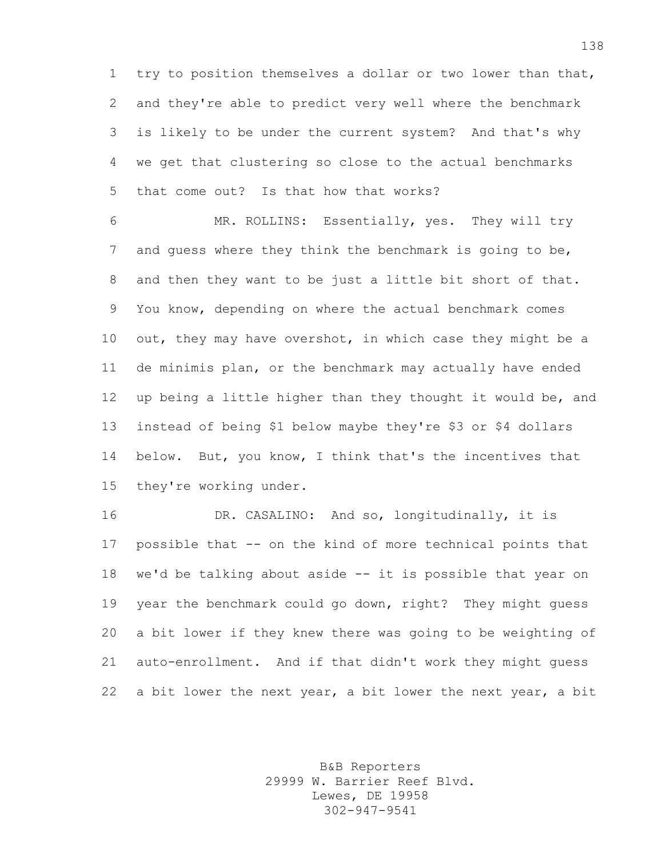try to position themselves a dollar or two lower than that, and they're able to predict very well where the benchmark is likely to be under the current system? And that's why we get that clustering so close to the actual benchmarks that come out? Is that how that works?

 MR. ROLLINS: Essentially, yes. They will try and guess where they think the benchmark is going to be, and then they want to be just a little bit short of that. You know, depending on where the actual benchmark comes out, they may have overshot, in which case they might be a de minimis plan, or the benchmark may actually have ended up being a little higher than they thought it would be, and instead of being \$1 below maybe they're \$3 or \$4 dollars below. But, you know, I think that's the incentives that they're working under.

 DR. CASALINO: And so, longitudinally, it is possible that -- on the kind of more technical points that we'd be talking about aside -- it is possible that year on year the benchmark could go down, right? They might guess a bit lower if they knew there was going to be weighting of auto-enrollment. And if that didn't work they might guess a bit lower the next year, a bit lower the next year, a bit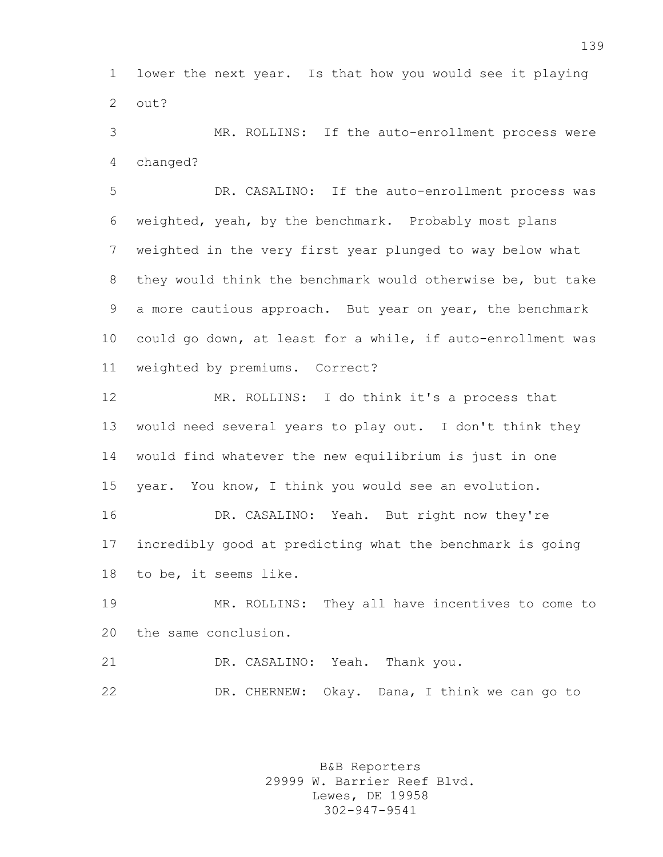lower the next year. Is that how you would see it playing out?

 MR. ROLLINS: If the auto-enrollment process were changed?

 DR. CASALINO: If the auto-enrollment process was weighted, yeah, by the benchmark. Probably most plans weighted in the very first year plunged to way below what they would think the benchmark would otherwise be, but take a more cautious approach. But year on year, the benchmark could go down, at least for a while, if auto-enrollment was weighted by premiums. Correct?

 MR. ROLLINS: I do think it's a process that would need several years to play out. I don't think they would find whatever the new equilibrium is just in one year. You know, I think you would see an evolution.

 DR. CASALINO: Yeah. But right now they're incredibly good at predicting what the benchmark is going to be, it seems like.

 MR. ROLLINS: They all have incentives to come to the same conclusion.

DR. CASALINO: Yeah. Thank you.

DR. CHERNEW: Okay. Dana, I think we can go to

B&B Reporters 29999 W. Barrier Reef Blvd. Lewes, DE 19958 302-947-9541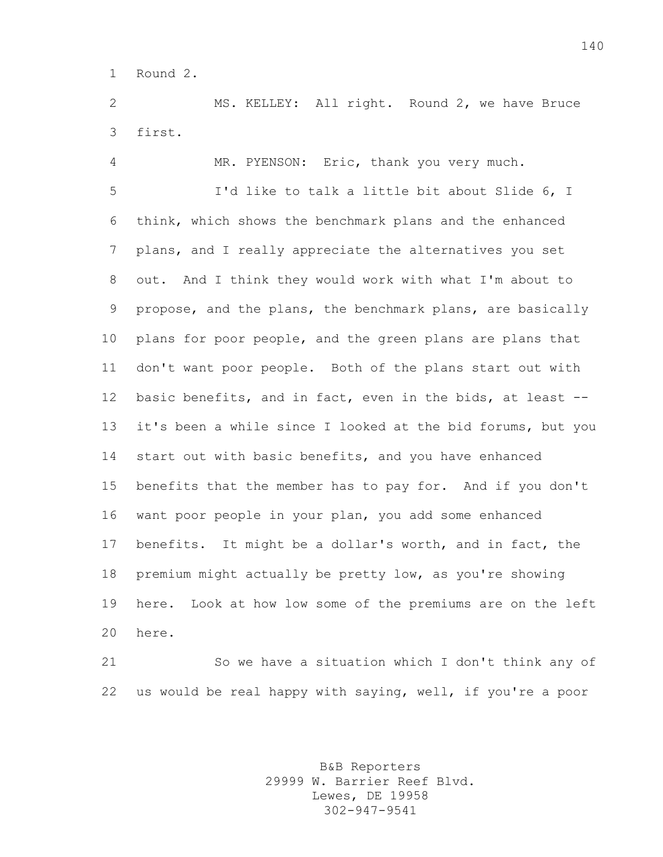Round 2.

 MS. KELLEY: All right. Round 2, we have Bruce first.

 MR. PYENSON: Eric, thank you very much. I'd like to talk a little bit about Slide 6, I think, which shows the benchmark plans and the enhanced plans, and I really appreciate the alternatives you set out. And I think they would work with what I'm about to propose, and the plans, the benchmark plans, are basically plans for poor people, and the green plans are plans that don't want poor people. Both of the plans start out with basic benefits, and in fact, even in the bids, at least -- it's been a while since I looked at the bid forums, but you start out with basic benefits, and you have enhanced benefits that the member has to pay for. And if you don't want poor people in your plan, you add some enhanced benefits. It might be a dollar's worth, and in fact, the premium might actually be pretty low, as you're showing here. Look at how low some of the premiums are on the left here.

 So we have a situation which I don't think any of us would be real happy with saying, well, if you're a poor

> B&B Reporters 29999 W. Barrier Reef Blvd. Lewes, DE 19958 302-947-9541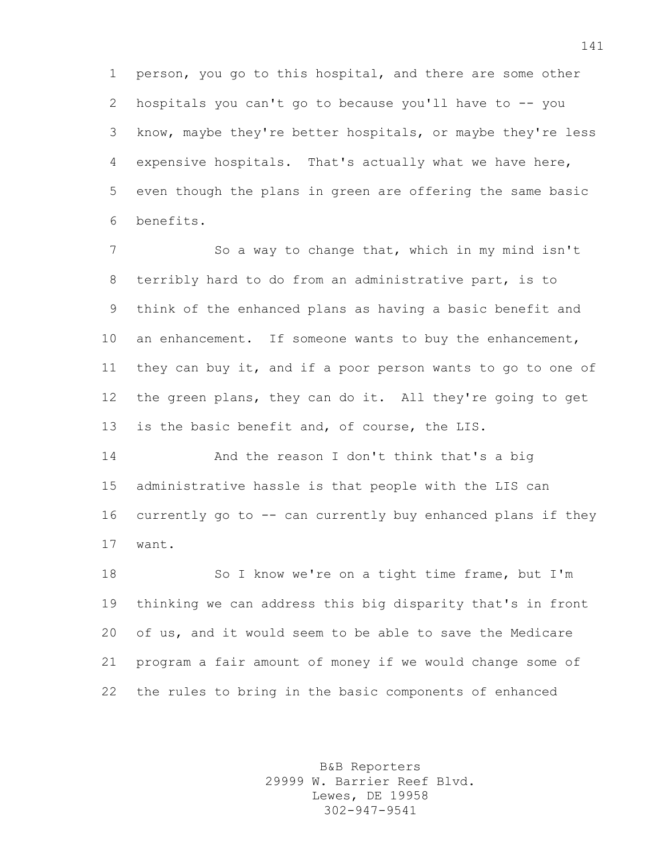person, you go to this hospital, and there are some other hospitals you can't go to because you'll have to -- you know, maybe they're better hospitals, or maybe they're less expensive hospitals. That's actually what we have here, even though the plans in green are offering the same basic benefits.

7 So a way to change that, which in my mind isn't terribly hard to do from an administrative part, is to think of the enhanced plans as having a basic benefit and 10 an enhancement. If someone wants to buy the enhancement, they can buy it, and if a poor person wants to go to one of the green plans, they can do it. All they're going to get is the basic benefit and, of course, the LIS.

 And the reason I don't think that's a big administrative hassle is that people with the LIS can currently go to -- can currently buy enhanced plans if they want.

 So I know we're on a tight time frame, but I'm thinking we can address this big disparity that's in front of us, and it would seem to be able to save the Medicare program a fair amount of money if we would change some of the rules to bring in the basic components of enhanced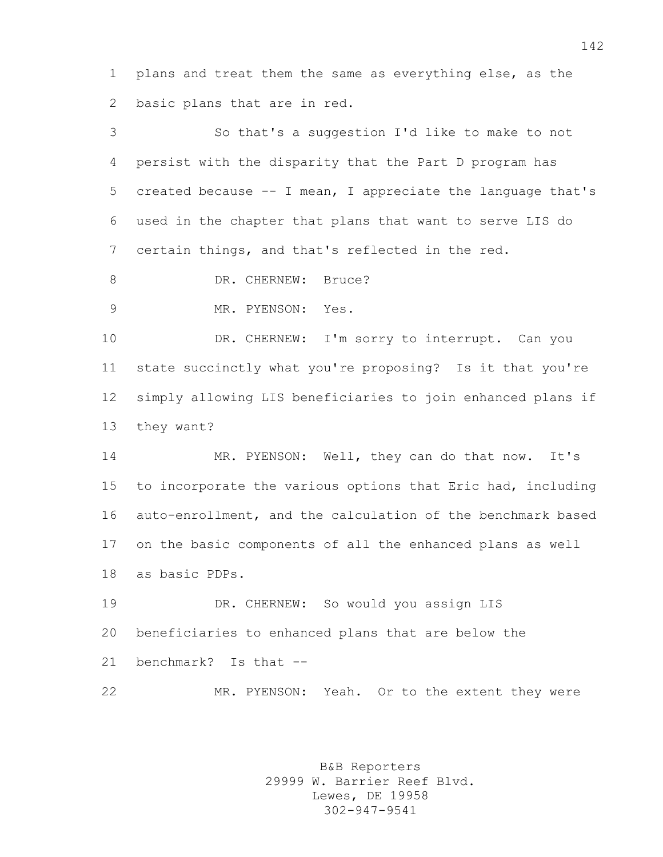plans and treat them the same as everything else, as the basic plans that are in red.

 So that's a suggestion I'd like to make to not persist with the disparity that the Part D program has created because -- I mean, I appreciate the language that's used in the chapter that plans that want to serve LIS do certain things, and that's reflected in the red.

8 DR. CHERNEW: Bruce?

MR. PYENSON: Yes.

 DR. CHERNEW: I'm sorry to interrupt. Can you state succinctly what you're proposing? Is it that you're simply allowing LIS beneficiaries to join enhanced plans if they want?

 MR. PYENSON: Well, they can do that now. It's to incorporate the various options that Eric had, including auto-enrollment, and the calculation of the benchmark based on the basic components of all the enhanced plans as well as basic PDPs.

 DR. CHERNEW: So would you assign LIS beneficiaries to enhanced plans that are below the benchmark? Is that --

MR. PYENSON: Yeah. Or to the extent they were

B&B Reporters 29999 W. Barrier Reef Blvd. Lewes, DE 19958 302-947-9541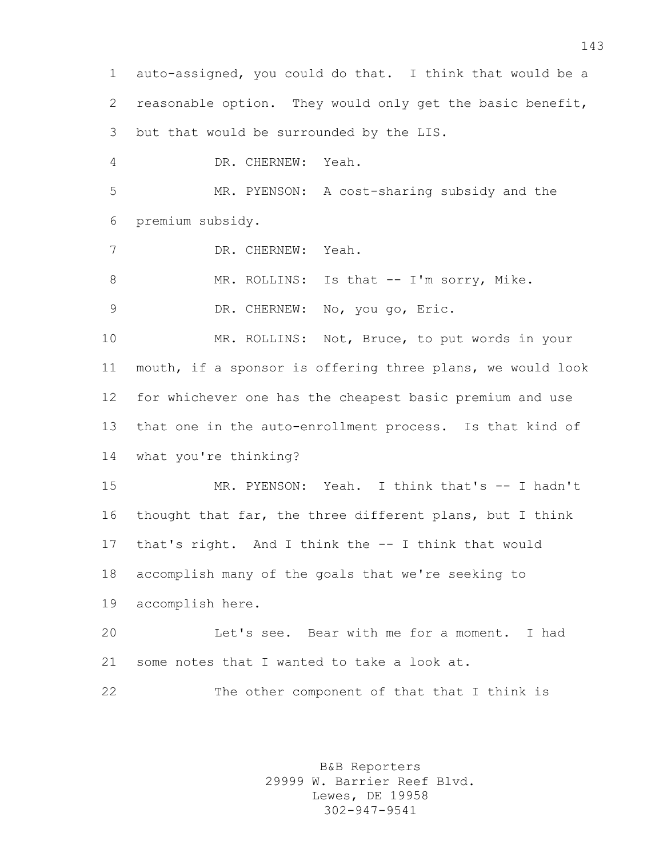auto-assigned, you could do that. I think that would be a reasonable option. They would only get the basic benefit, but that would be surrounded by the LIS. DR. CHERNEW: Yeah. MR. PYENSON: A cost-sharing subsidy and the premium subsidy. DR. CHERNEW: Yeah. 8 MR. ROLLINS: Is that -- I'm sorry, Mike. DR. CHERNEW: No, you go, Eric. MR. ROLLINS: Not, Bruce, to put words in your mouth, if a sponsor is offering three plans, we would look for whichever one has the cheapest basic premium and use that one in the auto-enrollment process. Is that kind of what you're thinking? 15 MR. PYENSON: Yeah. I think that's -- I hadn't thought that far, the three different plans, but I think that's right. And I think the -- I think that would accomplish many of the goals that we're seeking to accomplish here. Let's see. Bear with me for a moment. I had some notes that I wanted to take a look at. 22 The other component of that that I think is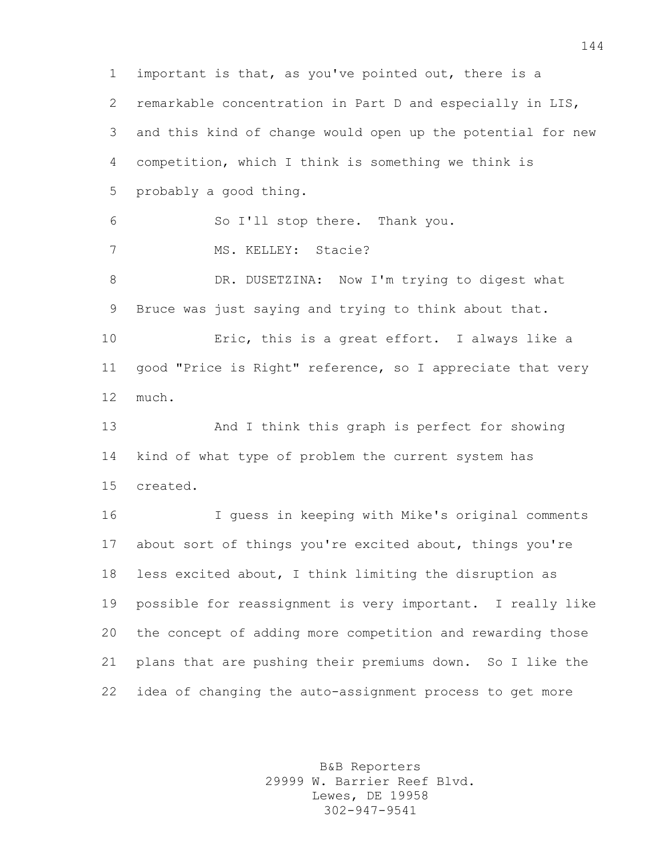important is that, as you've pointed out, there is a remarkable concentration in Part D and especially in LIS, and this kind of change would open up the potential for new competition, which I think is something we think is probably a good thing. So I'll stop there. Thank you. MS. KELLEY: Stacie? DR. DUSETZINA: Now I'm trying to digest what Bruce was just saying and trying to think about that. Eric, this is a great effort. I always like a good "Price is Right" reference, so I appreciate that very much. And I think this graph is perfect for showing kind of what type of problem the current system has created. I guess in keeping with Mike's original comments about sort of things you're excited about, things you're less excited about, I think limiting the disruption as possible for reassignment is very important. I really like the concept of adding more competition and rewarding those plans that are pushing their premiums down. So I like the idea of changing the auto-assignment process to get more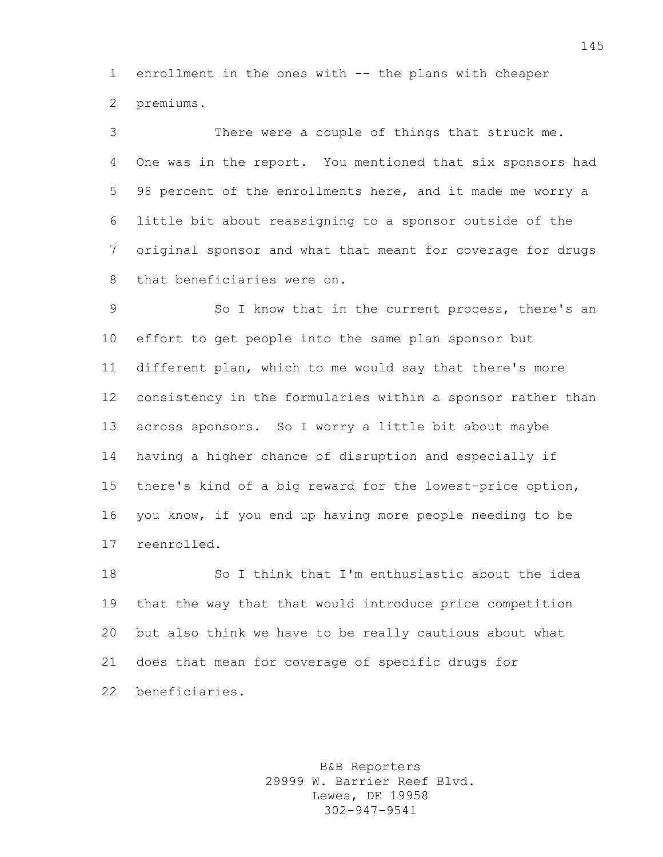enrollment in the ones with -- the plans with cheaper premiums.

 There were a couple of things that struck me. One was in the report. You mentioned that six sponsors had 98 percent of the enrollments here, and it made me worry a little bit about reassigning to a sponsor outside of the original sponsor and what that meant for coverage for drugs that beneficiaries were on.

 So I know that in the current process, there's an effort to get people into the same plan sponsor but different plan, which to me would say that there's more consistency in the formularies within a sponsor rather than across sponsors. So I worry a little bit about maybe having a higher chance of disruption and especially if there's kind of a big reward for the lowest-price option, you know, if you end up having more people needing to be reenrolled.

 So I think that I'm enthusiastic about the idea that the way that that would introduce price competition but also think we have to be really cautious about what does that mean for coverage of specific drugs for beneficiaries.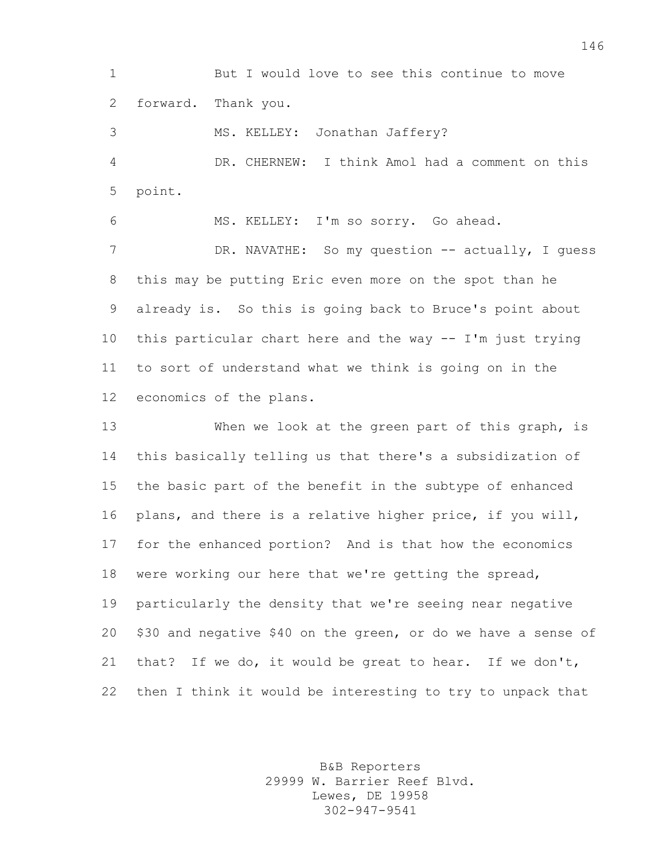But I would love to see this continue to move forward. Thank you.

 MS. KELLEY: Jonathan Jaffery? DR. CHERNEW: I think Amol had a comment on this point.

MS. KELLEY: I'm so sorry. Go ahead.

7 DR. NAVATHE: So my question -- actually, I guess this may be putting Eric even more on the spot than he already is. So this is going back to Bruce's point about this particular chart here and the way -- I'm just trying to sort of understand what we think is going on in the economics of the plans.

 When we look at the green part of this graph, is this basically telling us that there's a subsidization of the basic part of the benefit in the subtype of enhanced plans, and there is a relative higher price, if you will, for the enhanced portion? And is that how the economics were working our here that we're getting the spread, particularly the density that we're seeing near negative \$30 and negative \$40 on the green, or do we have a sense of that? If we do, it would be great to hear. If we don't, then I think it would be interesting to try to unpack that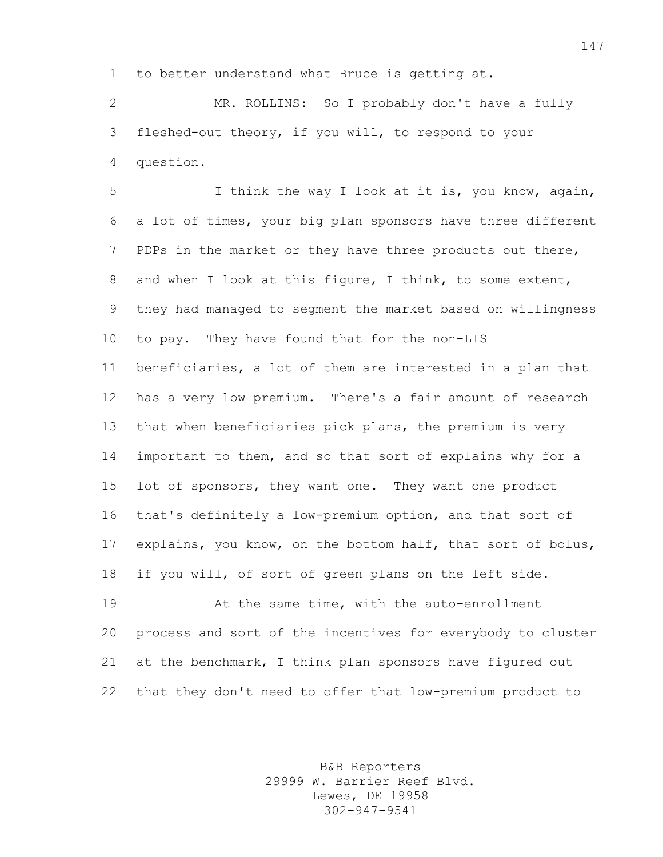to better understand what Bruce is getting at.

 MR. ROLLINS: So I probably don't have a fully fleshed-out theory, if you will, to respond to your question.

 I think the way I look at it is, you know, again, a lot of times, your big plan sponsors have three different 7 PDPs in the market or they have three products out there, and when I look at this figure, I think, to some extent, they had managed to segment the market based on willingness to pay. They have found that for the non-LIS beneficiaries, a lot of them are interested in a plan that has a very low premium. There's a fair amount of research that when beneficiaries pick plans, the premium is very important to them, and so that sort of explains why for a lot of sponsors, they want one. They want one product that's definitely a low-premium option, and that sort of explains, you know, on the bottom half, that sort of bolus, if you will, of sort of green plans on the left side.

 At the same time, with the auto-enrollment process and sort of the incentives for everybody to cluster at the benchmark, I think plan sponsors have figured out that they don't need to offer that low-premium product to

> B&B Reporters 29999 W. Barrier Reef Blvd. Lewes, DE 19958 302-947-9541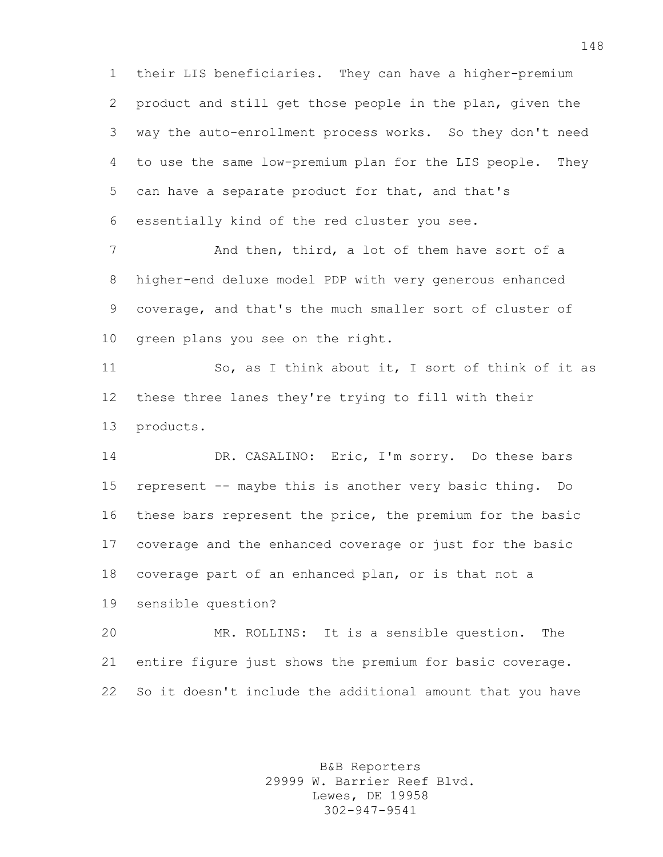their LIS beneficiaries. They can have a higher-premium product and still get those people in the plan, given the way the auto-enrollment process works. So they don't need to use the same low-premium plan for the LIS people. They can have a separate product for that, and that's essentially kind of the red cluster you see.

7 And then, third, a lot of them have sort of a higher-end deluxe model PDP with very generous enhanced coverage, and that's the much smaller sort of cluster of green plans you see on the right.

 So, as I think about it, I sort of think of it as these three lanes they're trying to fill with their products.

14 DR. CASALINO: Eric, I'm sorry. Do these bars represent -- maybe this is another very basic thing. Do these bars represent the price, the premium for the basic coverage and the enhanced coverage or just for the basic coverage part of an enhanced plan, or is that not a sensible question?

 MR. ROLLINS: It is a sensible question. The entire figure just shows the premium for basic coverage. So it doesn't include the additional amount that you have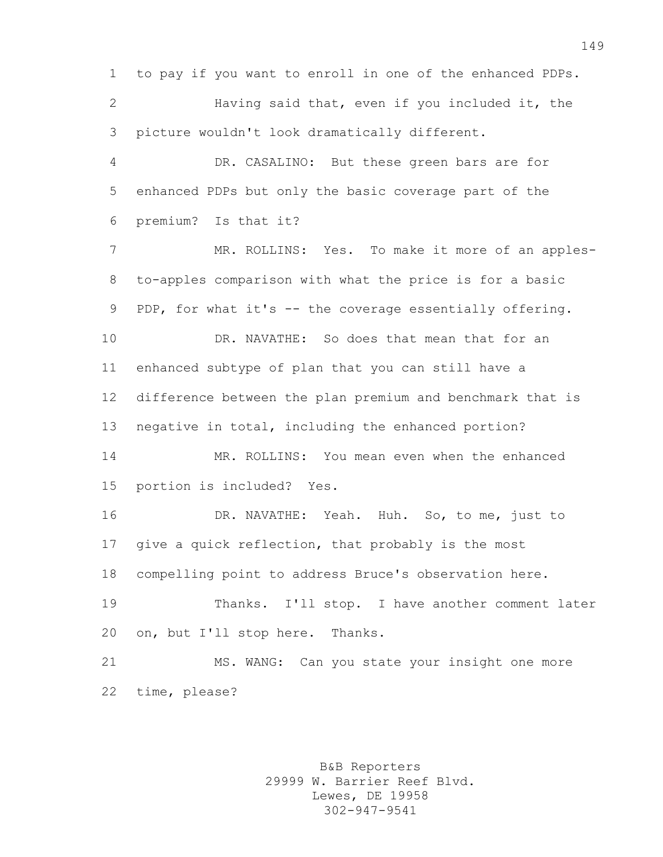to pay if you want to enroll in one of the enhanced PDPs. Having said that, even if you included it, the picture wouldn't look dramatically different. DR. CASALINO: But these green bars are for enhanced PDPs but only the basic coverage part of the premium? Is that it? 7 MR. ROLLINS: Yes. To make it more of an apples- to-apples comparison with what the price is for a basic 9 PDP, for what it's -- the coverage essentially offering. DR. NAVATHE: So does that mean that for an enhanced subtype of plan that you can still have a difference between the plan premium and benchmark that is negative in total, including the enhanced portion? MR. ROLLINS: You mean even when the enhanced portion is included? Yes. DR. NAVATHE: Yeah. Huh. So, to me, just to give a quick reflection, that probably is the most compelling point to address Bruce's observation here. Thanks. I'll stop. I have another comment later on, but I'll stop here. Thanks. MS. WANG: Can you state your insight one more time, please?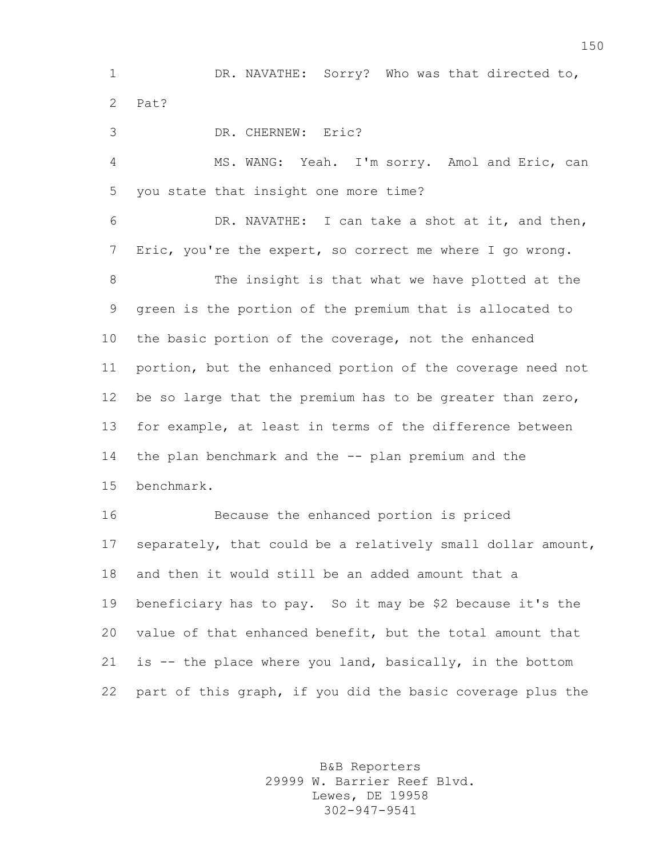DR. NAVATHE: Sorry? Who was that directed to, Pat?

 DR. CHERNEW: Eric? MS. WANG: Yeah. I'm sorry. Amol and Eric, can you state that insight one more time? DR. NAVATHE: I can take a shot at it, and then, Eric, you're the expert, so correct me where I go wrong. The insight is that what we have plotted at the green is the portion of the premium that is allocated to the basic portion of the coverage, not the enhanced portion, but the enhanced portion of the coverage need not be so large that the premium has to be greater than zero, for example, at least in terms of the difference between the plan benchmark and the -- plan premium and the benchmark. Because the enhanced portion is priced separately, that could be a relatively small dollar amount, and then it would still be an added amount that a beneficiary has to pay. So it may be \$2 because it's the

 value of that enhanced benefit, but the total amount that is -- the place where you land, basically, in the bottom part of this graph, if you did the basic coverage plus the

> B&B Reporters 29999 W. Barrier Reef Blvd. Lewes, DE 19958 302-947-9541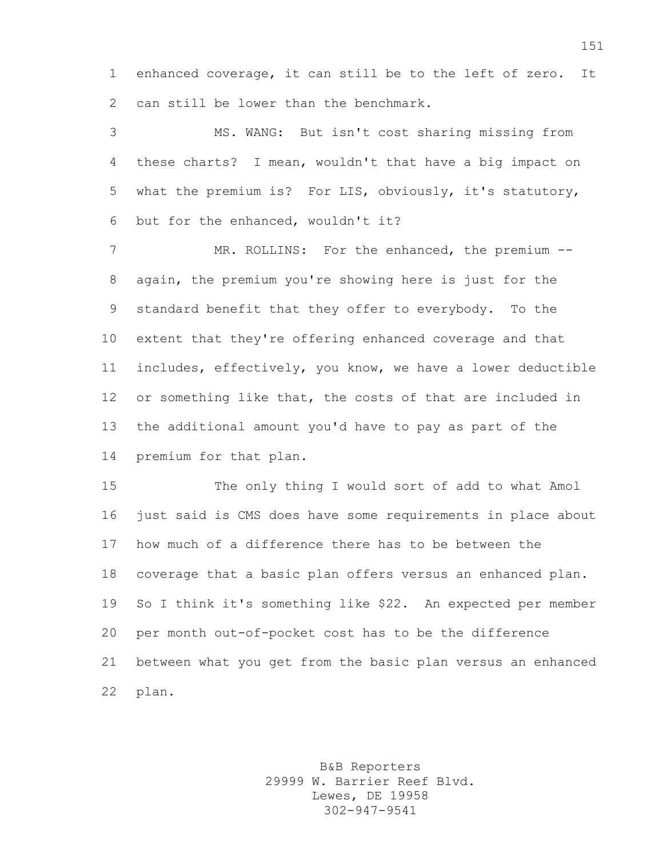enhanced coverage, it can still be to the left of zero. It can still be lower than the benchmark.

 MS. WANG: But isn't cost sharing missing from these charts? I mean, wouldn't that have a big impact on what the premium is? For LIS, obviously, it's statutory, but for the enhanced, wouldn't it?

7 MR. ROLLINS: For the enhanced, the premium -- again, the premium you're showing here is just for the standard benefit that they offer to everybody. To the extent that they're offering enhanced coverage and that includes, effectively, you know, we have a lower deductible or something like that, the costs of that are included in the additional amount you'd have to pay as part of the premium for that plan.

 The only thing I would sort of add to what Amol just said is CMS does have some requirements in place about how much of a difference there has to be between the coverage that a basic plan offers versus an enhanced plan. So I think it's something like \$22. An expected per member per month out-of-pocket cost has to be the difference between what you get from the basic plan versus an enhanced plan.

> B&B Reporters 29999 W. Barrier Reef Blvd. Lewes, DE 19958 302-947-9541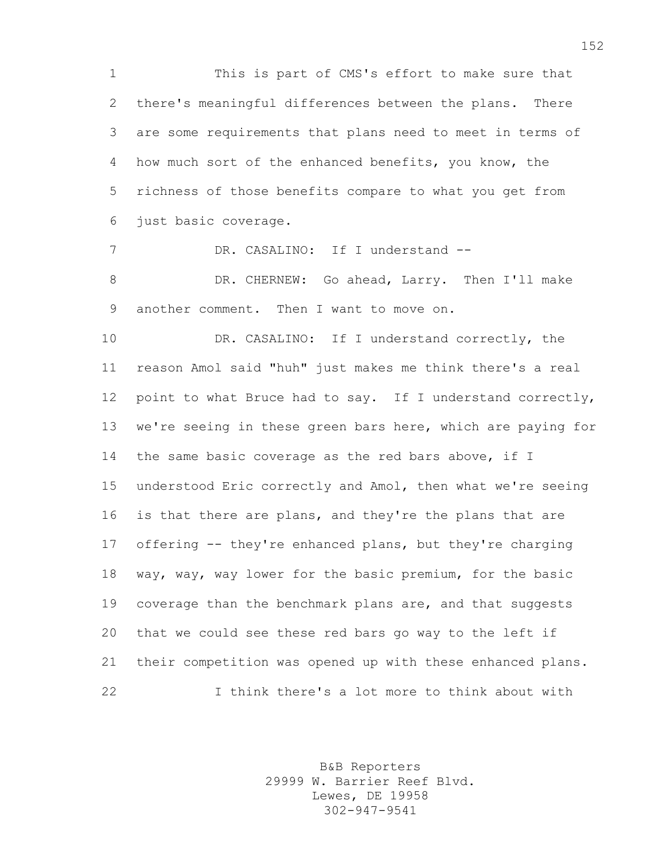This is part of CMS's effort to make sure that there's meaningful differences between the plans. There are some requirements that plans need to meet in terms of how much sort of the enhanced benefits, you know, the richness of those benefits compare to what you get from just basic coverage.

7 DR. CASALINO: If I understand -- DR. CHERNEW: Go ahead, Larry. Then I'll make another comment. Then I want to move on.

 DR. CASALINO: If I understand correctly, the reason Amol said "huh" just makes me think there's a real point to what Bruce had to say. If I understand correctly, we're seeing in these green bars here, which are paying for the same basic coverage as the red bars above, if I understood Eric correctly and Amol, then what we're seeing is that there are plans, and they're the plans that are offering -- they're enhanced plans, but they're charging way, way, way lower for the basic premium, for the basic coverage than the benchmark plans are, and that suggests that we could see these red bars go way to the left if their competition was opened up with these enhanced plans. I think there's a lot more to think about with

> B&B Reporters 29999 W. Barrier Reef Blvd. Lewes, DE 19958 302-947-9541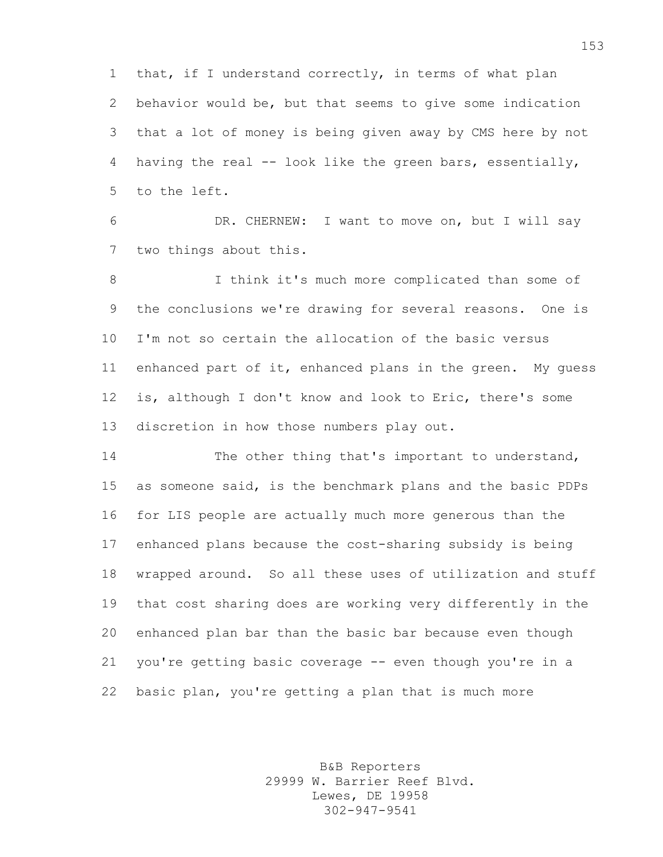that, if I understand correctly, in terms of what plan behavior would be, but that seems to give some indication that a lot of money is being given away by CMS here by not 4 having the real  $-$  look like the green bars, essentially, to the left.

 DR. CHERNEW: I want to move on, but I will say two things about this.

 I think it's much more complicated than some of the conclusions we're drawing for several reasons. One is I'm not so certain the allocation of the basic versus enhanced part of it, enhanced plans in the green. My guess is, although I don't know and look to Eric, there's some discretion in how those numbers play out.

 The other thing that's important to understand, as someone said, is the benchmark plans and the basic PDPs for LIS people are actually much more generous than the enhanced plans because the cost-sharing subsidy is being wrapped around. So all these uses of utilization and stuff that cost sharing does are working very differently in the enhanced plan bar than the basic bar because even though you're getting basic coverage -- even though you're in a basic plan, you're getting a plan that is much more

> B&B Reporters 29999 W. Barrier Reef Blvd. Lewes, DE 19958 302-947-9541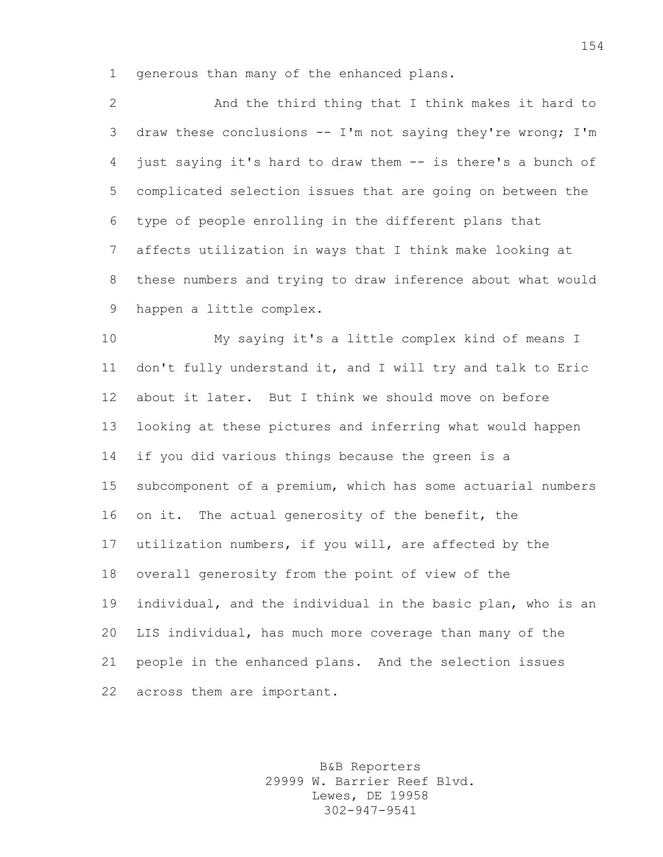generous than many of the enhanced plans.

 And the third thing that I think makes it hard to draw these conclusions -- I'm not saying they're wrong; I'm just saying it's hard to draw them -- is there's a bunch of complicated selection issues that are going on between the type of people enrolling in the different plans that affects utilization in ways that I think make looking at these numbers and trying to draw inference about what would happen a little complex.

 My saying it's a little complex kind of means I don't fully understand it, and I will try and talk to Eric about it later. But I think we should move on before looking at these pictures and inferring what would happen if you did various things because the green is a subcomponent of a premium, which has some actuarial numbers on it. The actual generosity of the benefit, the utilization numbers, if you will, are affected by the overall generosity from the point of view of the individual, and the individual in the basic plan, who is an LIS individual, has much more coverage than many of the people in the enhanced plans. And the selection issues across them are important.

> B&B Reporters 29999 W. Barrier Reef Blvd. Lewes, DE 19958 302-947-9541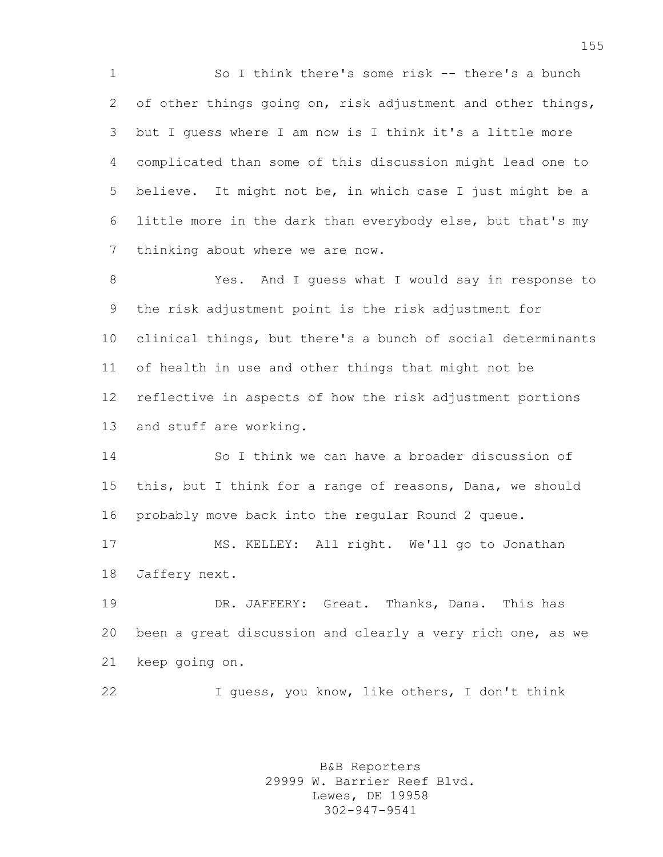So I think there's some risk -- there's a bunch of other things going on, risk adjustment and other things, but I guess where I am now is I think it's a little more complicated than some of this discussion might lead one to believe. It might not be, in which case I just might be a little more in the dark than everybody else, but that's my thinking about where we are now.

 Yes. And I guess what I would say in response to the risk adjustment point is the risk adjustment for clinical things, but there's a bunch of social determinants of health in use and other things that might not be reflective in aspects of how the risk adjustment portions and stuff are working.

 So I think we can have a broader discussion of this, but I think for a range of reasons, Dana, we should probably move back into the regular Round 2 queue.

 MS. KELLEY: All right. We'll go to Jonathan Jaffery next.

 DR. JAFFERY: Great. Thanks, Dana. This has been a great discussion and clearly a very rich one, as we keep going on.

I guess, you know, like others, I don't think

B&B Reporters 29999 W. Barrier Reef Blvd. Lewes, DE 19958 302-947-9541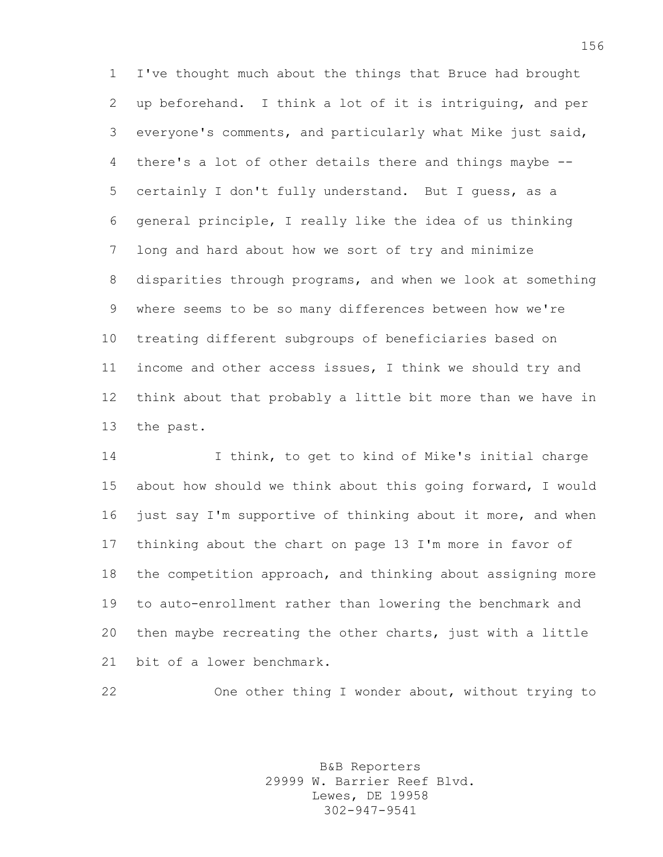I've thought much about the things that Bruce had brought up beforehand. I think a lot of it is intriguing, and per everyone's comments, and particularly what Mike just said, there's a lot of other details there and things maybe -- certainly I don't fully understand. But I guess, as a general principle, I really like the idea of us thinking long and hard about how we sort of try and minimize disparities through programs, and when we look at something where seems to be so many differences between how we're treating different subgroups of beneficiaries based on income and other access issues, I think we should try and think about that probably a little bit more than we have in the past.

 I think, to get to kind of Mike's initial charge about how should we think about this going forward, I would just say I'm supportive of thinking about it more, and when thinking about the chart on page 13 I'm more in favor of the competition approach, and thinking about assigning more to auto-enrollment rather than lowering the benchmark and then maybe recreating the other charts, just with a little bit of a lower benchmark.

One other thing I wonder about, without trying to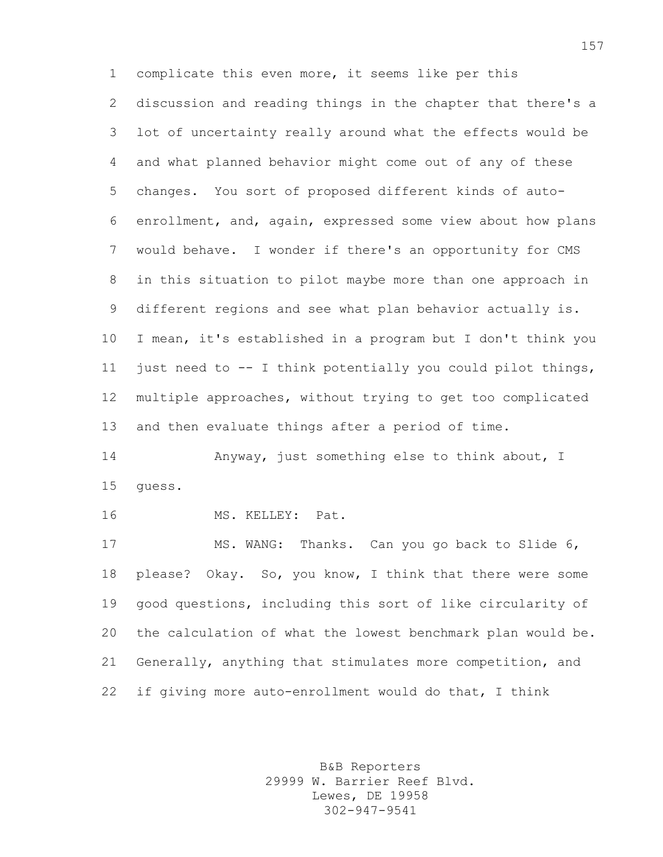complicate this even more, it seems like per this discussion and reading things in the chapter that there's a lot of uncertainty really around what the effects would be and what planned behavior might come out of any of these changes. You sort of proposed different kinds of auto- enrollment, and, again, expressed some view about how plans would behave. I wonder if there's an opportunity for CMS in this situation to pilot maybe more than one approach in different regions and see what plan behavior actually is. I mean, it's established in a program but I don't think you just need to -- I think potentially you could pilot things, multiple approaches, without trying to get too complicated and then evaluate things after a period of time. Anyway, just something else to think about, I guess. MS. KELLEY: Pat. MS. WANG: Thanks. Can you go back to Slide 6, please? Okay. So, you know, I think that there were some good questions, including this sort of like circularity of the calculation of what the lowest benchmark plan would be. Generally, anything that stimulates more competition, and if giving more auto-enrollment would do that, I think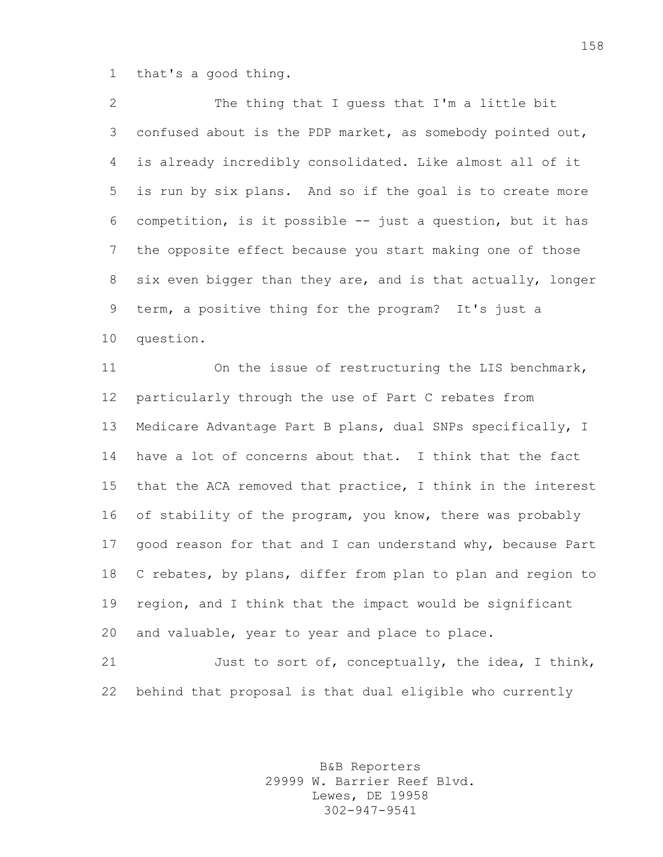that's a good thing.

| 2              | The thing that I quess that I'm a little bit                 |
|----------------|--------------------------------------------------------------|
| 3 <sup>7</sup> | confused about is the PDP market, as somebody pointed out,   |
|                | 4 is already incredibly consolidated. Like almost all of it  |
| 5              | is run by six plans. And so if the goal is to create more    |
|                | 6 competition, is it possible -- just a question, but it has |
|                | 7 the opposite effect because you start making one of those  |
| 8              | six even bigger than they are, and is that actually, longer  |
| 9              | term, a positive thing for the program? It's just a          |
| 10             | question.                                                    |

 On the issue of restructuring the LIS benchmark, particularly through the use of Part C rebates from Medicare Advantage Part B plans, dual SNPs specifically, I have a lot of concerns about that. I think that the fact that the ACA removed that practice, I think in the interest 16 of stability of the program, you know, there was probably good reason for that and I can understand why, because Part C rebates, by plans, differ from plan to plan and region to region, and I think that the impact would be significant and valuable, year to year and place to place.

 Just to sort of, conceptually, the idea, I think, behind that proposal is that dual eligible who currently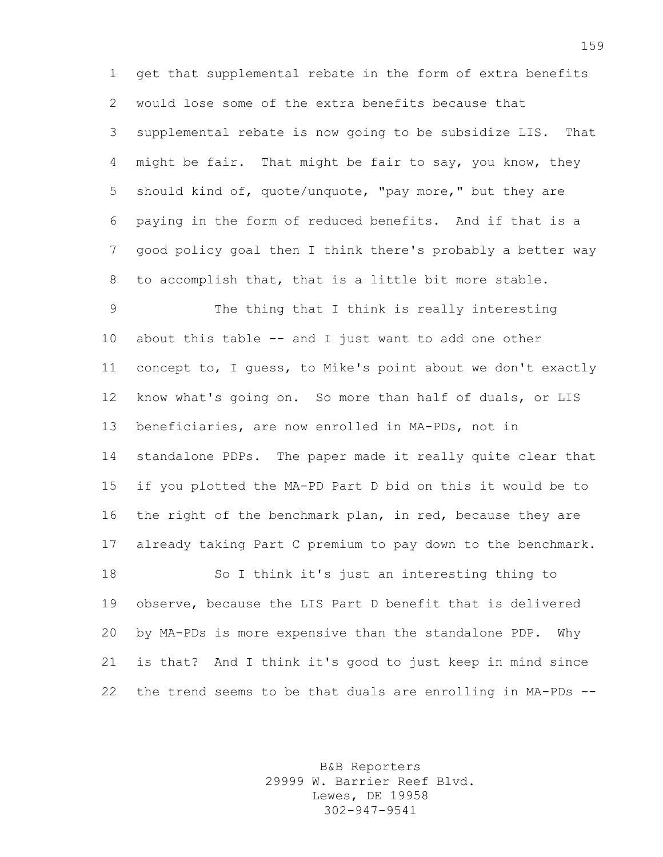get that supplemental rebate in the form of extra benefits would lose some of the extra benefits because that supplemental rebate is now going to be subsidize LIS. That might be fair. That might be fair to say, you know, they should kind of, quote/unquote, "pay more," but they are paying in the form of reduced benefits. And if that is a good policy goal then I think there's probably a better way to accomplish that, that is a little bit more stable.

 The thing that I think is really interesting about this table -- and I just want to add one other concept to, I guess, to Mike's point about we don't exactly know what's going on. So more than half of duals, or LIS beneficiaries, are now enrolled in MA-PDs, not in standalone PDPs. The paper made it really quite clear that if you plotted the MA-PD Part D bid on this it would be to the right of the benchmark plan, in red, because they are already taking Part C premium to pay down to the benchmark. So I think it's just an interesting thing to observe, because the LIS Part D benefit that is delivered by MA-PDs is more expensive than the standalone PDP. Why

 is that? And I think it's good to just keep in mind since the trend seems to be that duals are enrolling in MA-PDs --

> B&B Reporters 29999 W. Barrier Reef Blvd. Lewes, DE 19958 302-947-9541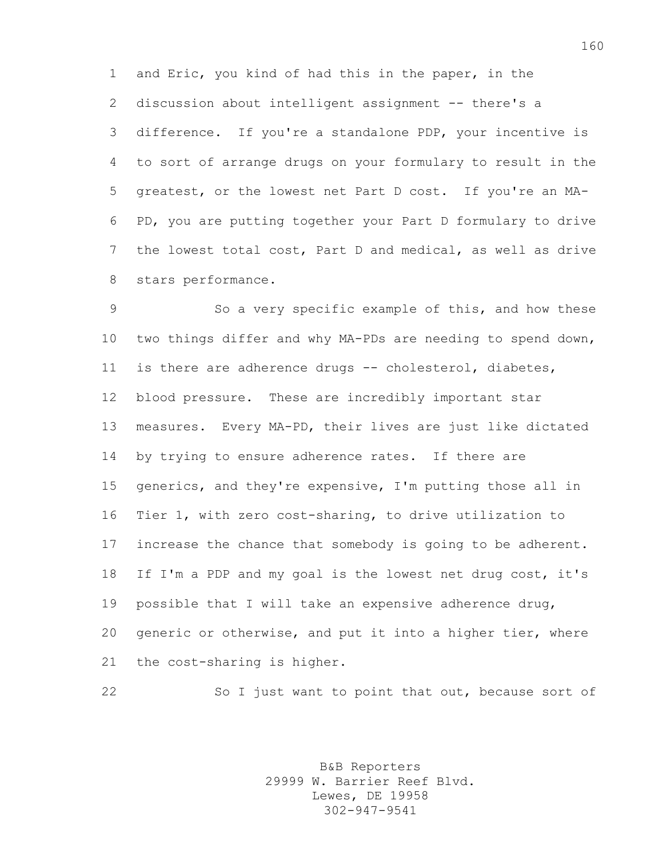and Eric, you kind of had this in the paper, in the 2 discussion about intelligent assignment -- there's a difference. If you're a standalone PDP, your incentive is to sort of arrange drugs on your formulary to result in the greatest, or the lowest net Part D cost. If you're an MA- PD, you are putting together your Part D formulary to drive the lowest total cost, Part D and medical, as well as drive stars performance.

 So a very specific example of this, and how these two things differ and why MA-PDs are needing to spend down, 11 is there are adherence drugs -- cholesterol, diabetes, blood pressure. These are incredibly important star measures. Every MA-PD, their lives are just like dictated by trying to ensure adherence rates. If there are generics, and they're expensive, I'm putting those all in Tier 1, with zero cost-sharing, to drive utilization to increase the chance that somebody is going to be adherent. If I'm a PDP and my goal is the lowest net drug cost, it's possible that I will take an expensive adherence drug, generic or otherwise, and put it into a higher tier, where the cost-sharing is higher.

22 So I just want to point that out, because sort of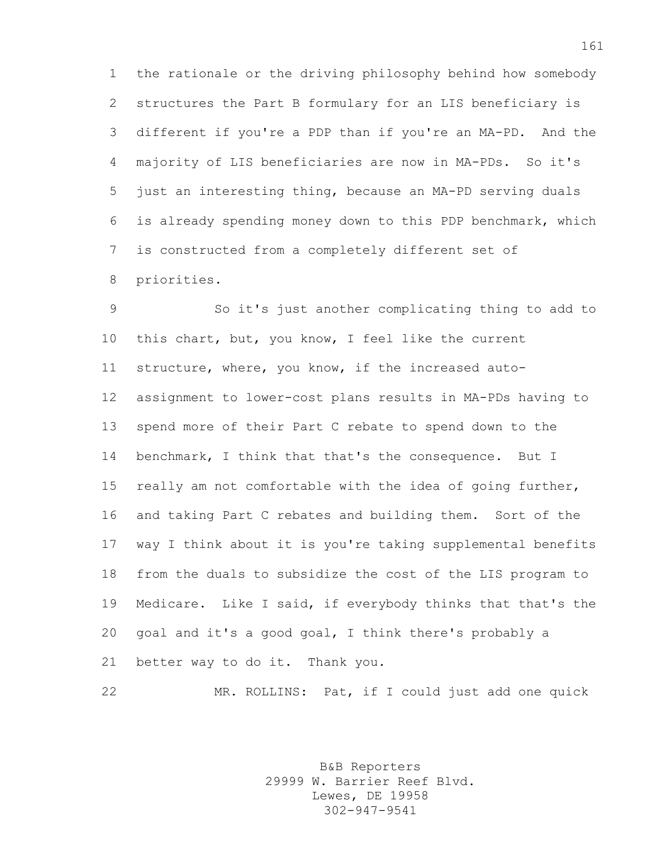the rationale or the driving philosophy behind how somebody structures the Part B formulary for an LIS beneficiary is different if you're a PDP than if you're an MA-PD. And the majority of LIS beneficiaries are now in MA-PDs. So it's just an interesting thing, because an MA-PD serving duals is already spending money down to this PDP benchmark, which is constructed from a completely different set of priorities.

 So it's just another complicating thing to add to this chart, but, you know, I feel like the current structure, where, you know, if the increased auto- assignment to lower-cost plans results in MA-PDs having to spend more of their Part C rebate to spend down to the 14 benchmark, I think that that's the consequence. But I really am not comfortable with the idea of going further, and taking Part C rebates and building them. Sort of the way I think about it is you're taking supplemental benefits from the duals to subsidize the cost of the LIS program to Medicare. Like I said, if everybody thinks that that's the goal and it's a good goal, I think there's probably a better way to do it. Thank you.

MR. ROLLINS: Pat, if I could just add one quick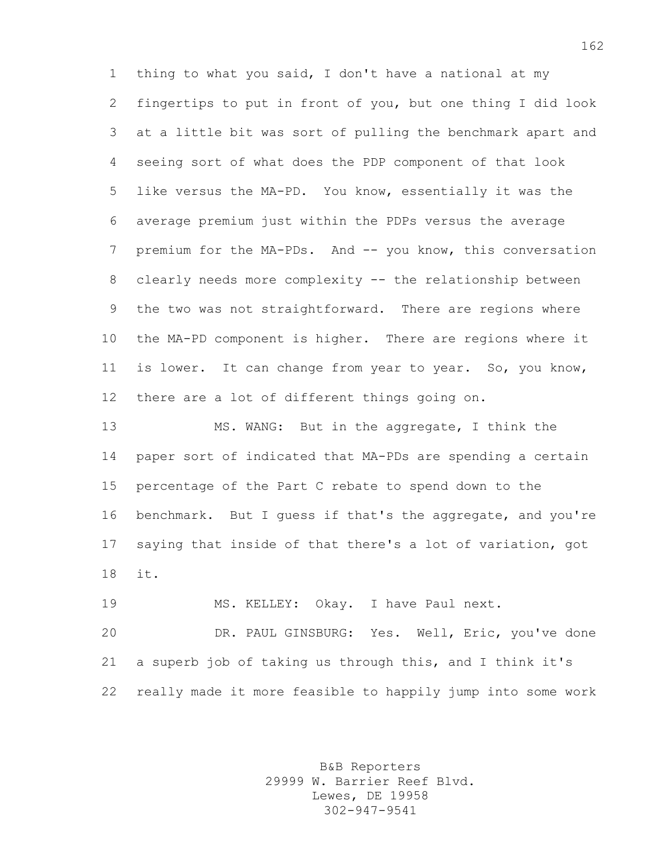thing to what you said, I don't have a national at my fingertips to put in front of you, but one thing I did look at a little bit was sort of pulling the benchmark apart and seeing sort of what does the PDP component of that look like versus the MA-PD. You know, essentially it was the average premium just within the PDPs versus the average 7 premium for the MA-PDs. And -- you know, this conversation clearly needs more complexity -- the relationship between the two was not straightforward. There are regions where the MA-PD component is higher. There are regions where it is lower. It can change from year to year. So, you know, there are a lot of different things going on.

 MS. WANG: But in the aggregate, I think the paper sort of indicated that MA-PDs are spending a certain percentage of the Part C rebate to spend down to the benchmark. But I guess if that's the aggregate, and you're saying that inside of that there's a lot of variation, got it.

MS. KELLEY: Okay. I have Paul next.

 DR. PAUL GINSBURG: Yes. Well, Eric, you've done a superb job of taking us through this, and I think it's really made it more feasible to happily jump into some work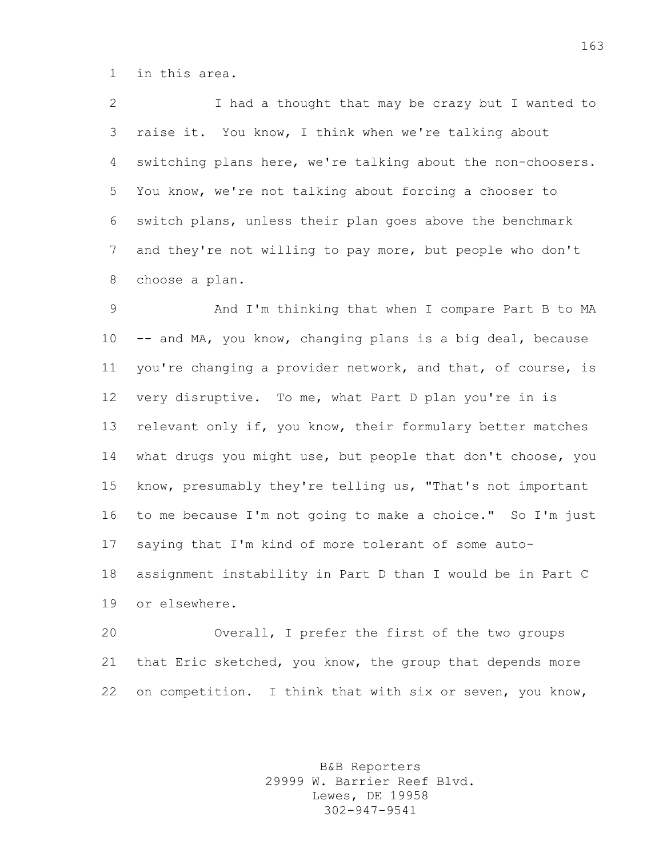in this area.

 I had a thought that may be crazy but I wanted to raise it. You know, I think when we're talking about switching plans here, we're talking about the non-choosers. You know, we're not talking about forcing a chooser to switch plans, unless their plan goes above the benchmark and they're not willing to pay more, but people who don't choose a plan.

 And I'm thinking that when I compare Part B to MA -- and MA, you know, changing plans is a big deal, because you're changing a provider network, and that, of course, is very disruptive. To me, what Part D plan you're in is relevant only if, you know, their formulary better matches what drugs you might use, but people that don't choose, you know, presumably they're telling us, "That's not important to me because I'm not going to make a choice." So I'm just saying that I'm kind of more tolerant of some auto- assignment instability in Part D than I would be in Part C or elsewhere.

 Overall, I prefer the first of the two groups that Eric sketched, you know, the group that depends more 22 on competition. I think that with six or seven, you know,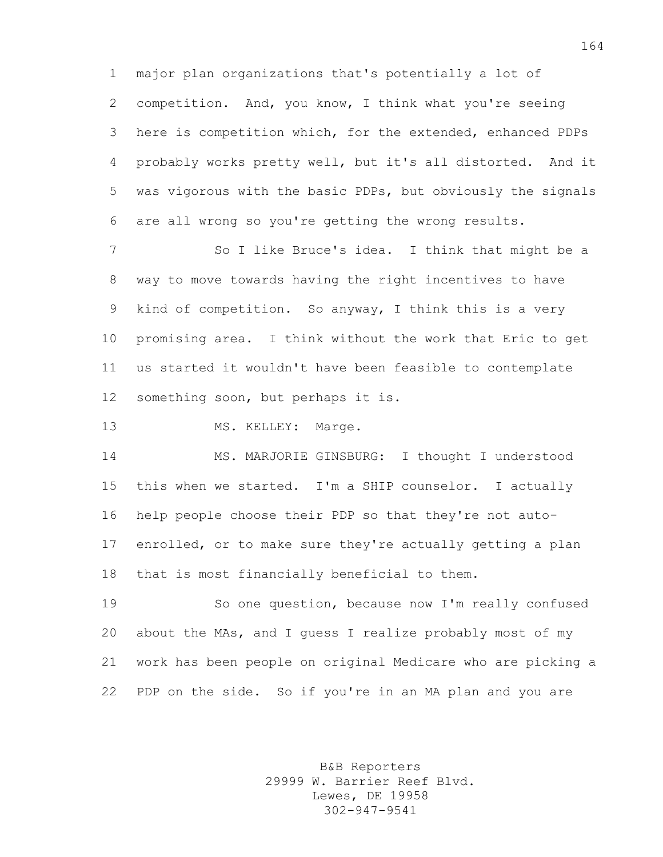major plan organizations that's potentially a lot of competition. And, you know, I think what you're seeing here is competition which, for the extended, enhanced PDPs probably works pretty well, but it's all distorted. And it was vigorous with the basic PDPs, but obviously the signals are all wrong so you're getting the wrong results.

 So I like Bruce's idea. I think that might be a way to move towards having the right incentives to have kind of competition. So anyway, I think this is a very promising area. I think without the work that Eric to get us started it wouldn't have been feasible to contemplate something soon, but perhaps it is.

13 MS. KELLEY: Marge.

 MS. MARJORIE GINSBURG: I thought I understood this when we started. I'm a SHIP counselor. I actually help people choose their PDP so that they're not auto- enrolled, or to make sure they're actually getting a plan that is most financially beneficial to them.

 So one question, because now I'm really confused about the MAs, and I guess I realize probably most of my work has been people on original Medicare who are picking a PDP on the side. So if you're in an MA plan and you are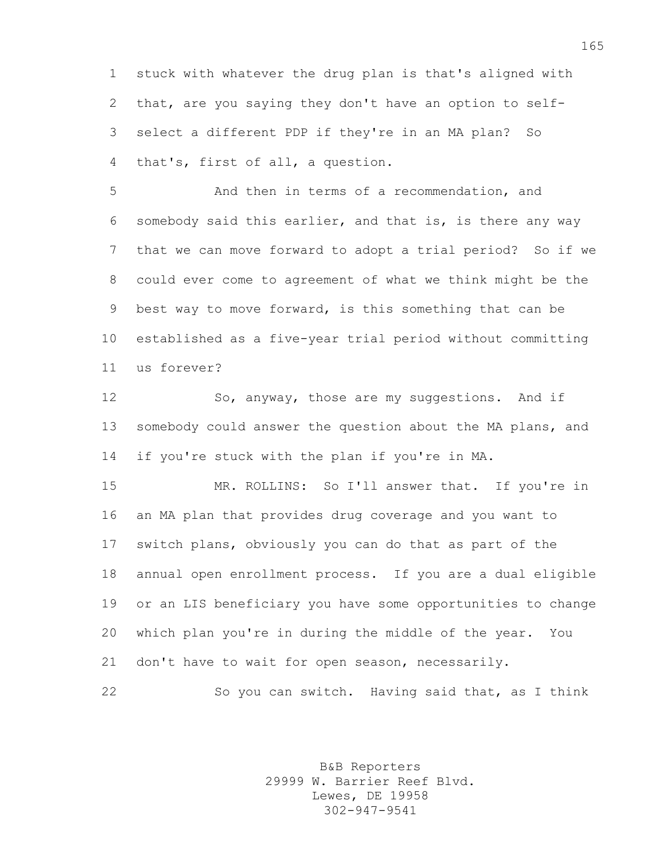stuck with whatever the drug plan is that's aligned with that, are you saying they don't have an option to self- select a different PDP if they're in an MA plan? So that's, first of all, a question.

 And then in terms of a recommendation, and somebody said this earlier, and that is, is there any way that we can move forward to adopt a trial period? So if we could ever come to agreement of what we think might be the best way to move forward, is this something that can be established as a five-year trial period without committing us forever?

12 So, anyway, those are my suggestions. And if 13 somebody could answer the question about the MA plans, and if you're stuck with the plan if you're in MA.

 MR. ROLLINS: So I'll answer that. If you're in an MA plan that provides drug coverage and you want to switch plans, obviously you can do that as part of the annual open enrollment process. If you are a dual eligible or an LIS beneficiary you have some opportunities to change which plan you're in during the middle of the year. You don't have to wait for open season, necessarily.

So you can switch. Having said that, as I think

B&B Reporters 29999 W. Barrier Reef Blvd. Lewes, DE 19958 302-947-9541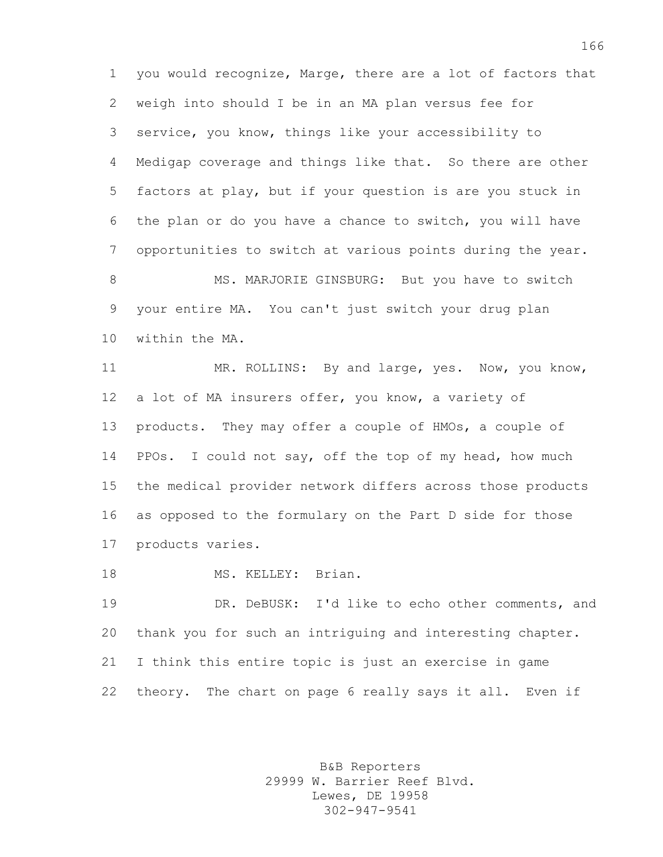you would recognize, Marge, there are a lot of factors that weigh into should I be in an MA plan versus fee for service, you know, things like your accessibility to Medigap coverage and things like that. So there are other factors at play, but if your question is are you stuck in the plan or do you have a chance to switch, you will have opportunities to switch at various points during the year.

8 MS. MARJORIE GINSBURG: But you have to switch your entire MA. You can't just switch your drug plan within the MA.

 MR. ROLLINS: By and large, yes. Now, you know, a lot of MA insurers offer, you know, a variety of products. They may offer a couple of HMOs, a couple of PPOs. I could not say, off the top of my head, how much the medical provider network differs across those products as opposed to the formulary on the Part D side for those products varies.

18 MS. KELLEY: Brian.

 DR. DeBUSK: I'd like to echo other comments, and thank you for such an intriguing and interesting chapter. I think this entire topic is just an exercise in game theory. The chart on page 6 really says it all. Even if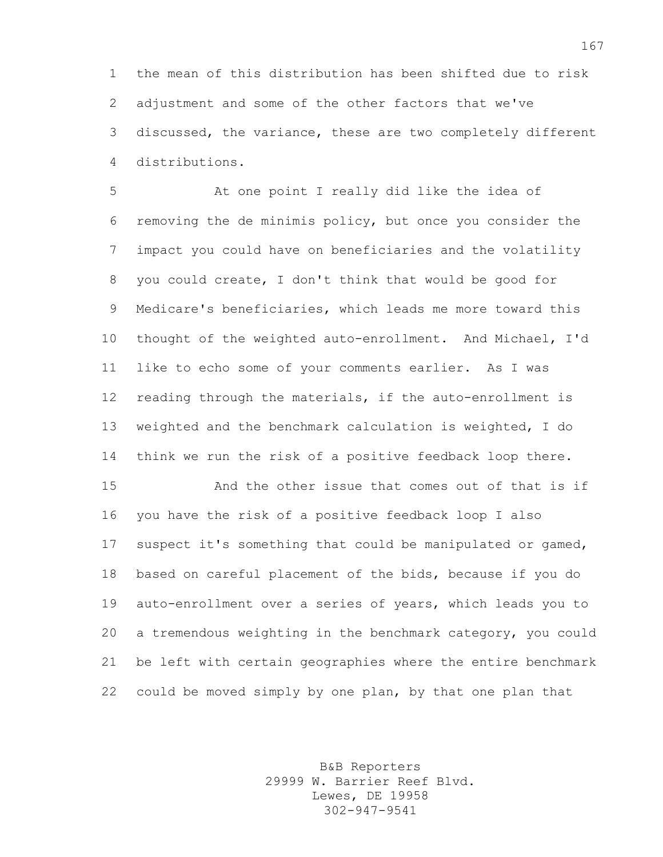the mean of this distribution has been shifted due to risk adjustment and some of the other factors that we've discussed, the variance, these are two completely different distributions.

 At one point I really did like the idea of removing the de minimis policy, but once you consider the impact you could have on beneficiaries and the volatility you could create, I don't think that would be good for Medicare's beneficiaries, which leads me more toward this thought of the weighted auto-enrollment. And Michael, I'd like to echo some of your comments earlier. As I was reading through the materials, if the auto-enrollment is weighted and the benchmark calculation is weighted, I do think we run the risk of a positive feedback loop there.

 And the other issue that comes out of that is if you have the risk of a positive feedback loop I also suspect it's something that could be manipulated or gamed, based on careful placement of the bids, because if you do auto-enrollment over a series of years, which leads you to a tremendous weighting in the benchmark category, you could be left with certain geographies where the entire benchmark could be moved simply by one plan, by that one plan that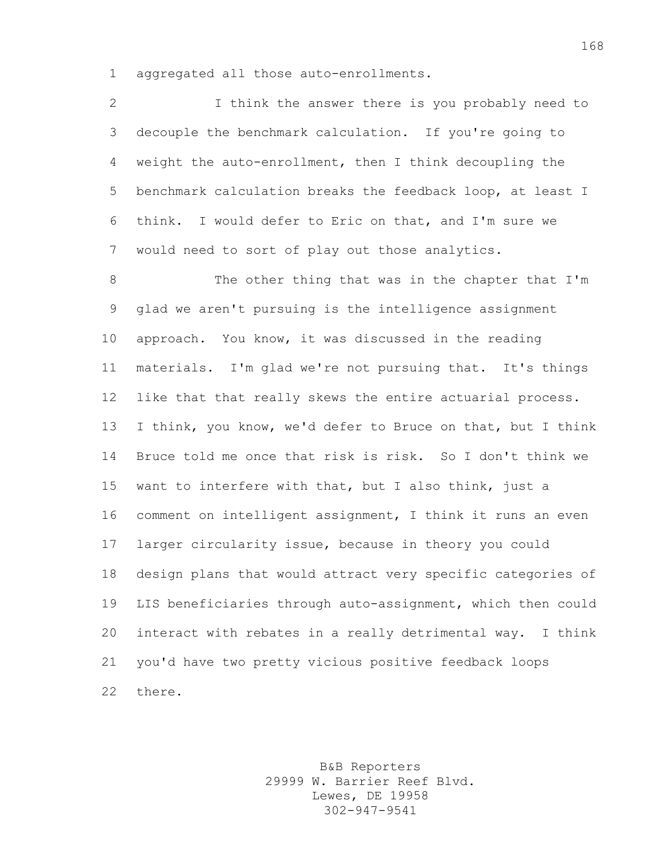aggregated all those auto-enrollments.

 I think the answer there is you probably need to decouple the benchmark calculation. If you're going to weight the auto-enrollment, then I think decoupling the benchmark calculation breaks the feedback loop, at least I think. I would defer to Eric on that, and I'm sure we would need to sort of play out those analytics.

 The other thing that was in the chapter that I'm glad we aren't pursuing is the intelligence assignment approach. You know, it was discussed in the reading materials. I'm glad we're not pursuing that. It's things like that that really skews the entire actuarial process. I think, you know, we'd defer to Bruce on that, but I think Bruce told me once that risk is risk. So I don't think we want to interfere with that, but I also think, just a comment on intelligent assignment, I think it runs an even larger circularity issue, because in theory you could design plans that would attract very specific categories of LIS beneficiaries through auto-assignment, which then could interact with rebates in a really detrimental way. I think you'd have two pretty vicious positive feedback loops there.

> B&B Reporters 29999 W. Barrier Reef Blvd. Lewes, DE 19958 302-947-9541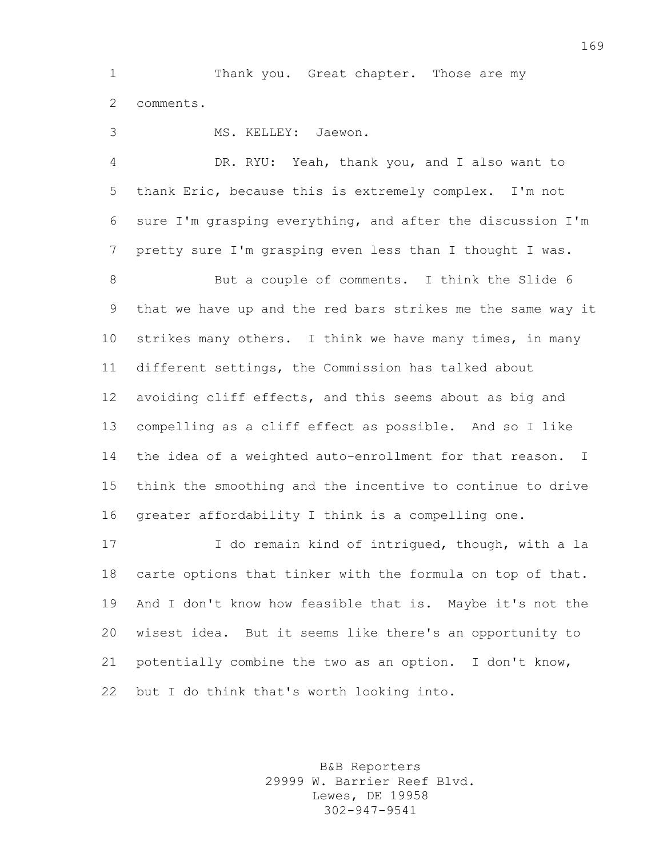1 Thank you. Great chapter. Those are my comments.

MS. KELLEY: Jaewon.

 DR. RYU: Yeah, thank you, and I also want to thank Eric, because this is extremely complex. I'm not sure I'm grasping everything, and after the discussion I'm pretty sure I'm grasping even less than I thought I was.

 But a couple of comments. I think the Slide 6 that we have up and the red bars strikes me the same way it strikes many others. I think we have many times, in many different settings, the Commission has talked about avoiding cliff effects, and this seems about as big and compelling as a cliff effect as possible. And so I like the idea of a weighted auto-enrollment for that reason. I think the smoothing and the incentive to continue to drive greater affordability I think is a compelling one.

 I do remain kind of intrigued, though, with a la carte options that tinker with the formula on top of that. And I don't know how feasible that is. Maybe it's not the wisest idea. But it seems like there's an opportunity to potentially combine the two as an option. I don't know, but I do think that's worth looking into.

> B&B Reporters 29999 W. Barrier Reef Blvd. Lewes, DE 19958 302-947-9541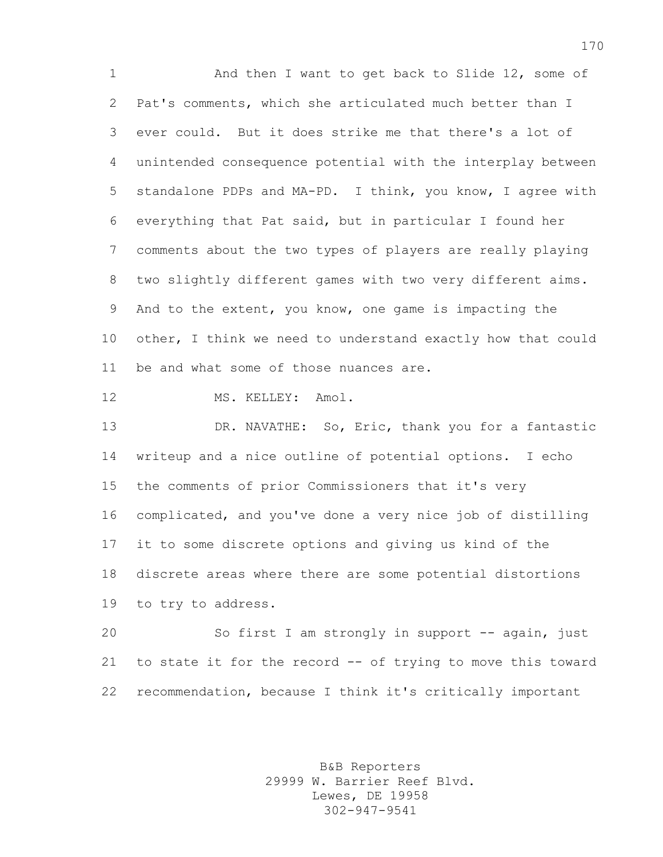1 And then I want to get back to Slide 12, some of Pat's comments, which she articulated much better than I ever could. But it does strike me that there's a lot of unintended consequence potential with the interplay between standalone PDPs and MA-PD. I think, you know, I agree with everything that Pat said, but in particular I found her comments about the two types of players are really playing two slightly different games with two very different aims. And to the extent, you know, one game is impacting the other, I think we need to understand exactly how that could be and what some of those nuances are. 12 MS. KELLEY: Amol. DR. NAVATHE: So, Eric, thank you for a fantastic writeup and a nice outline of potential options. I echo

 the comments of prior Commissioners that it's very complicated, and you've done a very nice job of distilling it to some discrete options and giving us kind of the discrete areas where there are some potential distortions to try to address.

 So first I am strongly in support -- again, just to state it for the record -- of trying to move this toward recommendation, because I think it's critically important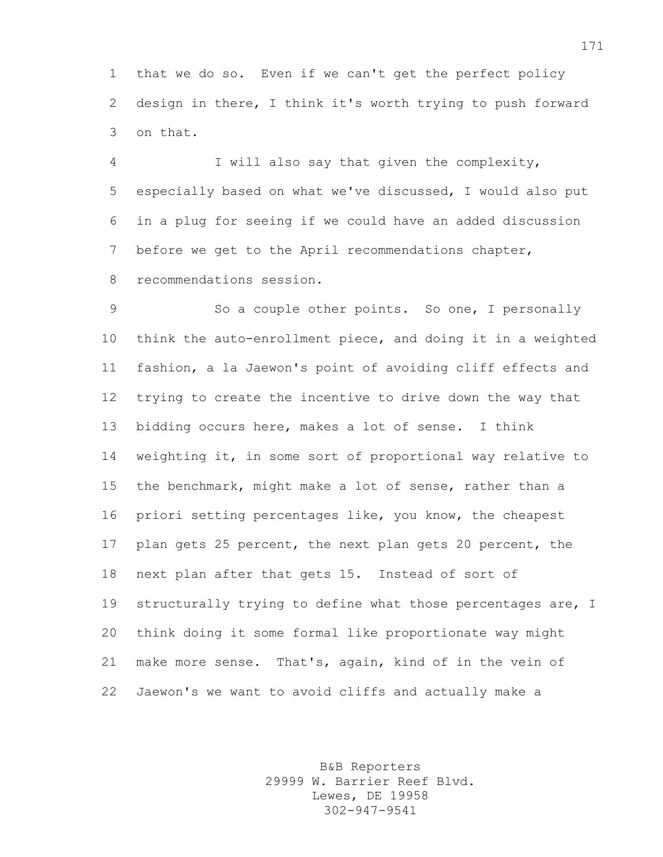that we do so. Even if we can't get the perfect policy design in there, I think it's worth trying to push forward on that.

 I will also say that given the complexity, especially based on what we've discussed, I would also put in a plug for seeing if we could have an added discussion before we get to the April recommendations chapter, recommendations session.

9 So a couple other points. So one, I personally think the auto-enrollment piece, and doing it in a weighted fashion, a la Jaewon's point of avoiding cliff effects and trying to create the incentive to drive down the way that bidding occurs here, makes a lot of sense. I think weighting it, in some sort of proportional way relative to the benchmark, might make a lot of sense, rather than a priori setting percentages like, you know, the cheapest plan gets 25 percent, the next plan gets 20 percent, the next plan after that gets 15. Instead of sort of structurally trying to define what those percentages are, I think doing it some formal like proportionate way might make more sense. That's, again, kind of in the vein of Jaewon's we want to avoid cliffs and actually make a

> B&B Reporters 29999 W. Barrier Reef Blvd. Lewes, DE 19958 302-947-9541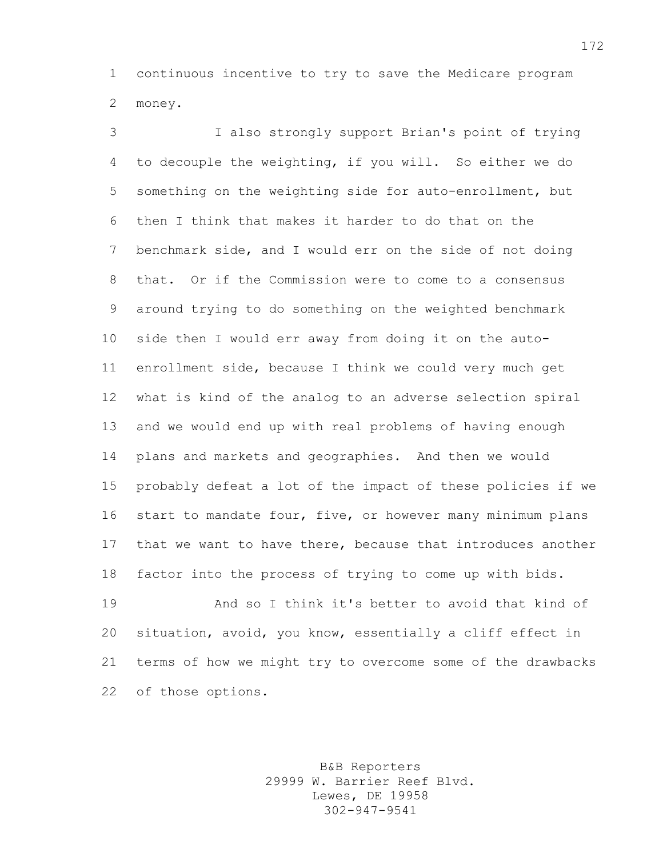continuous incentive to try to save the Medicare program money.

 I also strongly support Brian's point of trying to decouple the weighting, if you will. So either we do something on the weighting side for auto-enrollment, but then I think that makes it harder to do that on the benchmark side, and I would err on the side of not doing that. Or if the Commission were to come to a consensus around trying to do something on the weighted benchmark side then I would err away from doing it on the auto- enrollment side, because I think we could very much get what is kind of the analog to an adverse selection spiral and we would end up with real problems of having enough plans and markets and geographies. And then we would probably defeat a lot of the impact of these policies if we start to mandate four, five, or however many minimum plans that we want to have there, because that introduces another factor into the process of trying to come up with bids.

 And so I think it's better to avoid that kind of situation, avoid, you know, essentially a cliff effect in terms of how we might try to overcome some of the drawbacks of those options.

> B&B Reporters 29999 W. Barrier Reef Blvd. Lewes, DE 19958 302-947-9541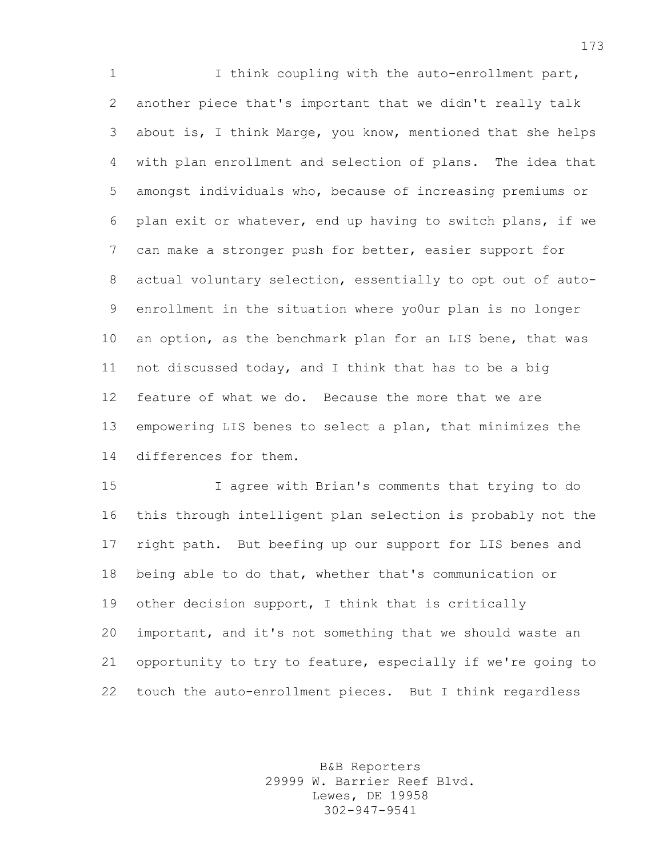I think coupling with the auto-enrollment part, another piece that's important that we didn't really talk about is, I think Marge, you know, mentioned that she helps with plan enrollment and selection of plans. The idea that amongst individuals who, because of increasing premiums or plan exit or whatever, end up having to switch plans, if we can make a stronger push for better, easier support for actual voluntary selection, essentially to opt out of auto- enrollment in the situation where yo0ur plan is no longer 10 an option, as the benchmark plan for an LIS bene, that was not discussed today, and I think that has to be a big feature of what we do. Because the more that we are empowering LIS benes to select a plan, that minimizes the differences for them.

 I agree with Brian's comments that trying to do this through intelligent plan selection is probably not the right path. But beefing up our support for LIS benes and being able to do that, whether that's communication or other decision support, I think that is critically important, and it's not something that we should waste an opportunity to try to feature, especially if we're going to touch the auto-enrollment pieces. But I think regardless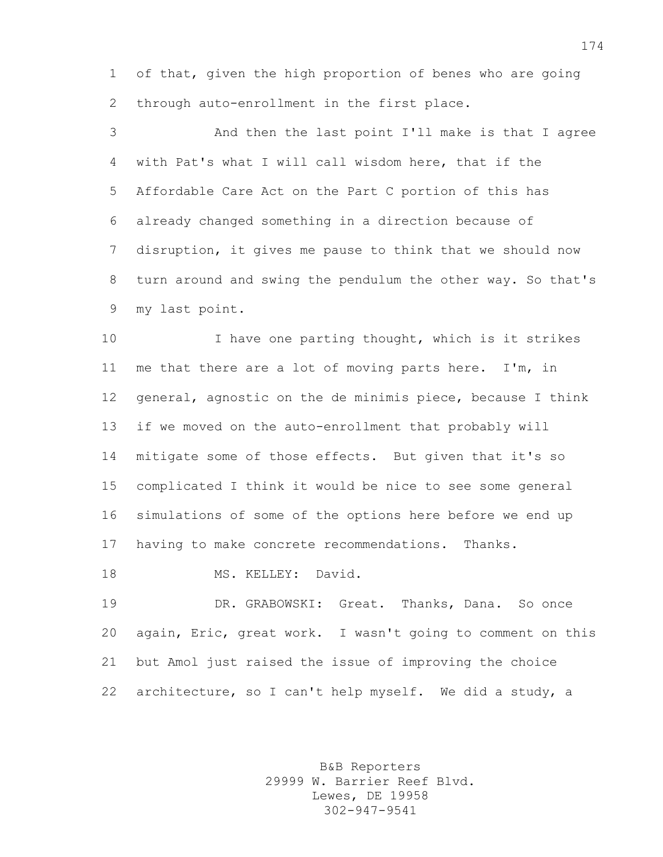of that, given the high proportion of benes who are going through auto-enrollment in the first place.

 And then the last point I'll make is that I agree with Pat's what I will call wisdom here, that if the Affordable Care Act on the Part C portion of this has already changed something in a direction because of disruption, it gives me pause to think that we should now turn around and swing the pendulum the other way. So that's my last point.

 I have one parting thought, which is it strikes me that there are a lot of moving parts here. I'm, in general, agnostic on the de minimis piece, because I think if we moved on the auto-enrollment that probably will mitigate some of those effects. But given that it's so complicated I think it would be nice to see some general simulations of some of the options here before we end up having to make concrete recommendations. Thanks.

18 MS. KELLEY: David.

 DR. GRABOWSKI: Great. Thanks, Dana. So once again, Eric, great work. I wasn't going to comment on this but Amol just raised the issue of improving the choice architecture, so I can't help myself. We did a study, a

> B&B Reporters 29999 W. Barrier Reef Blvd. Lewes, DE 19958 302-947-9541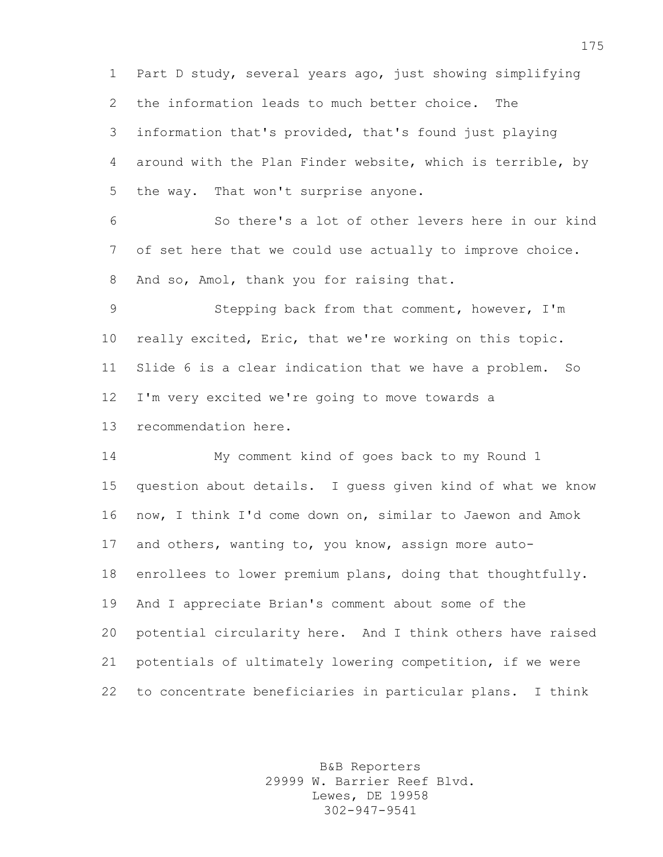Part D study, several years ago, just showing simplifying the information leads to much better choice. The information that's provided, that's found just playing around with the Plan Finder website, which is terrible, by the way. That won't surprise anyone.

 So there's a lot of other levers here in our kind of set here that we could use actually to improve choice. 8 And so, Amol, thank you for raising that.

 Stepping back from that comment, however, I'm really excited, Eric, that we're working on this topic. Slide 6 is a clear indication that we have a problem. So I'm very excited we're going to move towards a

recommendation here.

 My comment kind of goes back to my Round 1 question about details. I guess given kind of what we know now, I think I'd come down on, similar to Jaewon and Amok and others, wanting to, you know, assign more auto- enrollees to lower premium plans, doing that thoughtfully. And I appreciate Brian's comment about some of the potential circularity here. And I think others have raised potentials of ultimately lowering competition, if we were to concentrate beneficiaries in particular plans. I think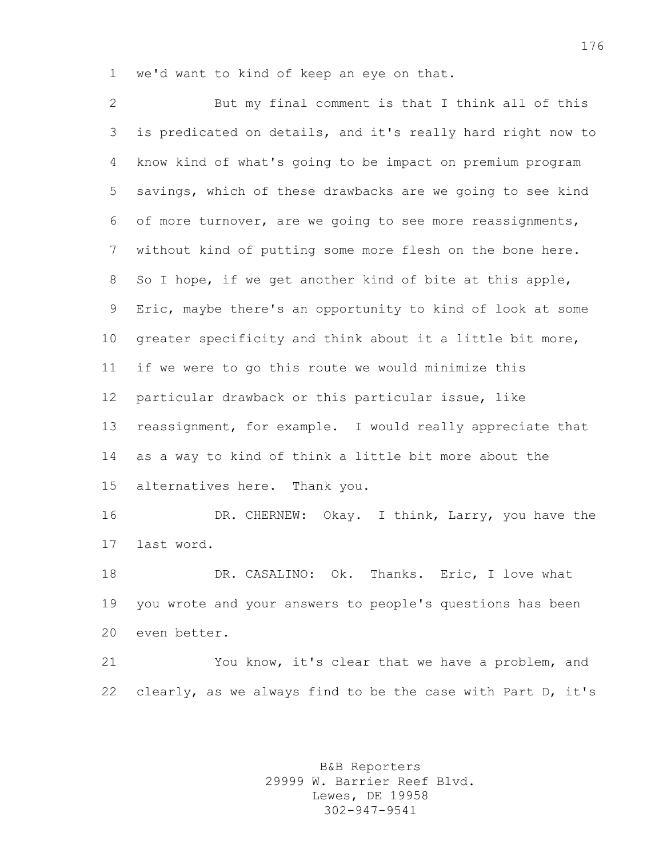we'd want to kind of keep an eye on that.

 But my final comment is that I think all of this is predicated on details, and it's really hard right now to know kind of what's going to be impact on premium program savings, which of these drawbacks are we going to see kind of more turnover, are we going to see more reassignments, without kind of putting some more flesh on the bone here. So I hope, if we get another kind of bite at this apple, Eric, maybe there's an opportunity to kind of look at some greater specificity and think about it a little bit more, if we were to go this route we would minimize this particular drawback or this particular issue, like reassignment, for example. I would really appreciate that as a way to kind of think a little bit more about the alternatives here. Thank you. DR. CHERNEW: Okay. I think, Larry, you have the last word. DR. CASALINO: Ok. Thanks. Eric, I love what

 you wrote and your answers to people's questions has been even better.

 You know, it's clear that we have a problem, and clearly, as we always find to be the case with Part D, it's

> B&B Reporters 29999 W. Barrier Reef Blvd. Lewes, DE 19958 302-947-9541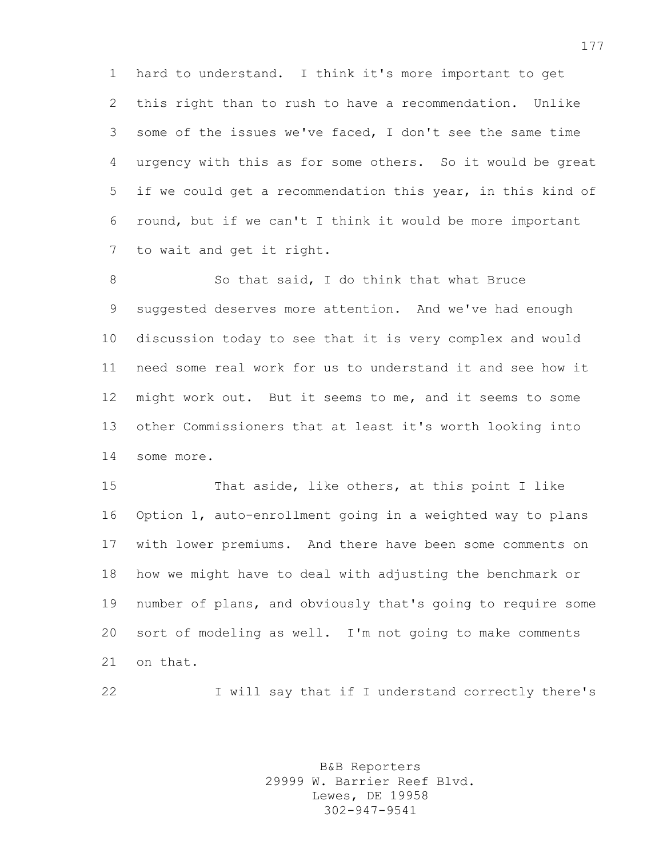hard to understand. I think it's more important to get this right than to rush to have a recommendation. Unlike some of the issues we've faced, I don't see the same time urgency with this as for some others. So it would be great if we could get a recommendation this year, in this kind of round, but if we can't I think it would be more important to wait and get it right.

8 So that said, I do think that what Bruce suggested deserves more attention. And we've had enough discussion today to see that it is very complex and would need some real work for us to understand it and see how it might work out. But it seems to me, and it seems to some other Commissioners that at least it's worth looking into some more.

 That aside, like others, at this point I like Option 1, auto-enrollment going in a weighted way to plans with lower premiums. And there have been some comments on how we might have to deal with adjusting the benchmark or number of plans, and obviously that's going to require some sort of modeling as well. I'm not going to make comments on that.

I will say that if I understand correctly there's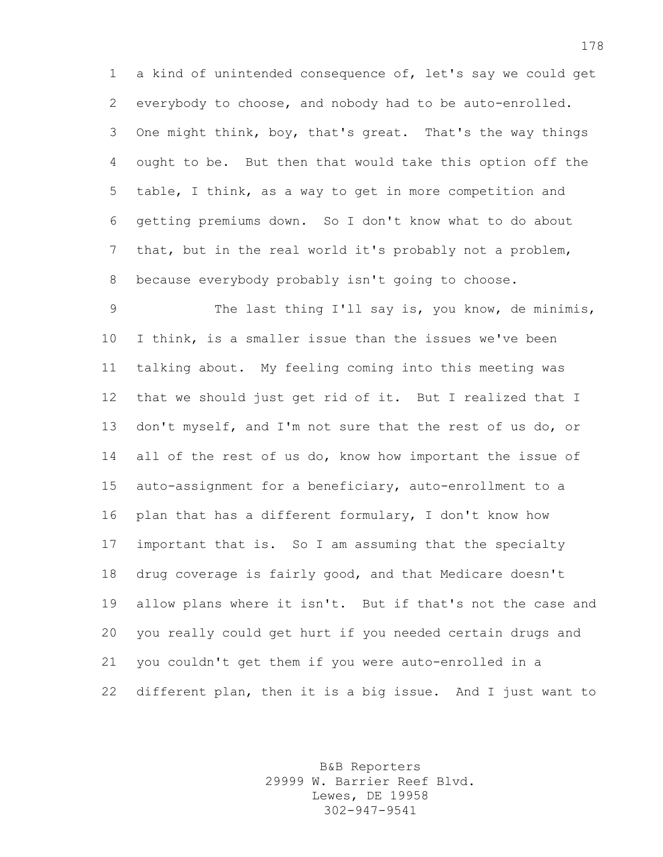a kind of unintended consequence of, let's say we could get everybody to choose, and nobody had to be auto-enrolled. One might think, boy, that's great. That's the way things ought to be. But then that would take this option off the table, I think, as a way to get in more competition and getting premiums down. So I don't know what to do about that, but in the real world it's probably not a problem, because everybody probably isn't going to choose.

9 The last thing I'll say is, you know, de minimis, I think, is a smaller issue than the issues we've been talking about. My feeling coming into this meeting was that we should just get rid of it. But I realized that I don't myself, and I'm not sure that the rest of us do, or 14 all of the rest of us do, know how important the issue of auto-assignment for a beneficiary, auto-enrollment to a plan that has a different formulary, I don't know how important that is. So I am assuming that the specialty drug coverage is fairly good, and that Medicare doesn't allow plans where it isn't. But if that's not the case and you really could get hurt if you needed certain drugs and you couldn't get them if you were auto-enrolled in a different plan, then it is a big issue. And I just want to

> B&B Reporters 29999 W. Barrier Reef Blvd. Lewes, DE 19958 302-947-9541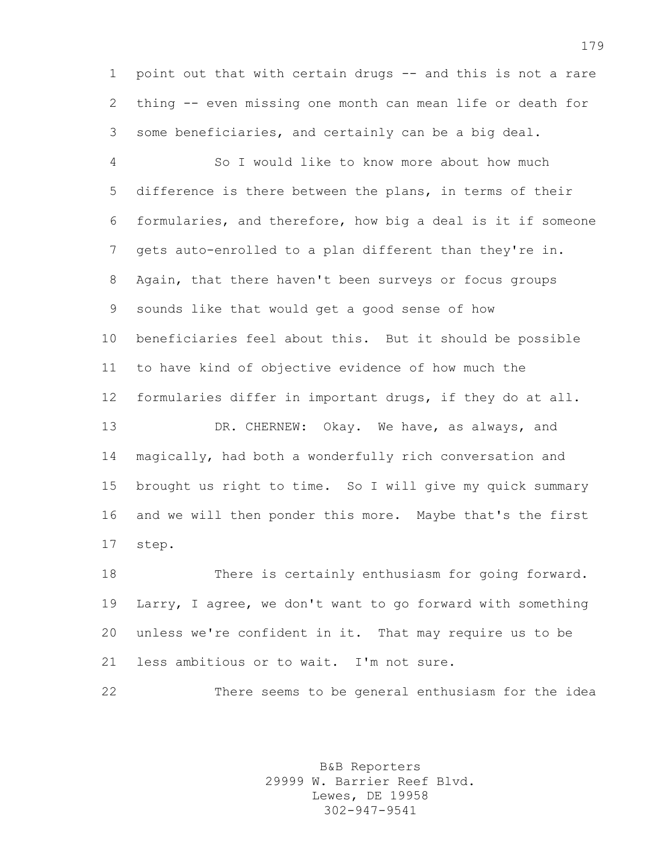point out that with certain drugs -- and this is not a rare thing -- even missing one month can mean life or death for some beneficiaries, and certainly can be a big deal.

 So I would like to know more about how much difference is there between the plans, in terms of their formularies, and therefore, how big a deal is it if someone gets auto-enrolled to a plan different than they're in. Again, that there haven't been surveys or focus groups sounds like that would get a good sense of how beneficiaries feel about this. But it should be possible to have kind of objective evidence of how much the formularies differ in important drugs, if they do at all. DR. CHERNEW: Okay. We have, as always, and magically, had both a wonderfully rich conversation and brought us right to time. So I will give my quick summary and we will then ponder this more. Maybe that's the first

step.

 There is certainly enthusiasm for going forward. Larry, I agree, we don't want to go forward with something unless we're confident in it. That may require us to be less ambitious or to wait. I'm not sure.

There seems to be general enthusiasm for the idea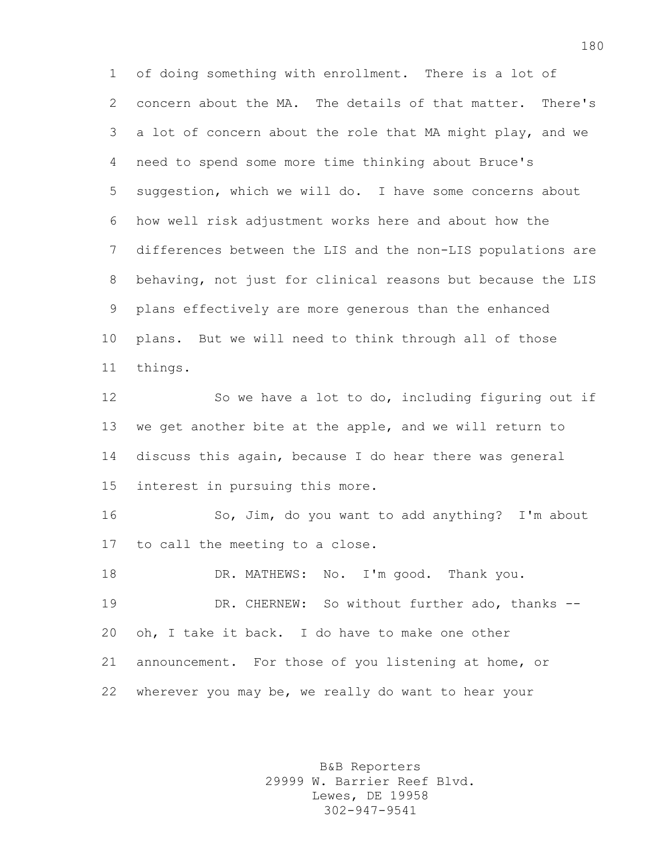of doing something with enrollment. There is a lot of concern about the MA. The details of that matter. There's a lot of concern about the role that MA might play, and we need to spend some more time thinking about Bruce's suggestion, which we will do. I have some concerns about how well risk adjustment works here and about how the differences between the LIS and the non-LIS populations are behaving, not just for clinical reasons but because the LIS plans effectively are more generous than the enhanced plans. But we will need to think through all of those things.

 So we have a lot to do, including figuring out if we get another bite at the apple, and we will return to discuss this again, because I do hear there was general interest in pursuing this more.

 So, Jim, do you want to add anything? I'm about to call the meeting to a close.

 DR. MATHEWS: No. I'm good. Thank you. DR. CHERNEW: So without further ado, thanks -- oh, I take it back. I do have to make one other announcement. For those of you listening at home, or wherever you may be, we really do want to hear your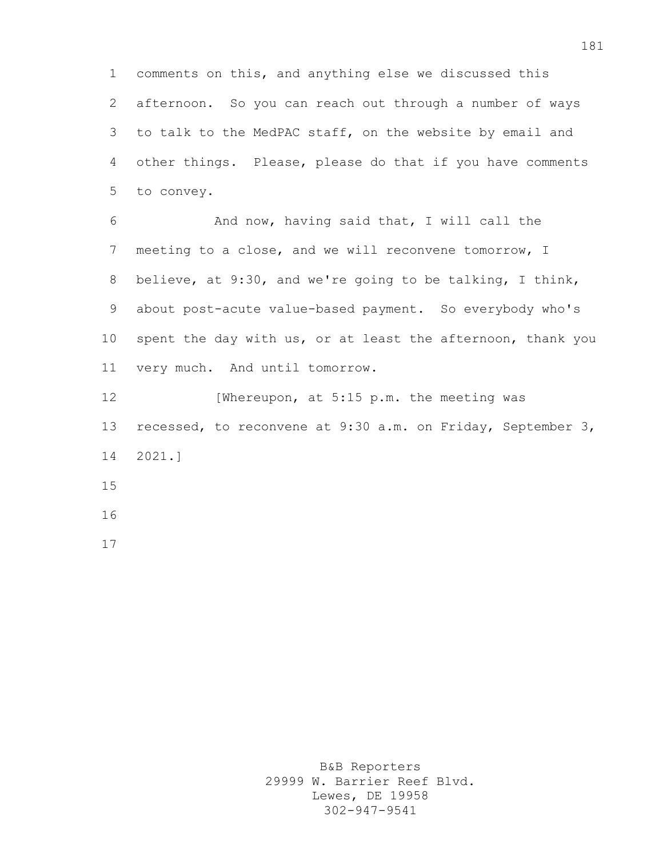comments on this, and anything else we discussed this afternoon. So you can reach out through a number of ways to talk to the MedPAC staff, on the website by email and other things. Please, please do that if you have comments to convey.

 And now, having said that, I will call the meeting to a close, and we will reconvene tomorrow, I believe, at 9:30, and we're going to be talking, I think, 9 about post-acute value-based payment. So everybody who's spent the day with us, or at least the afternoon, thank you very much. And until tomorrow.

12 [Whereupon, at 5:15 p.m. the meeting was recessed, to reconvene at 9:30 a.m. on Friday, September 3, 2021.]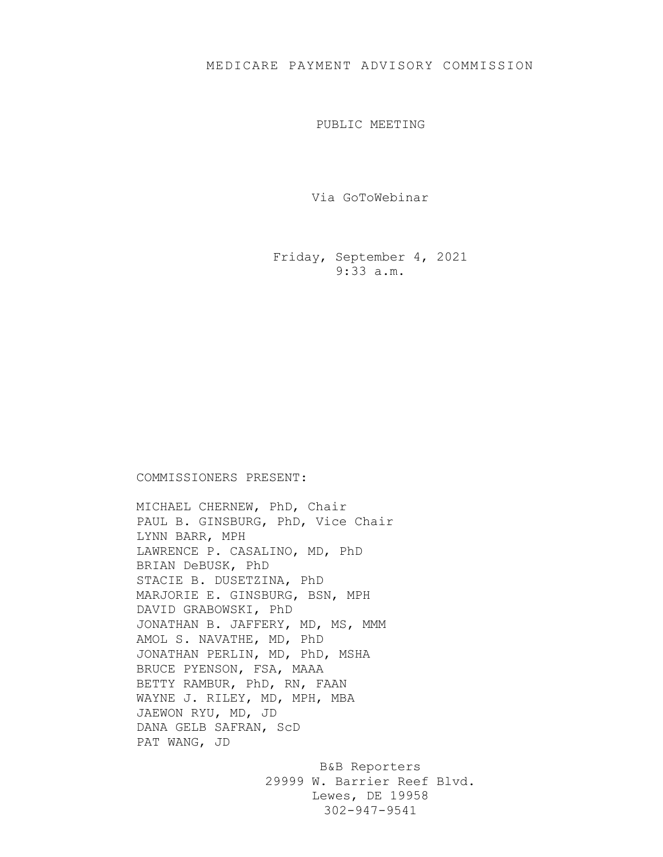PUBLIC MEETING

Via GoToWebinar

Friday, September 4, 2021 9:33 a.m.

## COMMISSIONERS PRESENT:

MICHAEL CHERNEW, PhD, Chair PAUL B. GINSBURG, PhD, Vice Chair LYNN BARR, MPH LAWRENCE P. CASALINO, MD, PhD BRIAN DeBUSK, PhD STACIE B. DUSETZINA, PhD MARJORIE E. GINSBURG, BSN, MPH DAVID GRABOWSKI, PhD JONATHAN B. JAFFERY, MD, MS, MMM AMOL S. NAVATHE, MD, PhD JONATHAN PERLIN, MD, PhD, MSHA BRUCE PYENSON, FSA, MAAA BETTY RAMBUR, PhD, RN, FAAN WAYNE J. RILEY, MD, MPH, MBA JAEWON RYU, MD, JD DANA GELB SAFRAN, ScD PAT WANG, JD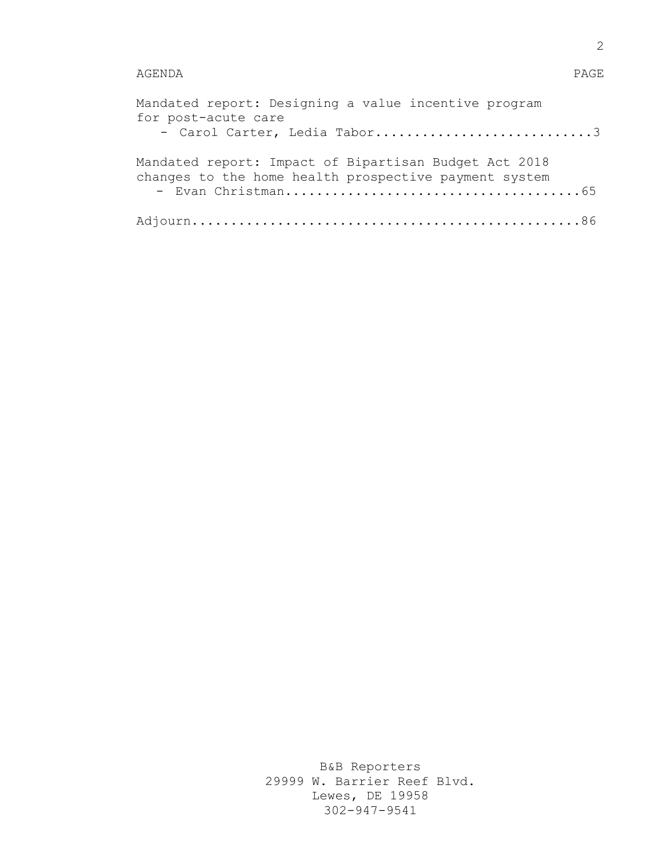## AGENDA PAGE

| Mandated report: Designing a value incentive program<br>for post-acute care<br>- Carol Carter, Ledia Tabor3    |
|----------------------------------------------------------------------------------------------------------------|
| Mandated report: Impact of Bipartisan Budget Act 2018<br>changes to the home health prospective payment system |
|                                                                                                                |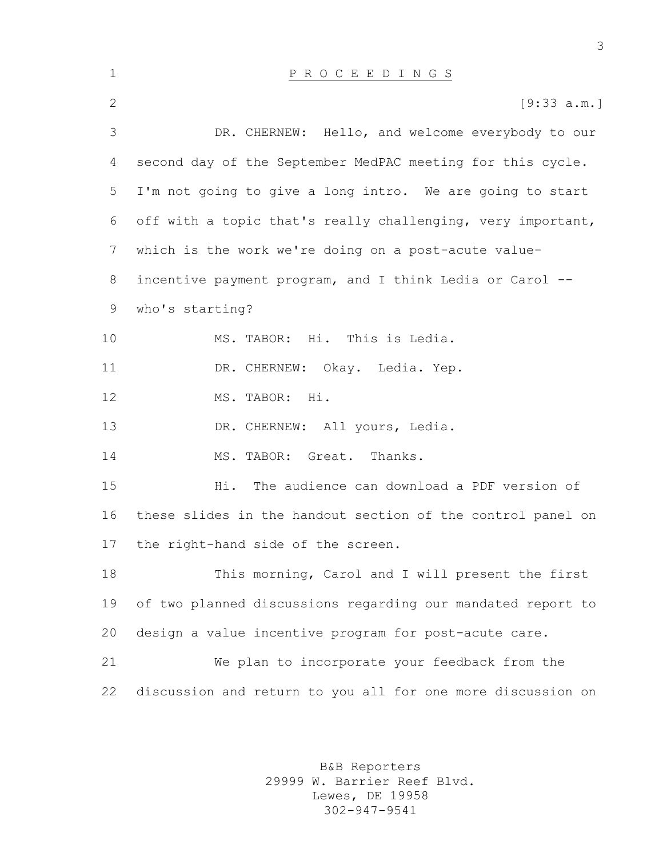| $\mathbf 1$  | P R O C E E D I N G S                                       |
|--------------|-------------------------------------------------------------|
| $\mathbf{2}$ | [9:33 a.m.]                                                 |
| 3            | DR. CHERNEW: Hello, and welcome everybody to our            |
| 4            | second day of the September MedPAC meeting for this cycle.  |
| 5            | I'm not going to give a long intro. We are going to start   |
| 6            | off with a topic that's really challenging, very important, |
| 7            | which is the work we're doing on a post-acute value-        |
| 8            | incentive payment program, and I think Ledia or Carol --    |
| 9            | who's starting?                                             |
| 10           | MS. TABOR: Hi. This is Ledia.                               |
| 11           | DR. CHERNEW: Okay. Ledia. Yep.                              |
| 12           | MS. TABOR: Hi.                                              |
| 13           | DR. CHERNEW: All yours, Ledia.                              |
| 14           | MS. TABOR: Great. Thanks.                                   |
| 15           | Hi. The audience can download a PDF version of              |
| 16           | these slides in the handout section of the control panel on |
| 17           | the right-hand side of the screen.                          |
| 18           | This morning, Carol and I will present the first            |
| 19           | of two planned discussions regarding our mandated report to |
| 20           | design a value incentive program for post-acute care.       |
| 21           | We plan to incorporate your feedback from the               |
| 22           | discussion and return to you all for one more discussion on |

B&B Reporters 29999 W. Barrier Reef Blvd. Lewes, DE 19958 302-947-9541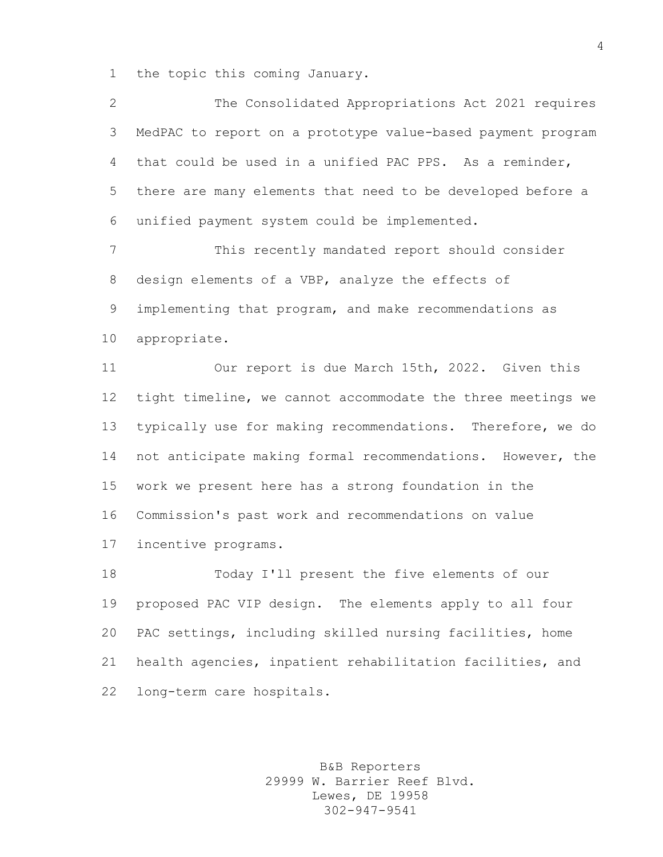the topic this coming January.

| $\overline{2}$ | The Consolidated Appropriations Act 2021 requires           |
|----------------|-------------------------------------------------------------|
| 3              | MedPAC to report on a prototype value-based payment program |
| 4              | that could be used in a unified PAC PPS. As a reminder,     |
| 5              | there are many elements that need to be developed before a  |
| 6              | unified payment system could be implemented.                |
| $7\phantom{.}$ | This recently mandated report should consider               |
| 8              | design elements of a VBP, analyze the effects of            |
| 9              | implementing that program, and make recommendations as      |
| 10             | appropriate.                                                |
| 11             | Our report is due March 15th, 2022. Given this              |
| 12             | tight timeline, we cannot accommodate the three meetings we |
| 13             | typically use for making recommendations. Therefore, we do  |
| 14             | not anticipate making formal recommendations. However, the  |
| 15             | work we present here has a strong foundation in the         |
| 16             | Commission's past work and recommendations on value         |
| 17             | incentive programs.                                         |
| 18             | Today I'll present the five elements of our                 |
| 19             | proposed PAC VIP design. The elements apply to all four     |
| 20             | PAC settings, including skilled nursing facilities, home    |
| 21             | health agencies, inpatient rehabilitation facilities, and   |
| 22             | long-term care hospitals.                                   |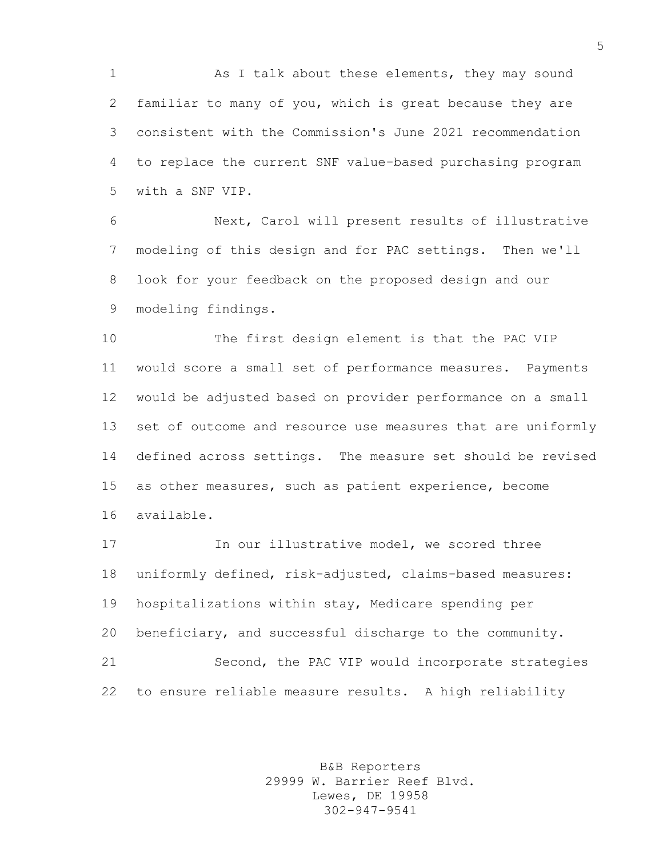1 As I talk about these elements, they may sound familiar to many of you, which is great because they are consistent with the Commission's June 2021 recommendation to replace the current SNF value-based purchasing program with a SNF VIP.

 Next, Carol will present results of illustrative modeling of this design and for PAC settings. Then we'll look for your feedback on the proposed design and our modeling findings.

 The first design element is that the PAC VIP would score a small set of performance measures. Payments would be adjusted based on provider performance on a small set of outcome and resource use measures that are uniformly defined across settings. The measure set should be revised as other measures, such as patient experience, become available.

 In our illustrative model, we scored three uniformly defined, risk-adjusted, claims-based measures: hospitalizations within stay, Medicare spending per beneficiary, and successful discharge to the community. Second, the PAC VIP would incorporate strategies to ensure reliable measure results. A high reliability

> B&B Reporters 29999 W. Barrier Reef Blvd. Lewes, DE 19958 302-947-9541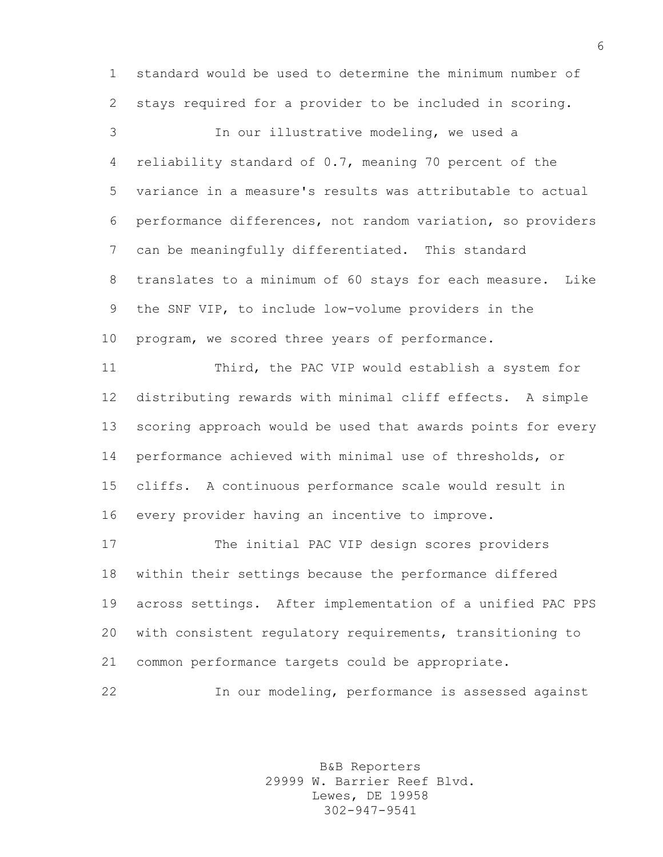standard would be used to determine the minimum number of stays required for a provider to be included in scoring.

 In our illustrative modeling, we used a reliability standard of 0.7, meaning 70 percent of the variance in a measure's results was attributable to actual performance differences, not random variation, so providers can be meaningfully differentiated. This standard translates to a minimum of 60 stays for each measure. Like the SNF VIP, to include low-volume providers in the program, we scored three years of performance.

 Third, the PAC VIP would establish a system for distributing rewards with minimal cliff effects. A simple scoring approach would be used that awards points for every performance achieved with minimal use of thresholds, or cliffs. A continuous performance scale would result in every provider having an incentive to improve.

 The initial PAC VIP design scores providers within their settings because the performance differed across settings. After implementation of a unified PAC PPS with consistent regulatory requirements, transitioning to common performance targets could be appropriate.

In our modeling, performance is assessed against

B&B Reporters 29999 W. Barrier Reef Blvd. Lewes, DE 19958 302-947-9541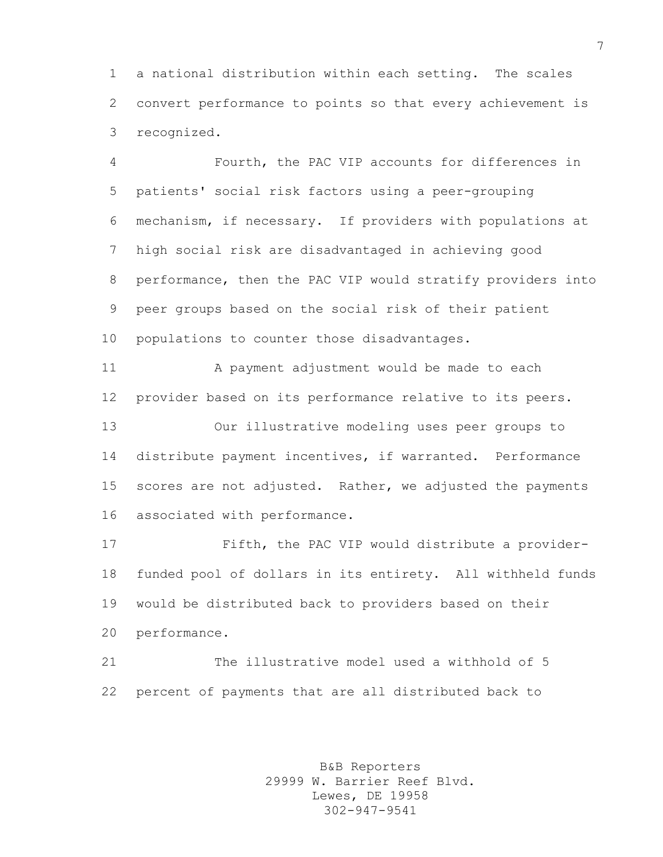a national distribution within each setting. The scales convert performance to points so that every achievement is recognized.

 Fourth, the PAC VIP accounts for differences in patients' social risk factors using a peer-grouping mechanism, if necessary. If providers with populations at high social risk are disadvantaged in achieving good performance, then the PAC VIP would stratify providers into peer groups based on the social risk of their patient populations to counter those disadvantages.

 A payment adjustment would be made to each provider based on its performance relative to its peers. Our illustrative modeling uses peer groups to distribute payment incentives, if warranted. Performance scores are not adjusted. Rather, we adjusted the payments associated with performance.

 Fifth, the PAC VIP would distribute a provider- funded pool of dollars in its entirety. All withheld funds would be distributed back to providers based on their performance.

 The illustrative model used a withhold of 5 percent of payments that are all distributed back to

> B&B Reporters 29999 W. Barrier Reef Blvd. Lewes, DE 19958 302-947-9541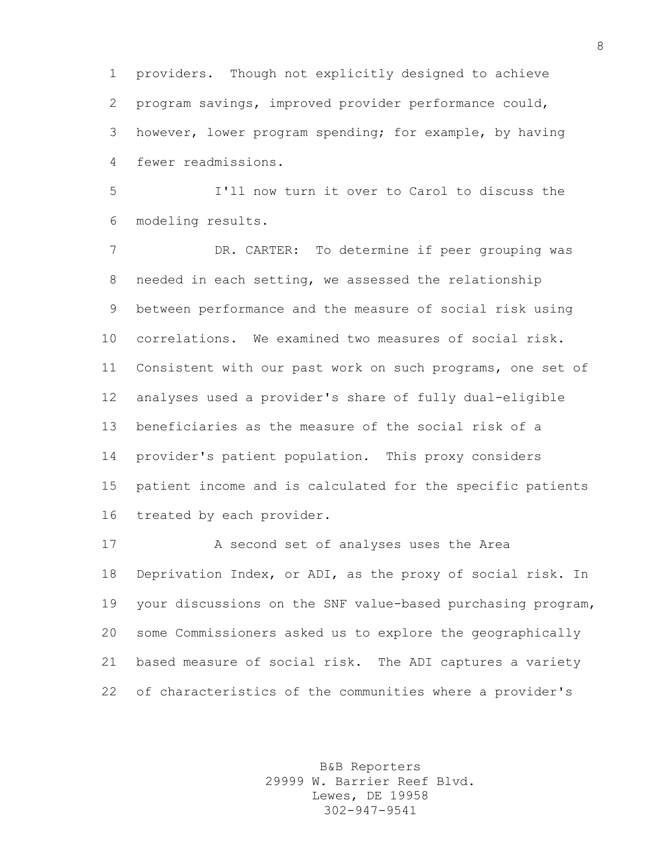providers. Though not explicitly designed to achieve program savings, improved provider performance could, however, lower program spending; for example, by having fewer readmissions.

 I'll now turn it over to Carol to discuss the modeling results.

 DR. CARTER: To determine if peer grouping was needed in each setting, we assessed the relationship between performance and the measure of social risk using correlations. We examined two measures of social risk. Consistent with our past work on such programs, one set of analyses used a provider's share of fully dual-eligible beneficiaries as the measure of the social risk of a provider's patient population. This proxy considers patient income and is calculated for the specific patients treated by each provider.

 A second set of analyses uses the Area Deprivation Index, or ADI, as the proxy of social risk. In your discussions on the SNF value-based purchasing program, some Commissioners asked us to explore the geographically based measure of social risk. The ADI captures a variety of characteristics of the communities where a provider's

> B&B Reporters 29999 W. Barrier Reef Blvd. Lewes, DE 19958 302-947-9541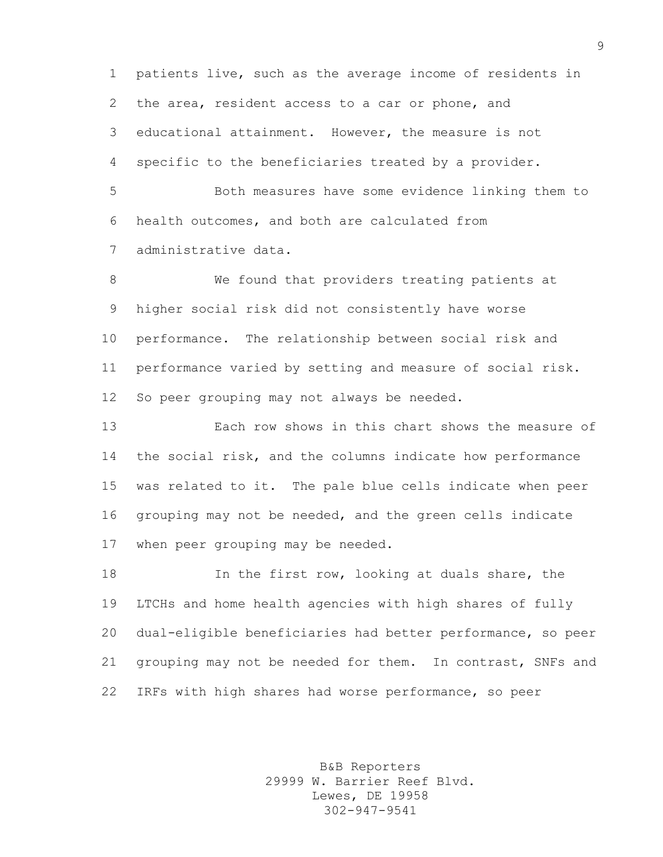patients live, such as the average income of residents in the area, resident access to a car or phone, and educational attainment. However, the measure is not specific to the beneficiaries treated by a provider.

 Both measures have some evidence linking them to health outcomes, and both are calculated from administrative data.

 We found that providers treating patients at higher social risk did not consistently have worse performance. The relationship between social risk and performance varied by setting and measure of social risk. So peer grouping may not always be needed.

 Each row shows in this chart shows the measure of the social risk, and the columns indicate how performance was related to it. The pale blue cells indicate when peer grouping may not be needed, and the green cells indicate when peer grouping may be needed.

 In the first row, looking at duals share, the LTCHs and home health agencies with high shares of fully dual-eligible beneficiaries had better performance, so peer 21 grouping may not be needed for them. In contrast, SNFs and IRFs with high shares had worse performance, so peer

> B&B Reporters 29999 W. Barrier Reef Blvd. Lewes, DE 19958 302-947-9541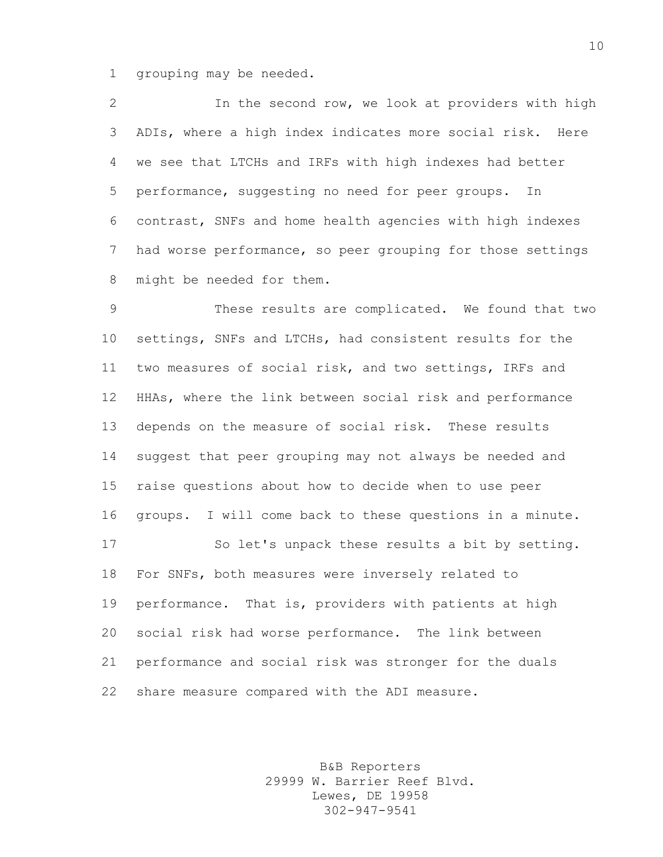grouping may be needed.

 In the second row, we look at providers with high ADIs, where a high index indicates more social risk. Here we see that LTCHs and IRFs with high indexes had better performance, suggesting no need for peer groups. In contrast, SNFs and home health agencies with high indexes had worse performance, so peer grouping for those settings might be needed for them.

 These results are complicated. We found that two settings, SNFs and LTCHs, had consistent results for the two measures of social risk, and two settings, IRFs and HHAs, where the link between social risk and performance depends on the measure of social risk. These results suggest that peer grouping may not always be needed and raise questions about how to decide when to use peer groups. I will come back to these questions in a minute. So let's unpack these results a bit by setting. For SNFs, both measures were inversely related to performance. That is, providers with patients at high social risk had worse performance. The link between performance and social risk was stronger for the duals share measure compared with the ADI measure.

> B&B Reporters 29999 W. Barrier Reef Blvd. Lewes, DE 19958 302-947-9541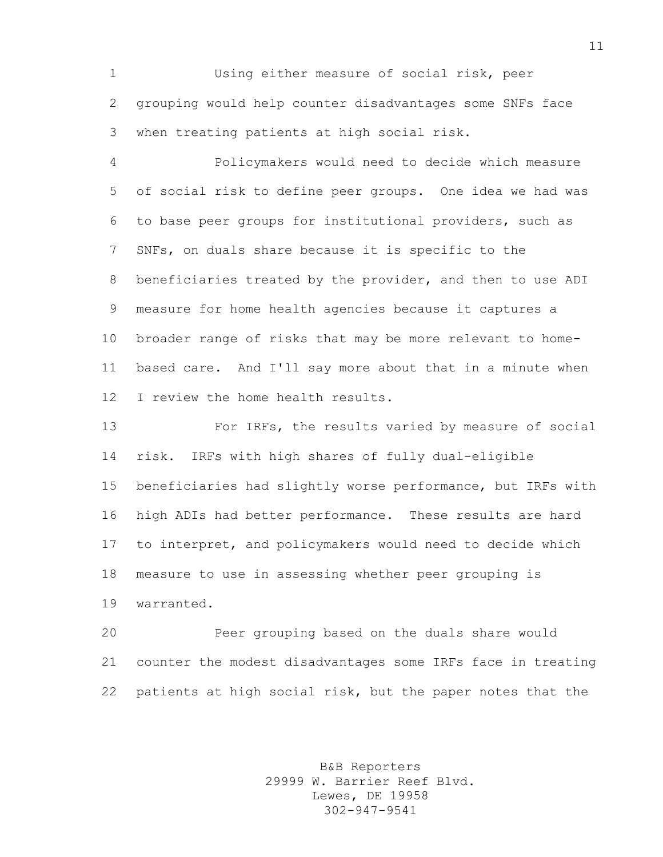Using either measure of social risk, peer grouping would help counter disadvantages some SNFs face when treating patients at high social risk.

 Policymakers would need to decide which measure of social risk to define peer groups. One idea we had was to base peer groups for institutional providers, such as SNFs, on duals share because it is specific to the beneficiaries treated by the provider, and then to use ADI measure for home health agencies because it captures a broader range of risks that may be more relevant to home- based care. And I'll say more about that in a minute when I review the home health results.

 For IRFs, the results varied by measure of social risk. IRFs with high shares of fully dual-eligible beneficiaries had slightly worse performance, but IRFs with high ADIs had better performance. These results are hard to interpret, and policymakers would need to decide which measure to use in assessing whether peer grouping is warranted.

 Peer grouping based on the duals share would counter the modest disadvantages some IRFs face in treating patients at high social risk, but the paper notes that the

> B&B Reporters 29999 W. Barrier Reef Blvd. Lewes, DE 19958 302-947-9541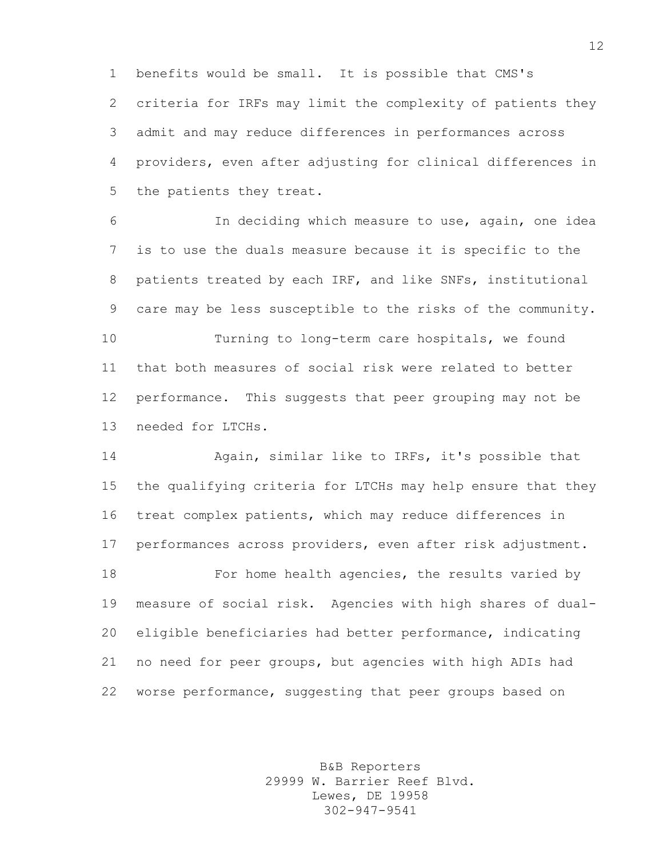benefits would be small. It is possible that CMS's criteria for IRFs may limit the complexity of patients they admit and may reduce differences in performances across providers, even after adjusting for clinical differences in the patients they treat.

 In deciding which measure to use, again, one idea is to use the duals measure because it is specific to the patients treated by each IRF, and like SNFs, institutional care may be less susceptible to the risks of the community. Turning to long-term care hospitals, we found that both measures of social risk were related to better performance. This suggests that peer grouping may not be needed for LTCHs.

 Again, similar like to IRFs, it's possible that the qualifying criteria for LTCHs may help ensure that they treat complex patients, which may reduce differences in performances across providers, even after risk adjustment. For home health agencies, the results varied by measure of social risk. Agencies with high shares of dual- eligible beneficiaries had better performance, indicating no need for peer groups, but agencies with high ADIs had worse performance, suggesting that peer groups based on

> B&B Reporters 29999 W. Barrier Reef Blvd. Lewes, DE 19958 302-947-9541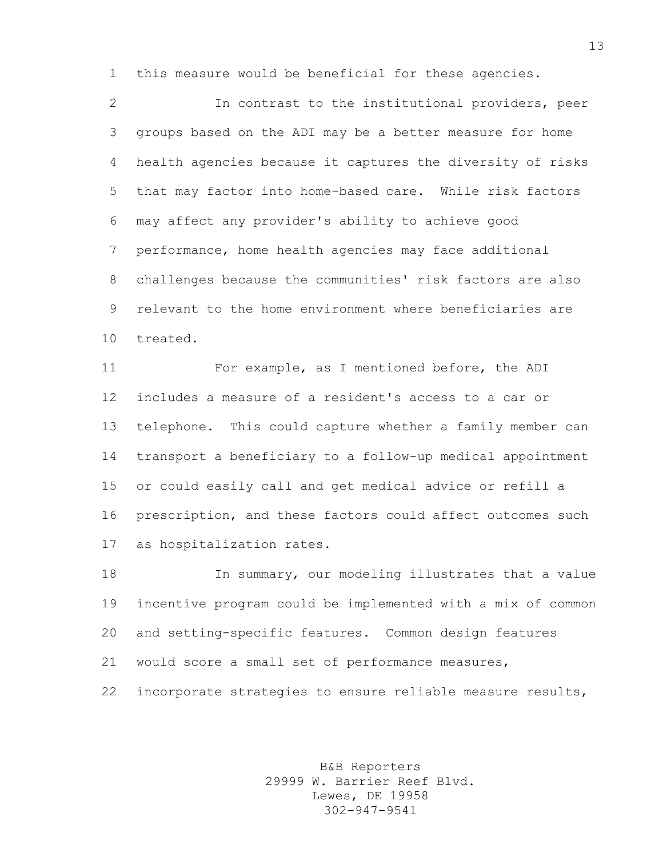this measure would be beneficial for these agencies.

 In contrast to the institutional providers, peer groups based on the ADI may be a better measure for home health agencies because it captures the diversity of risks that may factor into home-based care. While risk factors may affect any provider's ability to achieve good performance, home health agencies may face additional challenges because the communities' risk factors are also relevant to the home environment where beneficiaries are treated.

 For example, as I mentioned before, the ADI includes a measure of a resident's access to a car or telephone. This could capture whether a family member can transport a beneficiary to a follow-up medical appointment or could easily call and get medical advice or refill a prescription, and these factors could affect outcomes such as hospitalization rates.

 In summary, our modeling illustrates that a value incentive program could be implemented with a mix of common and setting-specific features. Common design features would score a small set of performance measures, incorporate strategies to ensure reliable measure results,

> B&B Reporters 29999 W. Barrier Reef Blvd. Lewes, DE 19958 302-947-9541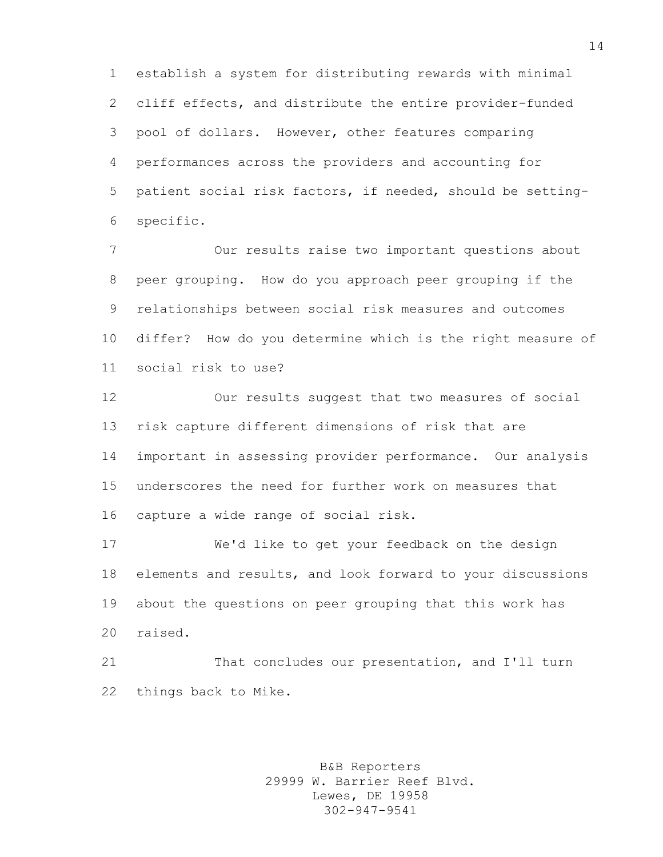establish a system for distributing rewards with minimal cliff effects, and distribute the entire provider-funded pool of dollars. However, other features comparing performances across the providers and accounting for patient social risk factors, if needed, should be setting-specific.

 Our results raise two important questions about peer grouping. How do you approach peer grouping if the relationships between social risk measures and outcomes differ? How do you determine which is the right measure of social risk to use?

 Our results suggest that two measures of social risk capture different dimensions of risk that are important in assessing provider performance. Our analysis underscores the need for further work on measures that capture a wide range of social risk.

 We'd like to get your feedback on the design elements and results, and look forward to your discussions about the questions on peer grouping that this work has raised.

 That concludes our presentation, and I'll turn things back to Mike.

> B&B Reporters 29999 W. Barrier Reef Blvd. Lewes, DE 19958 302-947-9541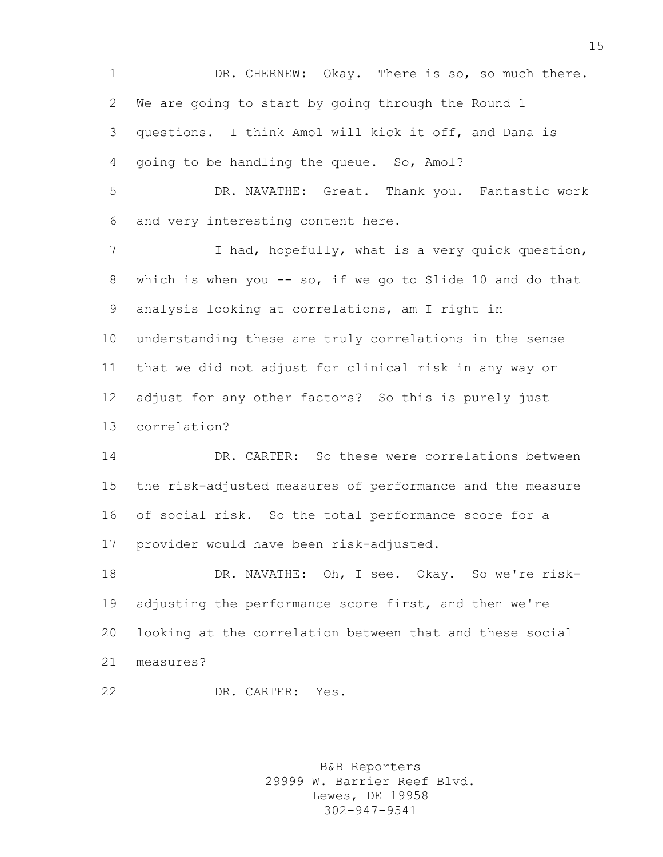1 DR. CHERNEW: Okay. There is so, so much there. We are going to start by going through the Round 1 questions. I think Amol will kick it off, and Dana is going to be handling the queue. So, Amol?

 DR. NAVATHE: Great. Thank you. Fantastic work and very interesting content here.

7 I had, hopefully, what is a very quick question, which is when you -- so, if we go to Slide 10 and do that analysis looking at correlations, am I right in understanding these are truly correlations in the sense that we did not adjust for clinical risk in any way or adjust for any other factors? So this is purely just correlation?

 DR. CARTER: So these were correlations between the risk-adjusted measures of performance and the measure of social risk. So the total performance score for a provider would have been risk-adjusted.

 DR. NAVATHE: Oh, I see. Okay. So we're risk- adjusting the performance score first, and then we're looking at the correlation between that and these social measures?

DR. CARTER: Yes.

B&B Reporters 29999 W. Barrier Reef Blvd. Lewes, DE 19958 302-947-9541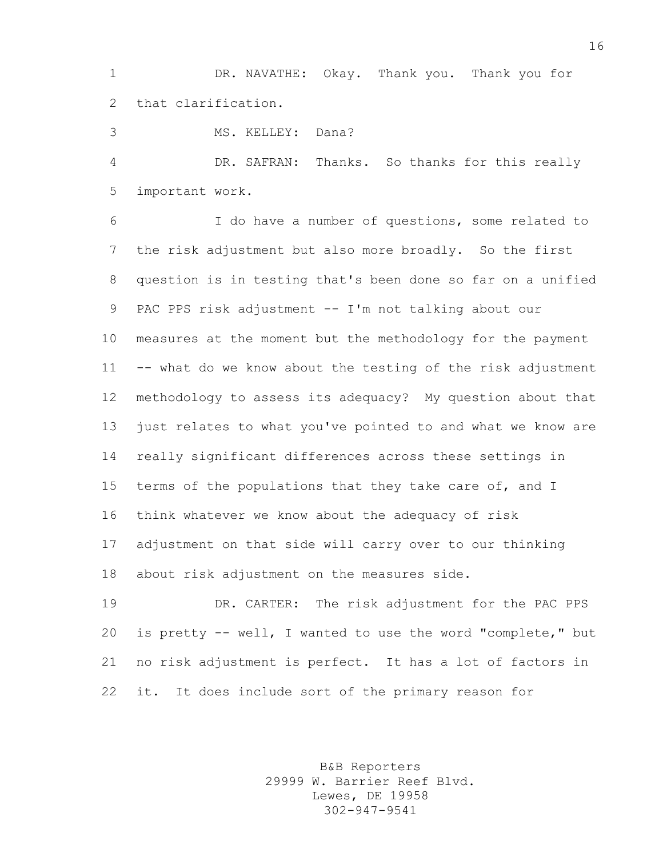DR. NAVATHE: Okay. Thank you. Thank you for that clarification.

MS. KELLEY: Dana?

 DR. SAFRAN: Thanks. So thanks for this really important work.

 I do have a number of questions, some related to the risk adjustment but also more broadly. So the first question is in testing that's been done so far on a unified PAC PPS risk adjustment -- I'm not talking about our measures at the moment but the methodology for the payment -- what do we know about the testing of the risk adjustment methodology to assess its adequacy? My question about that just relates to what you've pointed to and what we know are really significant differences across these settings in terms of the populations that they take care of, and I think whatever we know about the adequacy of risk adjustment on that side will carry over to our thinking about risk adjustment on the measures side.

 DR. CARTER: The risk adjustment for the PAC PPS is pretty -- well, I wanted to use the word "complete," but no risk adjustment is perfect. It has a lot of factors in it. It does include sort of the primary reason for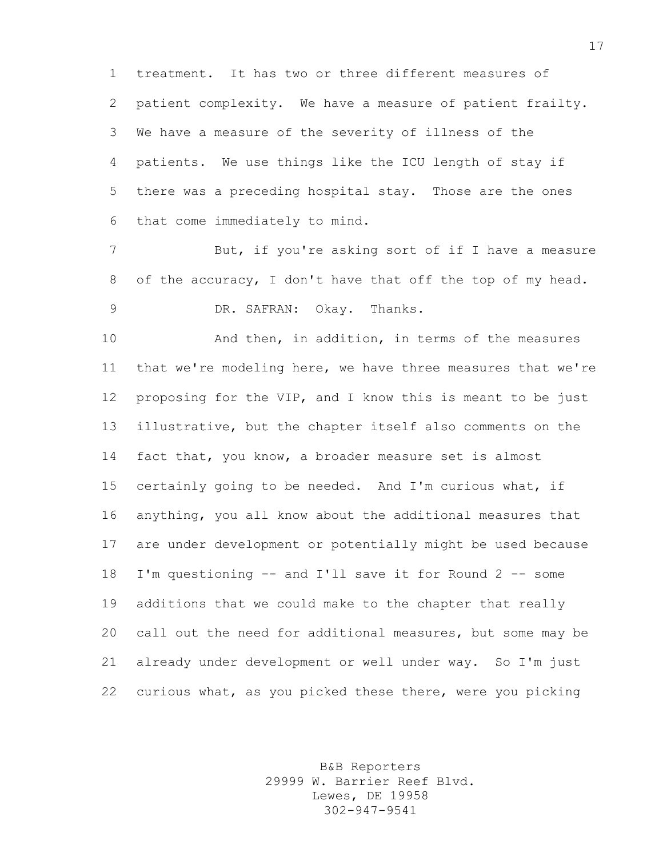treatment. It has two or three different measures of patient complexity. We have a measure of patient frailty. We have a measure of the severity of illness of the patients. We use things like the ICU length of stay if there was a preceding hospital stay. Those are the ones that come immediately to mind.

7 But, if you're asking sort of if I have a measure of the accuracy, I don't have that off the top of my head. DR. SAFRAN: Okay. Thanks.

10 And then, in addition, in terms of the measures that we're modeling here, we have three measures that we're proposing for the VIP, and I know this is meant to be just illustrative, but the chapter itself also comments on the fact that, you know, a broader measure set is almost certainly going to be needed. And I'm curious what, if anything, you all know about the additional measures that are under development or potentially might be used because I'm questioning -- and I'll save it for Round 2 -- some additions that we could make to the chapter that really call out the need for additional measures, but some may be already under development or well under way. So I'm just curious what, as you picked these there, were you picking

> B&B Reporters 29999 W. Barrier Reef Blvd. Lewes, DE 19958 302-947-9541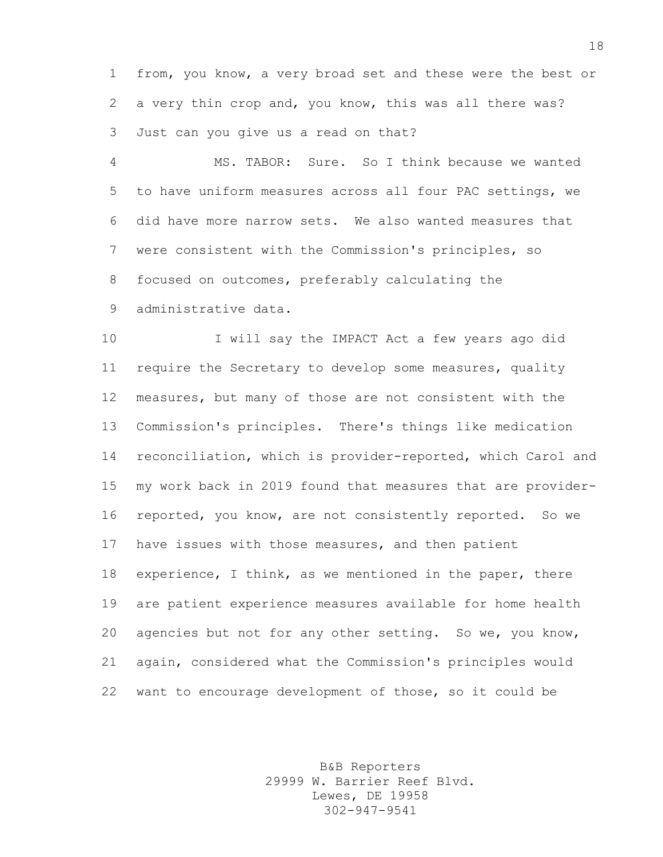from, you know, a very broad set and these were the best or a very thin crop and, you know, this was all there was? Just can you give us a read on that?

 MS. TABOR: Sure. So I think because we wanted to have uniform measures across all four PAC settings, we did have more narrow sets. We also wanted measures that were consistent with the Commission's principles, so focused on outcomes, preferably calculating the administrative data.

 I will say the IMPACT Act a few years ago did require the Secretary to develop some measures, quality measures, but many of those are not consistent with the Commission's principles. There's things like medication reconciliation, which is provider-reported, which Carol and my work back in 2019 found that measures that are provider- reported, you know, are not consistently reported. So we have issues with those measures, and then patient experience, I think, as we mentioned in the paper, there are patient experience measures available for home health agencies but not for any other setting. So we, you know, again, considered what the Commission's principles would want to encourage development of those, so it could be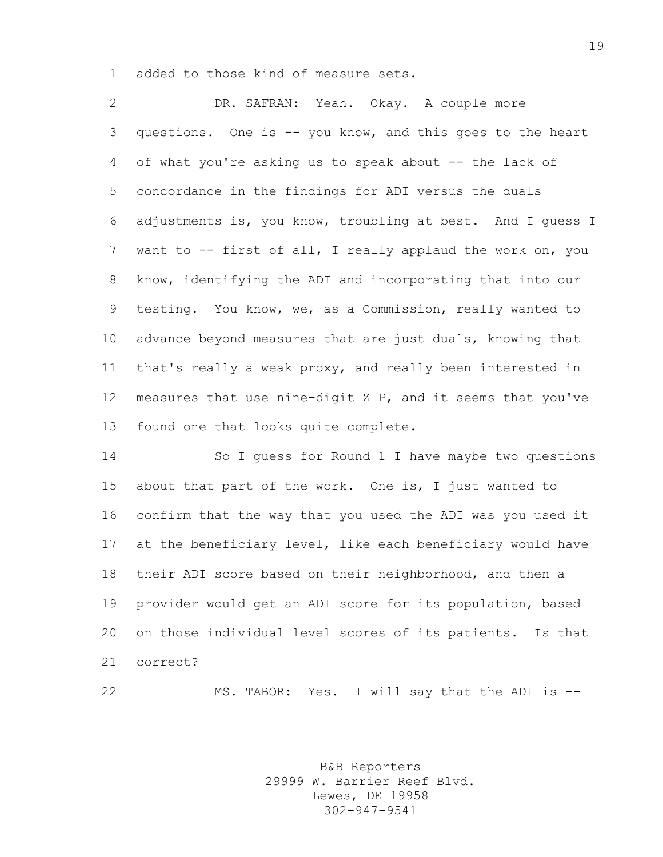added to those kind of measure sets.

 DR. SAFRAN: Yeah. Okay. A couple more questions. One is -- you know, and this goes to the heart of what you're asking us to speak about -- the lack of concordance in the findings for ADI versus the duals adjustments is, you know, troubling at best. And I guess I want to -- first of all, I really applaud the work on, you know, identifying the ADI and incorporating that into our testing. You know, we, as a Commission, really wanted to advance beyond measures that are just duals, knowing that that's really a weak proxy, and really been interested in measures that use nine-digit ZIP, and it seems that you've found one that looks quite complete.

 So I guess for Round 1 I have maybe two questions about that part of the work. One is, I just wanted to confirm that the way that you used the ADI was you used it at the beneficiary level, like each beneficiary would have their ADI score based on their neighborhood, and then a provider would get an ADI score for its population, based on those individual level scores of its patients. Is that correct?

MS. TABOR: Yes. I will say that the ADI is --

B&B Reporters 29999 W. Barrier Reef Blvd. Lewes, DE 19958 302-947-9541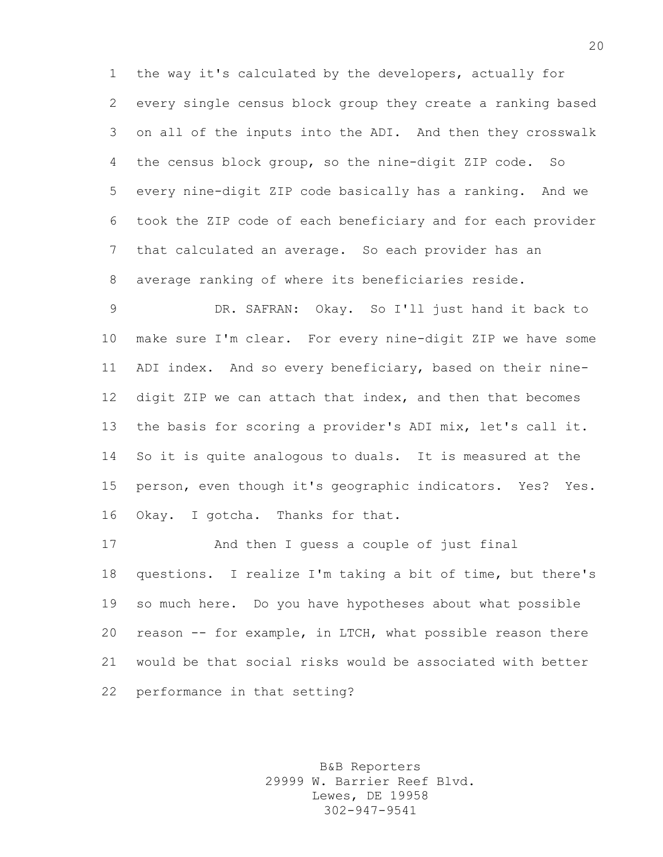the way it's calculated by the developers, actually for every single census block group they create a ranking based on all of the inputs into the ADI. And then they crosswalk the census block group, so the nine-digit ZIP code. So every nine-digit ZIP code basically has a ranking. And we took the ZIP code of each beneficiary and for each provider that calculated an average. So each provider has an average ranking of where its beneficiaries reside.

 DR. SAFRAN: Okay. So I'll just hand it back to make sure I'm clear. For every nine-digit ZIP we have some ADI index. And so every beneficiary, based on their nine- digit ZIP we can attach that index, and then that becomes the basis for scoring a provider's ADI mix, let's call it. So it is quite analogous to duals. It is measured at the person, even though it's geographic indicators. Yes? Yes. Okay. I gotcha. Thanks for that.

 And then I guess a couple of just final questions. I realize I'm taking a bit of time, but there's so much here. Do you have hypotheses about what possible reason -- for example, in LTCH, what possible reason there would be that social risks would be associated with better performance in that setting?

> B&B Reporters 29999 W. Barrier Reef Blvd. Lewes, DE 19958 302-947-9541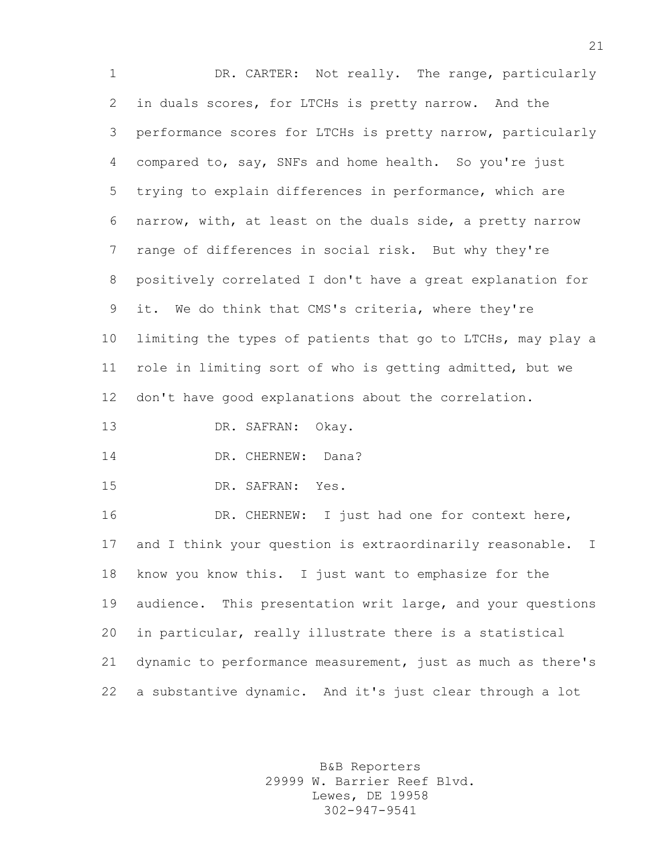DR. CARTER: Not really. The range, particularly in duals scores, for LTCHs is pretty narrow. And the performance scores for LTCHs is pretty narrow, particularly compared to, say, SNFs and home health. So you're just trying to explain differences in performance, which are narrow, with, at least on the duals side, a pretty narrow range of differences in social risk. But why they're positively correlated I don't have a great explanation for it. We do think that CMS's criteria, where they're limiting the types of patients that go to LTCHs, may play a role in limiting sort of who is getting admitted, but we don't have good explanations about the correlation. DR. SAFRAN: Okay. 14 DR. CHERNEW: Dana? DR. SAFRAN: Yes. DR. CHERNEW: I just had one for context here, and I think your question is extraordinarily reasonable. I know you know this. I just want to emphasize for the audience. This presentation writ large, and your questions in particular, really illustrate there is a statistical

 dynamic to performance measurement, just as much as there's a substantive dynamic. And it's just clear through a lot

> B&B Reporters 29999 W. Barrier Reef Blvd. Lewes, DE 19958 302-947-9541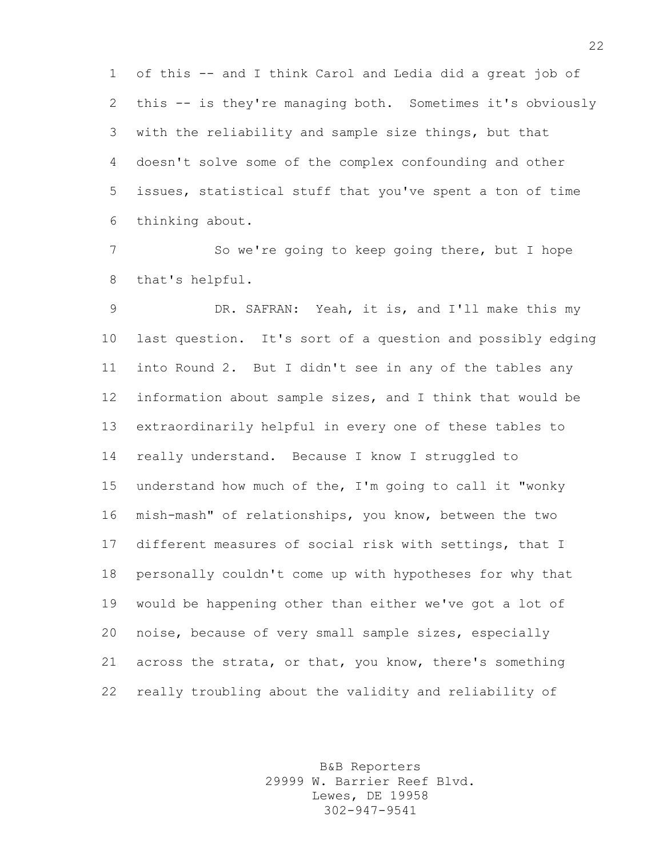of this -- and I think Carol and Ledia did a great job of this -- is they're managing both. Sometimes it's obviously with the reliability and sample size things, but that doesn't solve some of the complex confounding and other issues, statistical stuff that you've spent a ton of time thinking about.

 So we're going to keep going there, but I hope that's helpful.

 DR. SAFRAN: Yeah, it is, and I'll make this my last question. It's sort of a question and possibly edging into Round 2. But I didn't see in any of the tables any information about sample sizes, and I think that would be extraordinarily helpful in every one of these tables to really understand. Because I know I struggled to understand how much of the, I'm going to call it "wonky mish-mash" of relationships, you know, between the two different measures of social risk with settings, that I personally couldn't come up with hypotheses for why that would be happening other than either we've got a lot of noise, because of very small sample sizes, especially across the strata, or that, you know, there's something really troubling about the validity and reliability of

> B&B Reporters 29999 W. Barrier Reef Blvd. Lewes, DE 19958 302-947-9541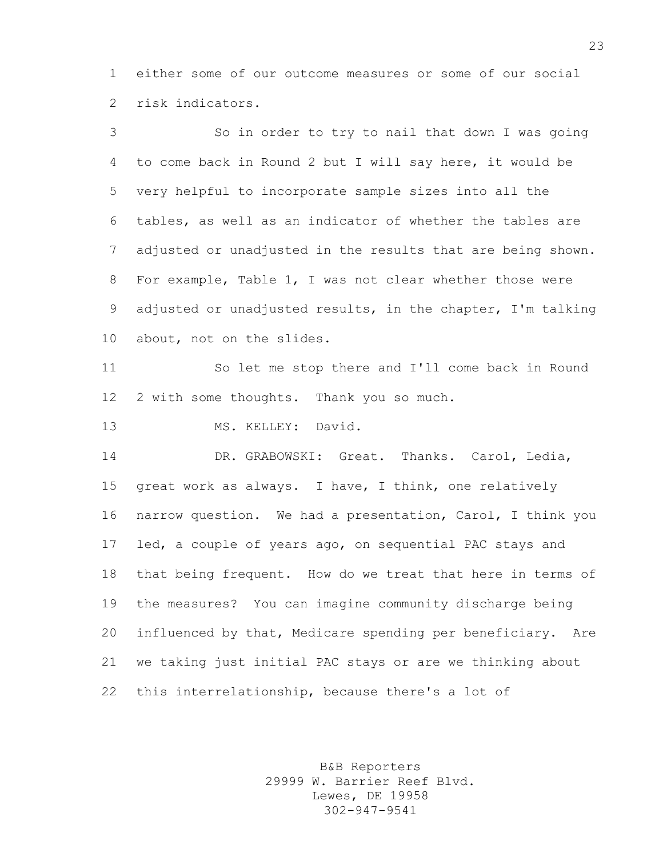either some of our outcome measures or some of our social risk indicators.

 So in order to try to nail that down I was going to come back in Round 2 but I will say here, it would be very helpful to incorporate sample sizes into all the tables, as well as an indicator of whether the tables are adjusted or unadjusted in the results that are being shown. For example, Table 1, I was not clear whether those were adjusted or unadjusted results, in the chapter, I'm talking about, not on the slides. So let me stop there and I'll come back in Round 2 with some thoughts. Thank you so much. 13 MS. KELLEY: David. DR. GRABOWSKI: Great. Thanks. Carol, Ledia, great work as always. I have, I think, one relatively narrow question. We had a presentation, Carol, I think you led, a couple of years ago, on sequential PAC stays and that being frequent. How do we treat that here in terms of the measures? You can imagine community discharge being influenced by that, Medicare spending per beneficiary. Are we taking just initial PAC stays or are we thinking about this interrelationship, because there's a lot of

> B&B Reporters 29999 W. Barrier Reef Blvd. Lewes, DE 19958 302-947-9541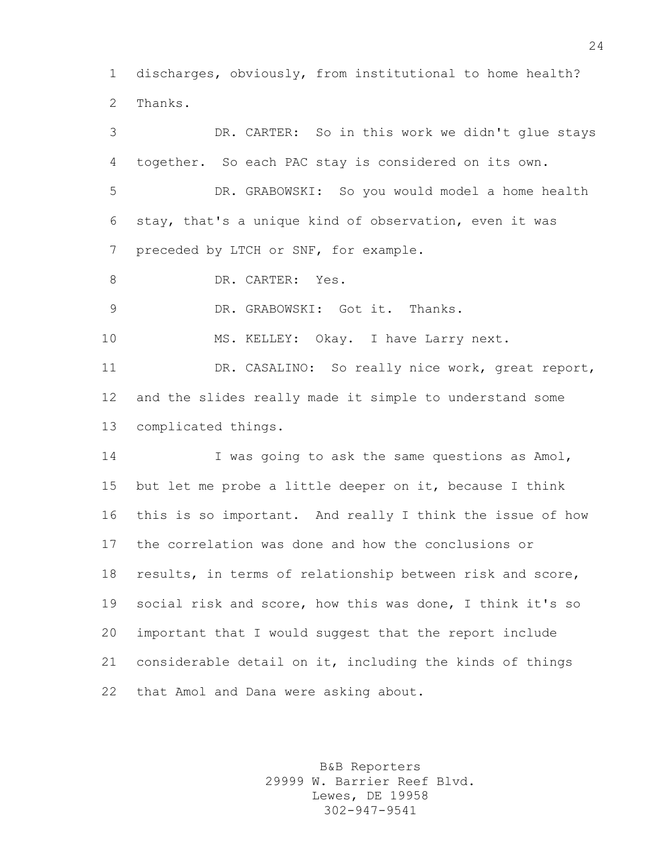discharges, obviously, from institutional to home health? Thanks.

 DR. CARTER: So in this work we didn't glue stays together. So each PAC stay is considered on its own. DR. GRABOWSKI: So you would model a home health stay, that's a unique kind of observation, even it was preceded by LTCH or SNF, for example. 8 DR. CARTER: Yes. DR. GRABOWSKI: Got it. Thanks. 10 MS. KELLEY: Okay. I have Larry next. DR. CASALINO: So really nice work, great report, and the slides really made it simple to understand some complicated things. 14 I was going to ask the same questions as Amol, but let me probe a little deeper on it, because I think this is so important. And really I think the issue of how the correlation was done and how the conclusions or results, in terms of relationship between risk and score, social risk and score, how this was done, I think it's so important that I would suggest that the report include considerable detail on it, including the kinds of things that Amol and Dana were asking about.

> B&B Reporters 29999 W. Barrier Reef Blvd. Lewes, DE 19958 302-947-9541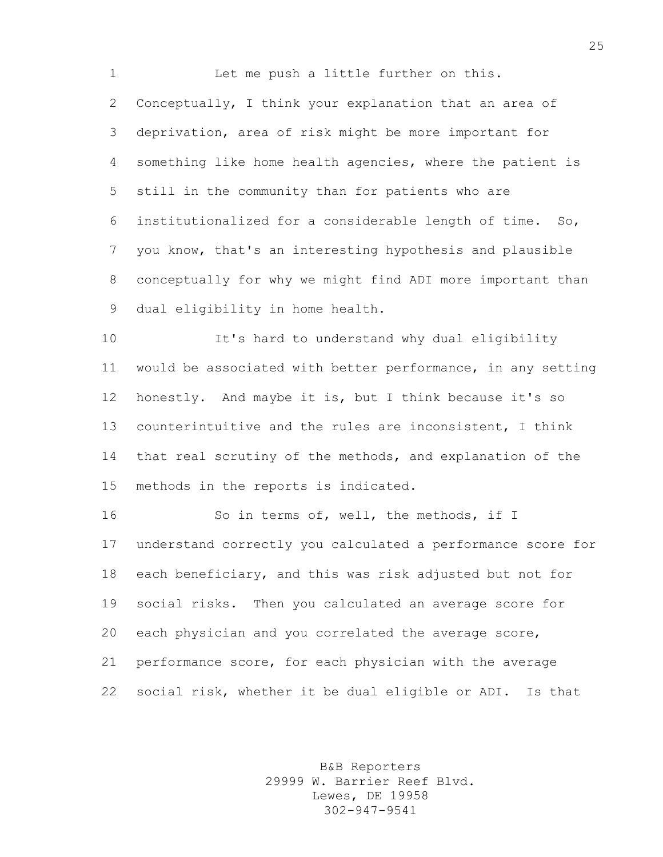Let me push a little further on this. Conceptually, I think your explanation that an area of deprivation, area of risk might be more important for something like home health agencies, where the patient is still in the community than for patients who are institutionalized for a considerable length of time. So, you know, that's an interesting hypothesis and plausible conceptually for why we might find ADI more important than dual eligibility in home health.

 It's hard to understand why dual eligibility would be associated with better performance, in any setting honestly. And maybe it is, but I think because it's so counterintuitive and the rules are inconsistent, I think that real scrutiny of the methods, and explanation of the methods in the reports is indicated.

16 So in terms of, well, the methods, if I understand correctly you calculated a performance score for each beneficiary, and this was risk adjusted but not for social risks. Then you calculated an average score for each physician and you correlated the average score, performance score, for each physician with the average social risk, whether it be dual eligible or ADI. Is that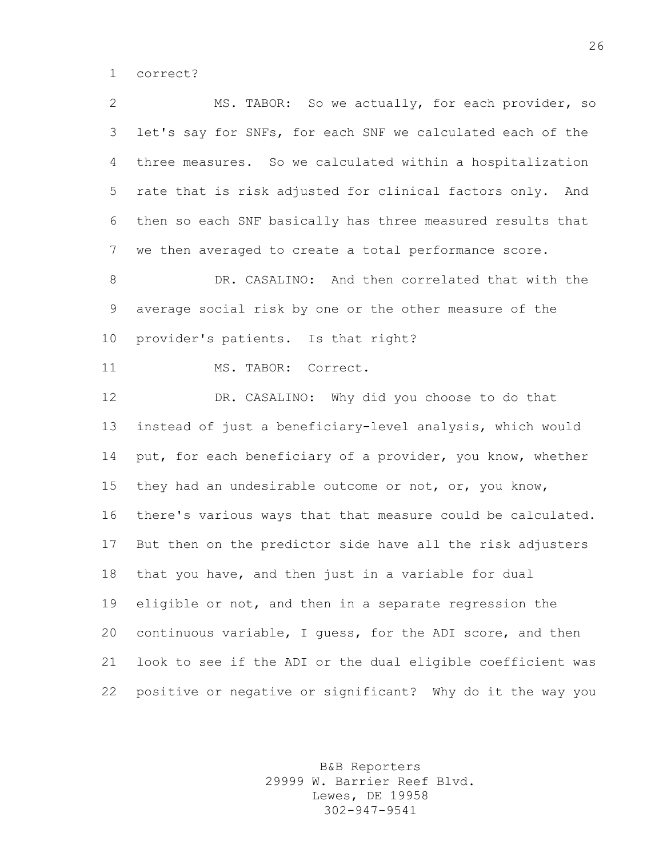correct?

 MS. TABOR: So we actually, for each provider, so let's say for SNFs, for each SNF we calculated each of the three measures. So we calculated within a hospitalization rate that is risk adjusted for clinical factors only. And then so each SNF basically has three measured results that we then averaged to create a total performance score.

 DR. CASALINO: And then correlated that with the average social risk by one or the other measure of the provider's patients. Is that right?

MS. TABOR: Correct.

 DR. CASALINO: Why did you choose to do that instead of just a beneficiary-level analysis, which would 14 put, for each beneficiary of a provider, you know, whether they had an undesirable outcome or not, or, you know, there's various ways that that measure could be calculated. But then on the predictor side have all the risk adjusters that you have, and then just in a variable for dual eligible or not, and then in a separate regression the continuous variable, I guess, for the ADI score, and then look to see if the ADI or the dual eligible coefficient was positive or negative or significant? Why do it the way you

> B&B Reporters 29999 W. Barrier Reef Blvd. Lewes, DE 19958 302-947-9541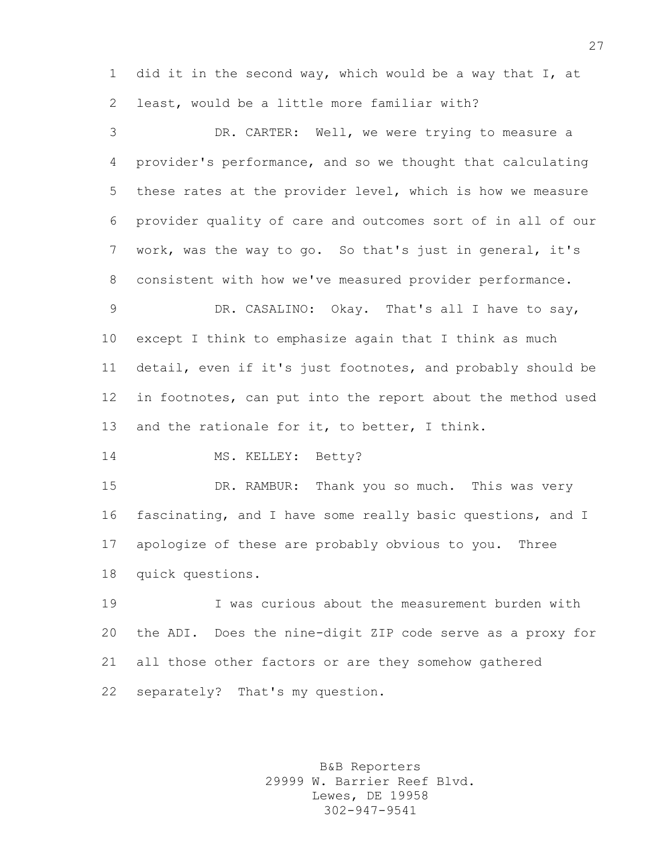did it in the second way, which would be a way that I, at least, would be a little more familiar with?

 DR. CARTER: Well, we were trying to measure a provider's performance, and so we thought that calculating these rates at the provider level, which is how we measure provider quality of care and outcomes sort of in all of our work, was the way to go. So that's just in general, it's consistent with how we've measured provider performance.

 DR. CASALINO: Okay. That's all I have to say, except I think to emphasize again that I think as much detail, even if it's just footnotes, and probably should be in footnotes, can put into the report about the method used and the rationale for it, to better, I think.

14 MS. KELLEY: Betty?

 DR. RAMBUR: Thank you so much. This was very fascinating, and I have some really basic questions, and I apologize of these are probably obvious to you. Three quick questions.

 I was curious about the measurement burden with the ADI. Does the nine-digit ZIP code serve as a proxy for all those other factors or are they somehow gathered separately? That's my question.

> B&B Reporters 29999 W. Barrier Reef Blvd. Lewes, DE 19958 302-947-9541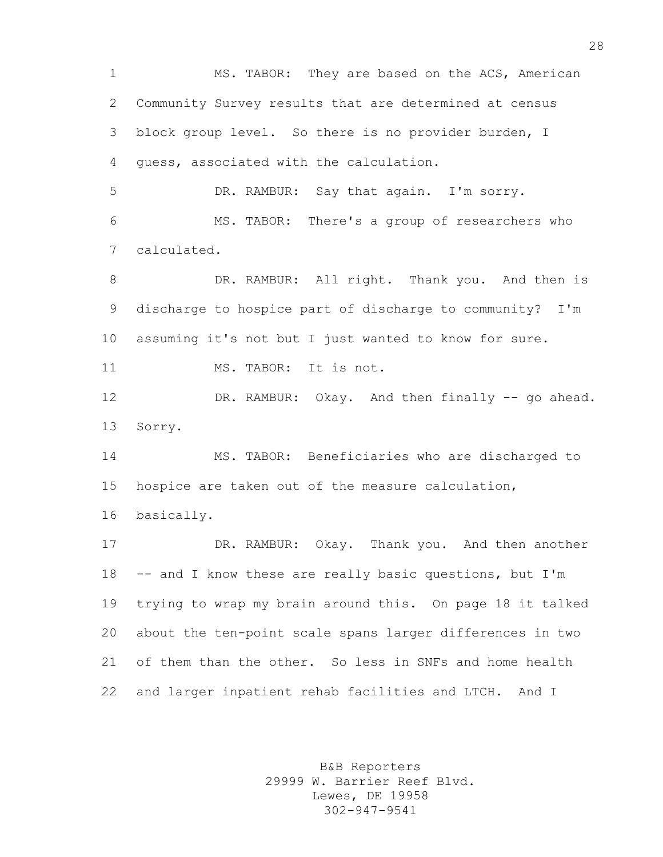MS. TABOR: They are based on the ACS, American Community Survey results that are determined at census block group level. So there is no provider burden, I guess, associated with the calculation.

 DR. RAMBUR: Say that again. I'm sorry. MS. TABOR: There's a group of researchers who calculated.

8 DR. RAMBUR: All right. Thank you. And then is discharge to hospice part of discharge to community? I'm assuming it's not but I just wanted to know for sure.

11 MS. TABOR: It is not.

12 DR. RAMBUR: Okay. And then finally -- go ahead. Sorry.

 MS. TABOR: Beneficiaries who are discharged to hospice are taken out of the measure calculation,

basically.

 DR. RAMBUR: Okay. Thank you. And then another -- and I know these are really basic questions, but I'm trying to wrap my brain around this. On page 18 it talked about the ten-point scale spans larger differences in two of them than the other. So less in SNFs and home health and larger inpatient rehab facilities and LTCH. And I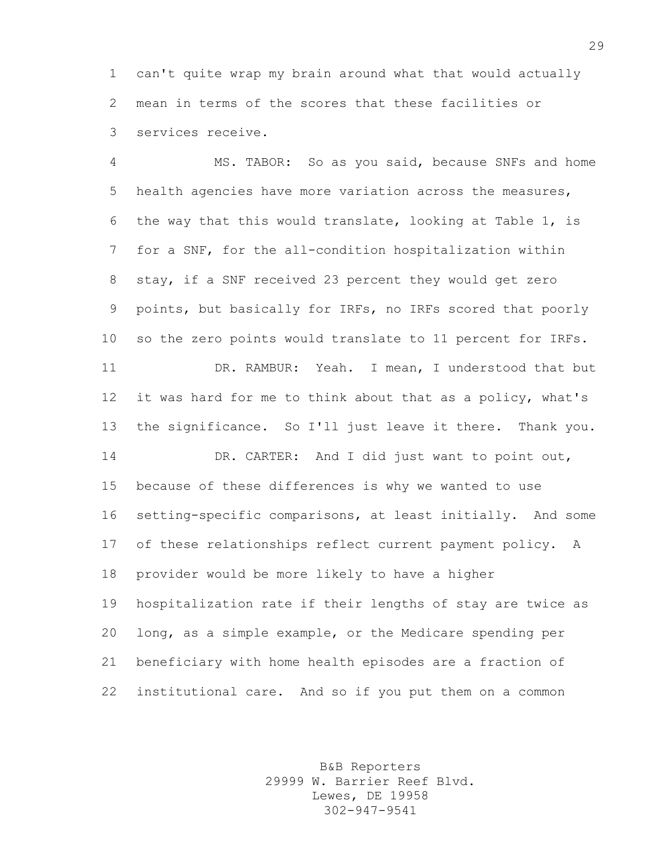can't quite wrap my brain around what that would actually mean in terms of the scores that these facilities or services receive.

 MS. TABOR: So as you said, because SNFs and home health agencies have more variation across the measures, the way that this would translate, looking at Table 1, is for a SNF, for the all-condition hospitalization within stay, if a SNF received 23 percent they would get zero points, but basically for IRFs, no IRFs scored that poorly so the zero points would translate to 11 percent for IRFs. DR. RAMBUR: Yeah. I mean, I understood that but it was hard for me to think about that as a policy, what's the significance. So I'll just leave it there. Thank you. DR. CARTER: And I did just want to point out, because of these differences is why we wanted to use setting-specific comparisons, at least initially. And some of these relationships reflect current payment policy. A provider would be more likely to have a higher hospitalization rate if their lengths of stay are twice as long, as a simple example, or the Medicare spending per beneficiary with home health episodes are a fraction of institutional care. And so if you put them on a common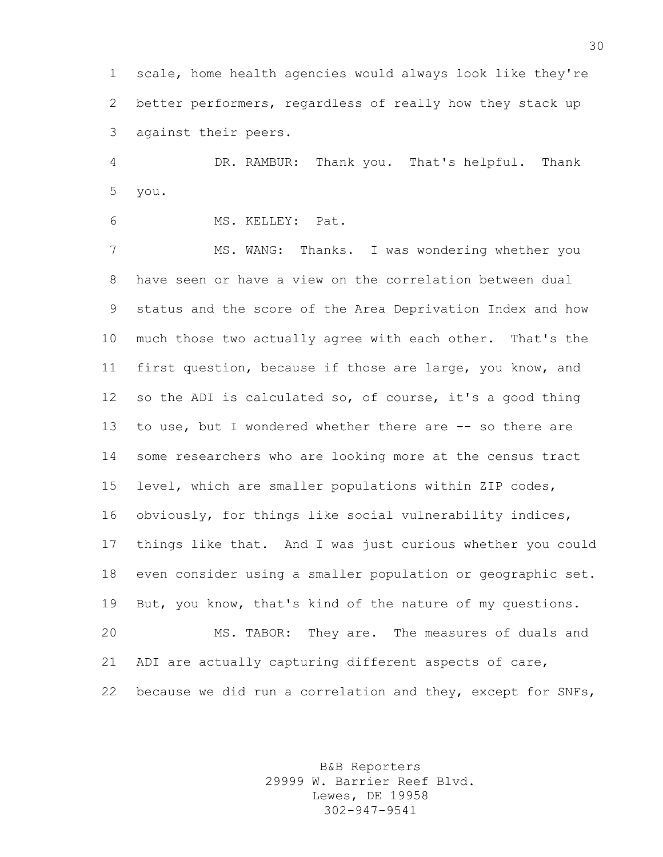scale, home health agencies would always look like they're better performers, regardless of really how they stack up against their peers.

 DR. RAMBUR: Thank you. That's helpful. Thank you.

MS. KELLEY: Pat.

 MS. WANG: Thanks. I was wondering whether you have seen or have a view on the correlation between dual status and the score of the Area Deprivation Index and how much those two actually agree with each other. That's the first question, because if those are large, you know, and so the ADI is calculated so, of course, it's a good thing to use, but I wondered whether there are -- so there are some researchers who are looking more at the census tract level, which are smaller populations within ZIP codes, obviously, for things like social vulnerability indices, things like that. And I was just curious whether you could even consider using a smaller population or geographic set. But, you know, that's kind of the nature of my questions. MS. TABOR: They are. The measures of duals and ADI are actually capturing different aspects of care,

because we did run a correlation and they, except for SNFs,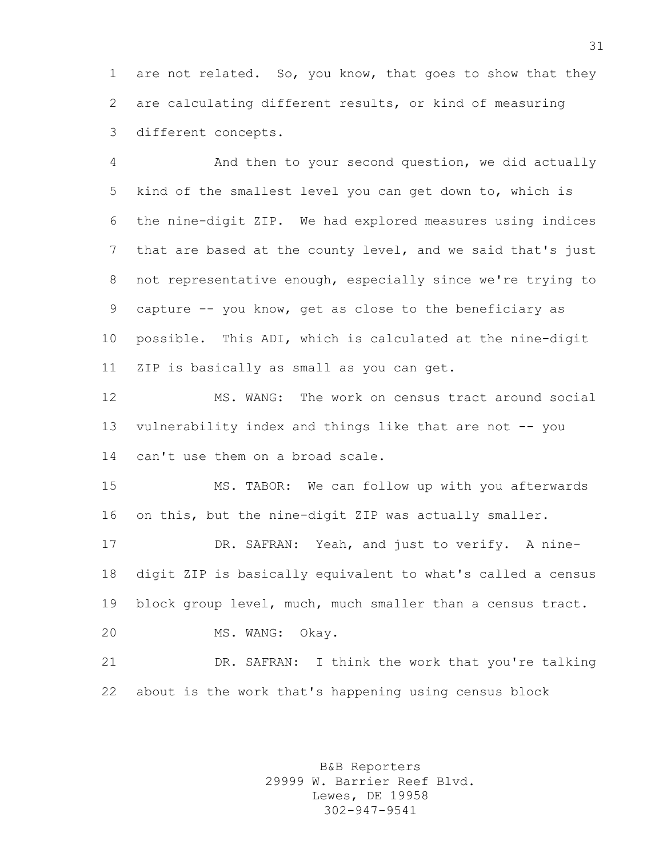are not related. So, you know, that goes to show that they are calculating different results, or kind of measuring different concepts.

 And then to your second question, we did actually kind of the smallest level you can get down to, which is the nine-digit ZIP. We had explored measures using indices that are based at the county level, and we said that's just not representative enough, especially since we're trying to capture -- you know, get as close to the beneficiary as possible. This ADI, which is calculated at the nine-digit ZIP is basically as small as you can get.

 MS. WANG: The work on census tract around social vulnerability index and things like that are not -- you can't use them on a broad scale.

 MS. TABOR: We can follow up with you afterwards on this, but the nine-digit ZIP was actually smaller.

 DR. SAFRAN: Yeah, and just to verify. A nine- digit ZIP is basically equivalent to what's called a census block group level, much, much smaller than a census tract.

MS. WANG: Okay.

 DR. SAFRAN: I think the work that you're talking about is the work that's happening using census block

> B&B Reporters 29999 W. Barrier Reef Blvd. Lewes, DE 19958 302-947-9541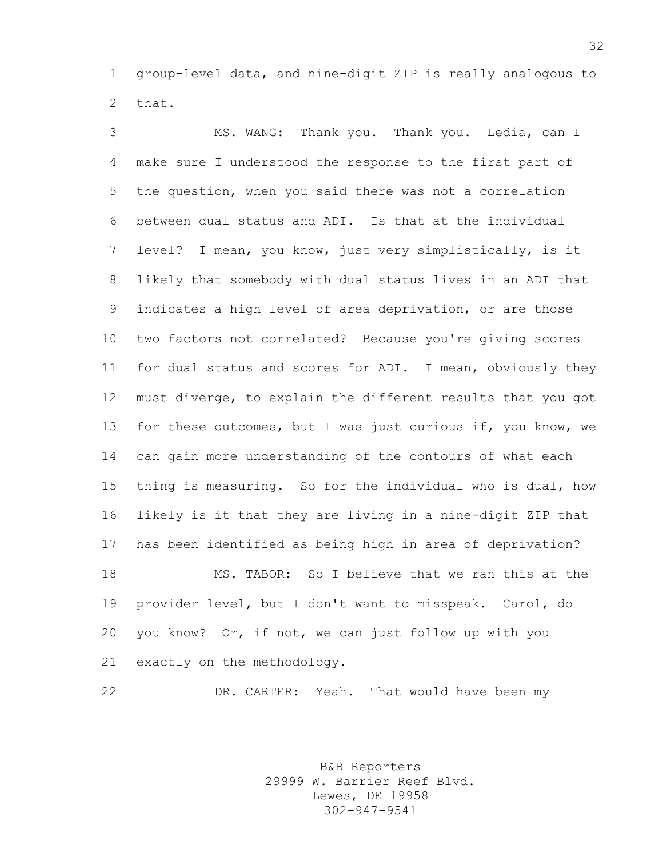group-level data, and nine-digit ZIP is really analogous to that.

 MS. WANG: Thank you. Thank you. Ledia, can I make sure I understood the response to the first part of the question, when you said there was not a correlation between dual status and ADI. Is that at the individual level? I mean, you know, just very simplistically, is it likely that somebody with dual status lives in an ADI that indicates a high level of area deprivation, or are those two factors not correlated? Because you're giving scores for dual status and scores for ADI. I mean, obviously they must diverge, to explain the different results that you got for these outcomes, but I was just curious if, you know, we can gain more understanding of the contours of what each thing is measuring. So for the individual who is dual, how likely is it that they are living in a nine-digit ZIP that has been identified as being high in area of deprivation? MS. TABOR: So I believe that we ran this at the provider level, but I don't want to misspeak. Carol, do you know? Or, if not, we can just follow up with you exactly on the methodology.

DR. CARTER: Yeah. That would have been my

B&B Reporters 29999 W. Barrier Reef Blvd. Lewes, DE 19958 302-947-9541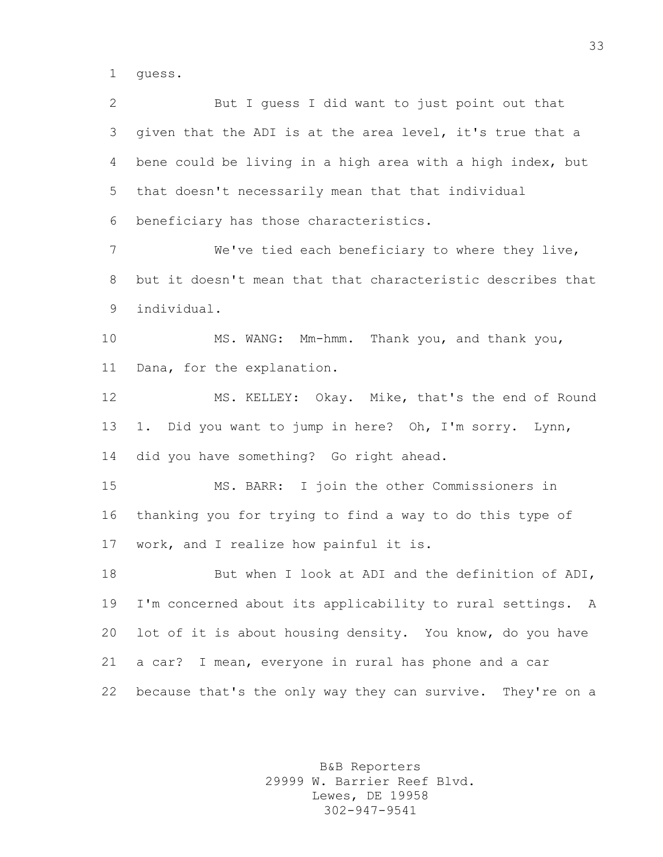guess.

 But I guess I did want to just point out that given that the ADI is at the area level, it's true that a bene could be living in a high area with a high index, but that doesn't necessarily mean that that individual beneficiary has those characteristics. We've tied each beneficiary to where they live, but it doesn't mean that that characteristic describes that individual. MS. WANG: Mm-hmm. Thank you, and thank you, Dana, for the explanation. MS. KELLEY: Okay. Mike, that's the end of Round 1. Did you want to jump in here? Oh, I'm sorry. Lynn, did you have something? Go right ahead. MS. BARR: I join the other Commissioners in thanking you for trying to find a way to do this type of work, and I realize how painful it is. 18 But when I look at ADI and the definition of ADI, I'm concerned about its applicability to rural settings. A lot of it is about housing density. You know, do you have a car? I mean, everyone in rural has phone and a car because that's the only way they can survive. They're on a

> B&B Reporters 29999 W. Barrier Reef Blvd. Lewes, DE 19958 302-947-9541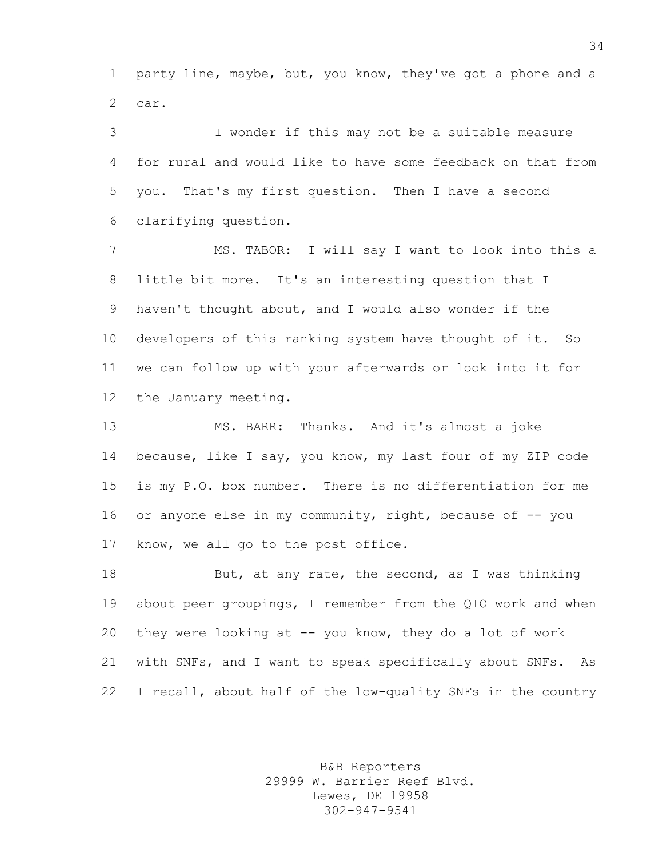party line, maybe, but, you know, they've got a phone and a car.

 I wonder if this may not be a suitable measure for rural and would like to have some feedback on that from you. That's my first question. Then I have a second clarifying question.

 MS. TABOR: I will say I want to look into this a little bit more. It's an interesting question that I haven't thought about, and I would also wonder if the developers of this ranking system have thought of it. So we can follow up with your afterwards or look into it for the January meeting.

 MS. BARR: Thanks. And it's almost a joke because, like I say, you know, my last four of my ZIP code is my P.O. box number. There is no differentiation for me or anyone else in my community, right, because of -- you know, we all go to the post office.

18 But, at any rate, the second, as I was thinking about peer groupings, I remember from the QIO work and when they were looking at -- you know, they do a lot of work with SNFs, and I want to speak specifically about SNFs. As I recall, about half of the low-quality SNFs in the country

> B&B Reporters 29999 W. Barrier Reef Blvd. Lewes, DE 19958 302-947-9541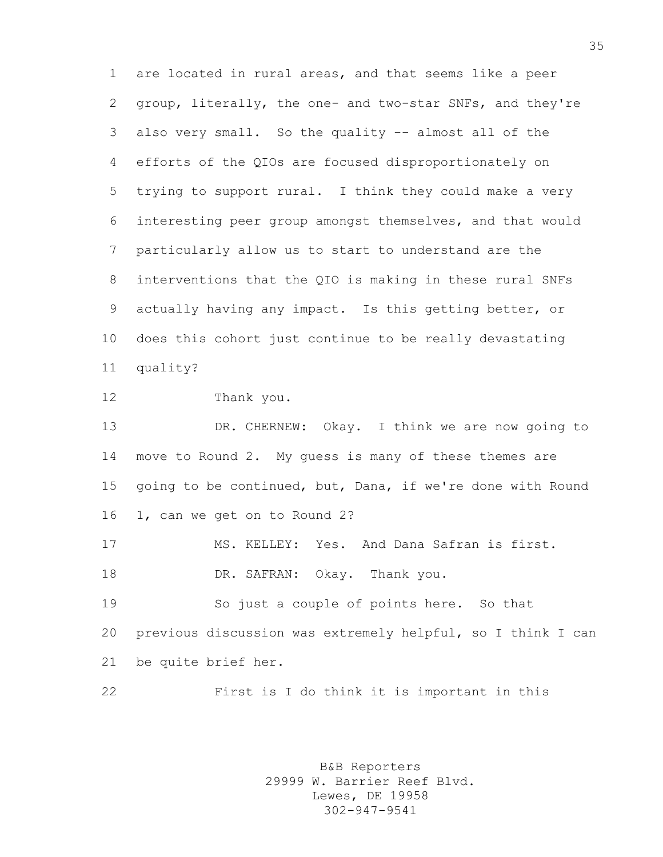are located in rural areas, and that seems like a peer group, literally, the one- and two-star SNFs, and they're also very small. So the quality -- almost all of the efforts of the QIOs are focused disproportionately on trying to support rural. I think they could make a very interesting peer group amongst themselves, and that would particularly allow us to start to understand are the interventions that the QIO is making in these rural SNFs actually having any impact. Is this getting better, or does this cohort just continue to be really devastating quality?

```
12 Thank you.
```
 DR. CHERNEW: Okay. I think we are now going to move to Round 2. My guess is many of these themes are going to be continued, but, Dana, if we're done with Round 1, can we get on to Round 2?

MS. KELLEY: Yes. And Dana Safran is first.

DR. SAFRAN: Okay. Thank you.

 So just a couple of points here. So that previous discussion was extremely helpful, so I think I can be quite brief her.

First is I do think it is important in this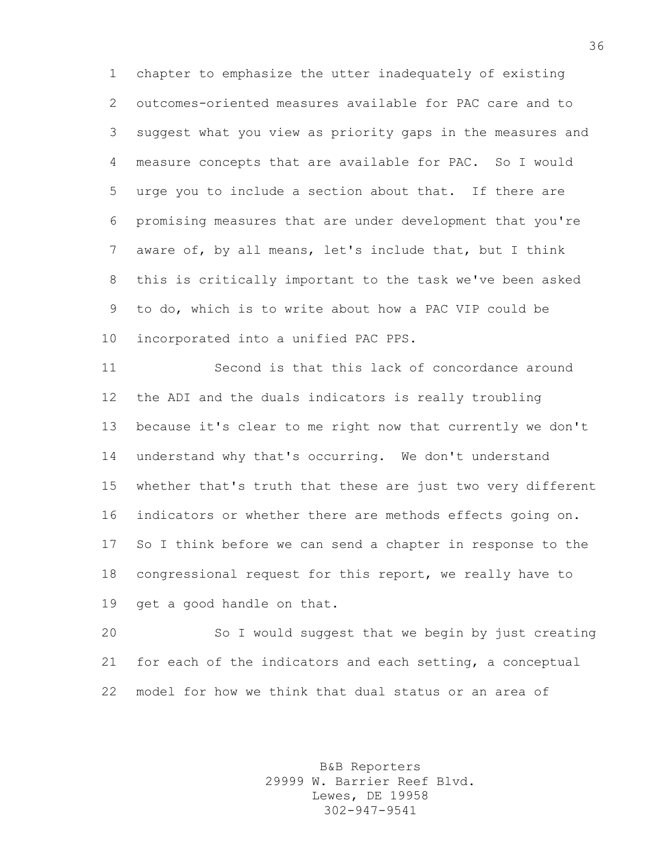chapter to emphasize the utter inadequately of existing outcomes-oriented measures available for PAC care and to suggest what you view as priority gaps in the measures and measure concepts that are available for PAC. So I would urge you to include a section about that. If there are promising measures that are under development that you're aware of, by all means, let's include that, but I think this is critically important to the task we've been asked to do, which is to write about how a PAC VIP could be incorporated into a unified PAC PPS.

 Second is that this lack of concordance around the ADI and the duals indicators is really troubling because it's clear to me right now that currently we don't understand why that's occurring. We don't understand whether that's truth that these are just two very different indicators or whether there are methods effects going on. So I think before we can send a chapter in response to the congressional request for this report, we really have to get a good handle on that.

 So I would suggest that we begin by just creating for each of the indicators and each setting, a conceptual model for how we think that dual status or an area of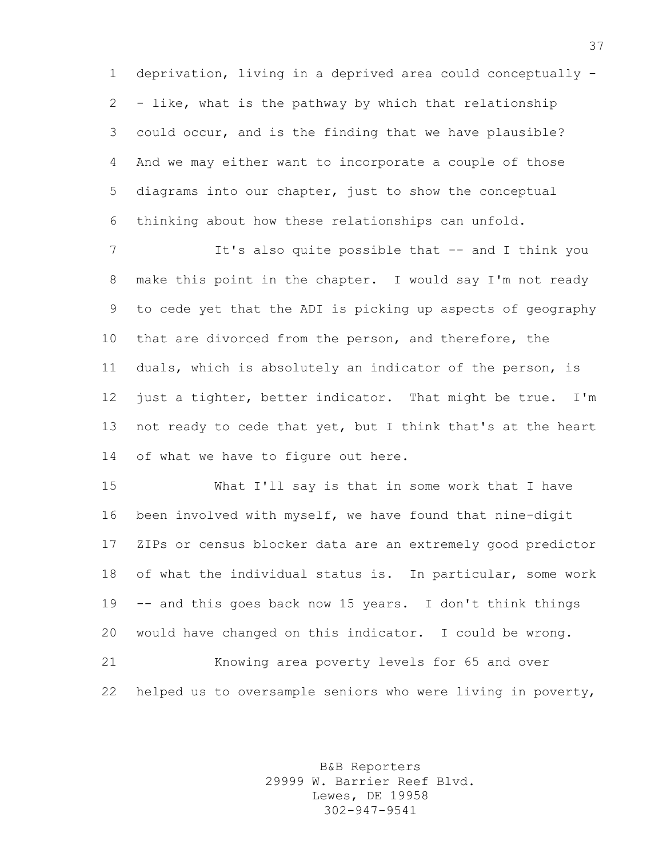deprivation, living in a deprived area could conceptually - - like, what is the pathway by which that relationship could occur, and is the finding that we have plausible? And we may either want to incorporate a couple of those diagrams into our chapter, just to show the conceptual thinking about how these relationships can unfold.

 It's also quite possible that -- and I think you make this point in the chapter. I would say I'm not ready to cede yet that the ADI is picking up aspects of geography that are divorced from the person, and therefore, the duals, which is absolutely an indicator of the person, is just a tighter, better indicator. That might be true. I'm not ready to cede that yet, but I think that's at the heart of what we have to figure out here.

 What I'll say is that in some work that I have been involved with myself, we have found that nine-digit ZIPs or census blocker data are an extremely good predictor of what the individual status is. In particular, some work -- and this goes back now 15 years. I don't think things would have changed on this indicator. I could be wrong. Knowing area poverty levels for 65 and over helped us to oversample seniors who were living in poverty,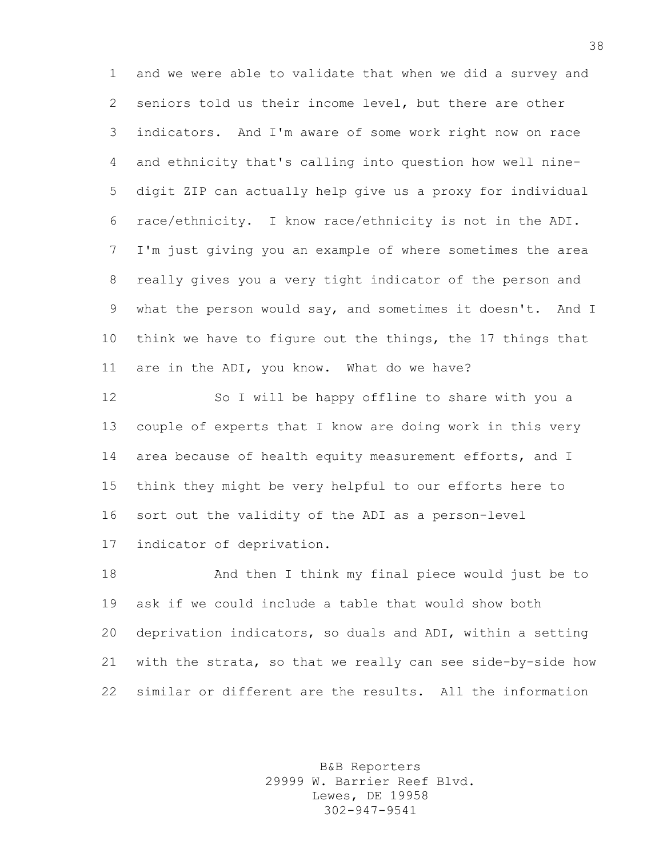and we were able to validate that when we did a survey and seniors told us their income level, but there are other indicators. And I'm aware of some work right now on race and ethnicity that's calling into question how well nine- digit ZIP can actually help give us a proxy for individual race/ethnicity. I know race/ethnicity is not in the ADI. I'm just giving you an example of where sometimes the area really gives you a very tight indicator of the person and what the person would say, and sometimes it doesn't. And I think we have to figure out the things, the 17 things that are in the ADI, you know. What do we have?

 So I will be happy offline to share with you a couple of experts that I know are doing work in this very 14 area because of health equity measurement efforts, and I think they might be very helpful to our efforts here to sort out the validity of the ADI as a person-level indicator of deprivation.

 And then I think my final piece would just be to ask if we could include a table that would show both deprivation indicators, so duals and ADI, within a setting with the strata, so that we really can see side-by-side how similar or different are the results. All the information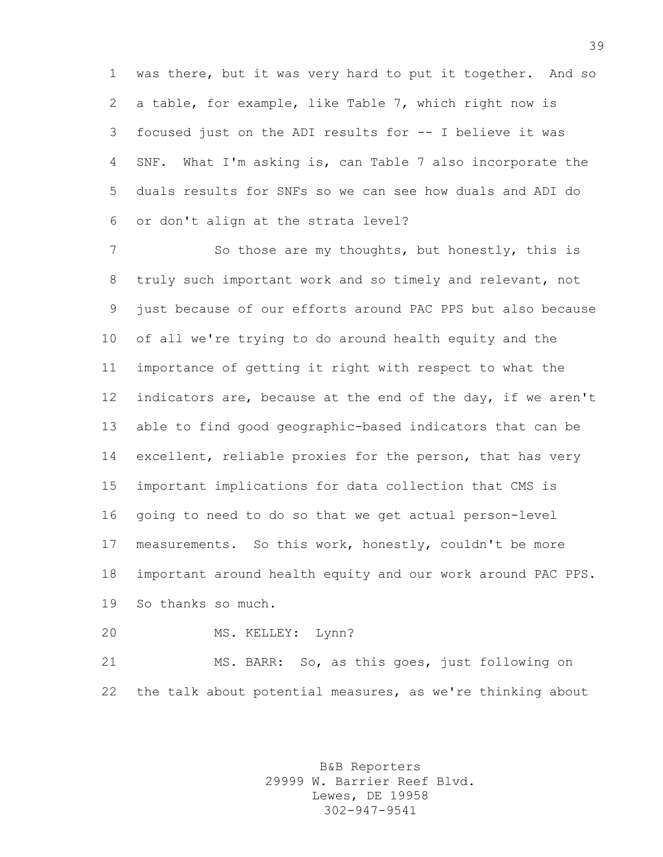was there, but it was very hard to put it together. And so a table, for example, like Table 7, which right now is focused just on the ADI results for -- I believe it was SNF. What I'm asking is, can Table 7 also incorporate the duals results for SNFs so we can see how duals and ADI do or don't align at the strata level?

7 So those are my thoughts, but honestly, this is truly such important work and so timely and relevant, not just because of our efforts around PAC PPS but also because of all we're trying to do around health equity and the importance of getting it right with respect to what the indicators are, because at the end of the day, if we aren't able to find good geographic-based indicators that can be excellent, reliable proxies for the person, that has very important implications for data collection that CMS is going to need to do so that we get actual person-level measurements. So this work, honestly, couldn't be more important around health equity and our work around PAC PPS. So thanks so much.

MS. KELLEY: Lynn?

 MS. BARR: So, as this goes, just following on the talk about potential measures, as we're thinking about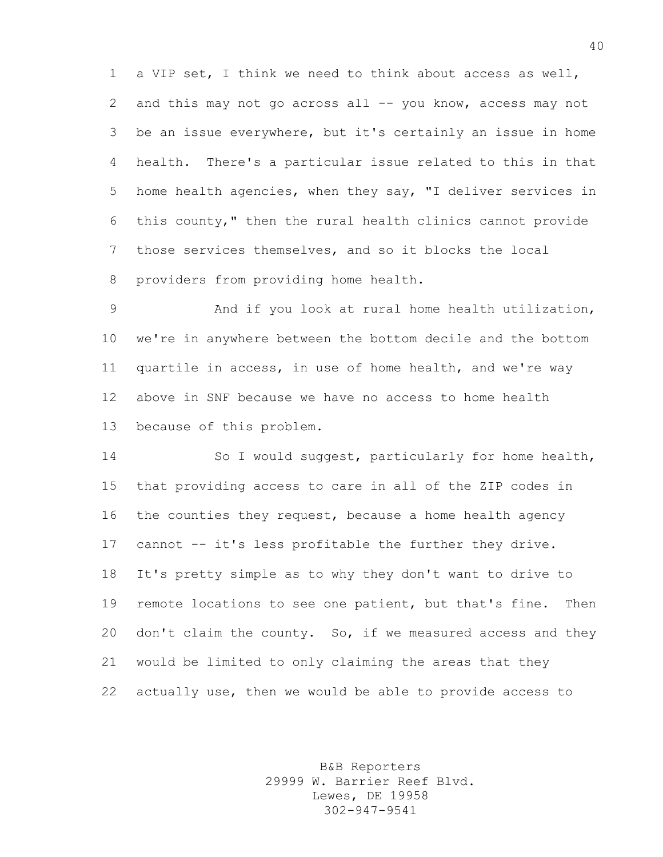a VIP set, I think we need to think about access as well, and this may not go across all -- you know, access may not be an issue everywhere, but it's certainly an issue in home health. There's a particular issue related to this in that home health agencies, when they say, "I deliver services in this county," then the rural health clinics cannot provide those services themselves, and so it blocks the local providers from providing home health.

 And if you look at rural home health utilization, we're in anywhere between the bottom decile and the bottom quartile in access, in use of home health, and we're way above in SNF because we have no access to home health because of this problem.

 So I would suggest, particularly for home health, that providing access to care in all of the ZIP codes in the counties they request, because a home health agency cannot -- it's less profitable the further they drive. It's pretty simple as to why they don't want to drive to 19 remote locations to see one patient, but that's fine. Then don't claim the county. So, if we measured access and they would be limited to only claiming the areas that they actually use, then we would be able to provide access to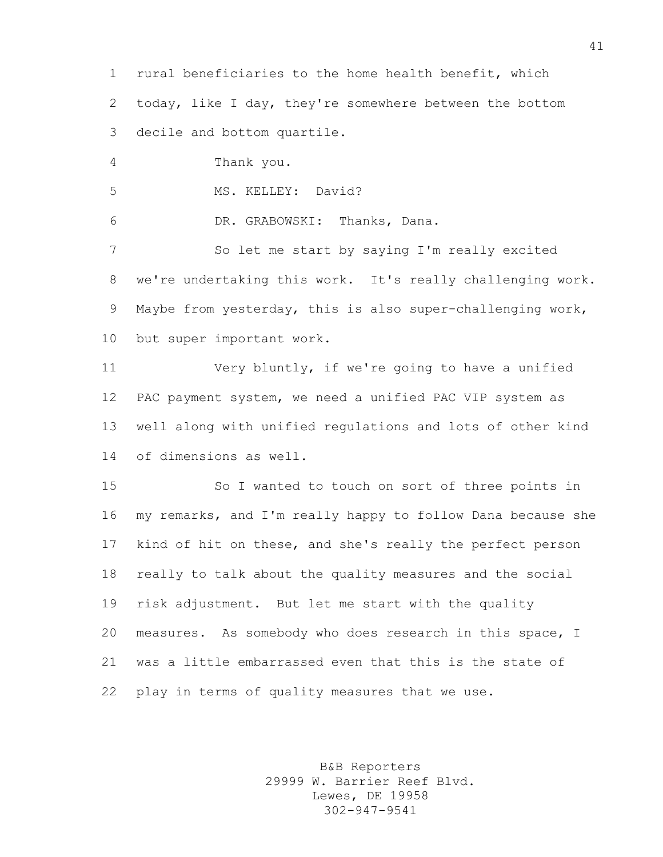rural beneficiaries to the home health benefit, which today, like I day, they're somewhere between the bottom decile and bottom quartile. Thank you. MS. KELLEY: David? DR. GRABOWSKI: Thanks, Dana. So let me start by saying I'm really excited we're undertaking this work. It's really challenging work. Maybe from yesterday, this is also super-challenging work, but super important work. Very bluntly, if we're going to have a unified PAC payment system, we need a unified PAC VIP system as well along with unified regulations and lots of other kind of dimensions as well. So I wanted to touch on sort of three points in my remarks, and I'm really happy to follow Dana because she kind of hit on these, and she's really the perfect person really to talk about the quality measures and the social risk adjustment. But let me start with the quality measures. As somebody who does research in this space, I was a little embarrassed even that this is the state of play in terms of quality measures that we use.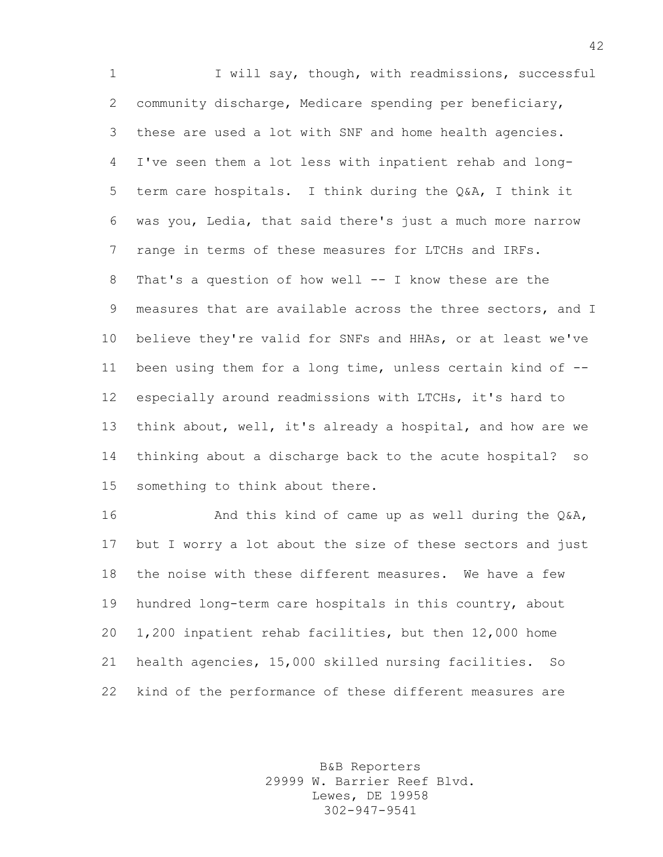1 I will say, though, with readmissions, successful community discharge, Medicare spending per beneficiary, these are used a lot with SNF and home health agencies. I've seen them a lot less with inpatient rehab and long- term care hospitals. I think during the Q&A, I think it was you, Ledia, that said there's just a much more narrow range in terms of these measures for LTCHs and IRFs. That's a question of how well -- I know these are the measures that are available across the three sectors, and I believe they're valid for SNFs and HHAs, or at least we've been using them for a long time, unless certain kind of -- especially around readmissions with LTCHs, it's hard to think about, well, it's already a hospital, and how are we thinking about a discharge back to the acute hospital? so something to think about there.

 And this kind of came up as well during the Q&A, but I worry a lot about the size of these sectors and just the noise with these different measures. We have a few hundred long-term care hospitals in this country, about 1,200 inpatient rehab facilities, but then 12,000 home health agencies, 15,000 skilled nursing facilities. So kind of the performance of these different measures are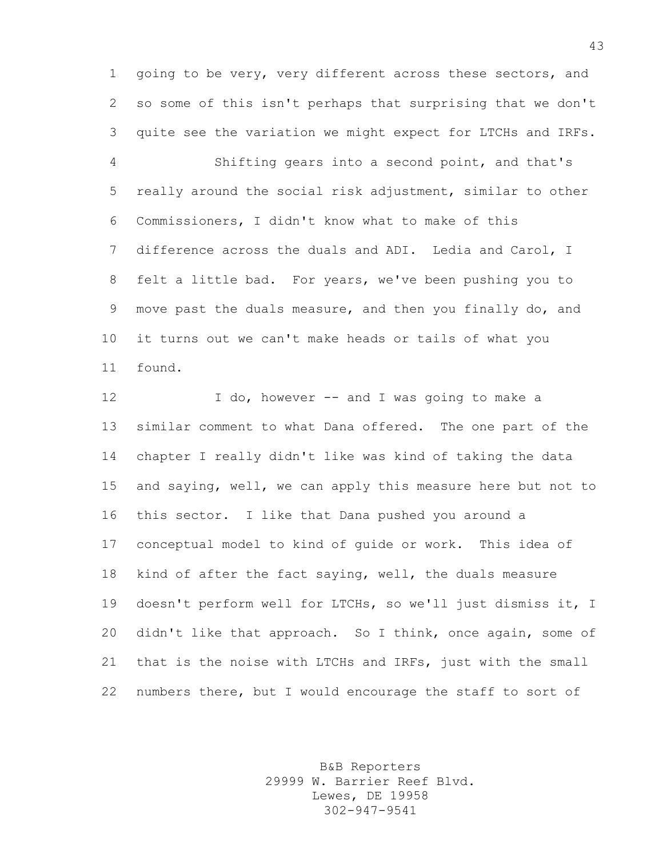going to be very, very different across these sectors, and so some of this isn't perhaps that surprising that we don't quite see the variation we might expect for LTCHs and IRFs. Shifting gears into a second point, and that's really around the social risk adjustment, similar to other Commissioners, I didn't know what to make of this difference across the duals and ADI. Ledia and Carol, I felt a little bad. For years, we've been pushing you to move past the duals measure, and then you finally do, and it turns out we can't make heads or tails of what you found.

12 I do, however -- and I was going to make a similar comment to what Dana offered. The one part of the chapter I really didn't like was kind of taking the data and saying, well, we can apply this measure here but not to this sector. I like that Dana pushed you around a conceptual model to kind of guide or work. This idea of kind of after the fact saying, well, the duals measure doesn't perform well for LTCHs, so we'll just dismiss it, I didn't like that approach. So I think, once again, some of that is the noise with LTCHs and IRFs, just with the small numbers there, but I would encourage the staff to sort of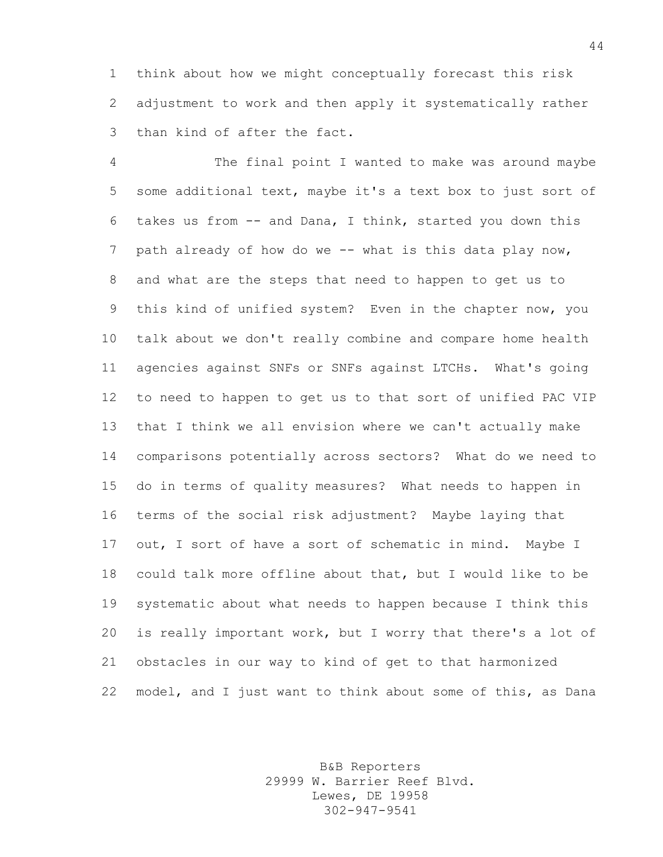think about how we might conceptually forecast this risk adjustment to work and then apply it systematically rather than kind of after the fact.

 The final point I wanted to make was around maybe some additional text, maybe it's a text box to just sort of takes us from -- and Dana, I think, started you down this 7 path already of how do we -- what is this data play now, and what are the steps that need to happen to get us to this kind of unified system? Even in the chapter now, you talk about we don't really combine and compare home health agencies against SNFs or SNFs against LTCHs. What's going to need to happen to get us to that sort of unified PAC VIP that I think we all envision where we can't actually make comparisons potentially across sectors? What do we need to do in terms of quality measures? What needs to happen in terms of the social risk adjustment? Maybe laying that out, I sort of have a sort of schematic in mind. Maybe I could talk more offline about that, but I would like to be systematic about what needs to happen because I think this is really important work, but I worry that there's a lot of obstacles in our way to kind of get to that harmonized model, and I just want to think about some of this, as Dana

> B&B Reporters 29999 W. Barrier Reef Blvd. Lewes, DE 19958 302-947-9541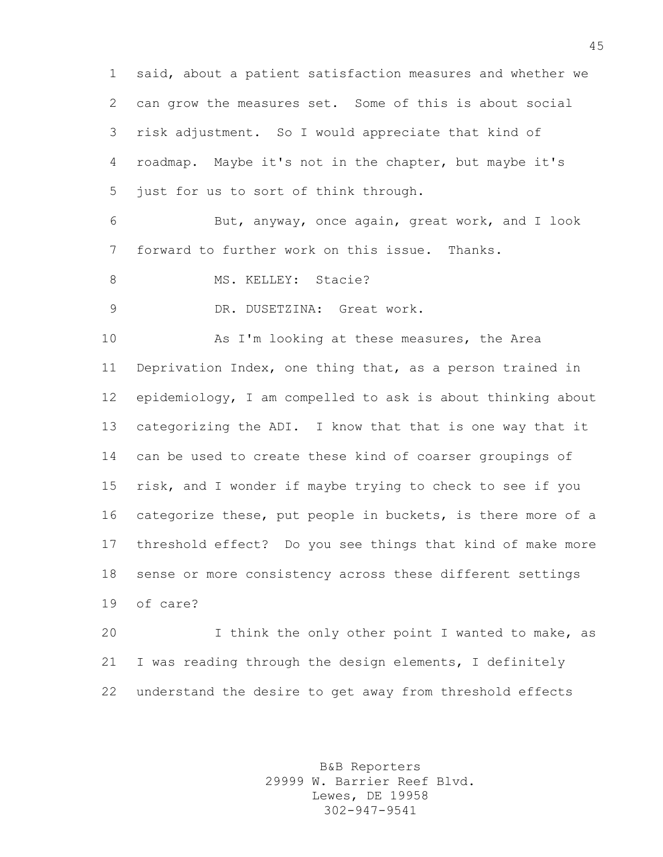said, about a patient satisfaction measures and whether we can grow the measures set. Some of this is about social risk adjustment. So I would appreciate that kind of roadmap. Maybe it's not in the chapter, but maybe it's just for us to sort of think through.

 But, anyway, once again, great work, and I look forward to further work on this issue. Thanks.

8 MS. KELLEY: Stacie?

DR. DUSETZINA: Great work.

 As I'm looking at these measures, the Area Deprivation Index, one thing that, as a person trained in epidemiology, I am compelled to ask is about thinking about categorizing the ADI. I know that that is one way that it can be used to create these kind of coarser groupings of risk, and I wonder if maybe trying to check to see if you categorize these, put people in buckets, is there more of a threshold effect? Do you see things that kind of make more sense or more consistency across these different settings of care?

 I think the only other point I wanted to make, as I was reading through the design elements, I definitely understand the desire to get away from threshold effects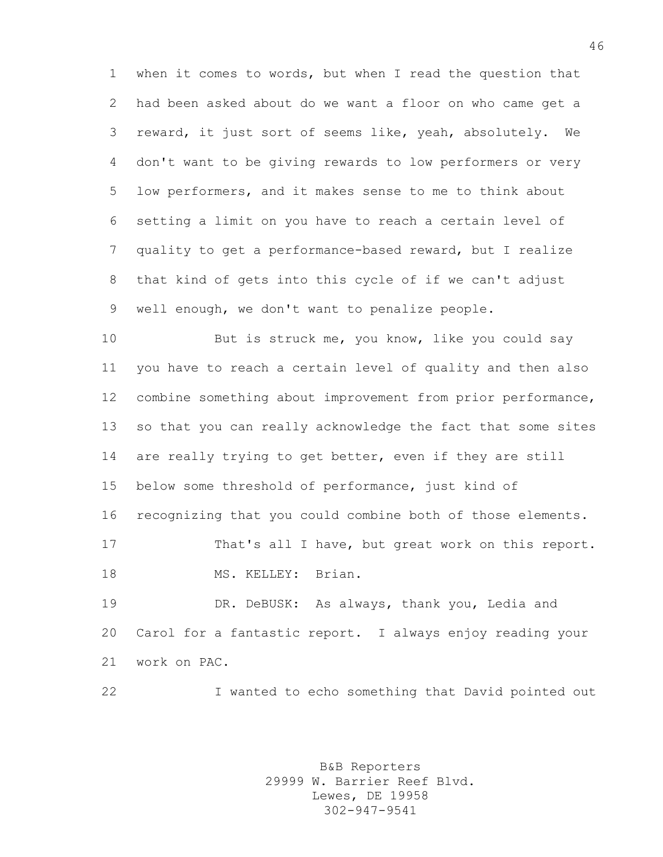when it comes to words, but when I read the question that had been asked about do we want a floor on who came get a reward, it just sort of seems like, yeah, absolutely. We don't want to be giving rewards to low performers or very low performers, and it makes sense to me to think about setting a limit on you have to reach a certain level of quality to get a performance-based reward, but I realize that kind of gets into this cycle of if we can't adjust well enough, we don't want to penalize people.

 But is struck me, you know, like you could say you have to reach a certain level of quality and then also combine something about improvement from prior performance, so that you can really acknowledge the fact that some sites 14 are really trying to get better, even if they are still below some threshold of performance, just kind of recognizing that you could combine both of those elements. That's all I have, but great work on this report. 18 MS. KELLEY: Brian. DR. DeBUSK: As always, thank you, Ledia and

 Carol for a fantastic report. I always enjoy reading your work on PAC.

I wanted to echo something that David pointed out

B&B Reporters 29999 W. Barrier Reef Blvd. Lewes, DE 19958 302-947-9541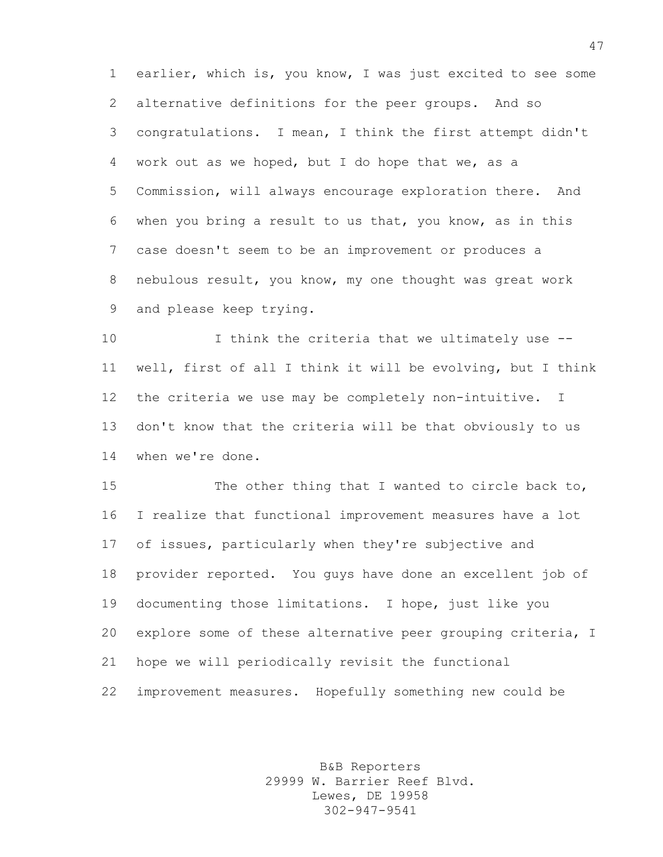earlier, which is, you know, I was just excited to see some alternative definitions for the peer groups. And so congratulations. I mean, I think the first attempt didn't work out as we hoped, but I do hope that we, as a Commission, will always encourage exploration there. And when you bring a result to us that, you know, as in this case doesn't seem to be an improvement or produces a nebulous result, you know, my one thought was great work and please keep trying.

10 I think the criteria that we ultimately use -- well, first of all I think it will be evolving, but I think the criteria we use may be completely non-intuitive. I don't know that the criteria will be that obviously to us when we're done.

 The other thing that I wanted to circle back to, I realize that functional improvement measures have a lot of issues, particularly when they're subjective and provider reported. You guys have done an excellent job of documenting those limitations. I hope, just like you explore some of these alternative peer grouping criteria, I hope we will periodically revisit the functional improvement measures. Hopefully something new could be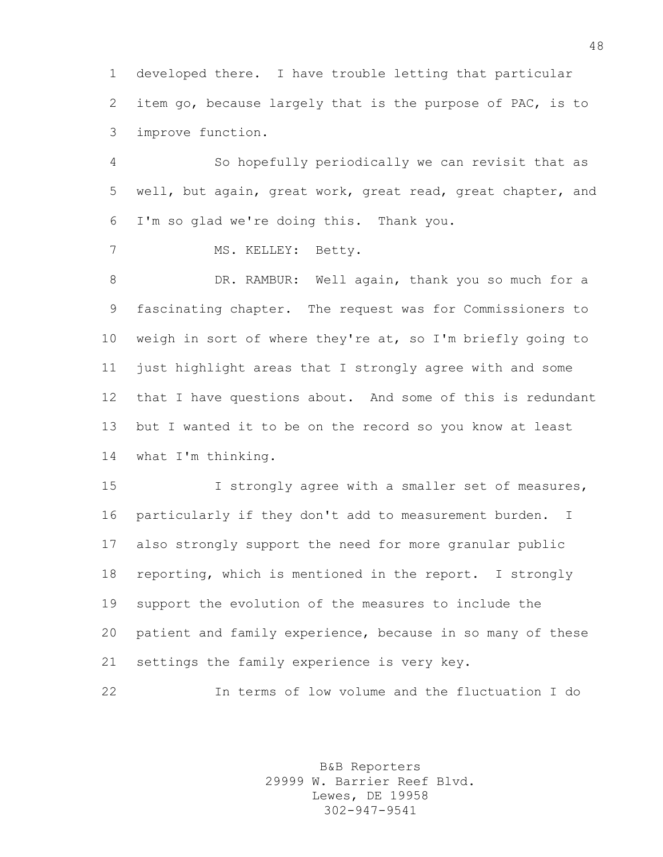developed there. I have trouble letting that particular item go, because largely that is the purpose of PAC, is to improve function.

 So hopefully periodically we can revisit that as well, but again, great work, great read, great chapter, and I'm so glad we're doing this. Thank you.

MS. KELLEY: Betty.

8 DR. RAMBUR: Well again, thank you so much for a fascinating chapter. The request was for Commissioners to weigh in sort of where they're at, so I'm briefly going to just highlight areas that I strongly agree with and some that I have questions about. And some of this is redundant but I wanted it to be on the record so you know at least what I'm thinking.

 I strongly agree with a smaller set of measures, particularly if they don't add to measurement burden. I also strongly support the need for more granular public reporting, which is mentioned in the report. I strongly support the evolution of the measures to include the patient and family experience, because in so many of these settings the family experience is very key.

In terms of low volume and the fluctuation I do

B&B Reporters 29999 W. Barrier Reef Blvd. Lewes, DE 19958 302-947-9541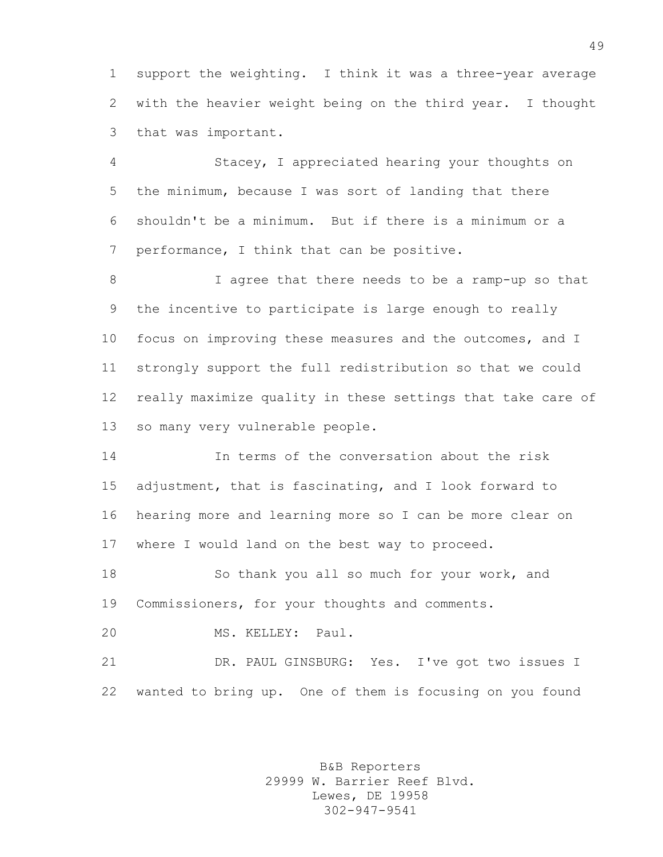support the weighting. I think it was a three-year average with the heavier weight being on the third year. I thought that was important.

 Stacey, I appreciated hearing your thoughts on the minimum, because I was sort of landing that there shouldn't be a minimum. But if there is a minimum or a 7 performance, I think that can be positive.

 I agree that there needs to be a ramp-up so that the incentive to participate is large enough to really focus on improving these measures and the outcomes, and I strongly support the full redistribution so that we could really maximize quality in these settings that take care of so many very vulnerable people.

 In terms of the conversation about the risk adjustment, that is fascinating, and I look forward to hearing more and learning more so I can be more clear on where I would land on the best way to proceed.

 So thank you all so much for your work, and Commissioners, for your thoughts and comments.

MS. KELLEY: Paul.

 DR. PAUL GINSBURG: Yes. I've got two issues I wanted to bring up. One of them is focusing on you found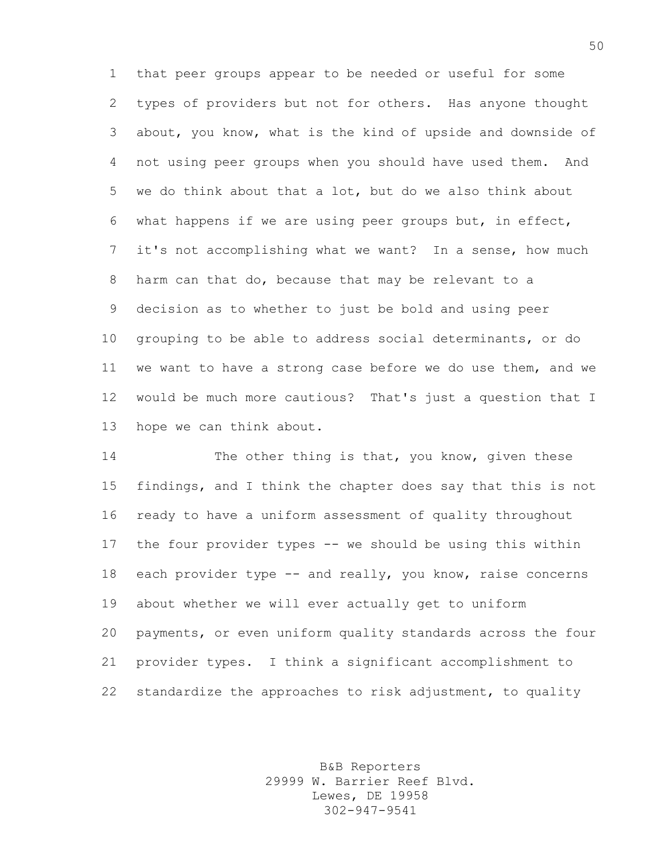that peer groups appear to be needed or useful for some types of providers but not for others. Has anyone thought about, you know, what is the kind of upside and downside of not using peer groups when you should have used them. And we do think about that a lot, but do we also think about what happens if we are using peer groups but, in effect, it's not accomplishing what we want? In a sense, how much harm can that do, because that may be relevant to a decision as to whether to just be bold and using peer grouping to be able to address social determinants, or do we want to have a strong case before we do use them, and we would be much more cautious? That's just a question that I hope we can think about.

14 The other thing is that, you know, given these findings, and I think the chapter does say that this is not ready to have a uniform assessment of quality throughout the four provider types -- we should be using this within 18 each provider type -- and really, you know, raise concerns about whether we will ever actually get to uniform payments, or even uniform quality standards across the four provider types. I think a significant accomplishment to standardize the approaches to risk adjustment, to quality

> B&B Reporters 29999 W. Barrier Reef Blvd. Lewes, DE 19958 302-947-9541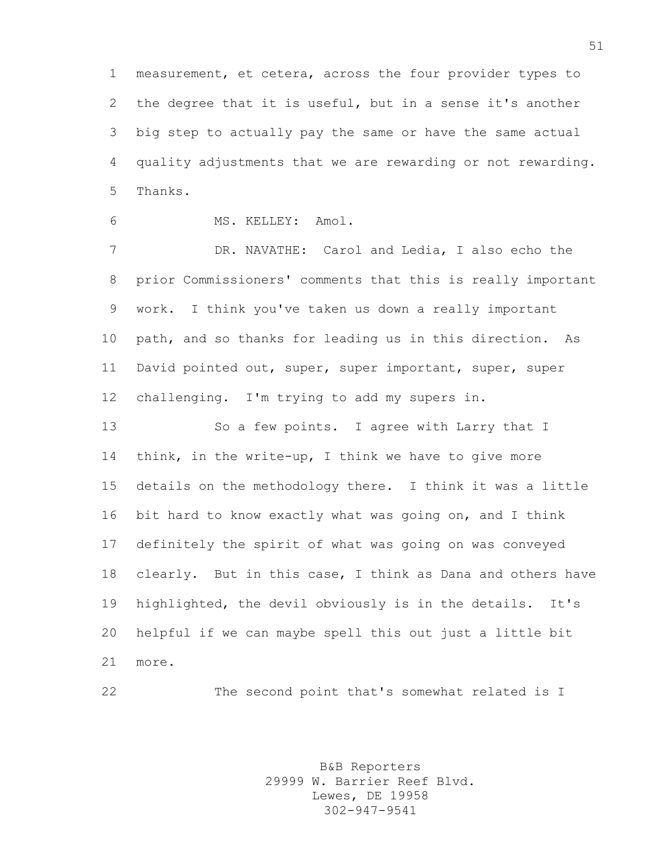measurement, et cetera, across the four provider types to the degree that it is useful, but in a sense it's another big step to actually pay the same or have the same actual quality adjustments that we are rewarding or not rewarding. Thanks.

MS. KELLEY: Amol.

 DR. NAVATHE: Carol and Ledia, I also echo the prior Commissioners' comments that this is really important work. I think you've taken us down a really important path, and so thanks for leading us in this direction. As David pointed out, super, super important, super, super challenging. I'm trying to add my supers in.

13 So a few points. I agree with Larry that I think, in the write-up, I think we have to give more details on the methodology there. I think it was a little bit hard to know exactly what was going on, and I think definitely the spirit of what was going on was conveyed clearly. But in this case, I think as Dana and others have highlighted, the devil obviously is in the details. It's helpful if we can maybe spell this out just a little bit more.

The second point that's somewhat related is I

B&B Reporters 29999 W. Barrier Reef Blvd. Lewes, DE 19958 302-947-9541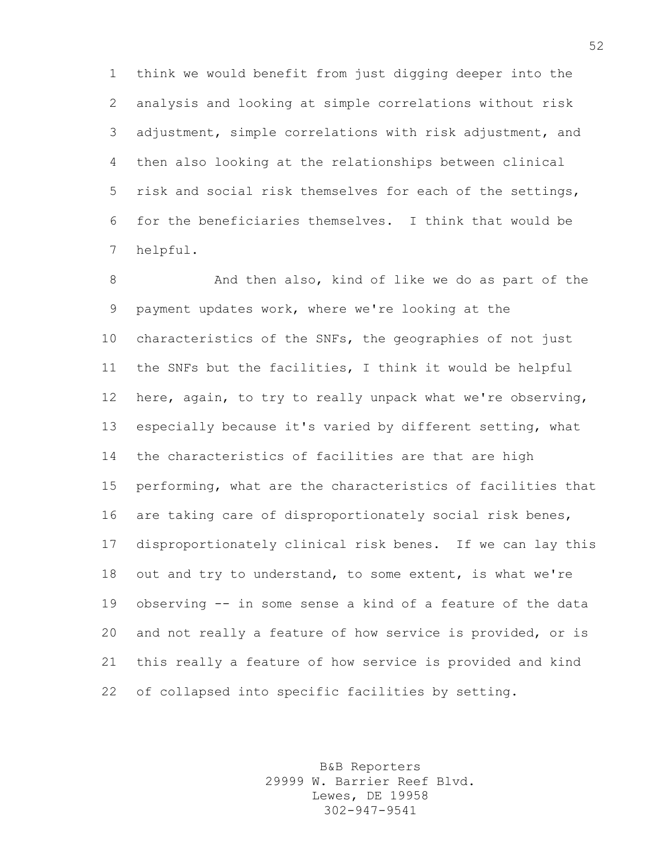think we would benefit from just digging deeper into the analysis and looking at simple correlations without risk adjustment, simple correlations with risk adjustment, and then also looking at the relationships between clinical risk and social risk themselves for each of the settings, for the beneficiaries themselves. I think that would be helpful.

8 And then also, kind of like we do as part of the payment updates work, where we're looking at the characteristics of the SNFs, the geographies of not just the SNFs but the facilities, I think it would be helpful here, again, to try to really unpack what we're observing, especially because it's varied by different setting, what the characteristics of facilities are that are high performing, what are the characteristics of facilities that are taking care of disproportionately social risk benes, disproportionately clinical risk benes. If we can lay this out and try to understand, to some extent, is what we're observing -- in some sense a kind of a feature of the data and not really a feature of how service is provided, or is this really a feature of how service is provided and kind of collapsed into specific facilities by setting.

> B&B Reporters 29999 W. Barrier Reef Blvd. Lewes, DE 19958 302-947-9541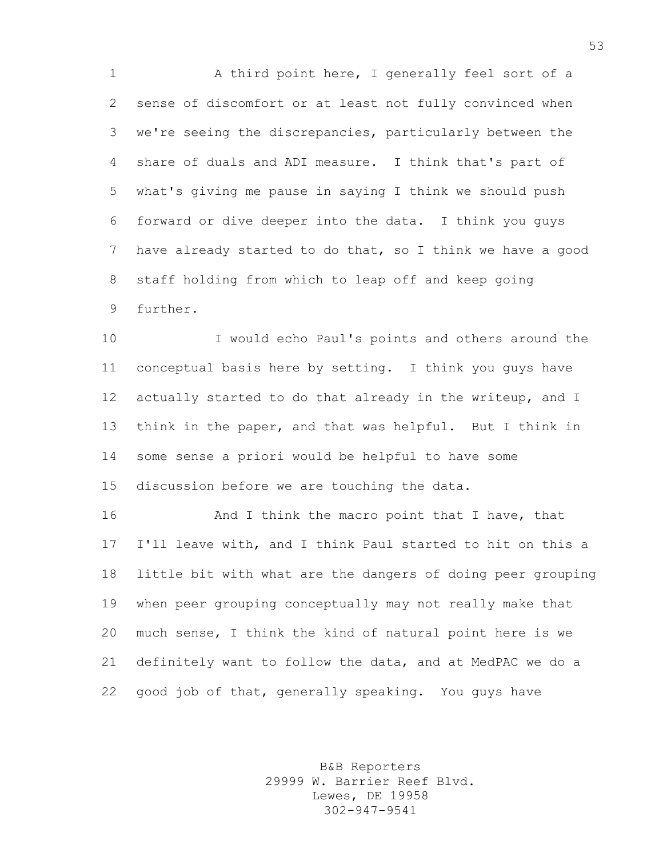A third point here, I generally feel sort of a sense of discomfort or at least not fully convinced when we're seeing the discrepancies, particularly between the share of duals and ADI measure. I think that's part of what's giving me pause in saying I think we should push forward or dive deeper into the data. I think you guys have already started to do that, so I think we have a good staff holding from which to leap off and keep going further.

 I would echo Paul's points and others around the conceptual basis here by setting. I think you guys have actually started to do that already in the writeup, and I think in the paper, and that was helpful. But I think in some sense a priori would be helpful to have some discussion before we are touching the data.

**And I think the macro point that I have, that**  I'll leave with, and I think Paul started to hit on this a little bit with what are the dangers of doing peer grouping when peer grouping conceptually may not really make that much sense, I think the kind of natural point here is we definitely want to follow the data, and at MedPAC we do a good job of that, generally speaking. You guys have

> B&B Reporters 29999 W. Barrier Reef Blvd. Lewes, DE 19958 302-947-9541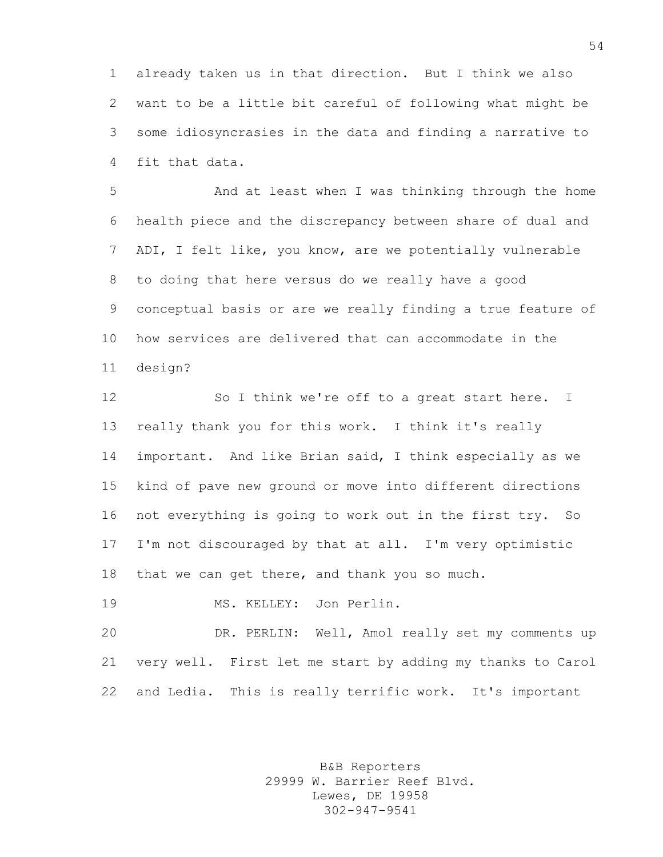already taken us in that direction. But I think we also want to be a little bit careful of following what might be some idiosyncrasies in the data and finding a narrative to fit that data.

 And at least when I was thinking through the home health piece and the discrepancy between share of dual and ADI, I felt like, you know, are we potentially vulnerable to doing that here versus do we really have a good conceptual basis or are we really finding a true feature of how services are delivered that can accommodate in the design?

12 So I think we're off to a great start here. I really thank you for this work. I think it's really important. And like Brian said, I think especially as we kind of pave new ground or move into different directions not everything is going to work out in the first try. So I'm not discouraged by that at all. I'm very optimistic that we can get there, and thank you so much.

MS. KELLEY: Jon Perlin.

 DR. PERLIN: Well, Amol really set my comments up very well. First let me start by adding my thanks to Carol and Ledia. This is really terrific work. It's important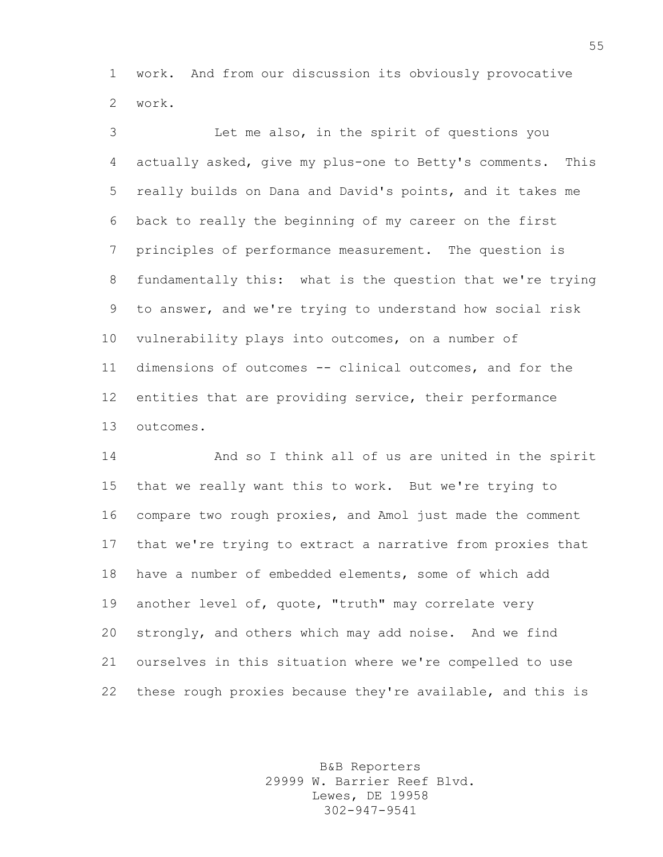work. And from our discussion its obviously provocative work.

 Let me also, in the spirit of questions you actually asked, give my plus-one to Betty's comments. This really builds on Dana and David's points, and it takes me back to really the beginning of my career on the first principles of performance measurement. The question is fundamentally this: what is the question that we're trying to answer, and we're trying to understand how social risk vulnerability plays into outcomes, on a number of dimensions of outcomes -- clinical outcomes, and for the entities that are providing service, their performance outcomes.

 And so I think all of us are united in the spirit that we really want this to work. But we're trying to compare two rough proxies, and Amol just made the comment that we're trying to extract a narrative from proxies that have a number of embedded elements, some of which add another level of, quote, "truth" may correlate very strongly, and others which may add noise. And we find ourselves in this situation where we're compelled to use these rough proxies because they're available, and this is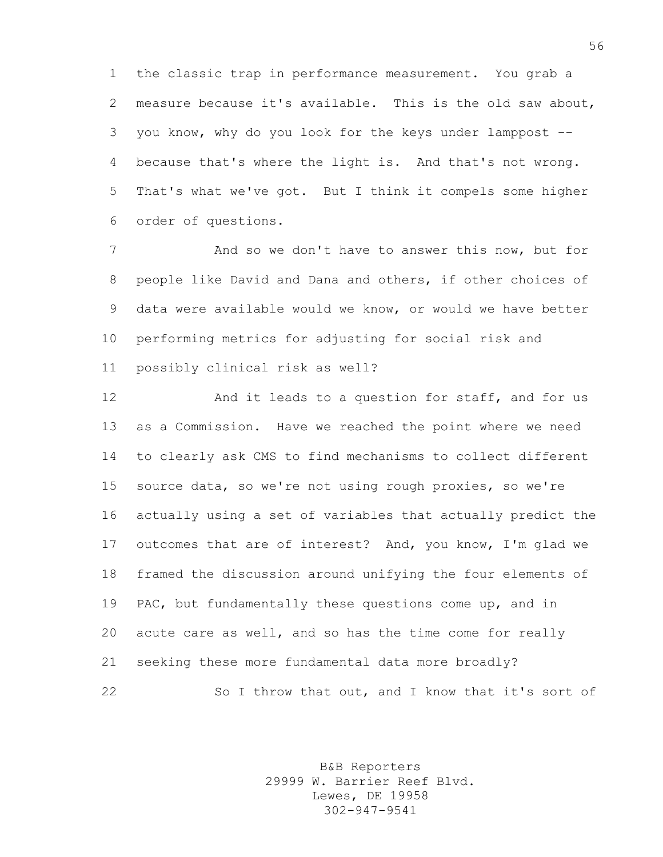the classic trap in performance measurement. You grab a measure because it's available. This is the old saw about, you know, why do you look for the keys under lamppost -- because that's where the light is. And that's not wrong. That's what we've got. But I think it compels some higher order of questions.

7 And so we don't have to answer this now, but for people like David and Dana and others, if other choices of data were available would we know, or would we have better performing metrics for adjusting for social risk and possibly clinical risk as well?

12 And it leads to a question for staff, and for us as a Commission. Have we reached the point where we need to clearly ask CMS to find mechanisms to collect different source data, so we're not using rough proxies, so we're actually using a set of variables that actually predict the outcomes that are of interest? And, you know, I'm glad we framed the discussion around unifying the four elements of 19 PAC, but fundamentally these questions come up, and in acute care as well, and so has the time come for really seeking these more fundamental data more broadly? So I throw that out, and I know that it's sort of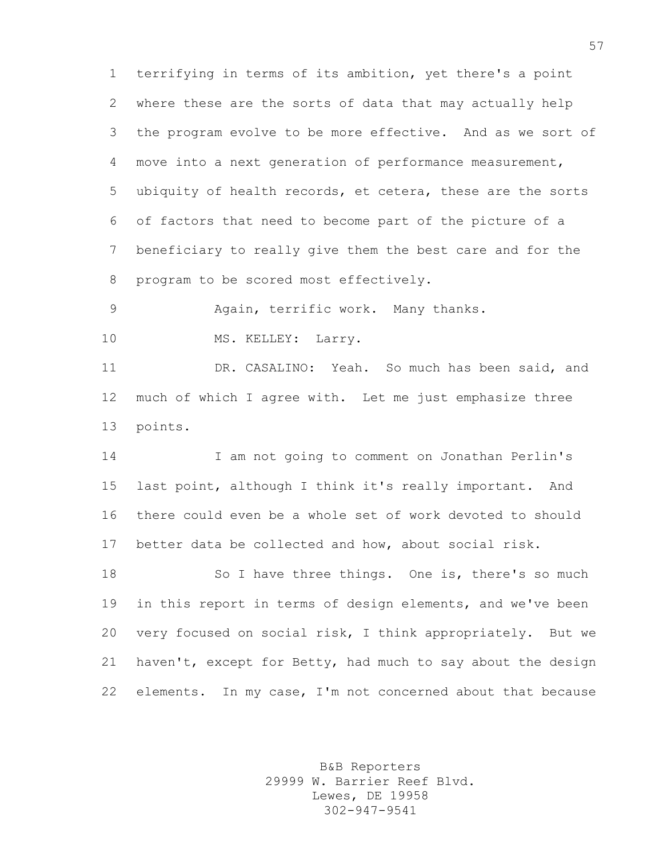terrifying in terms of its ambition, yet there's a point where these are the sorts of data that may actually help the program evolve to be more effective. And as we sort of move into a next generation of performance measurement, ubiquity of health records, et cetera, these are the sorts of factors that need to become part of the picture of a beneficiary to really give them the best care and for the program to be scored most effectively.

Again, terrific work. Many thanks.

10 MS. KELLEY: Larry.

 DR. CASALINO: Yeah. So much has been said, and much of which I agree with. Let me just emphasize three points.

 I am not going to comment on Jonathan Perlin's last point, although I think it's really important. And there could even be a whole set of work devoted to should better data be collected and how, about social risk.

18 So I have three things. One is, there's so much in this report in terms of design elements, and we've been very focused on social risk, I think appropriately. But we haven't, except for Betty, had much to say about the design elements. In my case, I'm not concerned about that because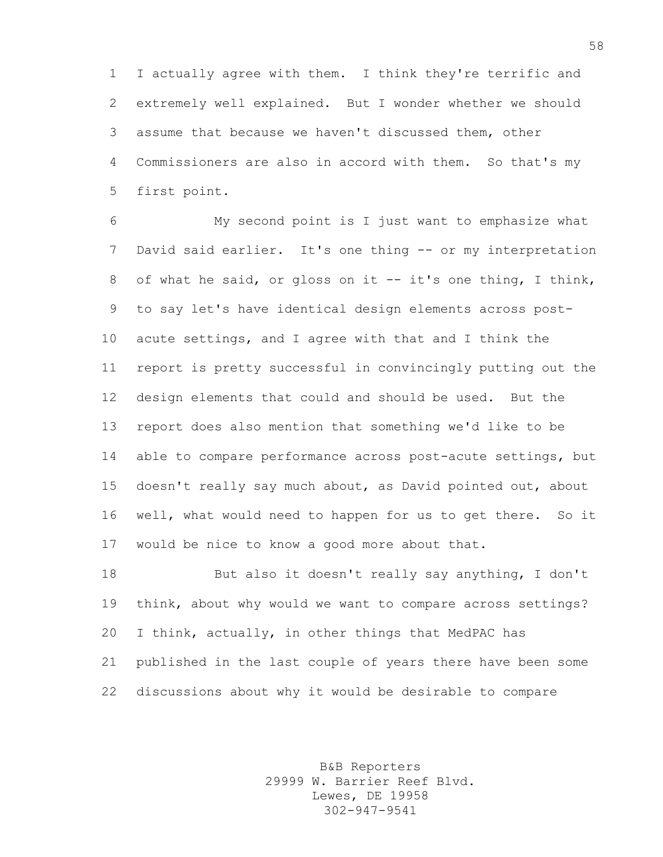I actually agree with them. I think they're terrific and extremely well explained. But I wonder whether we should assume that because we haven't discussed them, other Commissioners are also in accord with them. So that's my first point.

 My second point is I just want to emphasize what David said earlier. It's one thing -- or my interpretation 8 of what he said, or gloss on it -- it's one thing, I think, to say let's have identical design elements across post- acute settings, and I agree with that and I think the report is pretty successful in convincingly putting out the design elements that could and should be used. But the report does also mention that something we'd like to be able to compare performance across post-acute settings, but doesn't really say much about, as David pointed out, about well, what would need to happen for us to get there. So it would be nice to know a good more about that.

 But also it doesn't really say anything, I don't think, about why would we want to compare across settings? I think, actually, in other things that MedPAC has published in the last couple of years there have been some discussions about why it would be desirable to compare

> B&B Reporters 29999 W. Barrier Reef Blvd. Lewes, DE 19958 302-947-9541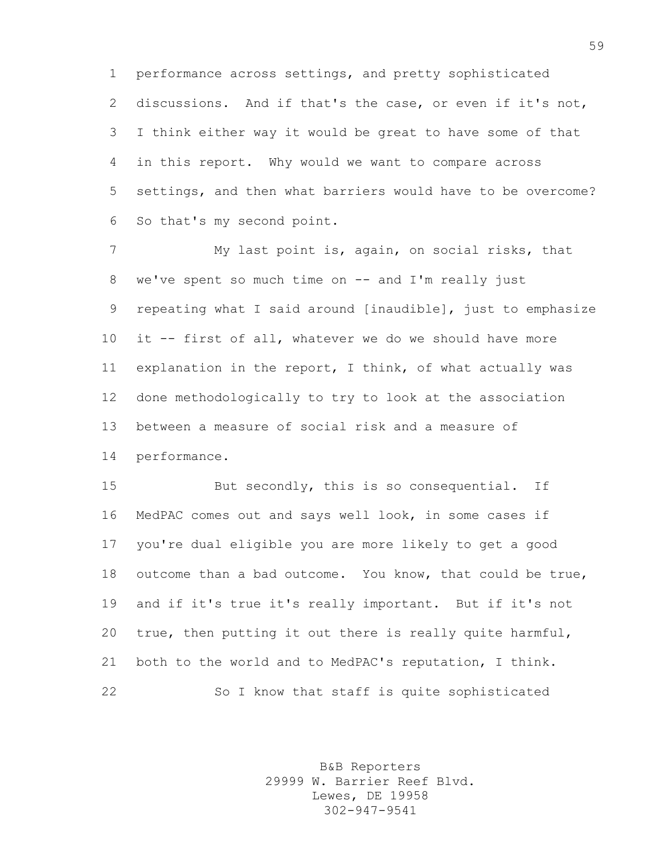performance across settings, and pretty sophisticated discussions. And if that's the case, or even if it's not, I think either way it would be great to have some of that in this report. Why would we want to compare across settings, and then what barriers would have to be overcome? So that's my second point.

 My last point is, again, on social risks, that we've spent so much time on -- and I'm really just repeating what I said around [inaudible], just to emphasize it -- first of all, whatever we do we should have more explanation in the report, I think, of what actually was done methodologically to try to look at the association between a measure of social risk and a measure of performance.

 But secondly, this is so consequential. If MedPAC comes out and says well look, in some cases if you're dual eligible you are more likely to get a good outcome than a bad outcome. You know, that could be true, and if it's true it's really important. But if it's not true, then putting it out there is really quite harmful, both to the world and to MedPAC's reputation, I think. So I know that staff is quite sophisticated

> B&B Reporters 29999 W. Barrier Reef Blvd. Lewes, DE 19958 302-947-9541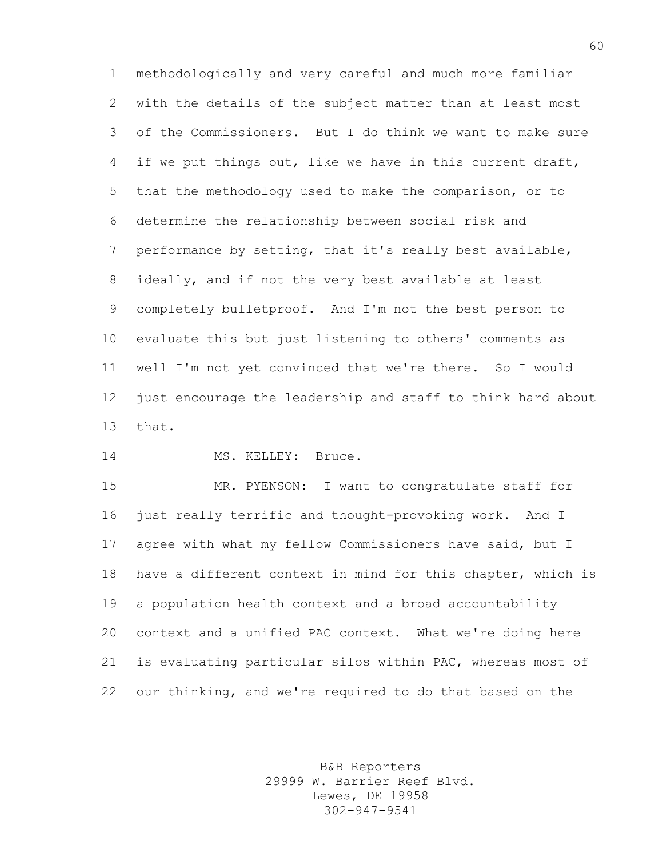methodologically and very careful and much more familiar with the details of the subject matter than at least most of the Commissioners. But I do think we want to make sure if we put things out, like we have in this current draft, that the methodology used to make the comparison, or to determine the relationship between social risk and performance by setting, that it's really best available, ideally, and if not the very best available at least completely bulletproof. And I'm not the best person to evaluate this but just listening to others' comments as well I'm not yet convinced that we're there. So I would just encourage the leadership and staff to think hard about that.

14 MS. KELLEY: Bruce.

 MR. PYENSON: I want to congratulate staff for just really terrific and thought-provoking work. And I agree with what my fellow Commissioners have said, but I have a different context in mind for this chapter, which is a population health context and a broad accountability context and a unified PAC context. What we're doing here is evaluating particular silos within PAC, whereas most of our thinking, and we're required to do that based on the

> B&B Reporters 29999 W. Barrier Reef Blvd. Lewes, DE 19958 302-947-9541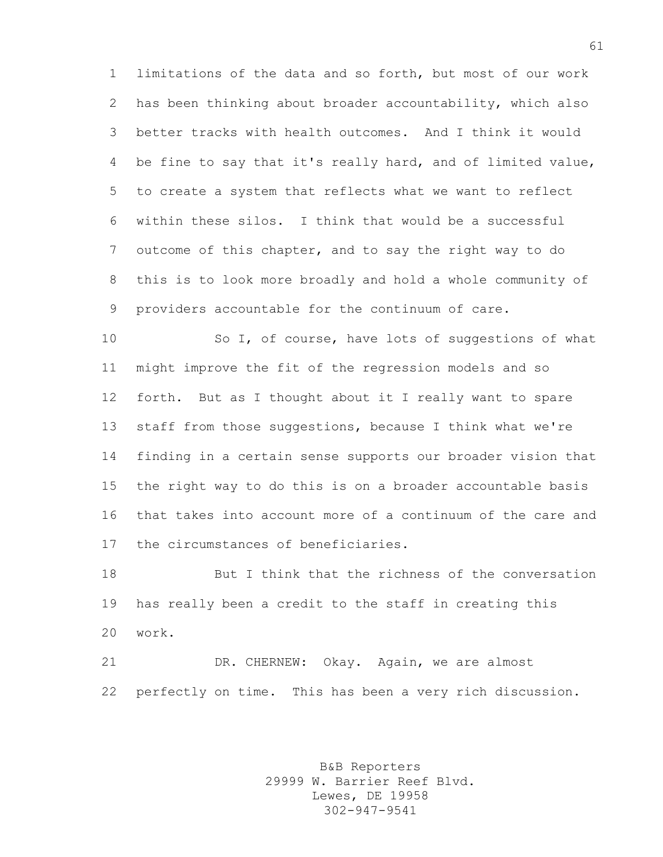limitations of the data and so forth, but most of our work has been thinking about broader accountability, which also better tracks with health outcomes. And I think it would be fine to say that it's really hard, and of limited value, to create a system that reflects what we want to reflect within these silos. I think that would be a successful outcome of this chapter, and to say the right way to do this is to look more broadly and hold a whole community of providers accountable for the continuum of care.

 So I, of course, have lots of suggestions of what might improve the fit of the regression models and so forth. But as I thought about it I really want to spare staff from those suggestions, because I think what we're finding in a certain sense supports our broader vision that the right way to do this is on a broader accountable basis that takes into account more of a continuum of the care and the circumstances of beneficiaries.

 But I think that the richness of the conversation has really been a credit to the staff in creating this work.

 DR. CHERNEW: Okay. Again, we are almost perfectly on time. This has been a very rich discussion.

> B&B Reporters 29999 W. Barrier Reef Blvd. Lewes, DE 19958 302-947-9541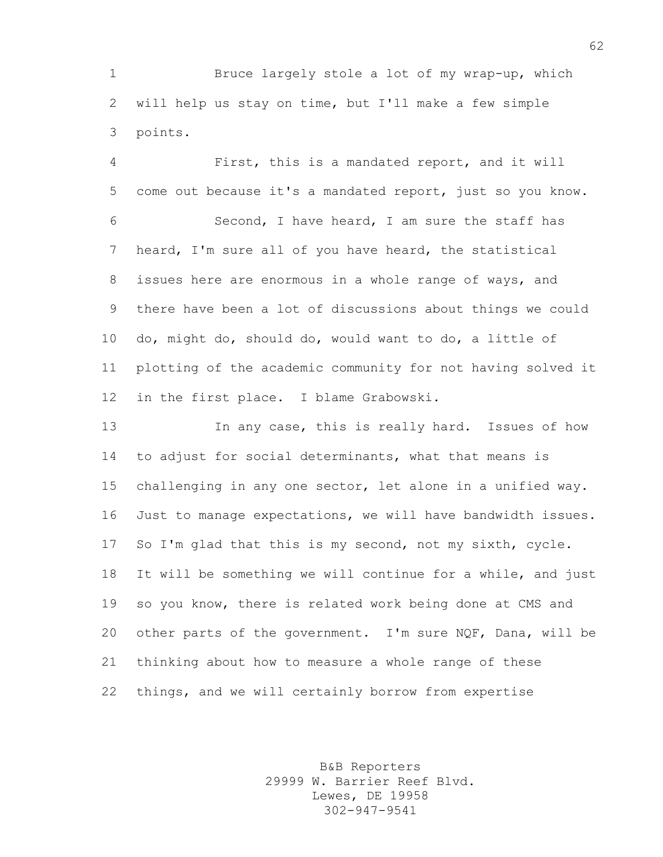Bruce largely stole a lot of my wrap-up, which will help us stay on time, but I'll make a few simple points.

 First, this is a mandated report, and it will come out because it's a mandated report, just so you know. Second, I have heard, I am sure the staff has heard, I'm sure all of you have heard, the statistical issues here are enormous in a whole range of ways, and there have been a lot of discussions about things we could do, might do, should do, would want to do, a little of plotting of the academic community for not having solved it in the first place. I blame Grabowski.

 In any case, this is really hard. Issues of how to adjust for social determinants, what that means is challenging in any one sector, let alone in a unified way. Just to manage expectations, we will have bandwidth issues. So I'm glad that this is my second, not my sixth, cycle. It will be something we will continue for a while, and just so you know, there is related work being done at CMS and other parts of the government. I'm sure NQF, Dana, will be thinking about how to measure a whole range of these things, and we will certainly borrow from expertise

> B&B Reporters 29999 W. Barrier Reef Blvd. Lewes, DE 19958 302-947-9541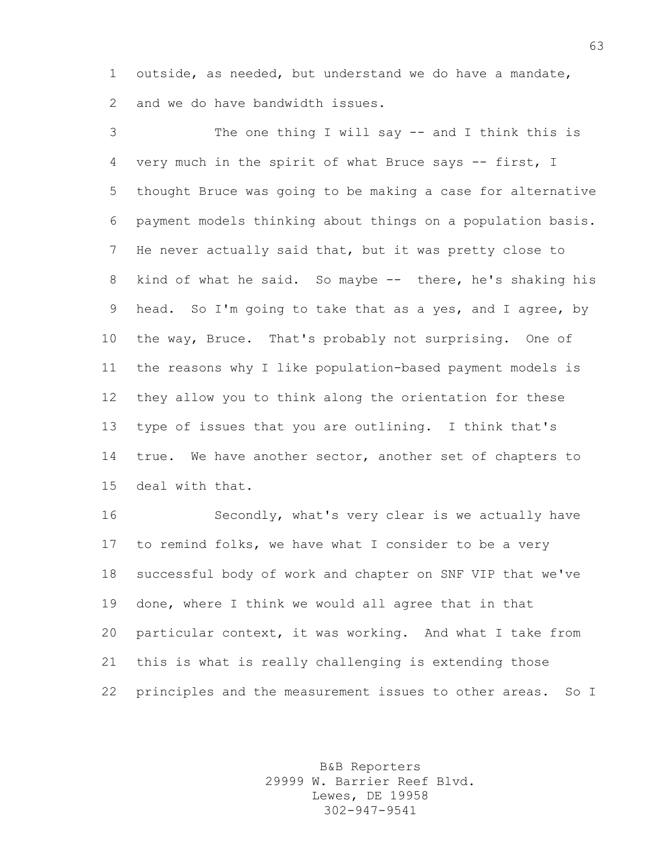outside, as needed, but understand we do have a mandate, and we do have bandwidth issues.

 The one thing I will say -- and I think this is very much in the spirit of what Bruce says -- first, I thought Bruce was going to be making a case for alternative payment models thinking about things on a population basis. He never actually said that, but it was pretty close to 8 kind of what he said. So maybe -- there, he's shaking his head. So I'm going to take that as a yes, and I agree, by the way, Bruce. That's probably not surprising. One of the reasons why I like population-based payment models is they allow you to think along the orientation for these type of issues that you are outlining. I think that's true. We have another sector, another set of chapters to deal with that.

 Secondly, what's very clear is we actually have to remind folks, we have what I consider to be a very successful body of work and chapter on SNF VIP that we've done, where I think we would all agree that in that particular context, it was working. And what I take from this is what is really challenging is extending those principles and the measurement issues to other areas. So I

> B&B Reporters 29999 W. Barrier Reef Blvd. Lewes, DE 19958 302-947-9541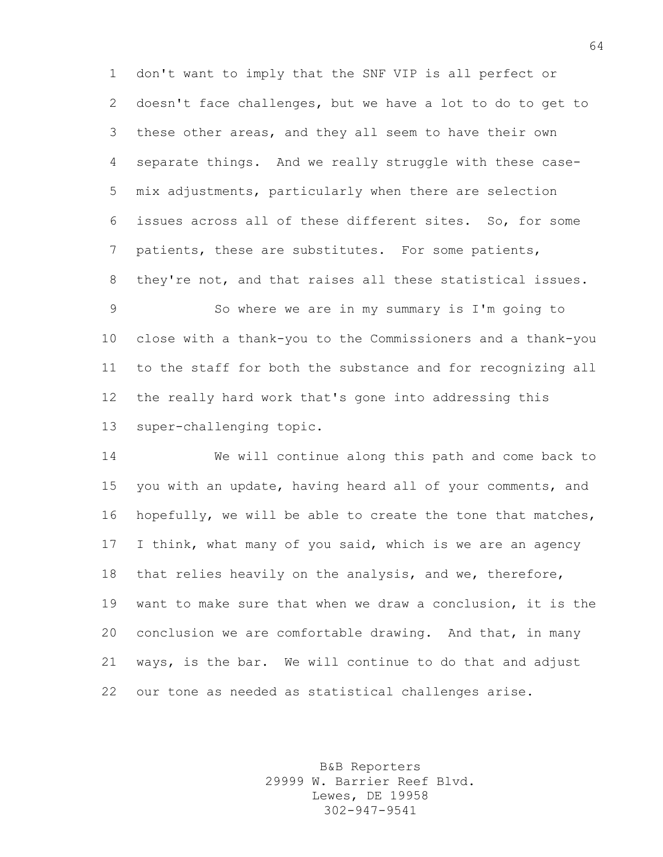don't want to imply that the SNF VIP is all perfect or doesn't face challenges, but we have a lot to do to get to these other areas, and they all seem to have their own separate things. And we really struggle with these case- mix adjustments, particularly when there are selection issues across all of these different sites. So, for some patients, these are substitutes. For some patients, they're not, and that raises all these statistical issues.

 So where we are in my summary is I'm going to close with a thank-you to the Commissioners and a thank-you to the staff for both the substance and for recognizing all the really hard work that's gone into addressing this super-challenging topic.

 We will continue along this path and come back to you with an update, having heard all of your comments, and hopefully, we will be able to create the tone that matches, I think, what many of you said, which is we are an agency that relies heavily on the analysis, and we, therefore, want to make sure that when we draw a conclusion, it is the conclusion we are comfortable drawing. And that, in many ways, is the bar. We will continue to do that and adjust our tone as needed as statistical challenges arise.

> B&B Reporters 29999 W. Barrier Reef Blvd. Lewes, DE 19958 302-947-9541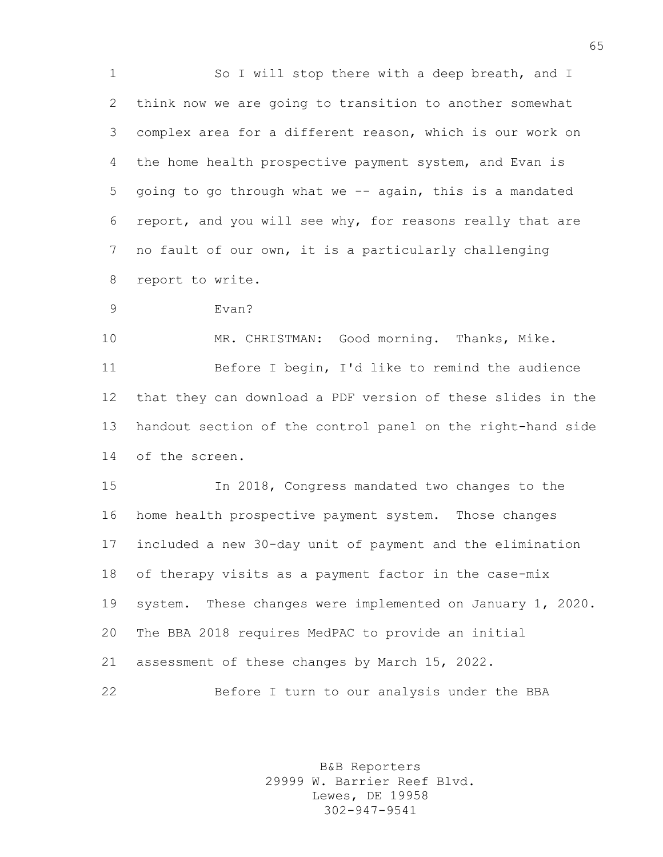1 So I will stop there with a deep breath, and I think now we are going to transition to another somewhat complex area for a different reason, which is our work on the home health prospective payment system, and Evan is going to go through what we -- again, this is a mandated report, and you will see why, for reasons really that are no fault of our own, it is a particularly challenging report to write.

Evan?

 MR. CHRISTMAN: Good morning. Thanks, Mike. Before I begin, I'd like to remind the audience that they can download a PDF version of these slides in the handout section of the control panel on the right-hand side of the screen.

 In 2018, Congress mandated two changes to the home health prospective payment system. Those changes included a new 30-day unit of payment and the elimination of therapy visits as a payment factor in the case-mix system. These changes were implemented on January 1, 2020. The BBA 2018 requires MedPAC to provide an initial assessment of these changes by March 15, 2022. Before I turn to our analysis under the BBA

> B&B Reporters 29999 W. Barrier Reef Blvd. Lewes, DE 19958 302-947-9541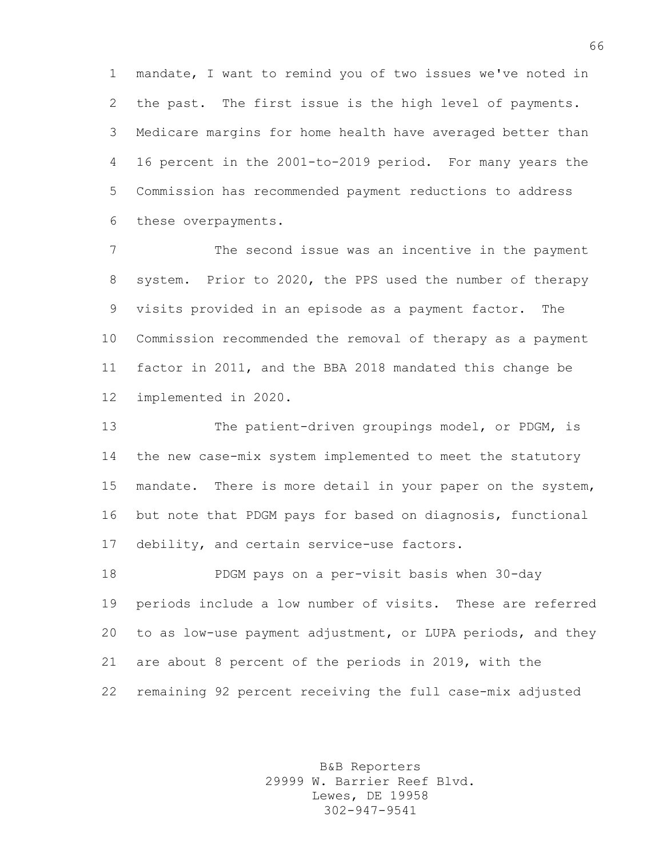mandate, I want to remind you of two issues we've noted in the past. The first issue is the high level of payments. Medicare margins for home health have averaged better than 16 percent in the 2001-to-2019 period. For many years the Commission has recommended payment reductions to address these overpayments.

 The second issue was an incentive in the payment system. Prior to 2020, the PPS used the number of therapy visits provided in an episode as a payment factor. The Commission recommended the removal of therapy as a payment factor in 2011, and the BBA 2018 mandated this change be implemented in 2020.

 The patient-driven groupings model, or PDGM, is the new case-mix system implemented to meet the statutory mandate. There is more detail in your paper on the system, but note that PDGM pays for based on diagnosis, functional debility, and certain service-use factors.

 PDGM pays on a per-visit basis when 30-day periods include a low number of visits. These are referred to as low-use payment adjustment, or LUPA periods, and they are about 8 percent of the periods in 2019, with the remaining 92 percent receiving the full case-mix adjusted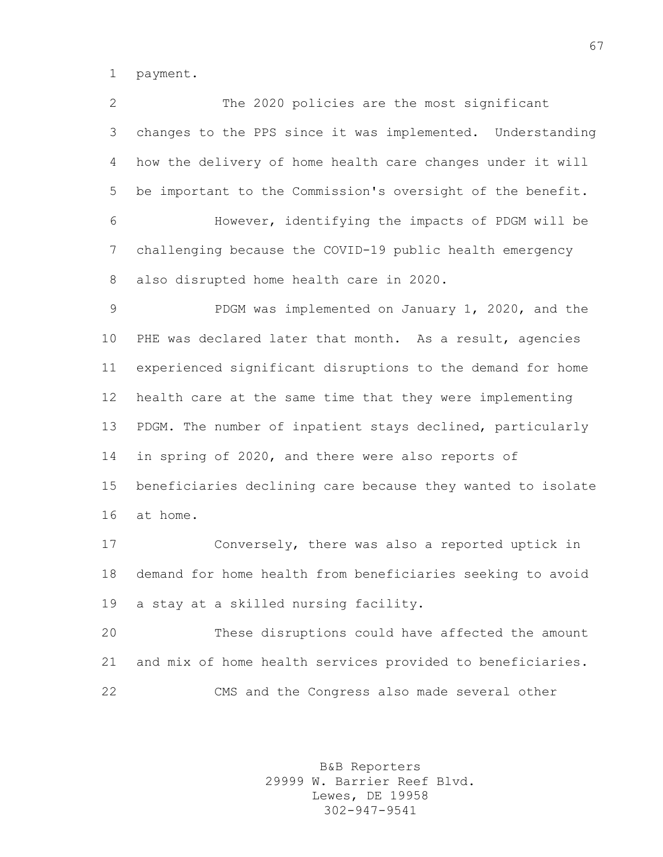payment.

 The 2020 policies are the most significant changes to the PPS since it was implemented. Understanding how the delivery of home health care changes under it will be important to the Commission's oversight of the benefit. However, identifying the impacts of PDGM will be challenging because the COVID-19 public health emergency also disrupted home health care in 2020. PDGM was implemented on January 1, 2020, and the PHE was declared later that month. As a result, agencies experienced significant disruptions to the demand for home health care at the same time that they were implementing PDGM. The number of inpatient stays declined, particularly in spring of 2020, and there were also reports of beneficiaries declining care because they wanted to isolate at home. Conversely, there was also a reported uptick in demand for home health from beneficiaries seeking to avoid a stay at a skilled nursing facility. These disruptions could have affected the amount and mix of home health services provided to beneficiaries. CMS and the Congress also made several other

> B&B Reporters 29999 W. Barrier Reef Blvd. Lewes, DE 19958 302-947-9541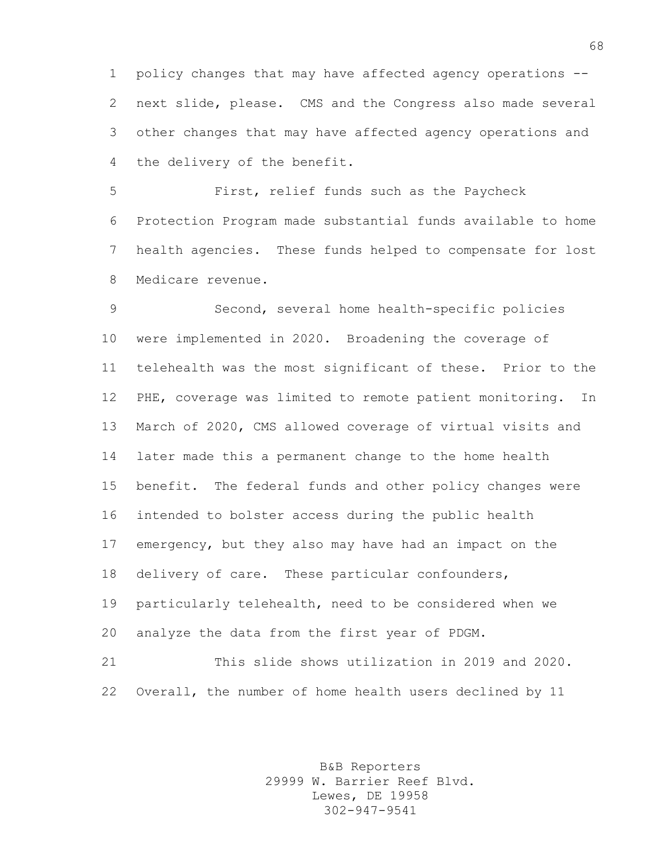policy changes that may have affected agency operations -- next slide, please. CMS and the Congress also made several other changes that may have affected agency operations and the delivery of the benefit.

 First, relief funds such as the Paycheck Protection Program made substantial funds available to home health agencies. These funds helped to compensate for lost Medicare revenue.

 Second, several home health-specific policies were implemented in 2020. Broadening the coverage of telehealth was the most significant of these. Prior to the PHE, coverage was limited to remote patient monitoring. In March of 2020, CMS allowed coverage of virtual visits and later made this a permanent change to the home health benefit. The federal funds and other policy changes were intended to bolster access during the public health emergency, but they also may have had an impact on the delivery of care. These particular confounders, particularly telehealth, need to be considered when we analyze the data from the first year of PDGM. This slide shows utilization in 2019 and 2020.

Overall, the number of home health users declined by 11

B&B Reporters 29999 W. Barrier Reef Blvd. Lewes, DE 19958 302-947-9541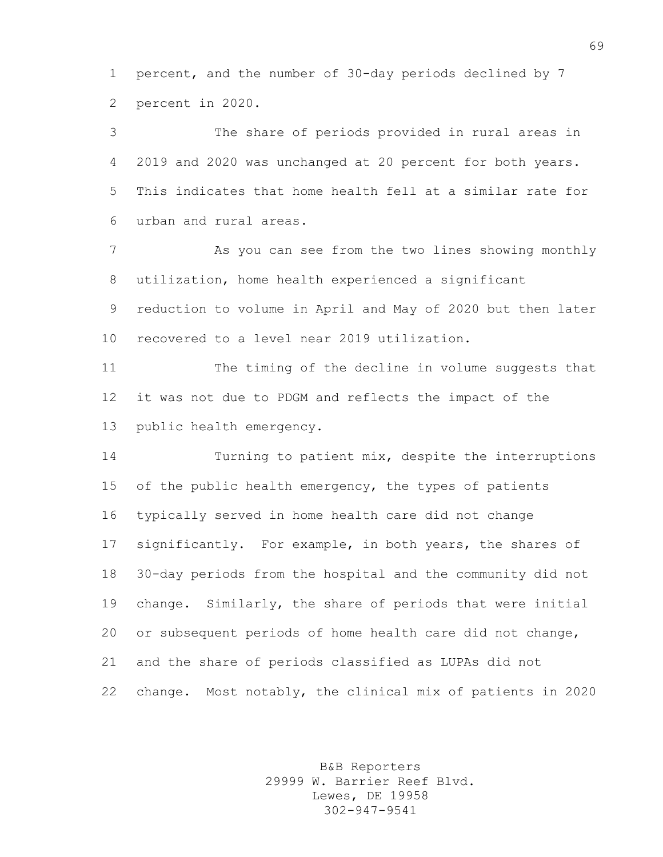percent, and the number of 30-day periods declined by 7 percent in 2020.

 The share of periods provided in rural areas in 2019 and 2020 was unchanged at 20 percent for both years. This indicates that home health fell at a similar rate for urban and rural areas.

7 As you can see from the two lines showing monthly utilization, home health experienced a significant reduction to volume in April and May of 2020 but then later recovered to a level near 2019 utilization.

 The timing of the decline in volume suggests that it was not due to PDGM and reflects the impact of the public health emergency.

 Turning to patient mix, despite the interruptions 15 of the public health emergency, the types of patients typically served in home health care did not change significantly. For example, in both years, the shares of 30-day periods from the hospital and the community did not change. Similarly, the share of periods that were initial or subsequent periods of home health care did not change, and the share of periods classified as LUPAs did not change. Most notably, the clinical mix of patients in 2020

> B&B Reporters 29999 W. Barrier Reef Blvd. Lewes, DE 19958 302-947-9541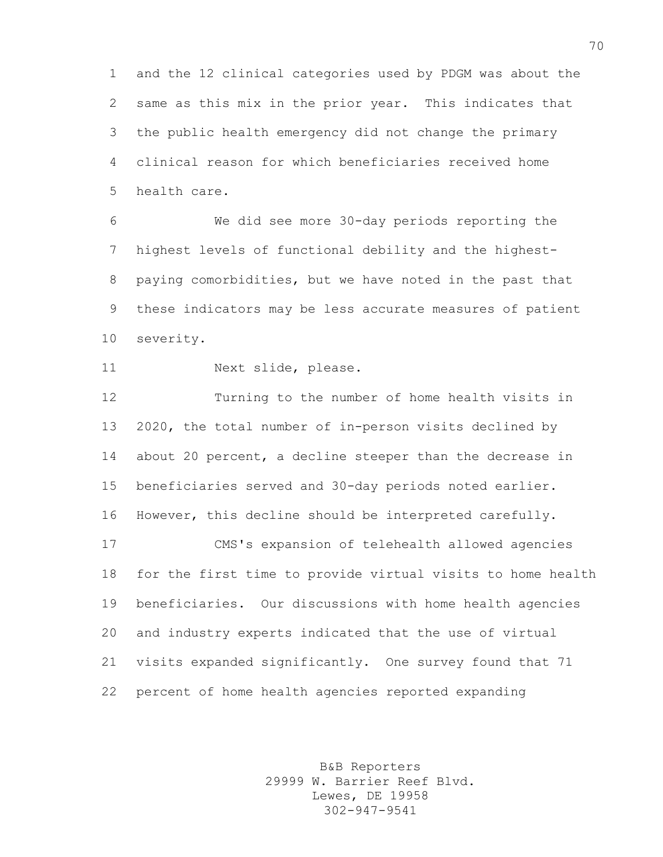and the 12 clinical categories used by PDGM was about the same as this mix in the prior year. This indicates that the public health emergency did not change the primary clinical reason for which beneficiaries received home health care.

 We did see more 30-day periods reporting the highest levels of functional debility and the highest- paying comorbidities, but we have noted in the past that these indicators may be less accurate measures of patient severity.

Next slide, please.

 Turning to the number of home health visits in 2020, the total number of in-person visits declined by about 20 percent, a decline steeper than the decrease in beneficiaries served and 30-day periods noted earlier. However, this decline should be interpreted carefully. CMS's expansion of telehealth allowed agencies for the first time to provide virtual visits to home health beneficiaries. Our discussions with home health agencies and industry experts indicated that the use of virtual visits expanded significantly. One survey found that 71 percent of home health agencies reported expanding

> B&B Reporters 29999 W. Barrier Reef Blvd. Lewes, DE 19958 302-947-9541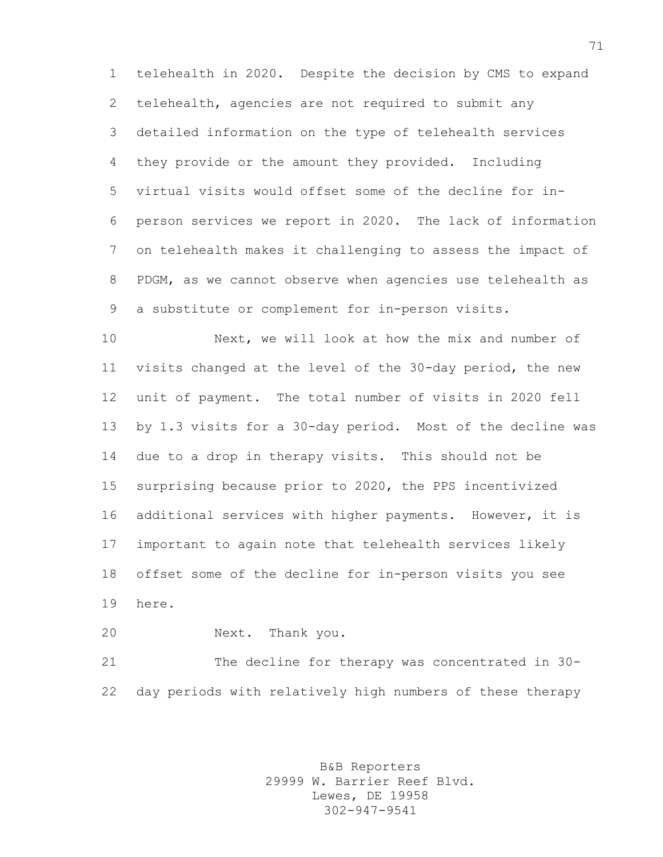telehealth in 2020. Despite the decision by CMS to expand telehealth, agencies are not required to submit any detailed information on the type of telehealth services they provide or the amount they provided. Including virtual visits would offset some of the decline for in- person services we report in 2020. The lack of information on telehealth makes it challenging to assess the impact of PDGM, as we cannot observe when agencies use telehealth as a substitute or complement for in-person visits.

 Next, we will look at how the mix and number of visits changed at the level of the 30-day period, the new unit of payment. The total number of visits in 2020 fell by 1.3 visits for a 30-day period. Most of the decline was due to a drop in therapy visits. This should not be surprising because prior to 2020, the PPS incentivized additional services with higher payments. However, it is important to again note that telehealth services likely offset some of the decline for in-person visits you see here.

Next. Thank you.

 The decline for therapy was concentrated in 30- day periods with relatively high numbers of these therapy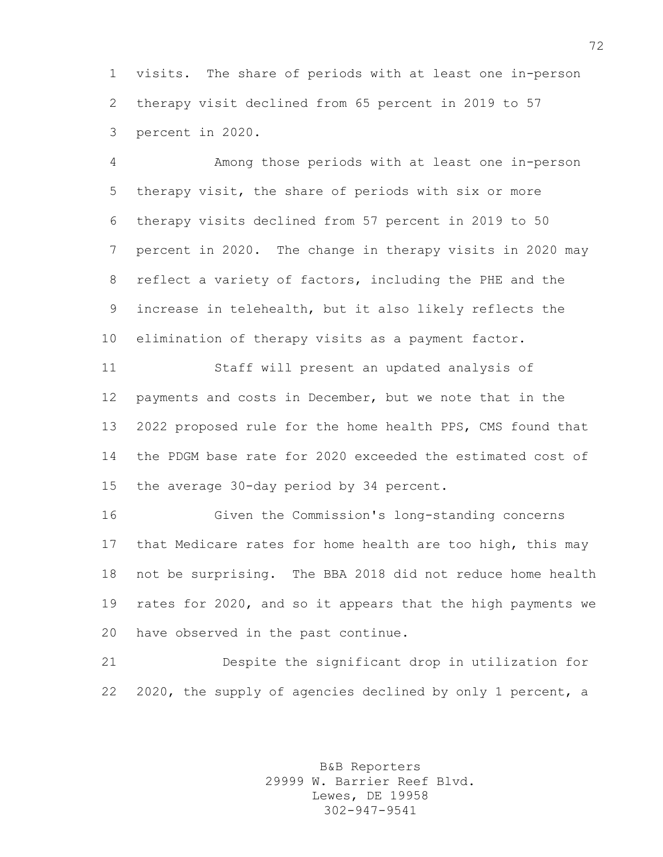visits. The share of periods with at least one in-person therapy visit declined from 65 percent in 2019 to 57 percent in 2020.

 Among those periods with at least one in-person therapy visit, the share of periods with six or more therapy visits declined from 57 percent in 2019 to 50 percent in 2020. The change in therapy visits in 2020 may reflect a variety of factors, including the PHE and the increase in telehealth, but it also likely reflects the elimination of therapy visits as a payment factor.

 Staff will present an updated analysis of payments and costs in December, but we note that in the 2022 proposed rule for the home health PPS, CMS found that the PDGM base rate for 2020 exceeded the estimated cost of the average 30-day period by 34 percent.

 Given the Commission's long-standing concerns that Medicare rates for home health are too high, this may not be surprising. The BBA 2018 did not reduce home health rates for 2020, and so it appears that the high payments we have observed in the past continue.

 Despite the significant drop in utilization for 22 2020, the supply of agencies declined by only 1 percent, a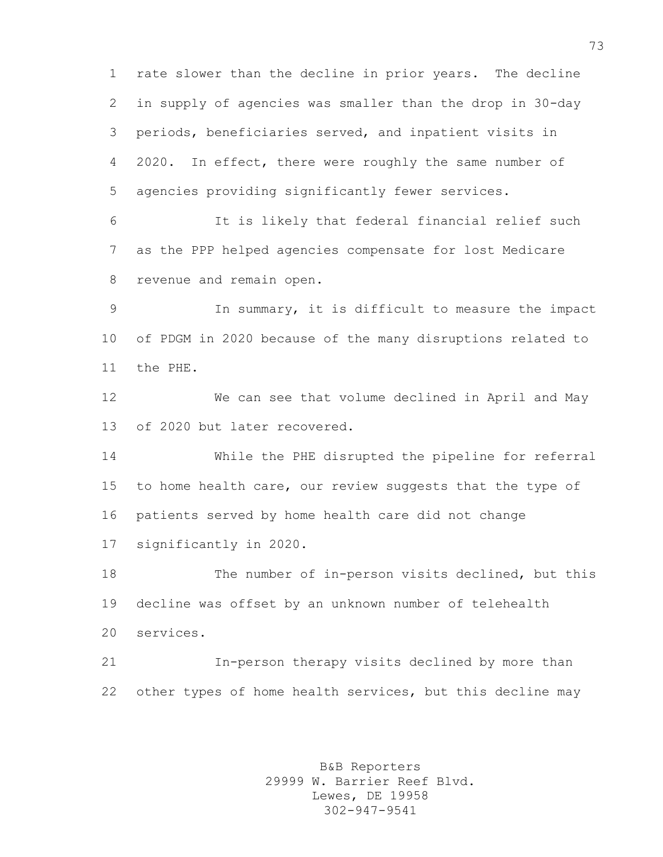rate slower than the decline in prior years. The decline in supply of agencies was smaller than the drop in 30-day periods, beneficiaries served, and inpatient visits in 2020. In effect, there were roughly the same number of agencies providing significantly fewer services.

 It is likely that federal financial relief such as the PPP helped agencies compensate for lost Medicare revenue and remain open.

 In summary, it is difficult to measure the impact of PDGM in 2020 because of the many disruptions related to the PHE.

 We can see that volume declined in April and May of 2020 but later recovered.

 While the PHE disrupted the pipeline for referral to home health care, our review suggests that the type of patients served by home health care did not change significantly in 2020.

 The number of in-person visits declined, but this decline was offset by an unknown number of telehealth services.

 In-person therapy visits declined by more than other types of home health services, but this decline may

> B&B Reporters 29999 W. Barrier Reef Blvd. Lewes, DE 19958 302-947-9541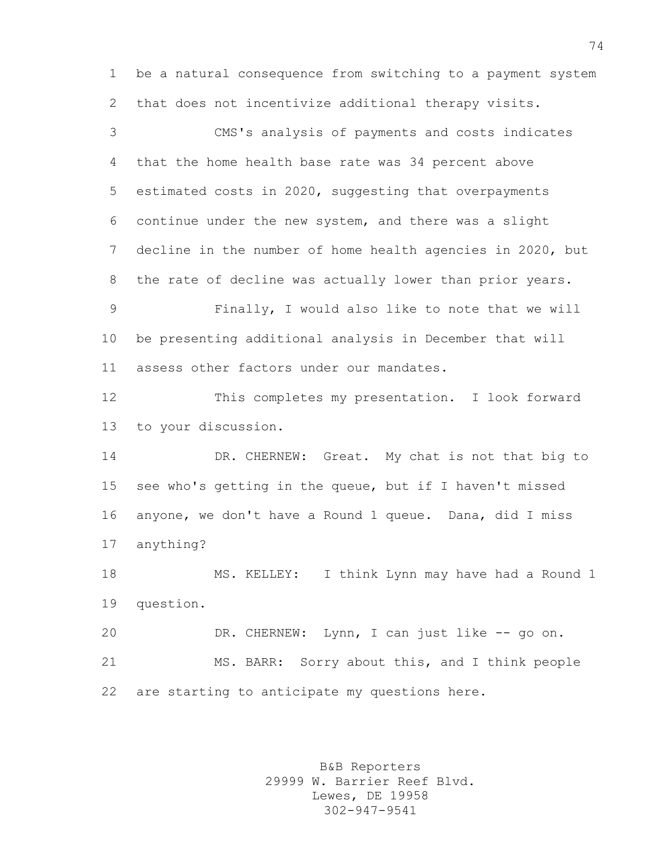be a natural consequence from switching to a payment system that does not incentivize additional therapy visits.

 CMS's analysis of payments and costs indicates that the home health base rate was 34 percent above estimated costs in 2020, suggesting that overpayments continue under the new system, and there was a slight decline in the number of home health agencies in 2020, but the rate of decline was actually lower than prior years.

 Finally, I would also like to note that we will be presenting additional analysis in December that will assess other factors under our mandates.

 This completes my presentation. I look forward to your discussion.

 DR. CHERNEW: Great. My chat is not that big to see who's getting in the queue, but if I haven't missed anyone, we don't have a Round 1 queue. Dana, did I miss anything?

 MS. KELLEY: I think Lynn may have had a Round 1 question.

 DR. CHERNEW: Lynn, I can just like -- go on. MS. BARR: Sorry about this, and I think people are starting to anticipate my questions here.

> B&B Reporters 29999 W. Barrier Reef Blvd. Lewes, DE 19958 302-947-9541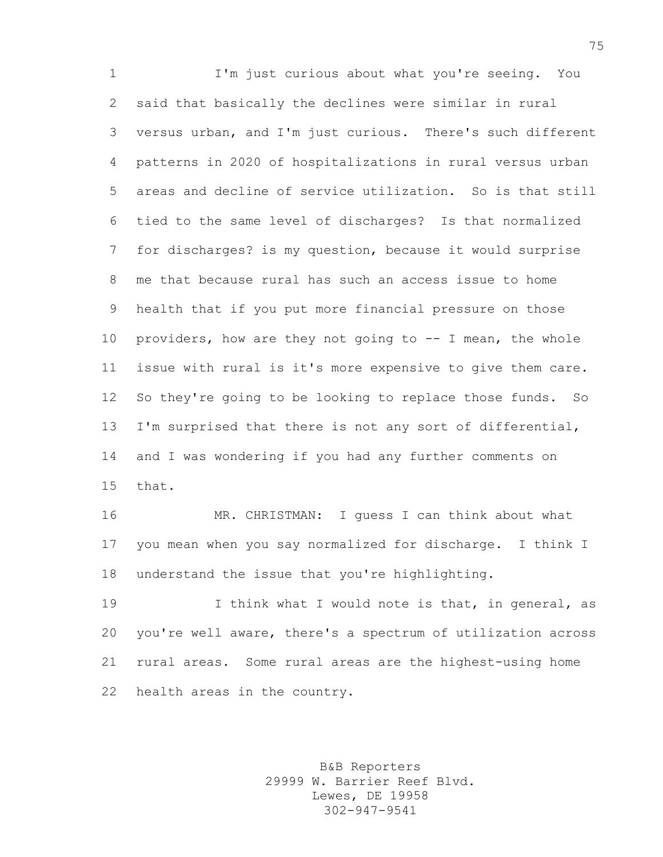I'm just curious about what you're seeing. You said that basically the declines were similar in rural versus urban, and I'm just curious. There's such different patterns in 2020 of hospitalizations in rural versus urban areas and decline of service utilization. So is that still tied to the same level of discharges? Is that normalized for discharges? is my question, because it would surprise me that because rural has such an access issue to home health that if you put more financial pressure on those providers, how are they not going to -- I mean, the whole issue with rural is it's more expensive to give them care. So they're going to be looking to replace those funds. So I'm surprised that there is not any sort of differential, and I was wondering if you had any further comments on that.

 MR. CHRISTMAN: I guess I can think about what you mean when you say normalized for discharge. I think I understand the issue that you're highlighting.

19 19 I think what I would note is that, in general, as you're well aware, there's a spectrum of utilization across rural areas. Some rural areas are the highest-using home health areas in the country.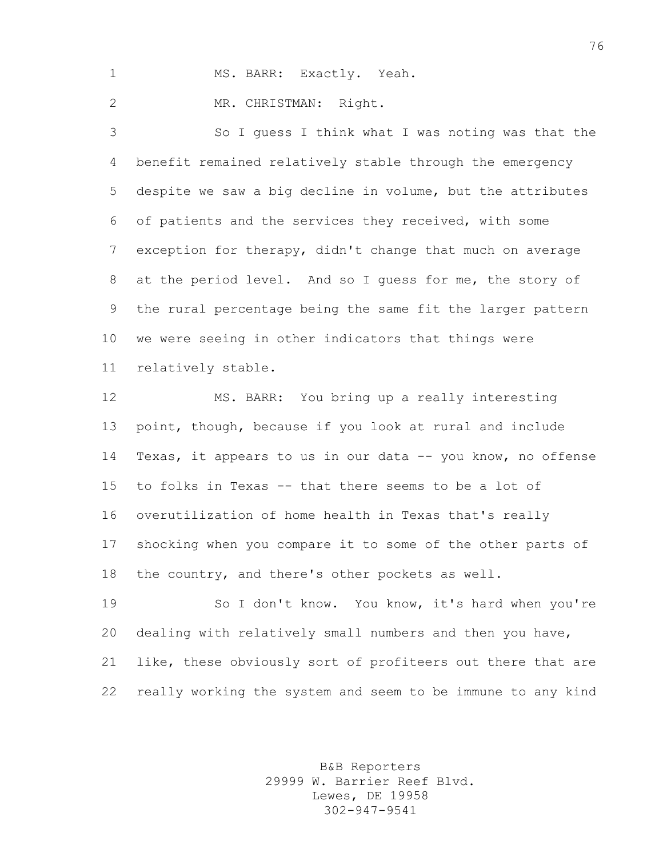1 MS. BARR: Exactly. Yeah. MR. CHRISTMAN: Right.

 So I guess I think what I was noting was that the benefit remained relatively stable through the emergency despite we saw a big decline in volume, but the attributes of patients and the services they received, with some exception for therapy, didn't change that much on average at the period level. And so I guess for me, the story of the rural percentage being the same fit the larger pattern we were seeing in other indicators that things were relatively stable.

 MS. BARR: You bring up a really interesting point, though, because if you look at rural and include Texas, it appears to us in our data -- you know, no offense to folks in Texas -- that there seems to be a lot of overutilization of home health in Texas that's really shocking when you compare it to some of the other parts of the country, and there's other pockets as well.

 So I don't know. You know, it's hard when you're dealing with relatively small numbers and then you have, like, these obviously sort of profiteers out there that are really working the system and seem to be immune to any kind

> B&B Reporters 29999 W. Barrier Reef Blvd. Lewes, DE 19958 302-947-9541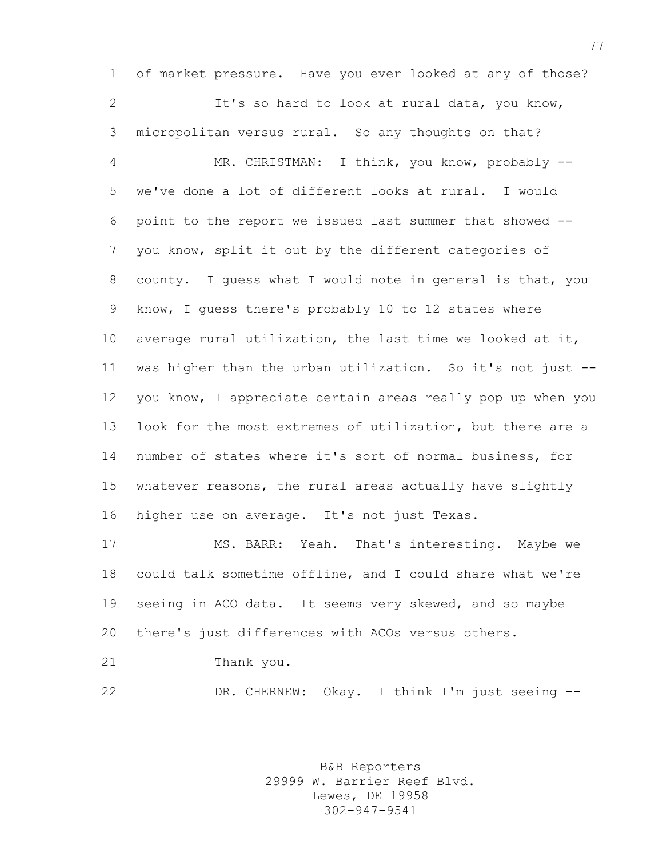of market pressure. Have you ever looked at any of those? It's so hard to look at rural data, you know, micropolitan versus rural. So any thoughts on that? MR. CHRISTMAN: I think, you know, probably -- we've done a lot of different looks at rural. I would point to the report we issued last summer that showed -- you know, split it out by the different categories of county. I guess what I would note in general is that, you know, I guess there's probably 10 to 12 states where average rural utilization, the last time we looked at it, was higher than the urban utilization. So it's not just -- you know, I appreciate certain areas really pop up when you look for the most extremes of utilization, but there are a number of states where it's sort of normal business, for whatever reasons, the rural areas actually have slightly higher use on average. It's not just Texas.

 MS. BARR: Yeah. That's interesting. Maybe we could talk sometime offline, and I could share what we're seeing in ACO data. It seems very skewed, and so maybe there's just differences with ACOs versus others.

Thank you.

DR. CHERNEW: Okay. I think I'm just seeing --

B&B Reporters 29999 W. Barrier Reef Blvd. Lewes, DE 19958 302-947-9541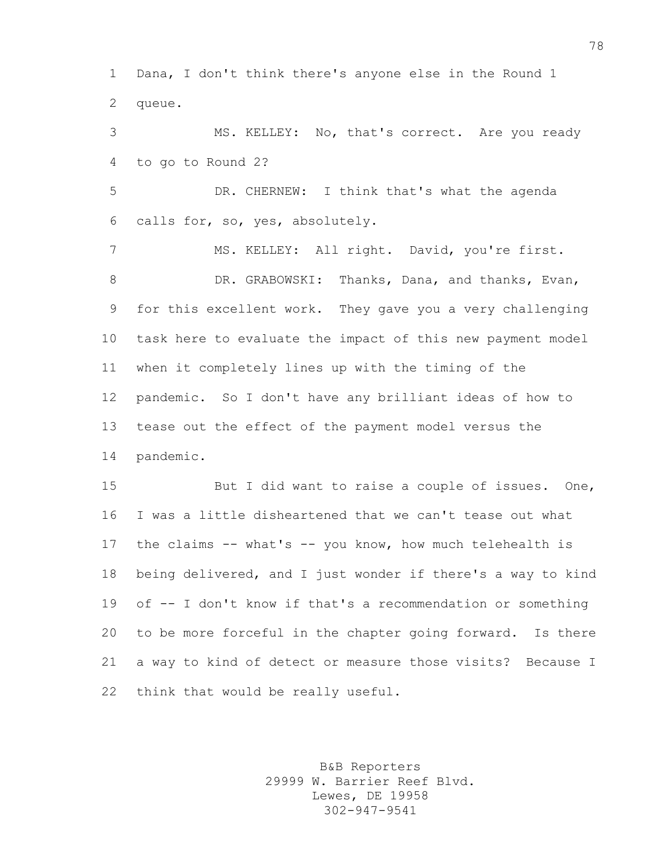Dana, I don't think there's anyone else in the Round 1 queue.

 MS. KELLEY: No, that's correct. Are you ready to go to Round 2?

 DR. CHERNEW: I think that's what the agenda calls for, so, yes, absolutely.

 MS. KELLEY: All right. David, you're first. 8 DR. GRABOWSKI: Thanks, Dana, and thanks, Evan, for this excellent work. They gave you a very challenging task here to evaluate the impact of this new payment model when it completely lines up with the timing of the pandemic. So I don't have any brilliant ideas of how to tease out the effect of the payment model versus the pandemic.

 But I did want to raise a couple of issues. One, I was a little disheartened that we can't tease out what the claims -- what's -- you know, how much telehealth is being delivered, and I just wonder if there's a way to kind of -- I don't know if that's a recommendation or something to be more forceful in the chapter going forward. Is there a way to kind of detect or measure those visits? Because I think that would be really useful.

> B&B Reporters 29999 W. Barrier Reef Blvd. Lewes, DE 19958 302-947-9541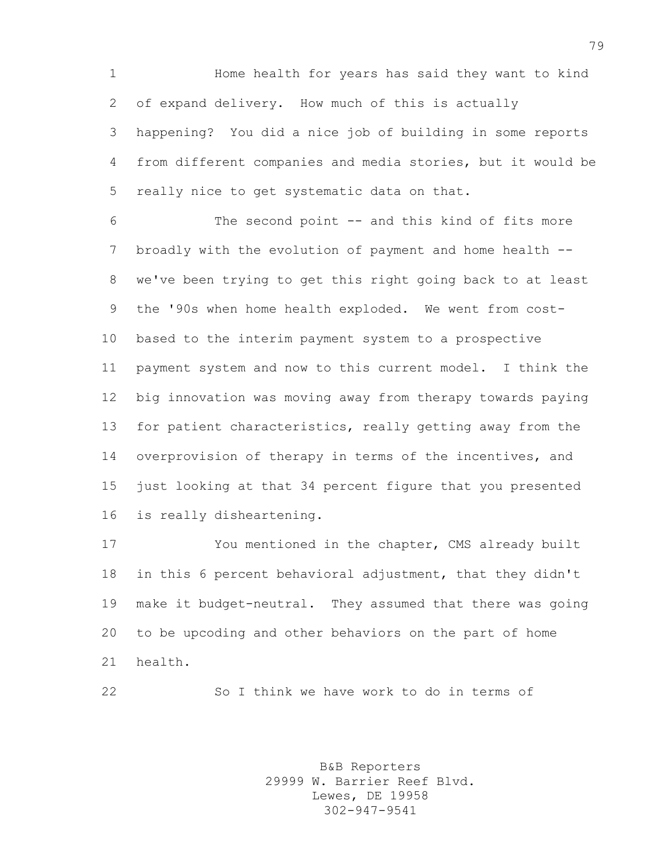1 Home health for years has said they want to kind of expand delivery. How much of this is actually happening? You did a nice job of building in some reports from different companies and media stories, but it would be really nice to get systematic data on that.

 The second point -- and this kind of fits more broadly with the evolution of payment and home health -- we've been trying to get this right going back to at least the '90s when home health exploded. We went from cost- based to the interim payment system to a prospective payment system and now to this current model. I think the big innovation was moving away from therapy towards paying for patient characteristics, really getting away from the overprovision of therapy in terms of the incentives, and just looking at that 34 percent figure that you presented is really disheartening.

 You mentioned in the chapter, CMS already built in this 6 percent behavioral adjustment, that they didn't make it budget-neutral. They assumed that there was going to be upcoding and other behaviors on the part of home health.

So I think we have work to do in terms of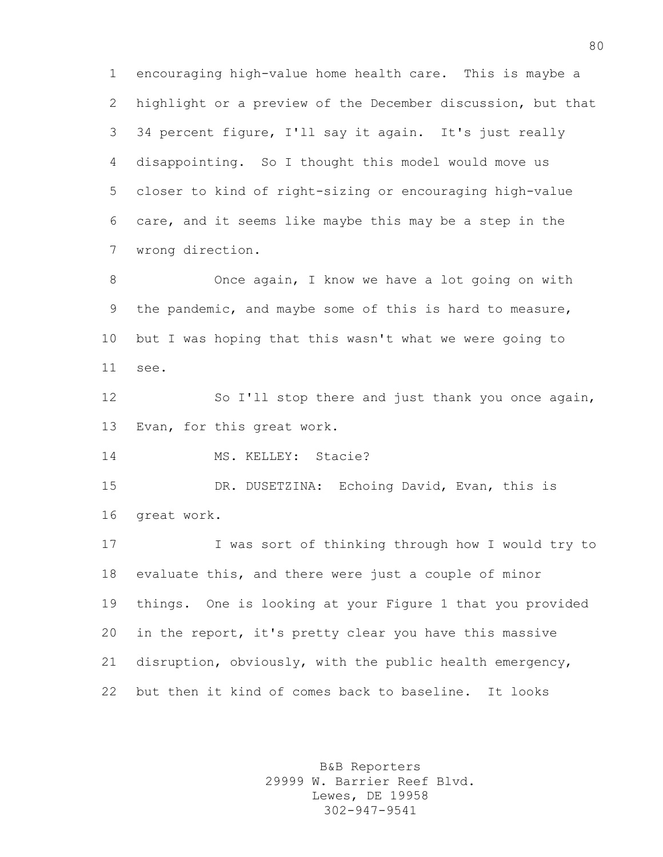encouraging high-value home health care. This is maybe a highlight or a preview of the December discussion, but that 34 percent figure, I'll say it again. It's just really disappointing. So I thought this model would move us closer to kind of right-sizing or encouraging high-value care, and it seems like maybe this may be a step in the wrong direction.

8 Once again, I know we have a lot going on with the pandemic, and maybe some of this is hard to measure, but I was hoping that this wasn't what we were going to see.

 So I'll stop there and just thank you once again, Evan, for this great work.

MS. KELLEY: Stacie?

 DR. DUSETZINA: Echoing David, Evan, this is great work.

 I was sort of thinking through how I would try to evaluate this, and there were just a couple of minor things. One is looking at your Figure 1 that you provided in the report, it's pretty clear you have this massive disruption, obviously, with the public health emergency, but then it kind of comes back to baseline. It looks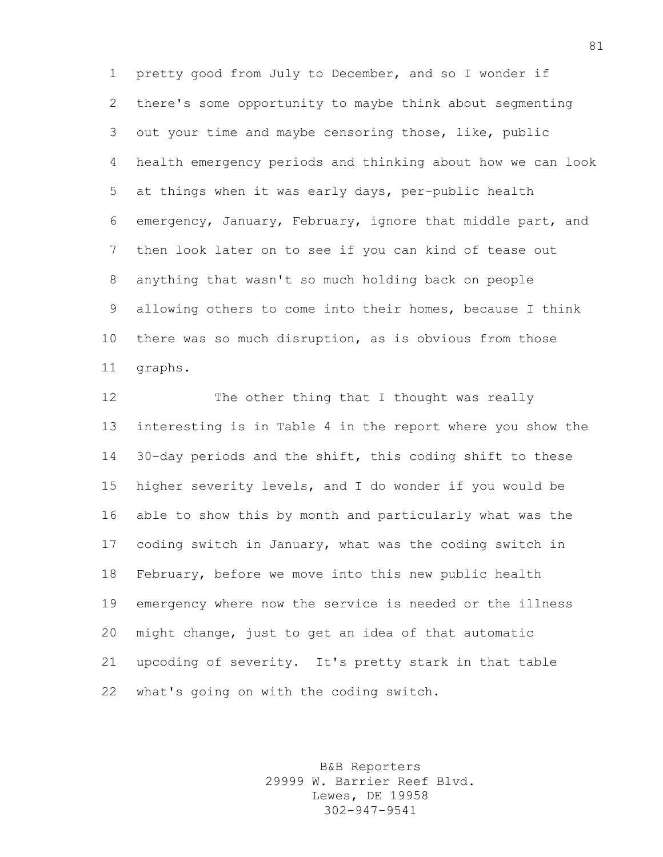pretty good from July to December, and so I wonder if there's some opportunity to maybe think about segmenting out your time and maybe censoring those, like, public health emergency periods and thinking about how we can look at things when it was early days, per-public health emergency, January, February, ignore that middle part, and then look later on to see if you can kind of tease out anything that wasn't so much holding back on people allowing others to come into their homes, because I think there was so much disruption, as is obvious from those graphs.

12 The other thing that I thought was really interesting is in Table 4 in the report where you show the 30-day periods and the shift, this coding shift to these higher severity levels, and I do wonder if you would be able to show this by month and particularly what was the coding switch in January, what was the coding switch in February, before we move into this new public health emergency where now the service is needed or the illness might change, just to get an idea of that automatic upcoding of severity. It's pretty stark in that table what's going on with the coding switch.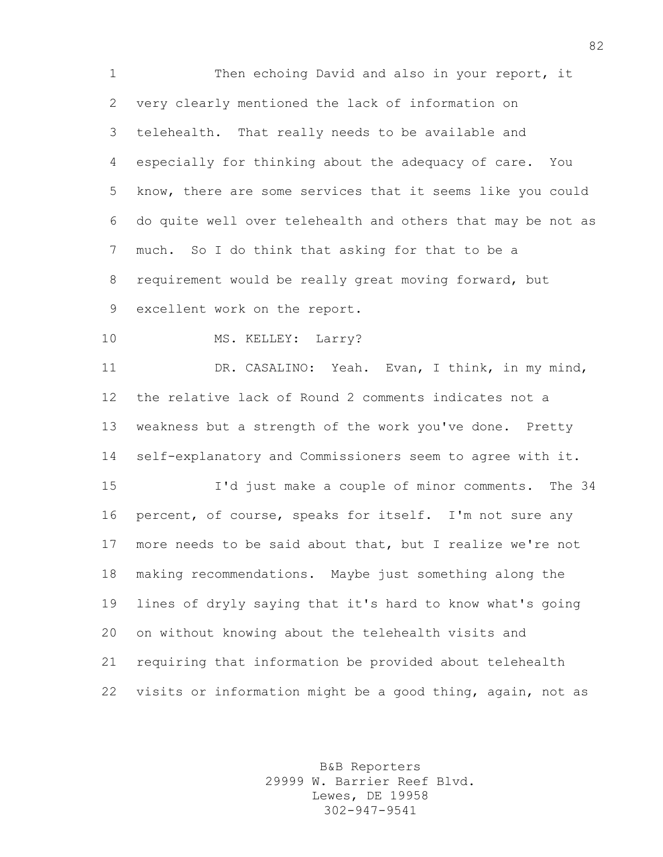Then echoing David and also in your report, it very clearly mentioned the lack of information on telehealth. That really needs to be available and especially for thinking about the adequacy of care. You know, there are some services that it seems like you could do quite well over telehealth and others that may be not as much. So I do think that asking for that to be a requirement would be really great moving forward, but excellent work on the report. 10 MS. KELLEY: Larry? DR. CASALINO: Yeah. Evan, I think, in my mind, the relative lack of Round 2 comments indicates not a weakness but a strength of the work you've done. Pretty self-explanatory and Commissioners seem to agree with it. I'd just make a couple of minor comments. The 34 percent, of course, speaks for itself. I'm not sure any more needs to be said about that, but I realize we're not making recommendations. Maybe just something along the lines of dryly saying that it's hard to know what's going on without knowing about the telehealth visits and requiring that information be provided about telehealth visits or information might be a good thing, again, not as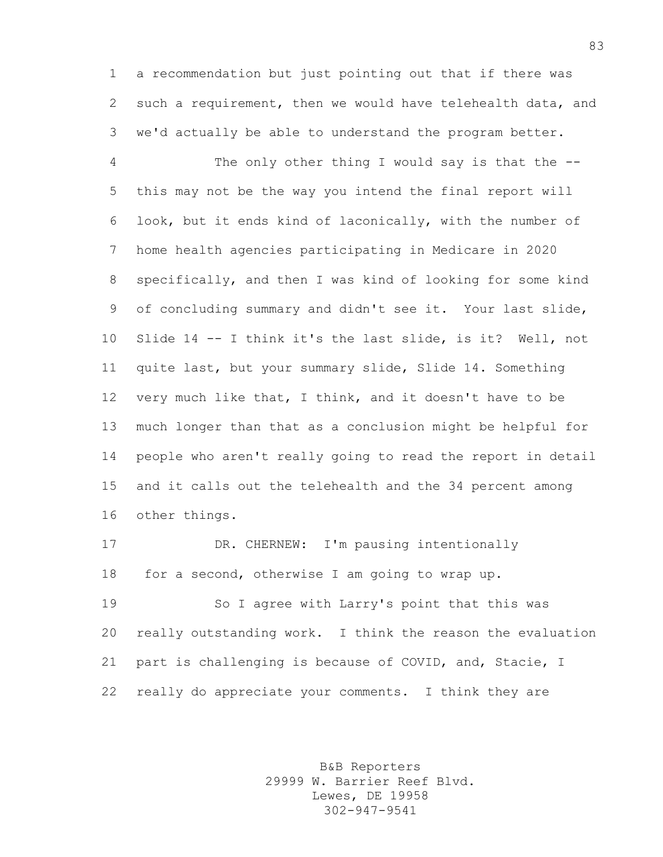a recommendation but just pointing out that if there was such a requirement, then we would have telehealth data, and we'd actually be able to understand the program better.

 The only other thing I would say is that the -- this may not be the way you intend the final report will look, but it ends kind of laconically, with the number of home health agencies participating in Medicare in 2020 specifically, and then I was kind of looking for some kind of concluding summary and didn't see it. Your last slide, Slide 14 -- I think it's the last slide, is it? Well, not quite last, but your summary slide, Slide 14. Something very much like that, I think, and it doesn't have to be much longer than that as a conclusion might be helpful for people who aren't really going to read the report in detail and it calls out the telehealth and the 34 percent among other things.

 DR. CHERNEW: I'm pausing intentionally for a second, otherwise I am going to wrap up.

 So I agree with Larry's point that this was really outstanding work. I think the reason the evaluation part is challenging is because of COVID, and, Stacie, I really do appreciate your comments. I think they are

> B&B Reporters 29999 W. Barrier Reef Blvd. Lewes, DE 19958 302-947-9541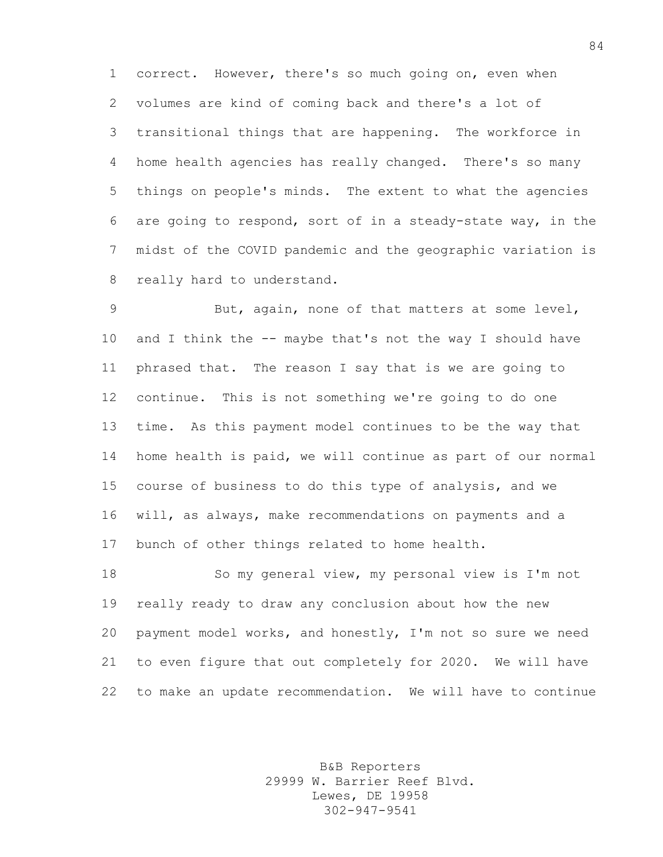correct. However, there's so much going on, even when volumes are kind of coming back and there's a lot of transitional things that are happening. The workforce in home health agencies has really changed. There's so many things on people's minds. The extent to what the agencies are going to respond, sort of in a steady-state way, in the midst of the COVID pandemic and the geographic variation is really hard to understand.

 But, again, none of that matters at some level, and I think the -- maybe that's not the way I should have phrased that. The reason I say that is we are going to continue. This is not something we're going to do one time. As this payment model continues to be the way that home health is paid, we will continue as part of our normal course of business to do this type of analysis, and we will, as always, make recommendations on payments and a bunch of other things related to home health.

 So my general view, my personal view is I'm not really ready to draw any conclusion about how the new payment model works, and honestly, I'm not so sure we need to even figure that out completely for 2020. We will have to make an update recommendation. We will have to continue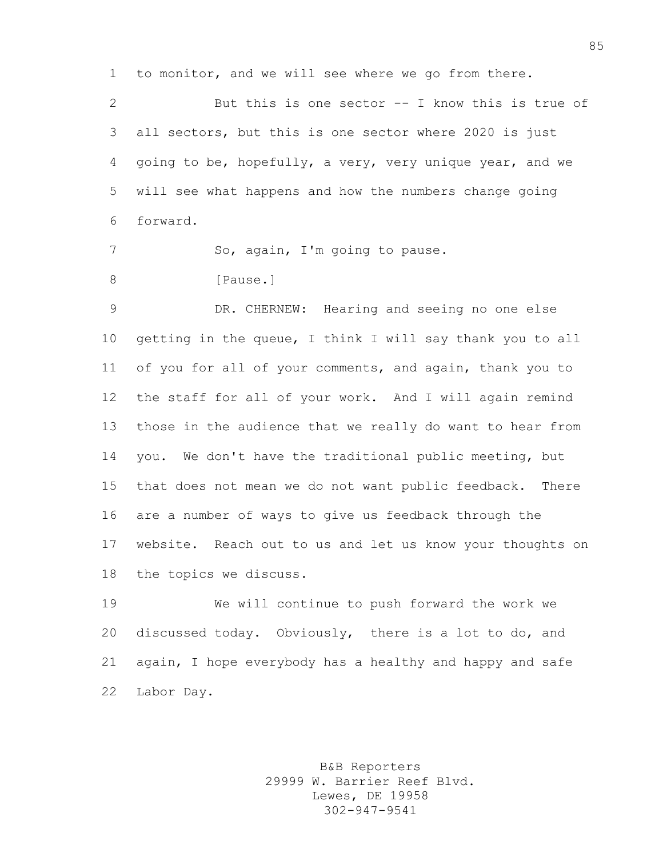to monitor, and we will see where we go from there.

 But this is one sector -- I know this is true of all sectors, but this is one sector where 2020 is just going to be, hopefully, a very, very unique year, and we will see what happens and how the numbers change going forward.

7 So, again, I'm going to pause.

8 [Pause.]

 DR. CHERNEW: Hearing and seeing no one else getting in the queue, I think I will say thank you to all of you for all of your comments, and again, thank you to the staff for all of your work. And I will again remind those in the audience that we really do want to hear from you. We don't have the traditional public meeting, but that does not mean we do not want public feedback. There are a number of ways to give us feedback through the website. Reach out to us and let us know your thoughts on the topics we discuss.

 We will continue to push forward the work we discussed today. Obviously, there is a lot to do, and again, I hope everybody has a healthy and happy and safe Labor Day.